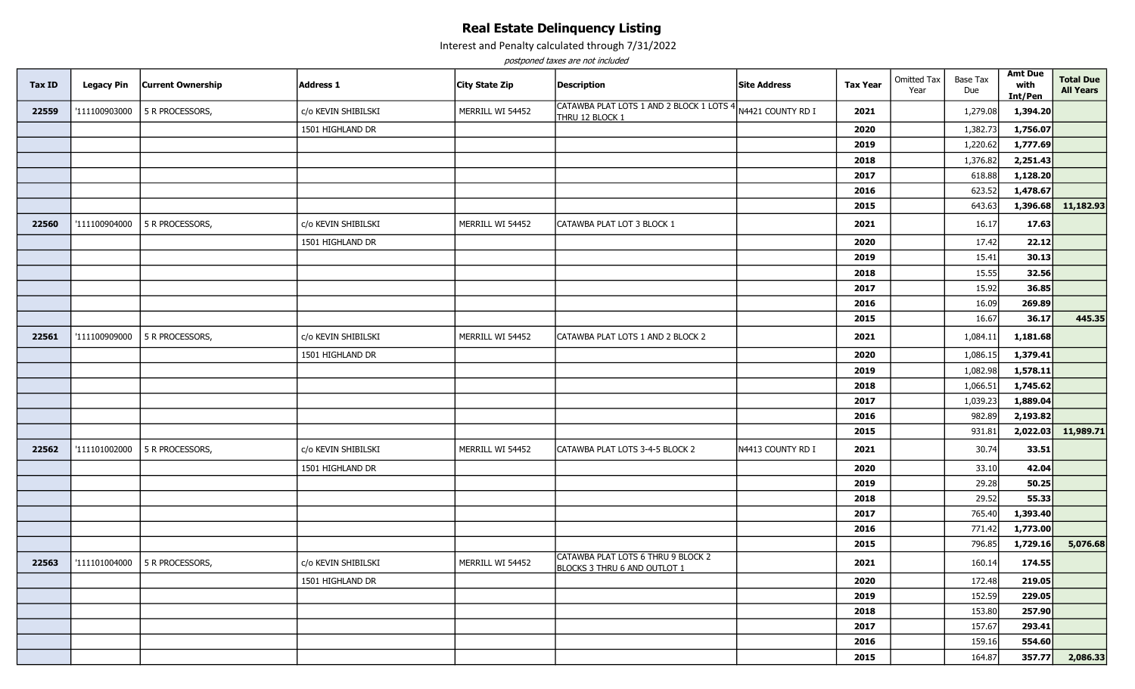## Real Estate Delinquency Listing

Interest and Penalty calculated through 7/31/2022

postponed taxes are not included

| <b>Tax ID</b> | <b>Legacy Pin</b> | <b>Current Ownership</b>      | <b>Address 1</b>    | City State Zip   | <b>Description</b>                                                 | <b>Site Address</b> | <b>Tax Year</b> | <b>Omitted Tax</b><br>Year | <b>Base Tax</b><br>Due | <b>Amt Due</b><br>with<br>Int/Pen | <b>Total Due</b><br><b>All Years</b> |
|---------------|-------------------|-------------------------------|---------------------|------------------|--------------------------------------------------------------------|---------------------|-----------------|----------------------------|------------------------|-----------------------------------|--------------------------------------|
| 22559         | '111100903000     | 5 R PROCESSORS,               | c/o KEVIN SHIBILSKI | MERRILL WI 54452 | CATAWBA PLAT LOTS 1 AND 2 BLOCK 1 LOTS 4<br>THRU 12 BLOCK 1        | N4421 COUNTY RD I   | 2021            |                            | 1,279.08               | 1,394.20                          |                                      |
|               |                   |                               | 1501 HIGHLAND DR    |                  |                                                                    |                     | 2020            |                            | 1,382.73               | 1,756.07                          |                                      |
|               |                   |                               |                     |                  |                                                                    |                     | 2019            |                            | 1,220.62               | 1,777.69                          |                                      |
|               |                   |                               |                     |                  |                                                                    |                     | 2018            |                            | 1,376.82               | 2,251.43                          |                                      |
|               |                   |                               |                     |                  |                                                                    |                     | 2017            |                            | 618.88                 | 1,128.20                          |                                      |
|               |                   |                               |                     |                  |                                                                    |                     | 2016            |                            | 623.52                 | 1,478.67                          |                                      |
|               |                   |                               |                     |                  |                                                                    |                     | 2015            |                            | 643.63                 | 1,396.68                          | 11,182.93                            |
| 22560         | '111100904000     | 5 R PROCESSORS,               | c/o KEVIN SHIBILSKI | MERRILL WI 54452 | CATAWBA PLAT LOT 3 BLOCK 1                                         |                     | 2021            |                            | 16.17                  | 17.63                             |                                      |
|               |                   |                               | 1501 HIGHLAND DR    |                  |                                                                    |                     | 2020            |                            | 17.42                  | 22.12                             |                                      |
|               |                   |                               |                     |                  |                                                                    |                     | 2019            |                            | 15.41                  | 30.13                             |                                      |
|               |                   |                               |                     |                  |                                                                    |                     | 2018            |                            | 15.55                  | 32.56                             |                                      |
|               |                   |                               |                     |                  |                                                                    |                     | 2017            |                            | 15.92                  | 36.85                             |                                      |
|               |                   |                               |                     |                  |                                                                    |                     | 2016            |                            | 16.09                  | 269.89                            |                                      |
|               |                   |                               |                     |                  |                                                                    |                     | 2015            |                            | 16.67                  | 36.17                             | 445.35                               |
| 22561         | '111100909000     | 5 R PROCESSORS,               | c/o KEVIN SHIBILSKI | MERRILL WI 54452 | CATAWBA PLAT LOTS 1 AND 2 BLOCK 2                                  |                     | 2021            |                            | 1,084.11               | 1,181.68                          |                                      |
|               |                   |                               | 1501 HIGHLAND DR    |                  |                                                                    |                     | 2020            |                            | 1,086.1                | 1,379.41                          |                                      |
|               |                   |                               |                     |                  |                                                                    |                     | 2019            |                            | 1,082.98               | 1,578.11                          |                                      |
|               |                   |                               |                     |                  |                                                                    |                     | 2018            |                            | 1,066.51               | 1,745.62                          |                                      |
|               |                   |                               |                     |                  |                                                                    |                     | 2017            |                            | 1,039.23               | 1,889.04                          |                                      |
|               |                   |                               |                     |                  |                                                                    |                     | 2016            |                            | 982.89                 | 2,193.82                          |                                      |
|               |                   |                               |                     |                  |                                                                    |                     | 2015            |                            | 931.81                 | 2,022.03                          | 11,989.71                            |
| 22562         | '111101002000     | 5 R PROCESSORS,               | c/o KEVIN SHIBILSKI | MERRILL WI 54452 | CATAWBA PLAT LOTS 3-4-5 BLOCK 2                                    | N4413 COUNTY RD I   | 2021            |                            | 30.74                  | 33.51                             |                                      |
|               |                   |                               | 1501 HIGHLAND DR    |                  |                                                                    |                     | 2020            |                            | 33.10                  | 42.04                             |                                      |
|               |                   |                               |                     |                  |                                                                    |                     | 2019            |                            | 29.28                  | 50.25                             |                                      |
|               |                   |                               |                     |                  |                                                                    |                     | 2018            |                            | 29.52                  | 55.33                             |                                      |
|               |                   |                               |                     |                  |                                                                    |                     | 2017            |                            | 765.40                 | 1,393.40                          |                                      |
|               |                   |                               |                     |                  |                                                                    |                     | 2016            |                            | 771.42                 | 1,773.00                          |                                      |
|               |                   |                               |                     |                  |                                                                    |                     | 2015            |                            | 796.85                 | 1,729.16                          | 5,076.68                             |
| 22563         |                   | '111101004000 5 R PROCESSORS, | c/o KEVIN SHIBILSKI | MERRILL WI 54452 | CATAWBA PLAT LOTS 6 THRU 9 BLOCK 2<br>BLOCKS 3 THRU 6 AND OUTLOT 1 |                     | 2021            |                            | 160.14                 | 174.55                            |                                      |
|               |                   |                               | 1501 HIGHLAND DR    |                  |                                                                    |                     | 2020            |                            | 172.48                 | 219.05                            |                                      |
|               |                   |                               |                     |                  |                                                                    |                     | 2019            |                            | 152.59                 | 229.05                            |                                      |
|               |                   |                               |                     |                  |                                                                    |                     | 2018            |                            | 153.80                 | 257.90                            |                                      |
|               |                   |                               |                     |                  |                                                                    |                     | 2017            |                            | 157.67                 | 293.41                            |                                      |
|               |                   |                               |                     |                  |                                                                    |                     | 2016            |                            | 159.16                 | 554.60                            |                                      |
|               |                   |                               |                     |                  |                                                                    |                     | 2015            |                            | 164.87                 | 357.77                            | 2,086.33                             |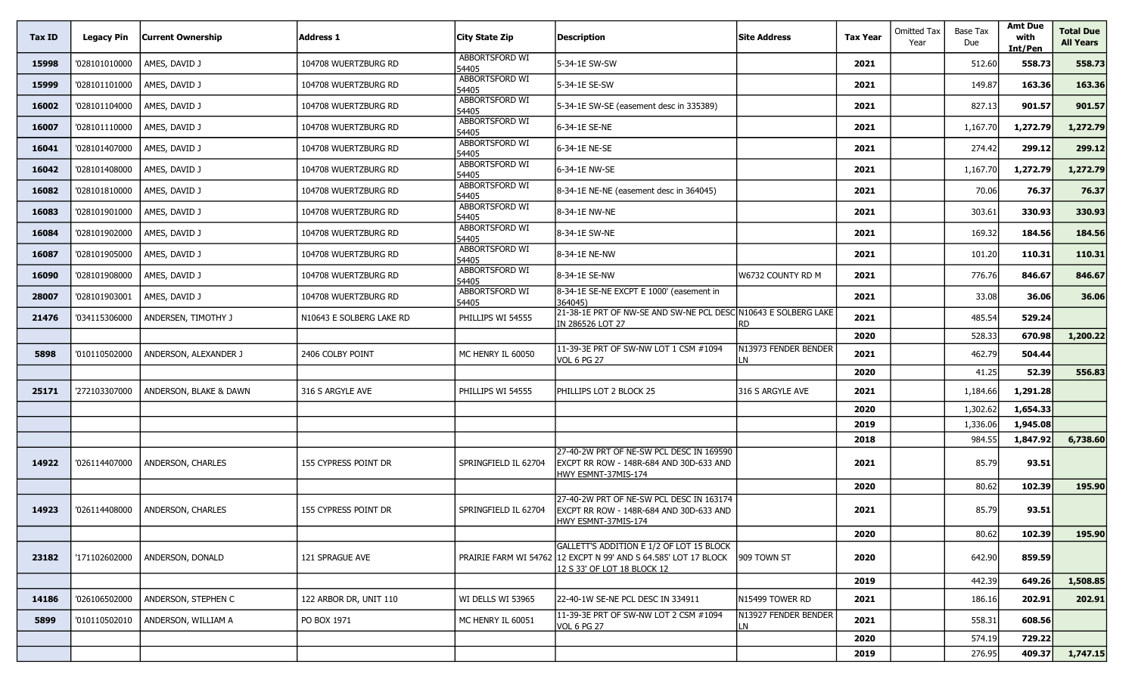| Tax ID | <b>Legacy Pin</b> | <b>Current Ownership</b> | Address 1                | City State Zip                 | Description                                                                                                                                | <b>Site Address</b>        | <b>Tax Year</b> | Omitted Tax<br>Year | Base Tax<br>Due | <b>Amt Due</b><br>with<br>Int/Pen | Total Due<br><b>All Years</b> |
|--------|-------------------|--------------------------|--------------------------|--------------------------------|--------------------------------------------------------------------------------------------------------------------------------------------|----------------------------|-----------------|---------------------|-----------------|-----------------------------------|-------------------------------|
| 15998  | '028101010000     | AMES, DAVID J            | 104708 WUERTZBURG RD     | ABBORTSFORD WI<br>54405        | 5-34-1E SW-SW                                                                                                                              |                            | 2021            |                     | 512.60          | 558.73                            | 558.73                        |
| 15999  | '028101101000     | AMES, DAVID J            | 104708 WUERTZBURG RD     | ABBORTSFORD WI<br>54405        | 5-34-1E SE-SW                                                                                                                              |                            | 2021            |                     | 149.87          | 163.36                            | 163.36                        |
| 16002  | '028101104000     | AMES, DAVID J            | 104708 WUERTZBURG RD     | ABBORTSFORD WI<br>54405        | 5-34-1E SW-SE (easement desc in 335389)                                                                                                    |                            | 2021            |                     | 827.13          | 901.57                            | 901.57                        |
| 16007  | '028101110000     | AMES, DAVID J            | 104708 WUERTZBURG RD     | ABBORTSFORD WI<br>54405        | 6-34-1E SE-NE                                                                                                                              |                            | 2021            |                     | 1,167.70        | 1,272.79                          | 1,272.79                      |
| 16041  | '028101407000     | AMES, DAVID J            | 104708 WUERTZBURG RD     | ABBORTSFORD WI<br>54405        | 6-34-1E NE-SE                                                                                                                              |                            | 2021            |                     | 274.42          | 299.12                            | 299.12                        |
| 16042  | '028101408000     | AMES, DAVID J            | 104708 WUERTZBURG RD     | ABBORTSFORD WI<br>54405        | 6-34-1E NW-SE                                                                                                                              |                            | 2021            |                     | 1,167.70        | 1,272.79                          | 1,272.79                      |
| 16082  | '028101810000     | AMES, DAVID J            | 104708 WUERTZBURG RD     | <b>ABBORTSFORD WI</b><br>54405 | 8-34-1E NE-NE (easement desc in 364045)                                                                                                    |                            | 2021            |                     | 70.06           | 76.37                             | 76.37                         |
| 16083  | '028101901000     | AMES, DAVID J            | 104708 WUERTZBURG RD     | ABBORTSFORD WI<br>54405        | 8-34-1E NW-NE                                                                                                                              |                            | 2021            |                     | 303.61          | 330.93                            | 330.93                        |
| 16084  | '028101902000     | AMES, DAVID J            | 104708 WUERTZBURG RD     | ABBORTSFORD WI<br>54405        | 8-34-1E SW-NE                                                                                                                              |                            | 2021            |                     | 169.32          | 184.56                            | 184.56                        |
| 16087  | '028101905000     | AMES, DAVID J            | 104708 WUERTZBURG RD     | ABBORTSFORD WI<br>54405        | 8-34-1E NE-NW                                                                                                                              |                            | 2021            |                     | 101.20          | 110.31                            | 110.31                        |
| 16090  | '028101908000     | AMES, DAVID J            | 104708 WUERTZBURG RD     | ABBORTSFORD WI<br>54405        | 8-34-1E SE-NW                                                                                                                              | W6732 COUNTY RD M          | 2021            |                     | 776.76          | 846.67                            | 846.67                        |
| 28007  | '028101903001     | AMES, DAVID J            | 104708 WUERTZBURG RD     | ABBORTSFORD WI<br>54405        | 8-34-1E SE-NE EXCPT E 1000' (easement in<br>364045)                                                                                        |                            | 2021            |                     | 33.08           | 36.06                             | 36.06                         |
| 21476  | '034115306000     | ANDERSEN, TIMOTHY J      | N10643 E SOLBERG LAKE RD | PHILLIPS WI 54555              | 21-38-1E PRT OF NW-SE AND SW-NE PCL DESC N10643 E SOLBERG LAKE<br>IN 286526 LOT 27                                                         | RD                         | 2021            |                     | 485.54          | 529.24                            |                               |
|        |                   |                          |                          |                                |                                                                                                                                            |                            | 2020            |                     | 528.33          | 670.98                            | 1,200.22                      |
| 5898   | '010110502000     | ANDERSON, ALEXANDER J    | 2406 COLBY POINT         | MC HENRY IL 60050              | 11-39-3E PRT OF SW-NW LOT 1 CSM #1094<br>VOL 6 PG 27                                                                                       | N13973 FENDER BENDER<br>LN | 2021            |                     | 462.79          | 504.44                            |                               |
|        |                   |                          |                          |                                |                                                                                                                                            |                            | 2020            |                     | 41.25           | 52.39                             | 556.83                        |
| 25171  | '272103307000     | ANDERSON, BLAKE & DAWN   | 316 S ARGYLE AVE         | PHILLIPS WI 54555              | PHILLIPS LOT 2 BLOCK 25                                                                                                                    | 316 S ARGYLE AVE           | 2021            |                     | 1,184.66        | 1,291.28                          |                               |
|        |                   |                          |                          |                                |                                                                                                                                            |                            | 2020            |                     | 1,302.62        | 1,654.33                          |                               |
|        |                   |                          |                          |                                |                                                                                                                                            |                            | 2019            |                     | 1,336.06        | 1,945.08                          |                               |
|        |                   |                          |                          |                                |                                                                                                                                            |                            | 2018            |                     | 984.55          | 1,847.92                          | 6,738.60                      |
| 14922  | '026114407000     | <b>ANDERSON, CHARLES</b> | 155 CYPRESS POINT DR     | SPRINGFIELD IL 62704           | 27-40-2W PRT OF NE-SW PCL DESC IN 169590<br>EXCPT RR ROW - 148R-684 AND 30D-633 AND<br>HWY ESMNT-37MIS-174                                 |                            | 2021            |                     | 85.79           | 93.51                             |                               |
|        |                   |                          |                          |                                |                                                                                                                                            |                            | 2020            |                     | 80.62           | 102.39                            | 195.90                        |
| 14923  | '026114408000     | ANDERSON, CHARLES        | 155 CYPRESS POINT DR     | SPRINGFIELD IL 62704           | 27-40-2W PRT OF NE-SW PCL DESC IN 163174<br>EXCPT RR ROW - 148R-684 AND 30D-633 AND<br>HWY ESMNT-37MIS-174                                 |                            | 2021            |                     | 85.79           | 93.51                             |                               |
|        |                   |                          |                          |                                |                                                                                                                                            |                            | 2020            |                     | 80.62           | 102.39                            | 195.90                        |
| 23182  | '171102602000     | ANDERSON, DONALD         | 121 SPRAGUE AVE          |                                | GALLETT'S ADDITION E 1/2 OF LOT 15 BLOCK<br>PRAIRIE FARM WI 54762 12 EXCPT N 99' AND S 64.585' LOT 17 BLOCK<br>12 S 33' OF LOT 18 BLOCK 12 | 909 TOWN ST                | 2020            |                     | 642.90          | 859.59                            |                               |
|        |                   |                          |                          |                                |                                                                                                                                            |                            | 2019            |                     | 442.39          | 649.26                            | 1,508.85                      |
| 14186  | '026106502000     | ANDERSON, STEPHEN C      | 122 ARBOR DR, UNIT 110   | WI DELLS WI 53965              | 22-40-1W SE-NE PCL DESC IN 334911                                                                                                          | N15499 TOWER RD            | 2021            |                     | 186.16          | 202.91                            | 202.91                        |
| 5899   | '010110502010     | ANDERSON, WILLIAM A      | PO BOX 1971              | MC HENRY IL 60051              | 11-39-3E PRT OF SW-NW LOT 2 CSM #1094<br>VOL 6 PG 27                                                                                       | N13927 FENDER BENDER<br>LN | 2021            |                     | 558.31          | 608.56                            |                               |
|        |                   |                          |                          |                                |                                                                                                                                            |                            | 2020            |                     | 574.19          | 729.22                            |                               |
|        |                   |                          |                          |                                |                                                                                                                                            |                            | 2019            |                     | 276.95          | 409.37                            | 1,747.15                      |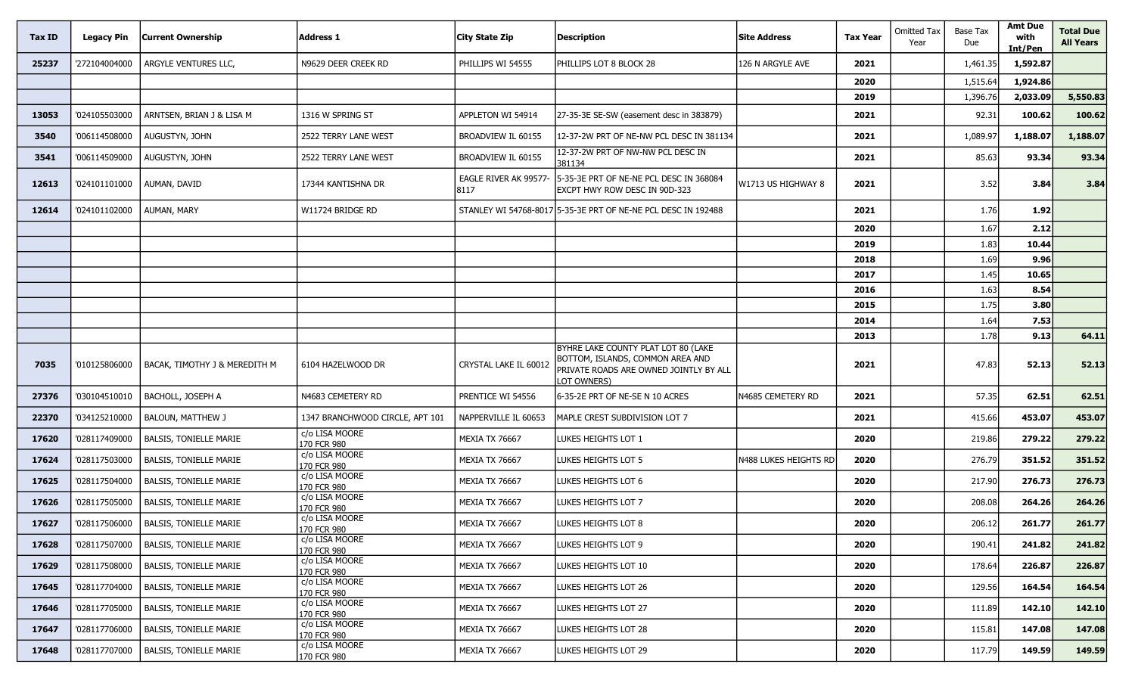| Tax ID | <b>Legacy Pin</b> | <b>Current Ownership</b>               | <b>Address 1</b>                | <b>City State Zip</b>         | <b>Description</b>                                                                                                               | <b>Site Address</b>   | <b>Tax Year</b> | <b>Omitted Tax</b><br>Year | Base Tax<br>Due | <b>Amt Due</b><br>with<br>Int/Pen | <b>Total Due</b><br><b>All Years</b> |
|--------|-------------------|----------------------------------------|---------------------------------|-------------------------------|----------------------------------------------------------------------------------------------------------------------------------|-----------------------|-----------------|----------------------------|-----------------|-----------------------------------|--------------------------------------|
| 25237  | '272104004000     | ARGYLE VENTURES LLC,                   | N9629 DEER CREEK RD             | PHILLIPS WI 54555             | PHILLIPS LOT 8 BLOCK 28                                                                                                          | 126 N ARGYLE AVE      | 2021            |                            | 1,461.35        | 1,592.87                          |                                      |
|        |                   |                                        |                                 |                               |                                                                                                                                  |                       | 2020            |                            | 1,515.64        | 1,924.86                          |                                      |
|        |                   |                                        |                                 |                               |                                                                                                                                  |                       | 2019            |                            | 1,396.76        | 2,033.09                          | 5,550.83                             |
| 13053  | '024105503000     | ARNTSEN, BRIAN J & LISA M              | 1316 W SPRING ST                | APPLETON WI 54914             | 27-35-3E SE-SW (easement desc in 383879)                                                                                         |                       | 2021            |                            | 92.31           | 100.62                            | 100.62                               |
| 3540   | '006114508000     | AUGUSTYN, JOHN                         | 2522 TERRY LANE WEST            | BROADVIEW IL 60155            | 12-37-2W PRT OF NE-NW PCL DESC IN 381134                                                                                         |                       | 2021            |                            | 1,089.97        | 1,188.07                          | 1,188.07                             |
| 3541   | '006114509000     | AUGUSTYN, JOHN                         | 2522 TERRY LANE WEST            | BROADVIEW IL 60155            | 12-37-2W PRT OF NW-NW PCL DESC IN<br>381134                                                                                      |                       | 2021            |                            | 85.63           | 93.34                             | 93.34                                |
| 12613  | '024101101000     | AUMAN, DAVID                           | 17344 KANTISHNA DR              | EAGLE RIVER AK 99577-<br>8117 | 5-35-3E PRT OF NE-NE PCL DESC IN 368084<br>EXCPT HWY ROW DESC IN 90D-323                                                         | W1713 US HIGHWAY 8    | 2021            |                            | 3.52            | 3.84                              | 3.84                                 |
| 12614  | '024101102000     | <b>AUMAN, MARY</b>                     | W11724 BRIDGE RD                |                               | STANLEY WI 54768-8017 5-35-3E PRT OF NE-NE PCL DESC IN 192488                                                                    |                       | 2021            |                            | 1.76            | 1.92                              |                                      |
|        |                   |                                        |                                 |                               |                                                                                                                                  |                       | 2020            |                            | 1.67            | 2.12                              |                                      |
|        |                   |                                        |                                 |                               |                                                                                                                                  |                       | 2019            |                            | 1.83            | 10.44                             |                                      |
|        |                   |                                        |                                 |                               |                                                                                                                                  |                       | 2018            |                            | 1.69            | 9.96                              |                                      |
|        |                   |                                        |                                 |                               |                                                                                                                                  |                       | 2017            |                            | 1.45            | 10.65                             |                                      |
|        |                   |                                        |                                 |                               |                                                                                                                                  |                       | 2016            |                            | 1.63            | 8.54                              |                                      |
|        |                   |                                        |                                 |                               |                                                                                                                                  |                       | 2015            |                            | 1.75            | 3.80                              |                                      |
|        |                   |                                        |                                 |                               |                                                                                                                                  |                       | 2014            |                            | 1.64            | 7.53<br>9.13                      |                                      |
| 7035   | '010125806000     | BACAK, TIMOTHY J & MEREDITH M          | 6104 HAZELWOOD DR               | CRYSTAL LAKE IL 60012         | BYHRE LAKE COUNTY PLAT LOT 80 (LAKE<br>BOTTOM, ISLANDS, COMMON AREA AND<br>PRIVATE ROADS ARE OWNED JOINTLY BY ALL<br>LOT OWNERS) |                       | 2013<br>2021    |                            | 1.78<br>47.83   | 52.13                             | 64.11<br>52.13                       |
| 27376  | '030104510010     | BACHOLL, JOSEPH A                      | N4683 CEMETERY RD               | PRENTICE WI 54556             | 6-35-2E PRT OF NE-SE N 10 ACRES                                                                                                  | N4685 CEMETERY RD     | 2021            |                            | 57.35           | 62.51                             | 62.51                                |
| 22370  | '034125210000     | <b>BALOUN, MATTHEW J</b>               | 1347 BRANCHWOOD CIRCLE, APT 101 | NAPPERVILLE IL 60653          | MAPLE CREST SUBDIVISION LOT 7                                                                                                    |                       | 2021            |                            | 415.66          | 453.07                            | 453.07                               |
| 17620  | '028117409000     | <b>BALSIS, TONIELLE MARIE</b>          | c/o LISA MOORE<br>170 FCR 980   | <b>MEXIA TX 76667</b>         | LUKES HEIGHTS LOT 1                                                                                                              |                       | 2020            |                            | 219.86          | 279.22                            | 279.22                               |
| 17624  | '028117503000     | <b>BALSIS, TONIELLE MARIE</b>          | c/o LISA MOORE<br>170 FCR 980   | <b>MEXIA TX 76667</b>         | LUKES HEIGHTS LOT 5                                                                                                              | N488 LUKES HEIGHTS RD | 2020            |                            | 276.79          | 351.52                            | 351.52                               |
| 17625  | '028117504000     | <b>BALSIS, TONIELLE MARIE</b>          | c/o LISA MOORE<br>170 FCR 980   | <b>MEXIA TX 76667</b>         | LUKES HEIGHTS LOT 6                                                                                                              |                       | 2020            |                            | 217.90          | 276.73                            | 276.73                               |
| 17626  | '028117505000     | <b>BALSIS, TONIELLE MARIE</b>          | c/o LISA MOORE<br>170 FCR 980   | <b>MEXIA TX 76667</b>         | LUKES HEIGHTS LOT 7                                                                                                              |                       | 2020            |                            | 208.08          | 264.26                            | 264.26                               |
| 17627  |                   | '028117506000   BALSIS, TONIELLE MARIE | c/o LISA MOORE<br>170 FCR 980   | MEXIA TX 76667                | LUKES HEIGHTS LOT 8                                                                                                              |                       | 2020            |                            | 206.12          | 261.77                            | 261.77                               |
| 17628  | '028117507000     | <b>BALSIS, TONIELLE MARIE</b>          | c/o LISA MOORE<br>170 FCR 980   | <b>MEXIA TX 76667</b>         | LUKES HEIGHTS LOT 9                                                                                                              |                       | 2020            |                            | 190.41          | 241.82                            | 241.82                               |
| 17629  | '028117508000     | <b>BALSIS, TONIELLE MARIE</b>          | c/o LISA MOORE<br>170 FCR 980   | MEXIA TX 76667                | LUKES HEIGHTS LOT 10                                                                                                             |                       | 2020            |                            | 178.64          | 226.87                            | 226.87                               |
| 17645  | '028117704000     | <b>BALSIS, TONIELLE MARIE</b>          | c/o LISA MOORE<br>170 FCR 980   | <b>MEXIA TX 76667</b>         | LUKES HEIGHTS LOT 26                                                                                                             |                       | 2020            |                            | 129.56          | 164.54                            | 164.54                               |
| 17646  | '028117705000     | <b>BALSIS, TONIELLE MARIE</b>          | c/o LISA MOORE<br>170 FCR 980   | <b>MEXIA TX 76667</b>         | LUKES HEIGHTS LOT 27                                                                                                             |                       | 2020            |                            | 111.89          | 142.10                            | 142.10                               |
| 17647  | '028117706000     | <b>BALSIS, TONIELLE MARIE</b>          | c/o LISA MOORE<br>170 FCR 980   | MEXIA TX 76667                | LUKES HEIGHTS LOT 28                                                                                                             |                       | 2020            |                            | 115.81          | 147.08                            | 147.08                               |
| 17648  | '028117707000     | <b>BALSIS, TONIELLE MARIE</b>          | c/o LISA MOORE<br>170 FCR 980   | <b>MEXIA TX 76667</b>         | LUKES HEIGHTS LOT 29                                                                                                             |                       | 2020            |                            | 117.79          | 149.59                            | 149.59                               |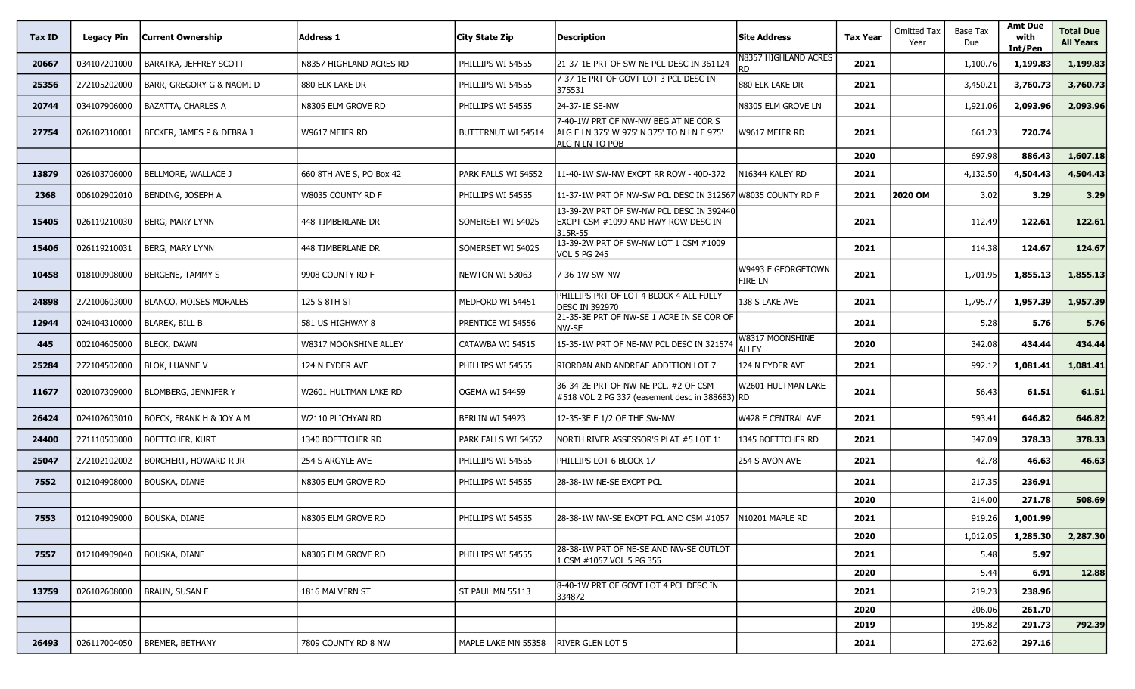| Tax ID | <b>Legacy Pin</b> | <b>Current Ownership</b>      | Address 1                | City State Zip      | <b>Description</b>                                                                                    | <b>Site Address</b>                  | <b>Tax Year</b> | <b>Omitted Tax</b><br>Year | <b>Base Tax</b><br>Due | <b>Amt Due</b><br>with<br>Int/Pen | <b>Total Due</b><br><b>All Years</b> |
|--------|-------------------|-------------------------------|--------------------------|---------------------|-------------------------------------------------------------------------------------------------------|--------------------------------------|-----------------|----------------------------|------------------------|-----------------------------------|--------------------------------------|
| 20667  | '034107201000     | <b>BARATKA, JEFFREY SCOTT</b> | N8357 HIGHLAND ACRES RD  | PHILLIPS WI 54555   | 21-37-1E PRT OF SW-NE PCL DESC IN 361124                                                              | N8357 HIGHLAND ACRES<br>RD           | 2021            |                            | 1,100.76               | 1,199.83                          | 1,199.83                             |
| 25356  | '272105202000     | BARR, GREGORY G & NAOMI D     | 880 ELK LAKE DR          | PHILLIPS WI 54555   | 7-37-1E PRT OF GOVT LOT 3 PCL DESC IN<br>375531                                                       | 880 ELK LAKE DR                      | 2021            |                            | 3,450.21               | 3,760.73                          | 3,760.73                             |
| 20744  | '034107906000     | <b>BAZATTA, CHARLES A</b>     | N8305 ELM GROVE RD       | PHILLIPS WI 54555   | 24-37-1E SE-NW                                                                                        | N8305 ELM GROVE LN                   | 2021            |                            | 1,921.06               | 2,093.96                          | 2,093.96                             |
| 27754  | '026102310001     | BECKER, JAMES P & DEBRA J     | W9617 MEIER RD           | BUTTERNUT WI 54514  | 7-40-1W PRT OF NW-NW BEG AT NE COR S<br>ALG E LN 375' W 975' N 375' TO N LN E 975'<br>alg N LN TO POB | W9617 MEIER RD                       | 2021            |                            | 661.23                 | 720.74                            |                                      |
|        |                   |                               |                          |                     |                                                                                                       |                                      | 2020            |                            | 697.98                 | 886.43                            | 1,607.18                             |
| 13879  | '026103706000     | BELLMORE, WALLACE J           | 660 8TH AVE S, PO Box 42 | PARK FALLS WI 54552 | 11-40-1W SW-NW EXCPT RR ROW - 40D-372                                                                 | N16344 KALEY RD                      | 2021            |                            | 4,132.50               | 4,504.43                          | 4,504.43                             |
| 2368   | '006102902010     | BENDING, JOSEPH A             | W8035 COUNTY RD F        | PHILLIPS WI 54555   | 11-37-1W PRT OF NW-SW PCL DESC IN 312567                                                              | W8035 COUNTY RD F                    | 2021            | 2020 OM                    | 3.02                   | 3.29                              | 3.29                                 |
| 15405  | '026119210030     | <b>BERG, MARY LYNN</b>        | 448 TIMBERLANE DR        | SOMERSET WI 54025   | 13-39-2W PRT OF SW-NW PCL DESC IN 392440<br>EXCPT CSM #1099 AND HWY ROW DESC IN<br>315R-55            |                                      | 2021            |                            | 112.49                 | 122.61                            | 122.61                               |
| 15406  | '026119210031     | BERG, MARY LYNN               | 448 TIMBERLANE DR        | SOMERSET WI 54025   | 13-39-2W PRT OF SW-NW LOT 1 CSM #1009<br>VOL 5 PG 245                                                 |                                      | 2021            |                            | 114.38                 | 124.67                            | 124.67                               |
| 10458  | '018100908000     | <b>BERGENE, TAMMY S</b>       | 9908 COUNTY RD F         | NEWTON WI 53063     | 7-36-1W SW-NW                                                                                         | W9493 E GEORGETOWN<br><b>FIRE LN</b> | 2021            |                            | 1,701.95               | 1,855.13                          | 1,855.13                             |
| 24898  | '272100603000     | <b>BLANCO, MOISES MORALES</b> | 125 S 8TH ST             | MEDFORD WI 54451    | PHILLIPS PRT OF LOT 4 BLOCK 4 ALL FULLY<br><b>DESC IN 392970</b>                                      | 138 S LAKE AVE                       | 2021            |                            | 1,795.77               | 1,957.39                          | 1,957.39                             |
| 12944  | '024104310000     | <b>BLAREK, BILL B</b>         | 581 US HIGHWAY 8         | PRENTICE WI 54556   | 21-35-3E PRT OF NW-SE 1 ACRE IN SE COR OF<br>NW-SE                                                    |                                      | 2021            |                            | 5.28                   | 5.76                              | 5.76                                 |
| 445    | '002104605000     | <b>BLECK, DAWN</b>            | W8317 MOONSHINE ALLEY    | CATAWBA WI 54515    | 15-35-1W PRT OF NE-NW PCL DESC IN 321574                                                              | W8317 MOONSHINE<br>ALLEY             | 2020            |                            | 342.08                 | 434.44                            | 434.44                               |
| 25284  | '272104502000     | <b>BLOK, LUANNE V</b>         | 124 N EYDER AVE          | PHILLIPS WI 54555   | RIORDAN AND ANDREAE ADDITION LOT 7                                                                    | 124 N EYDER AVE                      | 2021            |                            | 992.12                 | 1,081.41                          | 1,081.41                             |
| 11677  | '020107309000     | BLOMBERG, JENNIFER Y          | W2601 HULTMAN LAKE RD    | OGEMA WI 54459      | 36-34-2E PRT OF NW-NE PCL. #2 OF CSM<br>#518 VOL 2 PG 337 (easement desc in 388683) RD                | W2601 HULTMAN LAKE                   | 2021            |                            | 56.43                  | 61.51                             | 61.51                                |
| 26424  | '024102603010     | BOECK, FRANK H & JOY A M      | W2110 PLICHYAN RD        | BERLIN WI 54923     | 12-35-3E E 1/2 OF THE SW-NW                                                                           | W428 E CENTRAL AVE                   | 2021            |                            | 593.41                 | 646.82                            | 646.82                               |
| 24400  | '271110503000     | <b>BOETTCHER, KURT</b>        | 1340 BOETTCHER RD        | PARK FALLS WI 54552 | NORTH RIVER ASSESSOR'S PLAT #5 LOT 11                                                                 | 1345 BOETTCHER RD                    | 2021            |                            | 347.09                 | 378.33                            | 378.33                               |
| 25047  | '272102102002     | BORCHERT, HOWARD R JR         | 254 S ARGYLE AVE         | PHILLIPS WI 54555   | PHILLIPS LOT 6 BLOCK 17                                                                               | 254 S AVON AVE                       | 2021            |                            | 42.78                  | 46.63                             | 46.63                                |
| 7552   | '012104908000     | BOUSKA, DIANE                 | N8305 ELM GROVE RD       | PHILLIPS WI 54555   | 28-38-1W NE-SE EXCPT PCL                                                                              |                                      | 2021            |                            | 217.35                 | 236.91                            |                                      |
|        |                   |                               |                          |                     |                                                                                                       |                                      | 2020            |                            | 214.00                 | 271.78                            | 508.69                               |
| 7553   | '012104909000     | <b>BOUSKA, DIANE</b>          | N8305 ELM GROVE RD       | PHILLIPS WI 54555   | 28-38-1W NW-SE EXCPT PCL AND CSM #1057                                                                | N10201 MAPLE RD                      | 2021            |                            | 919.26                 | 1,001.99                          |                                      |
|        |                   |                               |                          |                     |                                                                                                       |                                      | 2020            |                            | 1,012.05               | 1,285.30                          | 2,287.30                             |
| 7557   | '012104909040     | <b>BOUSKA, DIANE</b>          | N8305 ELM GROVE RD       | PHILLIPS WI 54555   | 28-38-1W PRT OF NE-SE AND NW-SE OUTLOT<br>L CSM #1057 VOL 5 PG 355                                    |                                      | 2021            |                            | 5.48                   | 5.97                              |                                      |
|        |                   |                               |                          |                     |                                                                                                       |                                      | 2020            |                            | 5.44                   | 6.91                              | 12.88                                |
| 13759  | '026102608000     | <b>BRAUN, SUSAN E</b>         | 1816 MALVERN ST          | ST PAUL MN 55113    | 8-40-1W PRT OF GOVT LOT 4 PCL DESC IN<br>334872                                                       |                                      | 2021            |                            | 219.23                 | 238.96                            |                                      |
|        |                   |                               |                          |                     |                                                                                                       |                                      | 2020            |                            | 206.06                 | 261.70                            |                                      |
|        |                   |                               |                          |                     |                                                                                                       |                                      | 2019            |                            | 195.82                 | 291.73                            | 792.39                               |
| 26493  | '026117004050     | <b>BREMER, BETHANY</b>        | 7809 COUNTY RD 8 NW      | MAPLE LAKE MN 55358 | <b>IRIVER GLEN LOT 5</b>                                                                              |                                      | 2021            |                            | 272.62                 | 297.16                            |                                      |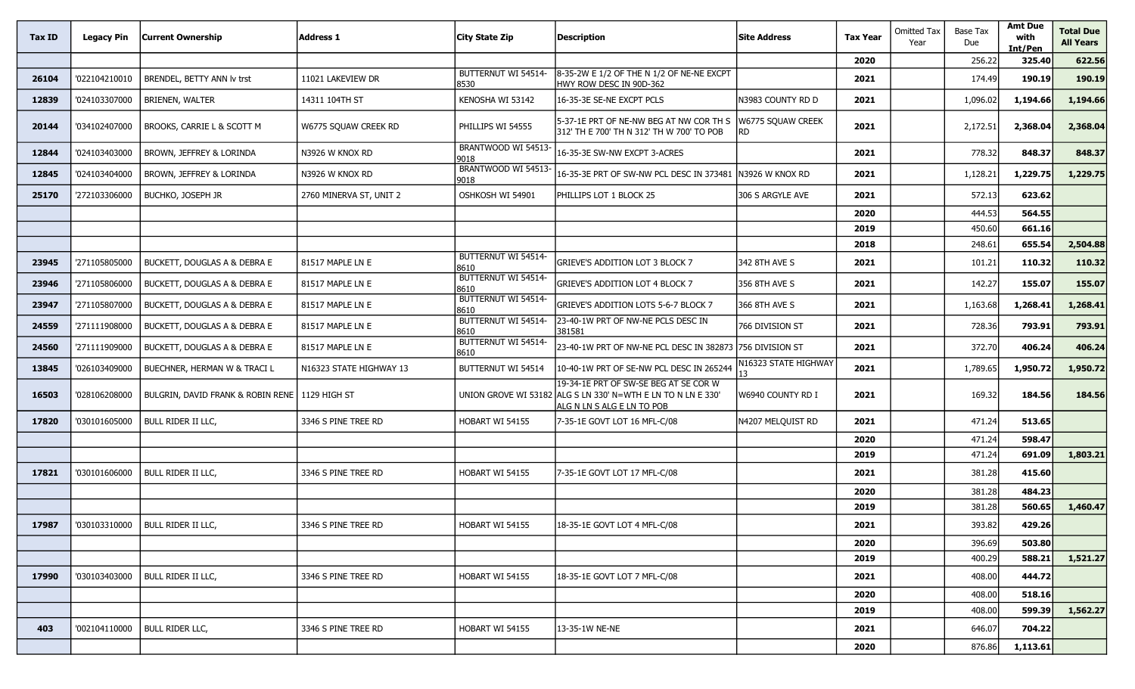| Tax ID | <b>Legacy Pin</b> | <b>Current Ownership</b>                         | <b>Address 1</b>        | City State Zip                     | Description                                                                                                                         | <b>Site Address</b>      | <b>Tax Year</b> | <b>Omitted Tax</b><br>Year | Base Tax<br>Due  | <b>Amt Due</b><br>with<br>Int/Pen | <b>Total Due</b><br><b>All Years</b> |
|--------|-------------------|--------------------------------------------------|-------------------------|------------------------------------|-------------------------------------------------------------------------------------------------------------------------------------|--------------------------|-----------------|----------------------------|------------------|-----------------------------------|--------------------------------------|
|        |                   |                                                  |                         |                                    |                                                                                                                                     |                          | 2020            |                            | 256.22           | 325.40                            | 622.56                               |
| 26104  | '022104210010     | BRENDEL, BETTY ANN Iv trst                       | 11021 LAKEVIEW DR       | BUTTERNUT WI 54514-<br>8530        | 8-35-2W E 1/2 OF THE N 1/2 OF NE-NE EXCPT<br>HWY ROW DESC IN 90D-362                                                                |                          | 2021            |                            | 174.49           | 190.19                            | 190.19                               |
| 12839  | '024103307000     | <b>BRIENEN, WALTER</b>                           | 14311 104TH ST          | KENOSHA WI 53142                   | 16-35-3E SE-NE EXCPT PCLS                                                                                                           | N3983 COUNTY RD D        | 2021            |                            | 1,096.02         | 1,194.66                          | 1,194.66                             |
| 20144  | '034102407000     | BROOKS, CARRIE L & SCOTT M                       | W6775 SQUAW CREEK RD    | PHILLIPS WI 54555                  | 5-37-1E PRT OF NE-NW BEG AT NW COR TH S<br>312' TH E 700' TH N 312' TH W 700' TO POB                                                | W6775 SQUAW CREEK<br>RD. | 2021            |                            | 2,172.51         | 2,368.04                          | 2,368.04                             |
| 12844  | '024103403000     | BROWN, JEFFREY & LORINDA                         | N3926 W KNOX RD         | BRANTWOOD WI 54513<br>9018         | 16-35-3E SW-NW EXCPT 3-ACRES                                                                                                        |                          | 2021            |                            | 778.32           | 848.37                            | 848.37                               |
| 12845  | '024103404000     | BROWN, JEFFREY & LORINDA                         | N3926 W KNOX RD         | BRANTWOOD WI 54513<br>9018         | 16-35-3E PRT OF SW-NW PCL DESC IN 373481                                                                                            | N3926 W KNOX RD          | 2021            |                            | 1,128.21         | 1,229.75                          | 1,229.75                             |
| 25170  | '272103306000     | BUCHKO, JOSEPH JR                                | 2760 MINERVA ST, UNIT 2 | OSHKOSH WI 54901                   | Phillips Lot 1 Block 25                                                                                                             | 306 S ARGYLE AVE         | 2021            |                            | 572.13           | 623.62                            |                                      |
|        |                   |                                                  |                         |                                    |                                                                                                                                     |                          | 2020            |                            | 444.53           | 564.55                            |                                      |
|        |                   |                                                  |                         |                                    |                                                                                                                                     |                          | 2019            |                            | 450.60           | 661.16                            |                                      |
|        |                   |                                                  |                         |                                    |                                                                                                                                     |                          | 2018            |                            | 248.61           | 655.54                            | 2,504.88                             |
| 23945  | '271105805000     | <b>BUCKETT, DOUGLAS A &amp; DEBRA E</b>          | 81517 MAPLE LN E        | BUTTERNUT WI 54514-<br>8610        | <b>GRIEVE'S ADDITION LOT 3 BLOCK 7</b>                                                                                              | 342 8TH AVE S            | 2021            |                            | 101.21           | 110.32                            | 110.32                               |
| 23946  | '271105806000     | BUCKETT, DOUGLAS A & DEBRA E                     | 81517 MAPLE LN E        | BUTTERNUT WI 54514-<br>8610        | GRIEVE'S ADDITION LOT 4 BLOCK 7                                                                                                     | 356 8TH AVE S            | 2021            |                            | 142.27           | 155.07                            | 155.07                               |
| 23947  | '271105807000     | BUCKETT, DOUGLAS A & DEBRA E                     | 81517 MAPLE LN E        | <b>BUTTERNUT WI 54514-</b><br>8610 | GRIEVE'S ADDITION LOTS 5-6-7 BLOCK 7                                                                                                | 366 8TH AVE S            | 2021            |                            | 1,163.68         | 1,268.41                          | 1,268.41                             |
| 24559  | '271111908000     | BUCKETT, DOUGLAS A & DEBRA E                     | 81517 MAPLE LN E        | BUTTERNUT WI 54514-<br>8610        | 23-40-1W PRT OF NW-NE PCLS DESC IN<br>381581                                                                                        | 766 DIVISION ST          | 2021            |                            | 728.36           | 793.91                            | 793.91                               |
| 24560  | '271111909000     | BUCKETT, DOUGLAS A & DEBRA E                     | 81517 MAPLE LN E        | BUTTERNUT WI 54514-<br>8610        | 23-40-1W PRT OF NW-NE PCL DESC IN 382873                                                                                            | 756 DIVISION ST          | 2021            |                            | 372.70           | 406.24                            | 406.24                               |
| 13845  | '026103409000     | BUECHNER, HERMAN W & TRACI L                     | N16323 STATE HIGHWAY 13 | BUTTERNUT WI 54514                 | 10-40-1W PRT OF SE-NW PCL DESC IN 265244                                                                                            | N16323 STATE HIGHWAY     | 2021            |                            | 1,789.65         | 1,950.72                          | 1,950.72                             |
| 16503  | '028106208000     | BULGRIN, DAVID FRANK & ROBIN RENE   1129 HIGH ST |                         |                                    | 19-34-1E PRT OF SW-SE BEG AT SE COR W<br>UNION GROVE WI 53182 ALG S LN 330' N=WTH E LN TO N LN E 330'<br>ALG N LN S ALG E LN TO POB | W6940 COUNTY RD I        | 2021            |                            | 169.32           | 184.56                            | 184.56                               |
| 17820  | '030101605000     | BULL RIDER II LLC,                               | 3346 S PINE TREE RD     | HOBART WI 54155                    | 7-35-1E GOVT LOT 16 MFL-C/08                                                                                                        | N4207 MELQUIST RD        | 2021            |                            | 471.24           | 513.65                            |                                      |
|        |                   |                                                  |                         |                                    |                                                                                                                                     |                          | 2020            |                            | 471.24           | 598.47                            |                                      |
|        |                   |                                                  |                         |                                    |                                                                                                                                     |                          | 2019            |                            | 471.24           | 691.09                            | 1,803.21                             |
| 17821  | '030101606000     | <b>BULL RIDER II LLC,</b>                        | 3346 S PINE TREE RD     | HOBART WI 54155                    | 7-35-1E GOVT LOT 17 MFL-C/08                                                                                                        |                          | 2021            |                            | 381.28           | 415.60                            |                                      |
|        |                   |                                                  |                         |                                    |                                                                                                                                     |                          | 2020            |                            | 381.28           | 484.23                            |                                      |
|        |                   |                                                  |                         |                                    |                                                                                                                                     |                          | 2019            |                            | 381.28           | 560.65                            | 1,460.47                             |
| 17987  |                   | '030103310000   BULL RIDER II LLC,               | 3346 S PINE TREE RD     | HOBART WI 54155                    | 18-35-1E GOVT LOT 4 MFL-C/08                                                                                                        |                          | 2021            |                            | 393.82           | 429.26                            |                                      |
|        |                   |                                                  |                         |                                    |                                                                                                                                     |                          | 2020            |                            | 396.69           | 503.80                            |                                      |
| 17990  | '030103403000     |                                                  |                         | HOBART WI 54155                    |                                                                                                                                     |                          | 2019            |                            | 400.29           | 588.21                            | 1,521.27                             |
|        |                   | <b>BULL RIDER II LLC,</b>                        | 3346 S PINE TREE RD     |                                    | 18-35-1E GOVT LOT 7 MFL-C/08                                                                                                        |                          | 2021            |                            | 408.00           | 444.72                            |                                      |
|        |                   |                                                  |                         |                                    |                                                                                                                                     |                          | 2020            |                            | 408.00           | 518.16                            |                                      |
| 403    | '002104110000     | <b>BULL RIDER LLC,</b>                           | 3346 S PINE TREE RD     | HOBART WI 54155                    | 13-35-1W NE-NE                                                                                                                      |                          | 2019<br>2021    |                            | 408.00<br>646.07 | 599.39<br>704.22                  | 1,562.27                             |
|        |                   |                                                  |                         |                                    |                                                                                                                                     |                          |                 |                            |                  |                                   |                                      |
|        |                   |                                                  |                         |                                    |                                                                                                                                     |                          | 2020            |                            | 876.86           | 1,113.61                          |                                      |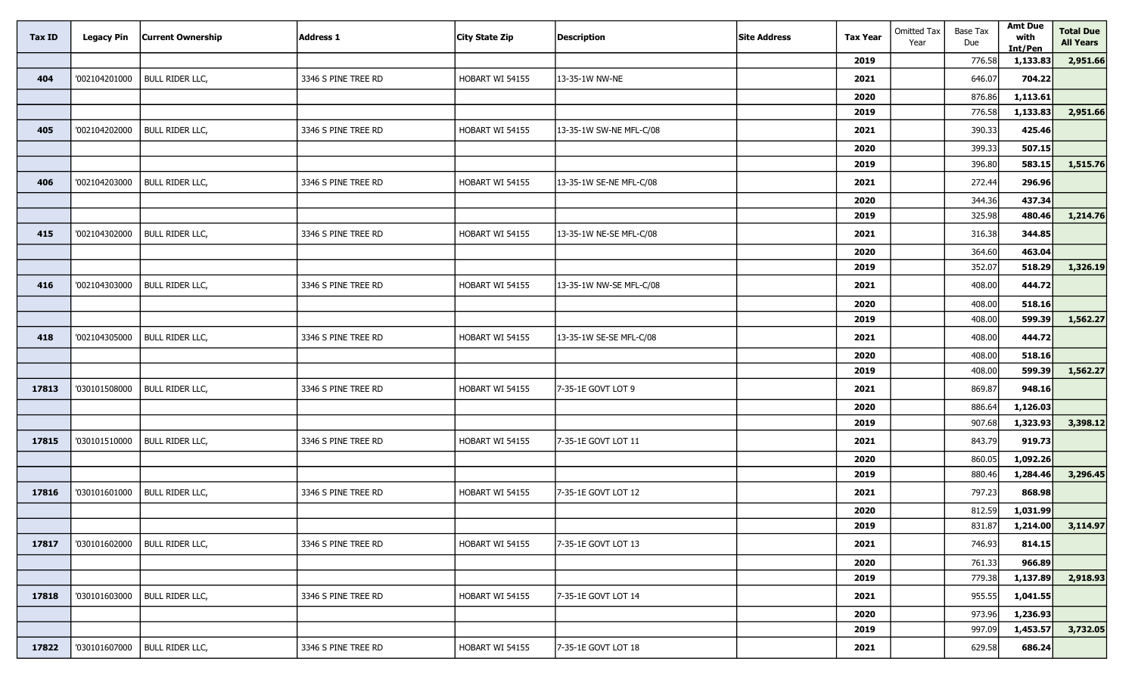| <b>Tax ID</b> | <b>Legacy Pin</b> | <b>Current Ownership</b> | <b>Address 1</b>    | <b>City State Zip</b> | <b>Description</b>      | <b>Site Address</b> | <b>Tax Year</b> | <b>Omitted Tax</b><br>Year | Base Tax<br>Due | <b>Amt Due</b><br>with<br>Int/Pen | <b>Total Due</b><br><b>All Years</b> |
|---------------|-------------------|--------------------------|---------------------|-----------------------|-------------------------|---------------------|-----------------|----------------------------|-----------------|-----------------------------------|--------------------------------------|
|               |                   |                          |                     |                       |                         |                     | 2019            |                            | 776.58          | 1,133.83                          | 2,951.66                             |
| 404           | '002104201000     | <b>BULL RIDER LLC,</b>   | 3346 S PINE TREE RD | HOBART WI 54155       | 13-35-1W NW-NE          |                     | 2021            |                            | 646.07          | 704.22                            |                                      |
|               |                   |                          |                     |                       |                         |                     | 2020            |                            | 876.86          | 1,113.61                          |                                      |
|               |                   |                          |                     |                       |                         |                     | 2019            |                            | 776.58          | 1,133.83                          | 2,951.66                             |
| 405           | '002104202000     | <b>BULL RIDER LLC,</b>   | 3346 S PINE TREE RD | HOBART WI 54155       | 13-35-1W SW-NE MFL-C/08 |                     | 2021            |                            | 390.33          | 425.46                            |                                      |
|               |                   |                          |                     |                       |                         |                     | 2020            |                            | 399.33          | 507.15                            |                                      |
|               |                   |                          |                     |                       |                         |                     | 2019            |                            | 396.80          | 583.15                            | 1,515.76                             |
| 406           | '002104203000     | <b>BULL RIDER LLC,</b>   | 3346 S PINE TREE RD | HOBART WI 54155       | 13-35-1W SE-NE MFL-C/08 |                     | 2021            |                            | 272.44          | 296.96                            |                                      |
|               |                   |                          |                     |                       |                         |                     | 2020            |                            | 344.36          | 437.34                            |                                      |
|               |                   |                          |                     |                       |                         |                     | 2019            |                            | 325.98          | 480.46                            | 1,214.76                             |
| 415           | '002104302000     | <b>BULL RIDER LLC,</b>   | 3346 S PINE TREE RD | HOBART WI 54155       | 13-35-1W NE-SE MFL-C/08 |                     | 2021            |                            | 316.38          | 344.85                            |                                      |
|               |                   |                          |                     |                       |                         |                     | 2020            |                            | 364.60          | 463.04                            |                                      |
|               |                   |                          |                     |                       |                         |                     | 2019            |                            | 352.07          | 518.29                            | 1,326.19                             |
| 416           | '002104303000     | <b>BULL RIDER LLC,</b>   | 3346 S PINE TREE RD | HOBART WI 54155       | 13-35-1W NW-SE MFL-C/08 |                     | 2021            |                            | 408.00          | 444.72                            |                                      |
|               |                   |                          |                     |                       |                         |                     | 2020            |                            | 408.00          | 518.16                            |                                      |
|               |                   |                          |                     |                       |                         |                     | 2019            |                            | 408.00          | 599.39                            | 1,562.27                             |
| 418           | '002104305000     | <b>BULL RIDER LLC,</b>   | 3346 S PINE TREE RD | HOBART WI 54155       | 13-35-1W SE-SE MFL-C/08 |                     | 2021            |                            | 408.00          | 444.72                            |                                      |
|               |                   |                          |                     |                       |                         |                     | 2020            |                            | 408.00          | 518.16                            |                                      |
|               |                   |                          |                     |                       |                         |                     | 2019            |                            | 408.00          | 599.39                            | 1,562.27                             |
| 17813         | '030101508000     | <b>BULL RIDER LLC,</b>   | 3346 S PINE TREE RD | HOBART WI 54155       | 7-35-1E GOVT LOT 9      |                     | 2021            |                            | 869.87          | 948.16                            |                                      |
|               |                   |                          |                     |                       |                         |                     | 2020            |                            | 886.64          | 1,126.03                          |                                      |
|               |                   |                          |                     |                       |                         |                     | 2019            |                            | 907.68          | 1,323.93                          | 3,398.12                             |
| 17815         | '030101510000     | <b>BULL RIDER LLC,</b>   | 3346 S PINE TREE RD | HOBART WI 54155       | 7-35-1E GOVT LOT 11     |                     | 2021            |                            | 843.79          | 919.73                            |                                      |
|               |                   |                          |                     |                       |                         |                     | 2020            |                            | 860.05          | 1,092.26                          |                                      |
|               |                   |                          |                     |                       |                         |                     | 2019            |                            | 880.46          | 1,284.46                          | 3,296.45                             |
| 17816         | '030101601000     | <b>BULL RIDER LLC,</b>   | 3346 S PINE TREE RD | HOBART WI 54155       | 7-35-1E GOVT LOT 12     |                     | 2021            |                            | 797.23          | 868.98                            |                                      |
|               |                   |                          |                     |                       |                         |                     | 2020            |                            | 812.59          | 1,031.99                          |                                      |
|               |                   |                          |                     |                       |                         |                     | 2019            |                            | 831.87          |                                   | $1,214.00$ 3,114.97                  |
| 17817         | '030101602000     | <b>BULL RIDER LLC,</b>   | 3346 S PINE TREE RD | HOBART WI 54155       | 17-35-1E GOVT LOT 13    |                     | 2021            |                            | 746.93          | 814.15                            |                                      |
|               |                   |                          |                     |                       |                         |                     | 2020            |                            | 761.33          | 966.89                            |                                      |
|               |                   |                          |                     |                       |                         |                     | 2019            |                            | 779.38          | 1,137.89                          | 2,918.93                             |
| 17818         | '030101603000     | <b>BULL RIDER LLC,</b>   | 3346 S PINE TREE RD | HOBART WI 54155       | 7-35-1E GOVT LOT 14     |                     | 2021            |                            | 955.55          | 1,041.55                          |                                      |
|               |                   |                          |                     |                       |                         |                     | 2020            |                            | 973.96          | 1,236.93                          |                                      |
|               |                   |                          |                     |                       |                         |                     | 2019            |                            | 997.09          | 1,453.57                          | 3,732.05                             |
| 17822         | '030101607000     | <b>BULL RIDER LLC,</b>   | 3346 S PINE TREE RD | HOBART WI 54155       | 7-35-1E GOVT LOT 18     |                     | 2021            |                            | 629.58          | 686.24                            |                                      |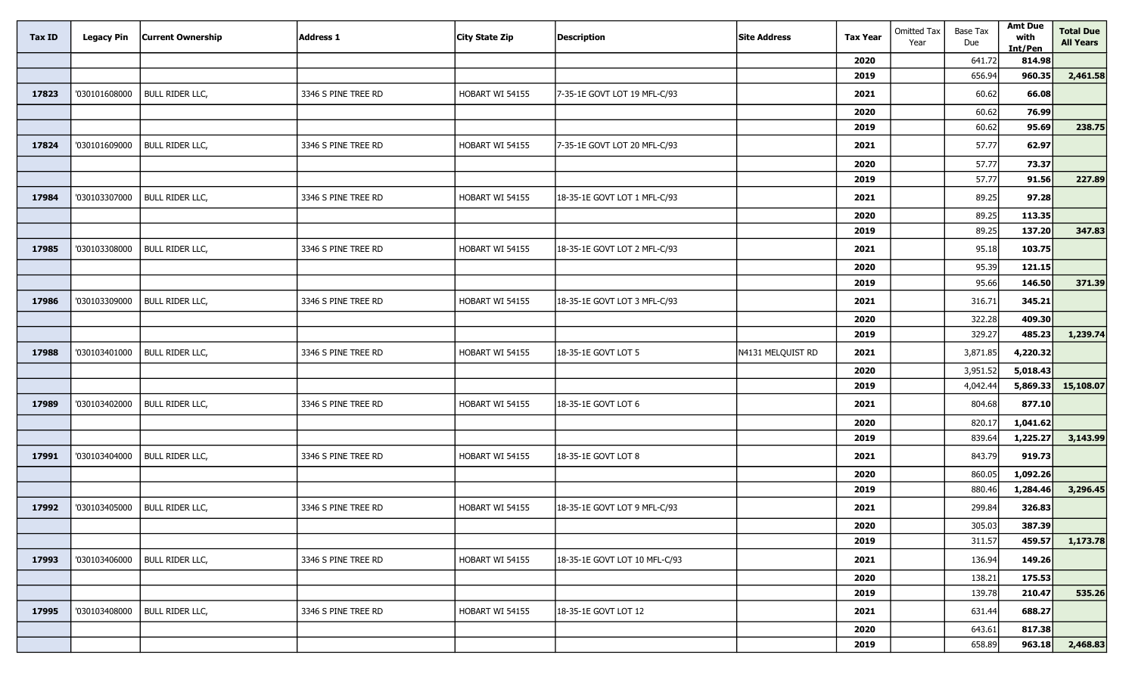| <b>Tax ID</b> | <b>Legacy Pin</b> | <b>Current Ownership</b> | <b>Address 1</b>    | <b>City State Zip</b> | <b>Description</b>            | <b>Site Address</b> | <b>Tax Year</b> | <b>Omitted Tax</b><br>Year | Base Tax<br>Due | <b>Amt Due</b><br>with<br>Int/Pen | <b>Total Due</b><br><b>All Years</b> |
|---------------|-------------------|--------------------------|---------------------|-----------------------|-------------------------------|---------------------|-----------------|----------------------------|-----------------|-----------------------------------|--------------------------------------|
|               |                   |                          |                     |                       |                               |                     | 2020            |                            | 641.72          | 814.98                            |                                      |
|               |                   |                          |                     |                       |                               |                     | 2019            |                            | 656.94          | 960.35                            | 2,461.58                             |
| 17823         | '030101608000     | <b>BULL RIDER LLC,</b>   | 3346 S PINE TREE RD | HOBART WI 54155       | 7-35-1E GOVT LOT 19 MFL-C/93  |                     | 2021            |                            | 60.62           | 66.08                             |                                      |
|               |                   |                          |                     |                       |                               |                     | 2020            |                            | 60.62           | 76.99                             |                                      |
|               |                   |                          |                     |                       |                               |                     | 2019            |                            | 60.62           | 95.69                             | 238.75                               |
| 17824         | '030101609000     | <b>BULL RIDER LLC,</b>   | 3346 S PINE TREE RD | HOBART WI 54155       | 7-35-1E GOVT LOT 20 MFL-C/93  |                     | 2021            |                            | 57.77           | 62.97                             |                                      |
|               |                   |                          |                     |                       |                               |                     | 2020            |                            | 57.77           | 73.37                             |                                      |
|               |                   |                          |                     |                       |                               |                     | 2019            |                            | 57.77           | 91.56                             | 227.89                               |
| 17984         | '030103307000     | <b>BULL RIDER LLC,</b>   | 3346 S PINE TREE RD | HOBART WI 54155       | 18-35-1E GOVT LOT 1 MFL-C/93  |                     | 2021            |                            | 89.25           | 97.28                             |                                      |
|               |                   |                          |                     |                       |                               |                     | 2020            |                            | 89.25           | 113.35                            |                                      |
|               |                   |                          |                     |                       |                               |                     | 2019            |                            | 89.25           | 137.20                            | 347.83                               |
| 17985         | '030103308000     | <b>BULL RIDER LLC,</b>   | 3346 S PINE TREE RD | HOBART WI 54155       | 18-35-1E GOVT LOT 2 MFL-C/93  |                     | 2021            |                            | 95.18           | 103.75                            |                                      |
|               |                   |                          |                     |                       |                               |                     | 2020            |                            | 95.39           | 121.15                            |                                      |
|               |                   |                          |                     |                       |                               |                     | 2019            |                            | 95.66           | 146.50                            | 371.39                               |
| 17986         | '030103309000     | <b>BULL RIDER LLC,</b>   | 3346 S PINE TREE RD | HOBART WI 54155       | 18-35-1E GOVT LOT 3 MFL-C/93  |                     | 2021            |                            | 316.71          | 345.21                            |                                      |
|               |                   |                          |                     |                       |                               |                     | 2020            |                            | 322.28          | 409.30                            |                                      |
|               |                   |                          |                     |                       |                               |                     | 2019            |                            | 329.27          | 485.23                            | 1,239.74                             |
| 17988         | '030103401000     | <b>BULL RIDER LLC,</b>   | 3346 S PINE TREE RD | HOBART WI 54155       | 18-35-1E GOVT LOT 5           | N4131 MELQUIST RD   | 2021            |                            | 3,871.85        | 4,220.32                          |                                      |
|               |                   |                          |                     |                       |                               |                     | 2020            |                            | 3,951.52        | 5,018.43                          |                                      |
|               |                   |                          |                     |                       |                               |                     | 2019            |                            | 4,042.44        | 5,869.33                          | 15,108.07                            |
| 17989         | '030103402000     | <b>BULL RIDER LLC,</b>   | 3346 S PINE TREE RD | HOBART WI 54155       | 18-35-1E GOVT LOT 6           |                     | 2021            |                            | 804.68          | 877.10                            |                                      |
|               |                   |                          |                     |                       |                               |                     | 2020            |                            | 820.17          | 1,041.62                          |                                      |
|               |                   |                          |                     |                       |                               |                     | 2019            |                            | 839.64          | 1,225.27                          | 3,143.99                             |
| 17991         | '030103404000     | <b>BULL RIDER LLC,</b>   | 3346 S PINE TREE RD | HOBART WI 54155       | 18-35-1E GOVT LOT 8           |                     | 2021            |                            | 843.79          | 919.73                            |                                      |
|               |                   |                          |                     |                       |                               |                     | 2020            |                            | 860.05          | 1,092.26                          |                                      |
|               |                   |                          |                     |                       |                               |                     | 2019            |                            | 880.46          | 1,284.46                          | 3,296.45                             |
| 17992         | '030103405000     | <b>BULL RIDER LLC,</b>   | 3346 S PINE TREE RD | HOBART WI 54155       | 18-35-1E GOVT LOT 9 MFL-C/93  |                     | 2021            |                            | 299.84          | 326.83                            |                                      |
|               |                   |                          |                     |                       |                               |                     | 2020            |                            | 305.03          | 387.39                            |                                      |
|               |                   |                          |                     |                       |                               |                     | 2019            |                            | 311.57          | 459.57                            | 1,173.78                             |
| 17993         | '030103406000     | <b>BULL RIDER LLC,</b>   | 3346 S PINE TREE RD | HOBART WI 54155       | 18-35-1E GOVT LOT 10 MFL-C/93 |                     | 2021            |                            | 136.94          | 149.26                            |                                      |
|               |                   |                          |                     |                       |                               |                     | 2020            |                            | 138.21          | 175.53                            |                                      |
|               |                   |                          |                     |                       |                               |                     | 2019            |                            | 139.78          | 210.47                            | 535.26                               |
| 17995         | '030103408000     | <b>BULL RIDER LLC,</b>   | 3346 S PINE TREE RD | HOBART WI 54155       | 18-35-1E GOVT LOT 12          |                     | 2021            |                            | 631.44          | 688.27                            |                                      |
|               |                   |                          |                     |                       |                               |                     | 2020            |                            | 643.61          | 817.38                            |                                      |
|               |                   |                          |                     |                       |                               |                     | 2019            |                            | 658.89          | 963.18                            | 2,468.83                             |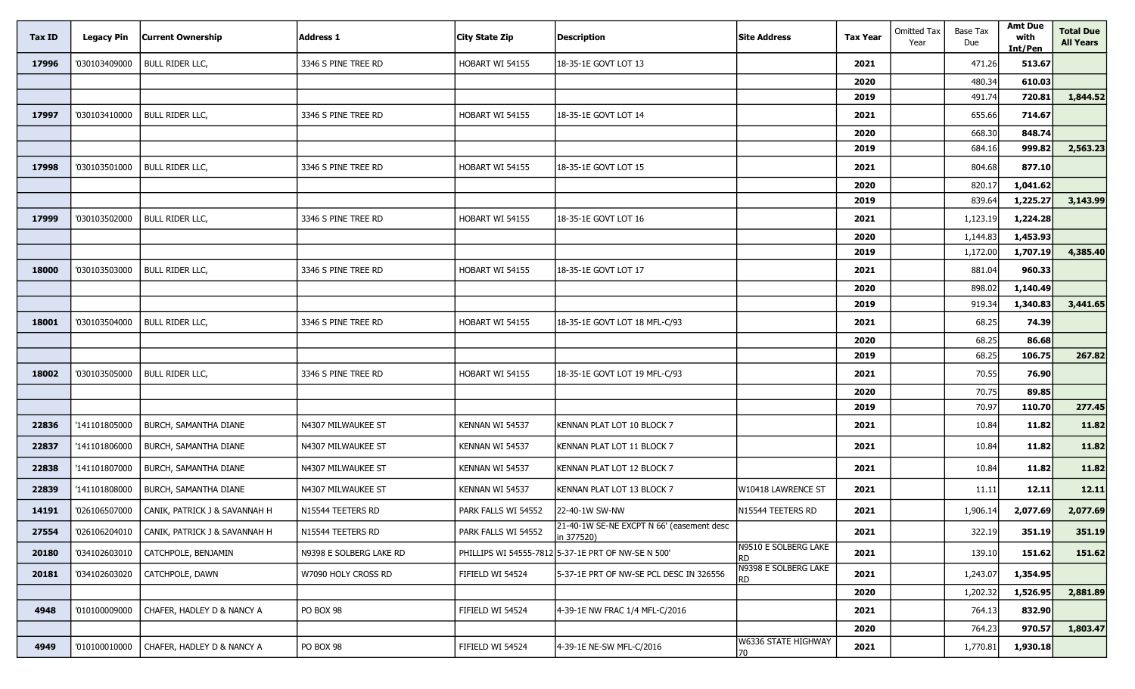| Tax ID | <b>Legacy Pin</b> | <b>Current Ownership</b>      | <b>Address 1</b>        | <b>City State Zip</b> | <b>Description</b>                                      | <b>Site Address</b>         | <b>Tax Year</b> | <b>Omitted Tax</b><br>Year | <b>Base Tax</b><br>Due | <b>Amt Due</b><br>with<br>Int/Pen | <b>Total Due</b><br><b>All Years</b> |
|--------|-------------------|-------------------------------|-------------------------|-----------------------|---------------------------------------------------------|-----------------------------|-----------------|----------------------------|------------------------|-----------------------------------|--------------------------------------|
| 17996  | '030103409000     | <b>BULL RIDER LLC,</b>        | 3346 S PINE TREE RD     | HOBART WI 54155       | 18-35-1E GOVT LOT 13                                    |                             | 2021            |                            | 471.26                 | 513.67                            |                                      |
|        |                   |                               |                         |                       |                                                         |                             | 2020            |                            | 480.34                 | 610.03                            |                                      |
|        |                   |                               |                         |                       |                                                         |                             | 2019            |                            | 491.74                 | 720.81                            | 1,844.52                             |
| 17997  | '030103410000     | <b>BULL RIDER LLC,</b>        | 3346 S PINE TREE RD     | HOBART WI 54155       | 18-35-1E GOVT LOT 14                                    |                             | 2021            |                            | 655.66                 | 714.67                            |                                      |
|        |                   |                               |                         |                       |                                                         |                             | 2020            |                            | 668.30                 | 848.74                            |                                      |
|        |                   |                               |                         |                       |                                                         |                             | 2019            |                            | 684.16                 | 999.82                            | 2,563.23                             |
| 17998  | '030103501000     | <b>BULL RIDER LLC,</b>        | 3346 S PINE TREE RD     | HOBART WI 54155       | 18-35-1E GOVT LOT 15                                    |                             | 2021            |                            | 804.68                 | 877.10                            |                                      |
|        |                   |                               |                         |                       |                                                         |                             | 2020            |                            | 820.17                 | 1,041.62                          |                                      |
|        |                   |                               |                         |                       |                                                         |                             | 2019            |                            | 839.64                 | 1,225.27                          | 3,143.99                             |
| 17999  | '030103502000     | <b>BULL RIDER LLC,</b>        | 3346 S PINE TREE RD     | HOBART WI 54155       | 18-35-1E GOVT LOT 16                                    |                             | 2021            |                            | 1,123.19               | 1,224.28                          |                                      |
|        |                   |                               |                         |                       |                                                         |                             | 2020            |                            | 1,144.83               | 1,453.93                          |                                      |
|        |                   |                               |                         |                       |                                                         |                             | 2019            |                            | 1,172.00               | 1,707.19                          | 4,385.40                             |
| 18000  | '030103503000     | <b>BULL RIDER LLC,</b>        | 3346 S PINE TREE RD     | HOBART WI 54155       | 18-35-1E GOVT LOT 17                                    |                             | 2021            |                            | 881.04                 | 960.33                            |                                      |
|        |                   |                               |                         |                       |                                                         |                             | 2020            |                            | 898.02                 | 1,140.49                          |                                      |
|        |                   |                               |                         |                       |                                                         |                             | 2019            |                            | 919.34                 | 1,340.83                          | 3,441.65                             |
| 18001  | '030103504000     | <b>BULL RIDER LLC,</b>        | 3346 S PINE TREE RD     | HOBART WI 54155       | 18-35-1E GOVT LOT 18 MFL-C/93                           |                             | 2021            |                            | 68.25                  | 74.39                             |                                      |
|        |                   |                               |                         |                       |                                                         |                             | 2020            |                            | 68.25                  | 86.68                             |                                      |
|        |                   |                               |                         |                       |                                                         |                             | 2019            |                            | 68.25                  | 106.75                            | 267.82                               |
| 18002  | '030103505000     | <b>BULL RIDER LLC,</b>        | 3346 S PINE TREE RD     | HOBART WI 54155       | 18-35-1E GOVT LOT 19 MFL-C/93                           |                             | 2021            |                            | 70.55                  | 76.90                             |                                      |
|        |                   |                               |                         |                       |                                                         |                             | 2020            |                            | 70.75                  | 89.85                             |                                      |
|        |                   |                               |                         |                       |                                                         |                             | 2019            |                            | 70.97                  | 110.70                            | 277.45                               |
| 22836  | '141101805000     | <b>BURCH, SAMANTHA DIANE</b>  | N4307 MILWAUKEE ST      | KENNAN WI 54537       | KENNAN PLAT LOT 10 BLOCK 7                              |                             | 2021            |                            | 10.84                  | 11.82                             | 11.82                                |
| 22837  | '141101806000     | BURCH, SAMANTHA DIANE         | N4307 MILWAUKEE ST      | KENNAN WI 54537       | KENNAN PLAT LOT 11 BLOCK 7                              |                             | 2021            |                            | 10.84                  | 11.82                             | 11.82                                |
| 22838  | '141101807000     | BURCH, SAMANTHA DIANE         | N4307 MILWAUKEE ST      | KENNAN WI 54537       | KENNAN PLAT LOT 12 BLOCK 7                              |                             | 2021            |                            | 10.84                  | 11.82                             | 11.82                                |
| 22839  | '141101808000     | BURCH, SAMANTHA DIANE         | N4307 MILWAUKEE ST      | KENNAN WI 54537       | KENNAN PLAT LOT 13 BLOCK 7                              | W10418 LAWRENCE ST          | 2021            |                            | 11.11                  | 12.11                             | 12.11                                |
| 14191  | '026106507000     | CANIK, PATRICK J & SAVANNAH H | N15544 TEETERS RD       | PARK FALLS WI 54552   | 22-40-1W SW-NW                                          | N15544 TEETERS RD           | 2021            |                            | 1,906.14               | 2,077.69                          | 2,077.69                             |
| 27554  | '026106204010     | CANIK, PATRICK J & SAVANNAH H | N15544 TEETERS RD       | PARK FALLS WI 54552   | 21-40-1W SE-NE EXCPT N 66' (easement desc<br>in 377520) |                             | 2021            |                            | 322.19                 | 351.19                            | 351.19                               |
| 20180  | '034102603010     | CATCHPOLE, BENJAMIN           | N9398 E SOLBERG LAKE RD |                       | PHILLIPS WI 54555-7812 5-37-1E PRT OF NW-SE N 500'      | N9510 E SOLBERG LAKE<br>RD. | 2021            |                            | 139.10                 | 151.62                            | 151.62                               |
| 20181  | '034102603020     | CATCHPOLE, DAWN               | W7090 HOLY CROSS RD     | FIFIELD WI 54524      | 5-37-1E PRT OF NW-SE PCL DESC IN 326556                 | N9398 E SOLBERG LAKE        | 2021            |                            | 1,243.07               | 1,354.95                          |                                      |
|        |                   |                               |                         |                       |                                                         |                             | 2020            |                            | 1,202.32               | 1,526.95                          | 2,881.89                             |
| 4948   | '010100009000     | CHAFER, HADLEY D & NANCY A    | PO BOX 98               | FIFIELD WI 54524      | 4-39-1E NW FRAC 1/4 MFL-C/2016                          |                             | 2021            |                            | 764.13                 | 832.90                            |                                      |
|        |                   |                               |                         |                       |                                                         |                             | 2020            |                            | 764.23                 | 970.57                            | 1,803.47                             |
| 4949   | '010100010000     | CHAFER, HADLEY D & NANCY A    | PO BOX 98               | FIFIELD WI 54524      | 4-39-1E NE-SW MFL-C/2016                                | W6336 STATE HIGHWAY<br>70   | 2021            |                            | 1,770.81               | 1,930.18                          |                                      |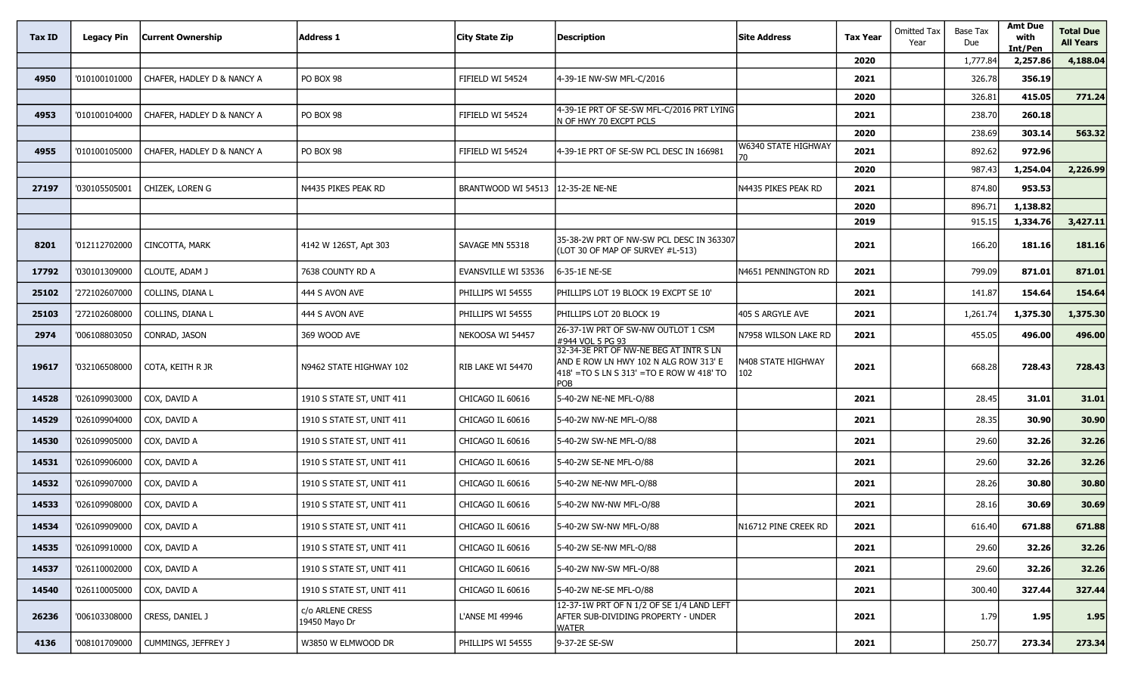| Tax ID | Legacy Pin    | Current Ownership          | <b>Address 1</b>                  | <b>City State Zip</b> | <b>Description</b>                                                                                                                   | Site Address                     | <b>Tax Year</b> | <b>Omitted Tax</b><br>Year | <b>Base Tax</b><br>Due | <b>Amt Due</b><br>with<br>Int/Pen | <b>Total Due</b><br><b>All Years</b> |
|--------|---------------|----------------------------|-----------------------------------|-----------------------|--------------------------------------------------------------------------------------------------------------------------------------|----------------------------------|-----------------|----------------------------|------------------------|-----------------------------------|--------------------------------------|
|        |               |                            |                                   |                       |                                                                                                                                      |                                  | 2020            |                            | 1,777.84               | 2,257.86                          | 4,188.04                             |
| 4950   | '010100101000 | CHAFER, HADLEY D & NANCY A | PO BOX 98                         | FIFIELD WI 54524      | 4-39-1E NW-SW MFL-C/2016                                                                                                             |                                  | 2021            |                            | 326.78                 | 356.19                            |                                      |
|        |               |                            |                                   |                       |                                                                                                                                      |                                  | 2020            |                            | 326.81                 | 415.05                            | 771.24                               |
| 4953   | '010100104000 | CHAFER, HADLEY D & NANCY A | PO BOX 98                         | FIFIELD WI 54524      | 4-39-1E PRT OF SE-SW MFL-C/2016 PRT LYING<br>N OF HWY 70 EXCPT PCLS                                                                  |                                  | 2021            |                            | 238.70                 | 260.18                            |                                      |
|        |               |                            |                                   |                       |                                                                                                                                      |                                  | 2020            |                            | 238.69                 | 303.14                            | 563.32                               |
| 4955   | '010100105000 | CHAFER, HADLEY D & NANCY A | PO BOX 98                         | FIFIELD WI 54524      | 4-39-1E PRT OF SE-SW PCL DESC IN 166981                                                                                              | W6340 STATE HIGHWAY<br>70        | 2021            |                            | 892.62                 | 972.96                            |                                      |
|        |               |                            |                                   |                       |                                                                                                                                      |                                  | 2020            |                            | 987.43                 | 1,254.04                          | 2,226.99                             |
| 27197  | '030105505001 | CHIZEK, LOREN G            | N4435 PIKES PEAK RD               | BRANTWOOD WI 54513    | 12-35-2E NE-NE                                                                                                                       | N4435 PIKES PEAK RD              | 2021            |                            | 874.80                 | 953.53                            |                                      |
|        |               |                            |                                   |                       |                                                                                                                                      |                                  | 2020            |                            | 896.71                 | 1,138.82                          |                                      |
|        |               |                            |                                   |                       |                                                                                                                                      |                                  | 2019            |                            | 915.15                 | 1,334.76                          | 3,427.11                             |
| 8201   | '012112702000 | CINCOTTA, MARK             | 4142 W 126ST, Apt 303             | SAVAGE MN 55318       | 35-38-2W PRT OF NW-SW PCL DESC IN 363307<br>(LOT 30 OF MAP OF SURVEY #L-513)                                                         |                                  | 2021            |                            | 166.20                 | 181.16                            | 181.16                               |
| 17792  | '030101309000 | CLOUTE, ADAM J             | 7638 COUNTY RD A                  | EVANSVILLE WI 53536   | 6-35-1E NE-SE                                                                                                                        | N4651 PENNINGTON RD              | 2021            |                            | 799.09                 | 871.01                            | 871.01                               |
| 25102  | '272102607000 | COLLINS, DIANA L           | 444 S AVON AVE                    | PHILLIPS WI 54555     | PHILLIPS LOT 19 BLOCK 19 EXCPT SE 10'                                                                                                |                                  | 2021            |                            | 141.87                 | 154.64                            | 154.64                               |
| 25103  | '272102608000 | COLLINS, DIANA L           | 444 S AVON AVE                    | PHILLIPS WI 54555     | PHILLIPS LOT 20 BLOCK 19                                                                                                             | 405 S ARGYLE AVE                 | 2021            |                            | 1,261.74               | 1,375.30                          | 1,375.30                             |
| 2974   | '006108803050 | CONRAD, JASON              | 369 WOOD AVE                      | NEKOOSA WI 54457      | 26-37-1W PRT OF SW-NW OUTLOT 1 CSM<br>#944 VOL 5 PG 93                                                                               | N7958 WILSON LAKE RD             | 2021            |                            | 455.05                 | 496.00                            | 496.00                               |
| 19617  | '032106508000 | COTA, KEITH R JR           | N9462 STATE HIGHWAY 102           | RIB LAKE WI 54470     | 32-34-3E PRT OF NW-NE BEG AT INTR S LN<br>AND E ROW LN HWY 102 N ALG ROW 313' E<br>418' = TO S LN S 313' = TO E ROW W 418' TO<br>POB | <b>\408 STATE HIGHWAY</b><br>102 | 2021            |                            | 668.28                 | 728.43                            | 728.43                               |
| 14528  | '026109903000 | COX, DAVID A               | 1910 S STATE ST, UNIT 411         | CHICAGO IL 60616      | 5-40-2W NE-NE MFL-O/88                                                                                                               |                                  | 2021            |                            | 28.45                  | 31.01                             | 31.01                                |
| 14529  | '026109904000 | COX, DAVID A               | 1910 S STATE ST, UNIT 411         | CHICAGO IL 60616      | 5-40-2W NW-NE MFL-O/88                                                                                                               |                                  | 2021            |                            | 28.35                  | 30.90                             | 30.90                                |
| 14530  | '026109905000 | COX, DAVID A               | 1910 S STATE ST, UNIT 411         | CHICAGO IL 60616      | 5-40-2W SW-NE MFL-O/88                                                                                                               |                                  | 2021            |                            | 29.60                  | 32.26                             | 32.26                                |
| 14531  | '026109906000 | COX, DAVID A               | 1910 S STATE ST, UNIT 411         | CHICAGO IL 60616      | 5-40-2W SE-NE MFL-O/88                                                                                                               |                                  | 2021            |                            | 29.60                  | 32.26                             | 32.26                                |
| 14532  | '026109907000 | COX, DAVID A               | 1910 S STATE ST, UNIT 411         | CHICAGO IL 60616      | 5-40-2W NE-NW MFL-O/88                                                                                                               |                                  | 2021            |                            | 28.26                  | 30.80                             | 30.80                                |
| 14533  | '026109908000 | COX, DAVID A               | 1910 S STATE ST, UNIT 411         | CHICAGO IL 60616      | 5-40-2W NW-NW MFL-O/88                                                                                                               |                                  | 2021            |                            | 28.16                  | 30.69                             | 30.69                                |
| 14534  | '026109909000 | COX, DAVID A               | 1910 S STATE ST, UNIT 411         | CHICAGO IL 60616      | 5-40-2W SW-NW MFL-O/88                                                                                                               | N16712 PINE CREEK RD             | 2021            |                            | 616.40                 | 671.88                            | 671.88                               |
| 14535  | '026109910000 | COX, DAVID A               | 1910 S STATE ST, UNIT 411         | CHICAGO IL 60616      | 5-40-2W SE-NW MFL-O/88                                                                                                               |                                  | 2021            |                            | 29.60                  | 32.26                             | 32.26                                |
| 14537  | '026110002000 | COX, DAVID A               | 1910 S STATE ST, UNIT 411         | CHICAGO IL 60616      | 5-40-2W NW-SW MFL-O/88                                                                                                               |                                  | 2021            |                            | 29.60                  | 32.26                             | 32.26                                |
| 14540  | '026110005000 | COX, DAVID A               | 1910 S STATE ST, UNIT 411         | CHICAGO IL 60616      | 5-40-2W NE-SE MFL-O/88                                                                                                               |                                  | 2021            |                            | 300.40                 | 327.44                            | 327.44                               |
| 26236  | '006103308000 | CRESS, DANIEL J            | c/o ARLENE CRESS<br>19450 Mayo Dr | L'ANSE MI 49946       | 12-37-1W PRT OF N 1/2 OF SE 1/4 LAND LEFT<br><b>AFTER SUB-DIVIDING PROPERTY - UNDER</b><br><b>WATER</b>                              |                                  | 2021            |                            | 1.79                   | 1.95                              | 1.95                                 |
| 4136   | '008101709000 | CUMMINGS, JEFFREY J        | W3850 W ELMWOOD DR                | PHILLIPS WI 54555     | 9-37-2E SE-SW                                                                                                                        |                                  | 2021            |                            | 250.77                 | 273.34                            | 273.34                               |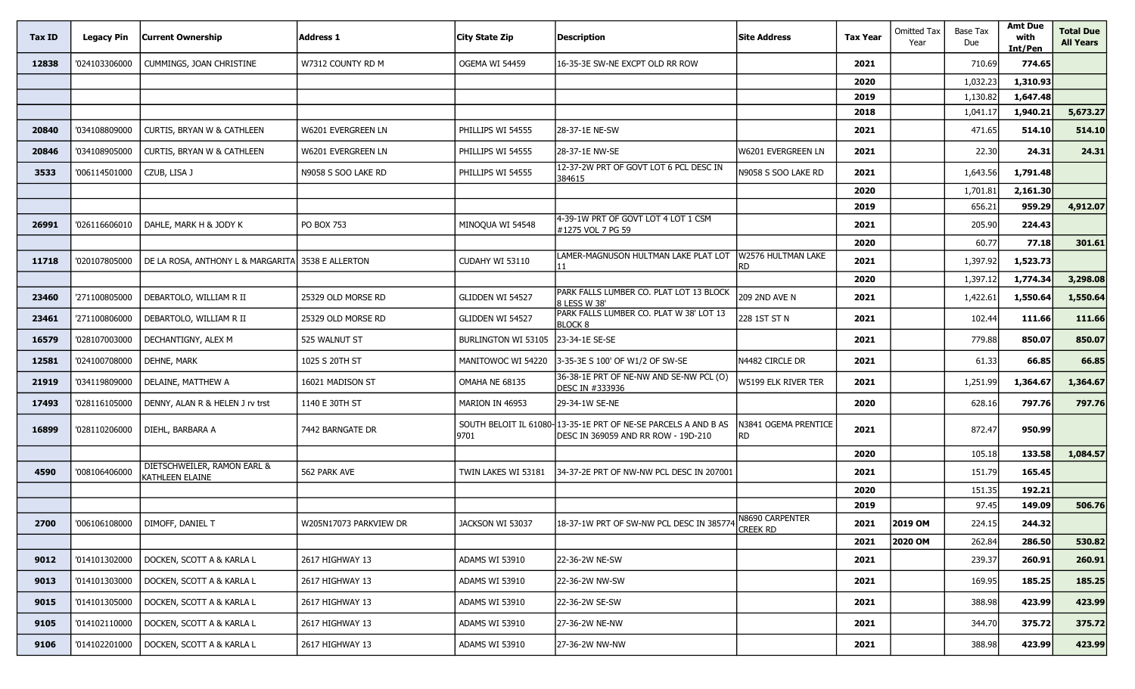| Tax ID | <b>Legacy Pin</b> | <b>Current Ownership</b>                          | <b>Address 1</b>       | City State Zip      | <b>Description</b>                                                                                    | <b>Site Address</b>                      | <b>Tax Year</b> | <b>Omitted Tax</b><br>Year | <b>Base Tax</b><br>Due | <b>Amt Due</b><br>with<br>Int/Pen | <b>Total Due</b><br><b>All Years</b> |
|--------|-------------------|---------------------------------------------------|------------------------|---------------------|-------------------------------------------------------------------------------------------------------|------------------------------------------|-----------------|----------------------------|------------------------|-----------------------------------|--------------------------------------|
| 12838  | '024103306000     | CUMMINGS, JOAN CHRISTINE                          | W7312 COUNTY RD M      | OGEMA WI 54459      | 16-35-3E SW-NE EXCPT OLD RR ROW                                                                       |                                          | 2021            |                            | 710.69                 | 774.65                            |                                      |
|        |                   |                                                   |                        |                     |                                                                                                       |                                          | 2020            |                            | 1,032.23               | 1,310.93                          |                                      |
|        |                   |                                                   |                        |                     |                                                                                                       |                                          | 2019            |                            | 1,130.82               | 1,647.48                          |                                      |
|        |                   |                                                   |                        |                     |                                                                                                       |                                          | 2018            |                            | 1,041.17               | 1,940.21                          | 5,673.27                             |
| 20840  | '034108809000     | CURTIS, BRYAN W & CATHLEEN                        | W6201 EVERGREEN LN     | PHILLIPS WI 54555   | 28-37-1E NE-SW                                                                                        |                                          | 2021            |                            | 471.65                 | 514.10                            | 514.10                               |
| 20846  | '034108905000     | CURTIS, BRYAN W & CATHLEEN                        | W6201 EVERGREEN LN     | PHILLIPS WI 54555   | 28-37-1E NW-SE                                                                                        | W6201 EVERGREEN LN                       | 2021            |                            | 22.30                  | 24.31                             | 24.31                                |
| 3533   | '006114501000     | CZUB, LISA J                                      | N9058 S SOO LAKE RD    | PHILLIPS WI 54555   | 12-37-2W PRT OF GOVT LOT 6 PCL DESC IN<br>384615                                                      | N9058 S SOO LAKE RD                      | 2021            |                            | 1,643.56               | 1,791.48                          |                                      |
|        |                   |                                                   |                        |                     |                                                                                                       |                                          | 2020            |                            | 1,701.81               | 2,161.30                          |                                      |
|        |                   |                                                   |                        |                     |                                                                                                       |                                          | 2019            |                            | 656.21                 | 959.29                            | 4,912.07                             |
| 26991  | '026116606010     | DAHLE, MARK H & JODY K                            | <b>PO BOX 753</b>      | MINOQUA WI 54548    | 4-39-1W PRT OF GOVT LOT 4 LOT 1 CSM<br>#1275 VOL 7 PG 59                                              |                                          | 2021            |                            | 205.90                 | 224.43                            |                                      |
|        |                   |                                                   |                        |                     |                                                                                                       |                                          | 2020            |                            | 60.77                  | 77.18                             | 301.61                               |
| 11718  | '020107805000     | DE LA ROSA, ANTHONY L & MARGARITA 3538 E ALLERTON |                        | CUDAHY WI 53110     | LAMER-MAGNUSON HULTMAN LAKE PLAT LOT<br>11                                                            | W2576 HULTMAN LAKE<br><b>RD</b>          | 2021            |                            | 1,397.92               | 1,523.73                          |                                      |
|        |                   |                                                   |                        |                     |                                                                                                       |                                          | 2020            |                            | 1,397.12               | 1,774.34                          | 3,298.08                             |
| 23460  | '271100805000     | DEBARTOLO, WILLIAM R II                           | 25329 OLD MORSE RD     | GLIDDEN WI 54527    | PARK FALLS LUMBER CO. PLAT LOT 13 BLOCK<br>8 LESS W 38'                                               | 209 2ND AVE N                            | 2021            |                            | 1,422.61               | 1,550.64                          | 1,550.64                             |
| 23461  | '271100806000     | DEBARTOLO, WILLIAM R II                           | 25329 OLD MORSE RD     | GLIDDEN WI 54527    | PARK FALLS LUMBER CO. PLAT W 38' LOT 13<br><b>BLOCK 8</b>                                             | 228 1ST ST N                             | 2021            |                            | 102.44                 | 111.66                            | 111.66                               |
| 16579  | '028107003000     | DECHANTIGNY, ALEX M                               | 525 WALNUT ST          | BURLINGTON WI 53105 | 23-34-1E SE-SE                                                                                        |                                          | 2021            |                            | 779.88                 | 850.07                            | 850.07                               |
| 12581  | '024100708000     | DEHNE, MARK                                       | 1025 S 20TH ST         | MANITOWOC WI 54220  | 3-35-3E S 100' OF W1/2 OF SW-SE                                                                       | N4482 CIRCLE DR                          | 2021            |                            | 61.33                  | 66.85                             | 66.85                                |
| 21919  | '034119809000     | DELAINE, MATTHEW A                                | 16021 MADISON ST       | OMAHA NE 68135      | 36-38-1E PRT OF NE-NW AND SE-NW PCL (O)<br>DESC IN #333936                                            | W5199 ELK RIVER TER                      | 2021            |                            | 1,251.99               | 1,364.67                          | 1,364.67                             |
| 17493  | '028116105000     | DENNY, ALAN R & HELEN J rv trst                   | 1140 E 30TH ST         | MARION IN 46953     | 29-34-1W SE-NE                                                                                        |                                          | 2020            |                            | 628.16                 | 797.76                            | 797.76                               |
| 16899  | '028110206000     | DIEHL, BARBARA A                                  | 7442 BARNGATE DR       | 9701                | SOUTH BELOIT IL 61080-13-35-1E PRT OF NE-SE PARCELS A AND B AS<br>DESC IN 369059 AND RR ROW - 19D-210 | <b>\3841 OGEMA PRENTICE</b><br><b>RD</b> | 2021            |                            | 872.47                 | 950.99                            |                                      |
|        |                   |                                                   |                        |                     |                                                                                                       |                                          | 2020            |                            | 105.18                 | 133.58                            | 1,084.57                             |
| 4590   | '008106406000     | DIETSCHWEILER, RAMON EARL &<br>KATHLEEN ELAINE    | 562 PARK AVE           | TWIN LAKES WI 53181 | 34-37-2E PRT OF NW-NW PCL DESC IN 207001                                                              |                                          | 2021            |                            | 151.79                 | 165.45                            |                                      |
|        |                   |                                                   |                        |                     |                                                                                                       |                                          | 2020            |                            | 151.35                 | 192.21                            |                                      |
|        |                   |                                                   |                        |                     |                                                                                                       |                                          | 2019            |                            | 97.45                  | 149.09                            | 506.76                               |
| 2700   | '006106108000     | DIMOFF, DANIEL T                                  | W205N17073 PARKVIEW DR | JACKSON WI 53037    | 18-37-1W PRT OF SW-NW PCL DESC IN 385774 N8690 CARPENTER                                              | Creek RD                                 | 2021            | 2019 OM                    | 224.15                 | 244.32                            |                                      |
|        |                   |                                                   |                        |                     |                                                                                                       |                                          | 2021            | 2020 OM                    | 262.84                 | 286.50                            | 530.82                               |
| 9012   | '014101302000     | DOCKEN, SCOTT A & KARLA L                         | 2617 HIGHWAY 13        | ADAMS WI 53910      | 22-36-2W NE-SW                                                                                        |                                          | 2021            |                            | 239.37                 | 260.91                            | 260.91                               |
| 9013   | '014101303000     | DOCKEN, SCOTT A & KARLA L                         | 2617 HIGHWAY 13        | ADAMS WI 53910      | 22-36-2W NW-SW                                                                                        |                                          | 2021            |                            | 169.95                 | 185.25                            | 185.25                               |
| 9015   | '014101305000     | DOCKEN, SCOTT A & KARLA L                         | 2617 HIGHWAY 13        | ADAMS WI 53910      | 22-36-2W SE-SW                                                                                        |                                          | 2021            |                            | 388.98                 | 423.99                            | 423.99                               |
| 9105   | '014102110000     | DOCKEN, SCOTT A & KARLA L                         | 2617 HIGHWAY 13        | ADAMS WI 53910      | 27-36-2W NE-NW                                                                                        |                                          | 2021            |                            | 344.70                 | 375.72                            | 375.72                               |
| 9106   | '014102201000     | DOCKEN, SCOTT A & KARLA L                         | 2617 HIGHWAY 13        | ADAMS WI 53910      | 27-36-2W NW-NW                                                                                        |                                          | 2021            |                            | 388.98                 | 423.99                            | 423.99                               |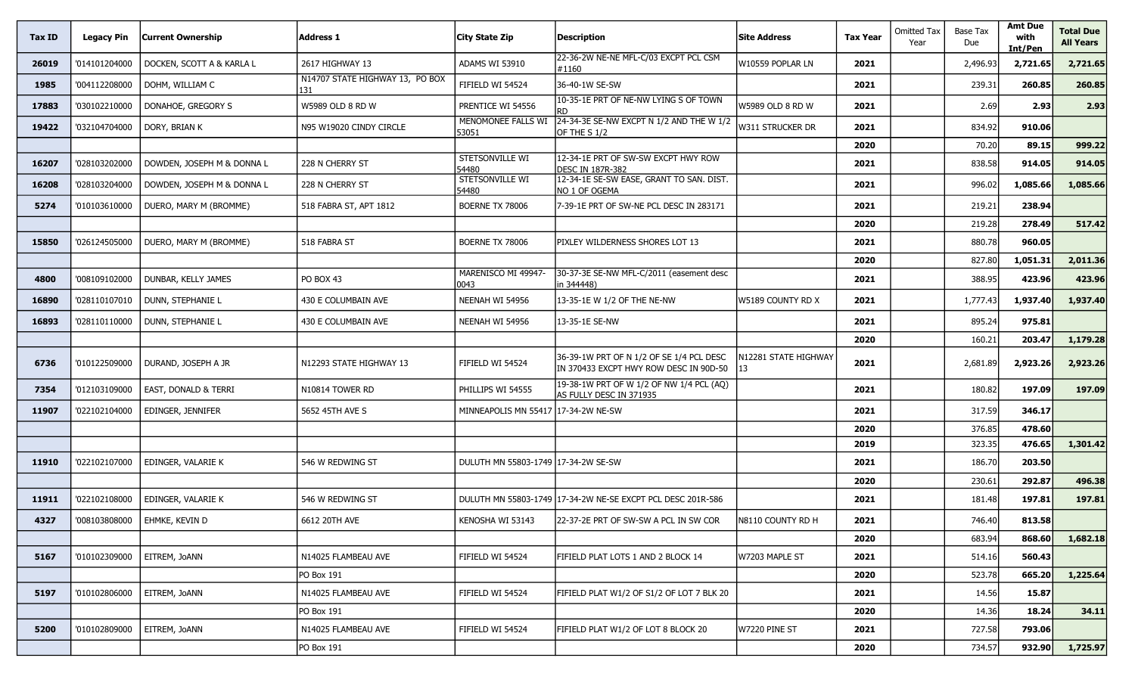| Tax ID | <b>Legacy Pin</b> | <b>Current Ownership</b>   | Address 1                              | <b>City State Zip</b>               | <b>Description</b>                                                                 | lSite Address              | <b>Tax Year</b> | <b>Omitted Tax</b><br>Year | Base Tax<br>Due | <b>Amt Due</b><br>with<br>Int/Pen | <b>Total Due</b><br><b>All Years</b> |
|--------|-------------------|----------------------------|----------------------------------------|-------------------------------------|------------------------------------------------------------------------------------|----------------------------|-----------------|----------------------------|-----------------|-----------------------------------|--------------------------------------|
| 26019  | '014101204000     | DOCKEN, SCOTT A & KARLA L  | 2617 HIGHWAY 13                        | ADAMS WI 53910                      | 22-36-2W NE-NE MFL-C/03 EXCPT PCL CSM<br>#1160                                     | W10559 POPLAR LN           | 2021            |                            | 2,496.93        | 2,721.65                          | 2,721.65                             |
| 1985   | '004112208000     | DOHM, WILLIAM C            | N14707 STATE HIGHWAY 13, PO BOX<br>131 | FIFIELD WI 54524                    | 36-40-1W SE-SW                                                                     |                            | 2021            |                            | 239.31          | 260.85                            | 260.85                               |
| 17883  | '030102210000     | DONAHOE, GREGORY S         | W5989 OLD 8 RD W                       | PRENTICE WI 54556                   | 10-35-1E PRT OF NE-NW LYING S OF TOWN                                              | W5989 OLD 8 RD W           | 2021            |                            | 2.69            | 2.93                              | 2.93                                 |
| 19422  | '032104704000     | DORY, BRIAN K              | N95 W19020 CINDY CIRCLE                | MENOMONEE FALLS WI<br>53051         | 24-34-3E SE-NW EXCPT N 1/2 AND THE W 1/2<br>OF THE S 1/2                           | W311 STRUCKER DR           | 2021            |                            | 834.92          | 910.06                            |                                      |
|        |                   |                            |                                        |                                     |                                                                                    |                            | 2020            |                            | 70.20           | 89.15                             | 999.22                               |
| 16207  | '028103202000     | DOWDEN, JOSEPH M & DONNA L | 228 N CHERRY ST                        | <b>STETSONVILLE WI</b><br>54480     | 12-34-1E PRT OF SW-SW EXCPT HWY ROW<br><b>DESC IN 187R-382</b>                     |                            | 2021            |                            | 838.58          | 914.05                            | 914.05                               |
| 16208  | '028103204000     | DOWDEN, JOSEPH M & DONNA L | 228 N CHERRY ST                        | <b>STETSONVILLE WI</b><br>54480     | 12-34-1E SE-SW EASE, GRANT TO SAN. DIST.<br>NO 1 OF OGEMA                          |                            | 2021            |                            | 996.02          | 1,085.66                          | 1,085.66                             |
| 5274   | '010103610000     | DUERO, MARY M (BROMME)     | 518 FABRA ST, APT 1812                 | BOERNE TX 78006                     | 7-39-1E PRT OF SW-NE PCL DESC IN 283171                                            |                            | 2021            |                            | 219.21          | 238.94                            |                                      |
|        |                   |                            |                                        |                                     |                                                                                    |                            | 2020            |                            | 219.28          | 278.49                            | 517.42                               |
| 15850  | '026124505000     | DUERO, MARY M (BROMME)     | 518 FABRA ST                           | BOERNE TX 78006                     | PIXLEY WILDERNESS SHORES LOT 13                                                    |                            | 2021            |                            | 880.78          | 960.05                            |                                      |
|        |                   |                            |                                        |                                     |                                                                                    |                            | 2020            |                            | 827.80          | 1,051.31                          | 2,011.36                             |
| 4800   | '008109102000     | DUNBAR, KELLY JAMES        | PO BOX 43                              | MARENISCO MI 49947-<br>0043         | 30-37-3E SE-NW MFL-C/2011 (easement desc<br>in 344448)                             |                            | 2021            |                            | 388.95          | 423.96                            | 423.96                               |
| 16890  | '028110107010     | DUNN, STEPHANIE L          | 430 E COLUMBAIN AVE                    | NEENAH WI 54956                     | 13-35-1E W 1/2 OF THE NE-NW                                                        | W5189 COUNTY RD X          | 2021            |                            | 1,777.43        | 1,937.40                          | 1,937.40                             |
| 16893  | '028110110000     | DUNN, STEPHANIE L          | 430 E COLUMBAIN AVE                    | NEENAH WI 54956                     | 13-35-1E SE-NW                                                                     |                            | 2021            |                            | 895.24          | 975.81                            |                                      |
|        |                   |                            |                                        |                                     |                                                                                    |                            | 2020            |                            | 160.21          | 203.47                            | 1,179.28                             |
| 6736   | '010122509000     | DURAND, JOSEPH A JR        | N12293 STATE HIGHWAY 13                | FIFIELD WI 54524                    | 36-39-1W PRT OF N 1/2 OF SE 1/4 PCL DESC<br>IN 370433 EXCPT HWY ROW DESC IN 90D-50 | N12281 STATE HIGHWAY<br>13 | 2021            |                            | 2,681.89        | 2,923.26                          | 2,923.26                             |
| 7354   | '012103109000     | EAST, DONALD & TERRI       | N10814 TOWER RD                        | PHILLIPS WI 54555                   | 19-38-1W PRT OF W 1/2 OF NW 1/4 PCL (AQ)<br>AS FULLY DESC IN 371935                |                            | 2021            |                            | 180.82          | 197.09                            | 197.09                               |
| 11907  | '022102104000     | EDINGER, JENNIFER          | 5652 45TH AVE S                        | MINNEAPOLIS MN 55417 17-34-2W NE-SW |                                                                                    |                            | 2021            |                            | 317.59          | 346.17                            |                                      |
|        |                   |                            |                                        |                                     |                                                                                    |                            | 2020            |                            | 376.85          | 478.60                            |                                      |
|        |                   |                            |                                        |                                     |                                                                                    |                            | 2019            |                            | 323.35          | 476.65                            | 1,301.42                             |
| 11910  | '022102107000     | EDINGER, VALARIE K         | 546 W REDWING ST                       | DULUTH MN 55803-1749 17-34-2W SE-SW |                                                                                    |                            | 2021            |                            | 186.70          | 203.50                            |                                      |
|        |                   |                            |                                        |                                     |                                                                                    |                            | 2020            |                            | 230.61          | 292.87                            | 496.38                               |
| 11911  | '022102108000     | EDINGER, VALARIE K         | 546 w redwing St                       |                                     | DULUTH MN 55803-1749 17-34-2W NE-SE EXCPT PCL DESC 201R-586                        |                            | 2021            |                            | 181.48          | 197.81                            | 197.81                               |
| 4327   | '008103808000     | EHMKE, KEVIN D             | 6612 20TH AVE                          | KENOSHA WI 53143                    | 122-37-2E PRT OF SW-SW A PCL IN SW COR                                             | N8110 COUNTY RD H          | 2021            |                            | 746.40          | 813.58                            |                                      |
|        |                   |                            |                                        |                                     |                                                                                    |                            | 2020            |                            | 683.94          | 868.60                            | 1,682.18                             |
| 5167   | '010102309000     | EITREM, JOANN              | N14025 FLAMBEAU AVE                    | FIFIELD WI 54524                    | FIFIELD PLAT LOTS 1 AND 2 BLOCK 14                                                 | W7203 MAPLE ST             | 2021            |                            | 514.16          | 560.43                            |                                      |
|        |                   |                            | PO Box 191                             |                                     |                                                                                    |                            | 2020            |                            | 523.78          | 665.20                            | 1,225.64                             |
| 5197   | '010102806000     | EITREM, JOANN              | N14025 FLAMBEAU AVE                    | FIFIELD WI 54524                    | FIFIELD PLAT W1/2 OF S1/2 OF LOT 7 BLK 20                                          |                            | 2021            |                            | 14.56           | 15.87                             |                                      |
|        |                   |                            | PO Box 191                             |                                     |                                                                                    |                            | 2020            |                            | 14.36           | 18.24                             | 34.11                                |
| 5200   | '010102809000     | EITREM, JOANN              | N14025 FLAMBEAU AVE                    | FIFIELD WI 54524                    | FIFIELD PLAT W1/2 OF LOT 8 BLOCK 20                                                | W7220 PINE ST              | 2021            |                            | 727.58          | 793.06                            |                                      |
|        |                   |                            | PO Box 191                             |                                     |                                                                                    |                            | 2020            |                            | 734.57          | 932.90                            | 1,725.97                             |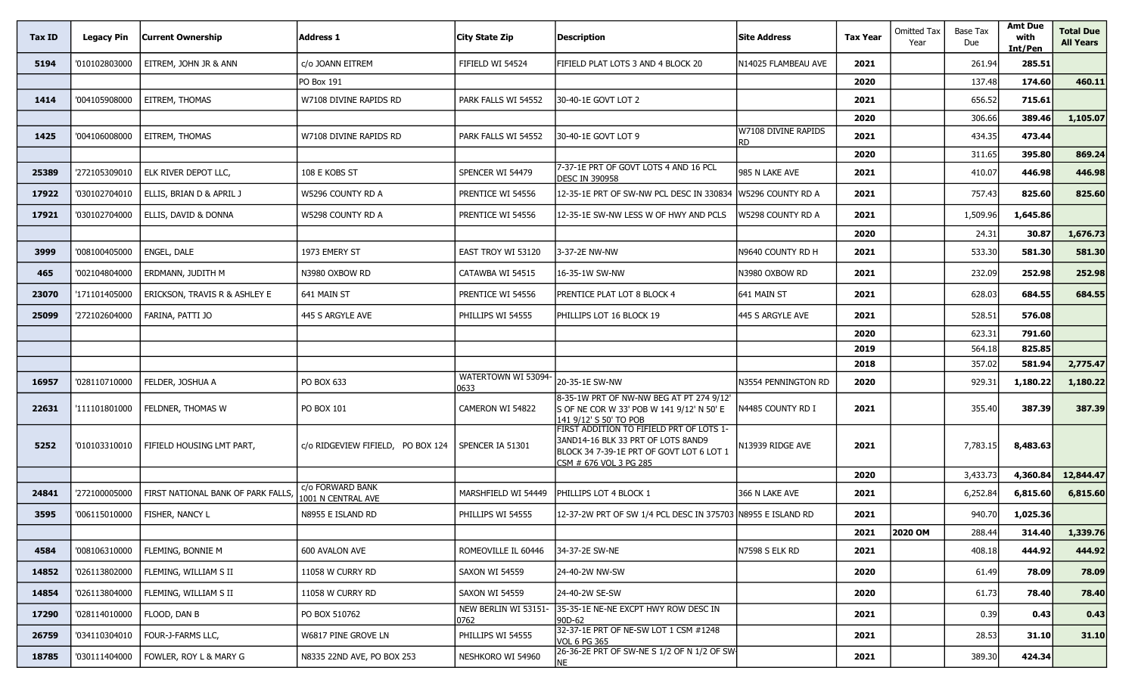| Tax ID | <b>Legacy Pin</b> | Current Ownership                 | <b>Address 1</b>                       | City State Zip               | Description                                                                                                                                          | <b>Site Address</b>        | <b>Tax Year</b> | Omitted Tax<br>Year | Base Tax<br>Due | <b>Amt Due</b><br>with<br>Int/Pen | <b>Total Due</b><br><b>All Years</b> |
|--------|-------------------|-----------------------------------|----------------------------------------|------------------------------|------------------------------------------------------------------------------------------------------------------------------------------------------|----------------------------|-----------------|---------------------|-----------------|-----------------------------------|--------------------------------------|
| 5194   | '010102803000     | EITREM, JOHN JR & ANN             | c/o JOANN EITREM                       | FIFIELD WI 54524             | FIFIELD PLAT LOTS 3 AND 4 BLOCK 20                                                                                                                   | N14025 FLAMBEAU AVE        | 2021            |                     | 261.94          | 285.51                            |                                      |
|        |                   |                                   | PO Box 191                             |                              |                                                                                                                                                      |                            | 2020            |                     | 137.48          | 174.60                            | 460.11                               |
| 1414   | '004105908000     | EITREM, THOMAS                    | W7108 DIVINE RAPIDS RD                 | PARK FALLS WI 54552          | 30-40-1E GOVT LOT 2                                                                                                                                  |                            | 2021            |                     | 656.52          | 715.61                            |                                      |
|        |                   |                                   |                                        |                              |                                                                                                                                                      |                            | 2020            |                     | 306.66          | 389.46                            | 1,105.07                             |
| 1425   | '004106008000     | EITREM, THOMAS                    | W7108 DIVINE RAPIDS RD                 | PARK FALLS WI 54552          | 30-40-1E GOVT LOT 9                                                                                                                                  | W7108 DIVINE RAPIDS<br>RD. | 2021            |                     | 434.35          | 473.44                            |                                      |
|        |                   |                                   |                                        |                              |                                                                                                                                                      |                            | 2020            |                     | 311.65          | 395.80                            | 869.24                               |
| 25389  | '272105309010     | ELK RIVER DEPOT LLC,              | 108 E KOBS ST                          | SPENCER WI 54479             | 7-37-1E PRT OF GOVT LOTS 4 AND 16 PCL<br><b>DESC IN 390958</b>                                                                                       | 985 N LAKE AVE             | 2021            |                     | 410.07          | 446.98                            | 446.98                               |
| 17922  | '030102704010     | ELLIS, BRIAN D & APRIL J          | W5296 COUNTY RD A                      | PRENTICE WI 54556            | 12-35-1E PRT OF SW-NW PCL DESC IN 330834                                                                                                             | W5296 COUNTY RD A          | 2021            |                     | 757.43          | 825.60                            | 825.60                               |
| 17921  | '030102704000     | ELLIS, DAVID & DONNA              | W5298 COUNTY RD A                      | PRENTICE WI 54556            | 12-35-1E SW-NW LESS W OF HWY AND PCLS                                                                                                                | W5298 COUNTY RD A          | 2021            |                     | 1,509.96        | 1,645.86                          |                                      |
|        |                   |                                   |                                        |                              |                                                                                                                                                      |                            | 2020            |                     | 24.31           | 30.87                             | 1,676.73                             |
| 3999   | '008100405000     | ENGEL, DALE                       | 1973 EMERY ST                          | EAST TROY WI 53120           | 3-37-2E NW-NW                                                                                                                                        | N9640 COUNTY RD H          | 2021            |                     | 533.30          | 581.30                            | 581.30                               |
| 465    | '002104804000     | ERDMANN, JUDITH M                 | N3980 OXBOW RD                         | CATAWBA WI 54515             | 16-35-1W SW-NW                                                                                                                                       | N3980 oxbow rd             | 2021            |                     | 232.09          | 252.98                            | 252.98                               |
| 23070  | '171101405000     | ERICKSON, TRAVIS R & ASHLEY E     | 641 MAIN ST                            | PRENTICE WI 54556            | PRENTICE PLAT LOT 8 BLOCK 4                                                                                                                          | 641 MAIN ST                | 2021            |                     | 628.03          | 684.55                            | 684.55                               |
| 25099  | '272102604000     | FARINA, PATTI JO                  | 445 S ARGYLE AVE                       | PHILLIPS WI 54555            | PHILLIPS LOT 16 BLOCK 19                                                                                                                             | 445 S ARGYLE AVE           | 2021            |                     | 528.51          | 576.08                            |                                      |
|        |                   |                                   |                                        |                              |                                                                                                                                                      |                            | 2020            |                     | 623.31          | 791.60                            |                                      |
|        |                   |                                   |                                        |                              |                                                                                                                                                      |                            | 2019            |                     | 564.18          | 825.85                            |                                      |
|        |                   |                                   |                                        | WATERTOWN WI 53094-          |                                                                                                                                                      |                            | 2018            |                     | 357.02          | 581.94                            | 2,775.47                             |
| 16957  | '028110710000     | FELDER, JOSHUA A                  | PO BOX 633                             | 0633                         | 20-35-1E SW-NW                                                                                                                                       | N3554 PENNINGTON RD        | 2020            |                     | 929.31          | 1,180.22                          | 1,180.22                             |
| 22631  | '111101801000     | FELDNER, THOMAS W                 | PO BOX 101                             | CAMERON WI 54822             | 8-35-1W PRT OF NW-NW BEG AT PT 274 9/12'<br>S OF NE COR W 33' POB W 141 9/12' N 50' E<br>141 9/12' S 50' TO POB                                      | N4485 COUNTY RD I          | 2021            |                     | 355.40          | 387.39                            | 387.39                               |
| 5252   | '010103310010     | FIFIELD HOUSING LMT PART,         | c/o RIDGEVIEW FIFIELD, PO BOX 124      | SPENCER IA 51301             | FIRST ADDITION TO FIFIELD PRT OF LOTS 1-<br>3AND14-16 BLK 33 PRT OF LOTS 8AND9<br>BLOCK 34 7-39-1E PRT OF GOVT LOT 6 LOT 1<br>CSM # 676 VOL 3 PG 285 | 13939 RIDGE AVE            | 2021            |                     | 7,783.15        | 8,483.63                          |                                      |
|        |                   |                                   |                                        |                              |                                                                                                                                                      |                            | 2020            |                     | 3,433.73        | 4,360.84                          | 12,844.47                            |
| 24841  | '272100005000     | FIRST NATIONAL BANK OF PARK FALLS | c/o FORWARD BANK<br>1001 N CENTRAL AVE | MARSHFIELD WI 54449          | Phillips Lot 4 Block 1                                                                                                                               | 366 N LAKE AVE             | 2021            |                     | 6,252.84        | 6,815.60                          | 6,815.60                             |
| 3595   | '006115010000     | FISHER, NANCY L                   | N8955 E ISLAND RD                      | PHILLIPS WI 54555            | 12-37-2W PRT OF SW 1/4 PCL DESC IN 375703 N8955 E ISLAND RD                                                                                          |                            | 2021            |                     | 940.70          | 1,025.36                          |                                      |
|        |                   |                                   |                                        |                              |                                                                                                                                                      |                            | 2021            | 2020 OM             | 288.44          | 314.40                            | 1,339.76                             |
| 4584   | '008106310000     | FLEMING, BONNIE M                 | 600 AVALON AVE                         | ROMEOVILLE IL 60446          | 34-37-2E SW-NE                                                                                                                                       | N7598 S ELK RD             | 2021            |                     | 408.18          | 444.92                            | 444.92                               |
| 14852  | '026113802000     | FLEMING, WILLIAM S II             | 11058 W CURRY RD                       | SAXON WI 54559               | 24-40-2W NW-SW                                                                                                                                       |                            | 2020            |                     | 61.49           | 78.09                             | 78.09                                |
| 14854  | '026113804000     | FLEMING, WILLIAM S II             | 11058 W CURRY RD                       | SAXON WI 54559               | 24-40-2W SE-SW                                                                                                                                       |                            | 2020            |                     | 61.73           | 78.40                             | 78.40                                |
| 17290  | '028114010000     | FLOOD, DAN B                      | PO BOX 510762                          | NEW BERLIN WI 53151-<br>0762 | 35-35-1E NE-NE EXCPT HWY ROW DESC IN<br>90D-62                                                                                                       |                            | 2021            |                     | 0.39            | 0.43                              | 0.43                                 |
| 26759  | '034110304010     | FOUR-J-FARMS LLC,                 | W6817 PINE GROVE LN                    | PHILLIPS WI 54555            | 32-37-1E PRT OF NE-SW LOT 1 CSM #1248<br><b>VOL 6 PG 365</b>                                                                                         |                            | 2021            |                     | 28.53           | 31.10                             | 31.10                                |
| 18785  | '030111404000     | FOWLER, ROY L & MARY G            | N8335 22ND AVE, PO BOX 253             | NESHKORO WI 54960            | 26-36-2E PRT OF SW-NE S 1/2 OF N 1/2 OF SW-<br>NE                                                                                                    |                            | 2021            |                     | 389.30          | 424.34                            |                                      |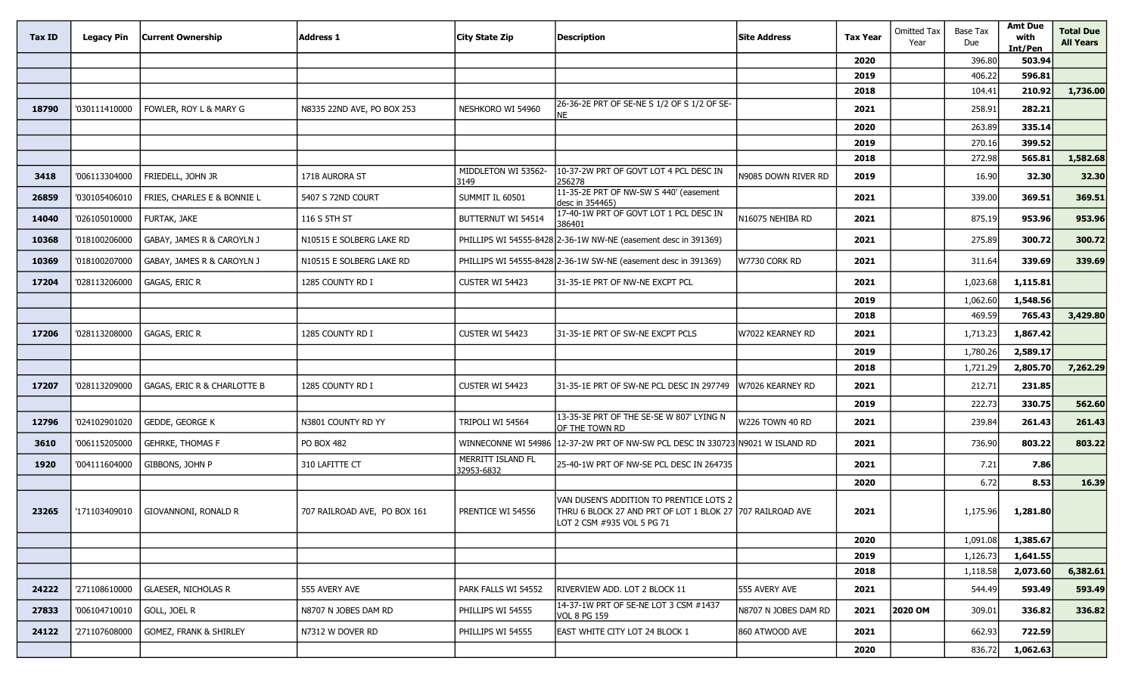| Tax ID | <b>Legacy Pin</b> | Current Ownership           | <b>Address 1</b>             | <b>City State Zip</b>           | Description                                                                                                                        | <b>Site Address</b>  | <b>Tax Year</b> | <b>Omitted Tax</b><br>Year | <b>Base Tax</b><br>Due | <b>Amt Due</b><br>with<br>Int/Pen | <b>Total Due</b><br><b>All Years</b> |
|--------|-------------------|-----------------------------|------------------------------|---------------------------------|------------------------------------------------------------------------------------------------------------------------------------|----------------------|-----------------|----------------------------|------------------------|-----------------------------------|--------------------------------------|
|        |                   |                             |                              |                                 |                                                                                                                                    |                      | 2020            |                            | 396.80                 | 503.94                            |                                      |
|        |                   |                             |                              |                                 |                                                                                                                                    |                      | 2019            |                            | 406.22                 | 596.81                            |                                      |
|        |                   |                             |                              |                                 |                                                                                                                                    |                      | 2018            |                            | 104.41                 | 210.92                            | 1,736.00                             |
| 18790  | '030111410000     | FOWLER, ROY L & MARY G      | N8335 22ND AVE, PO BOX 253   | NESHKORO WI 54960               | 26-36-2E PRT OF SE-NE S 1/2 OF S 1/2 OF SE-<br><b>NE</b>                                                                           |                      | 2021            |                            | 258.91                 | 282.21                            |                                      |
|        |                   |                             |                              |                                 |                                                                                                                                    |                      | 2020            |                            | 263.89                 | 335.14                            |                                      |
|        |                   |                             |                              |                                 |                                                                                                                                    |                      | 2019            |                            | 270.16                 | 399.52                            |                                      |
|        |                   |                             |                              |                                 |                                                                                                                                    |                      | 2018            |                            | 272.98                 | 565.81                            | 1,582.68                             |
| 3418   | '006113304000     | FRIEDELL, JOHN JR           | 1718 AURORA ST               | MIDDLETON WI 53562-<br>3149     | 10-37-2W PRT OF GOVT LOT 4 PCL DESC IN<br>256278                                                                                   | N9085 Down River RD  | 2019            |                            | 16.90                  | 32.30                             | 32.30                                |
| 26859  | '030105406010     | FRIES, CHARLES E & BONNIE L | 5407 S 72ND COURT            | SUMMIT IL 60501                 | 11-35-2E PRT OF NW-SW S 440' (easement<br>desc in 354465)                                                                          |                      | 2021            |                            | 339.00                 | 369.51                            | 369.51                               |
| 14040  | '026105010000     | FURTAK, JAKE                | 116 S 5TH ST                 | BUTTERNUT WI 54514              | 17-40-1W PRT OF GOVT LOT 1 PCL DESC IN<br>386401                                                                                   | N16075 NEHIBA RD     | 2021            |                            | 875.19                 | 953.96                            | 953.96                               |
| 10368  | '018100206000     | GABAY, JAMES R & CAROYLN J  | N10515 E SOLBERG LAKE RD     |                                 | PHILLIPS WI 54555-8428 2-36-1W NW-NE (easement desc in 391369)                                                                     |                      | 2021            |                            | 275.89                 | 300.72                            | 300.72                               |
| 10369  | '018100207000     | GABAY, JAMES R & CAROYLN J  | N10515 E SOLBERG LAKE RD     |                                 | PHILLIPS WI 54555-8428 2-36-1W SW-NE (easement desc in 391369)                                                                     | W7730 CORK RD        | 2021            |                            | 311.64                 | 339.69                            | 339.69                               |
| 17204  | '028113206000     | GAGAS, ERIC R               | 1285 COUNTY RD I             | CUSTER WI 54423                 | 31-35-1E PRT OF NW-NE EXCPT PCL                                                                                                    |                      | 2021            |                            | 1,023.68               | 1,115.81                          |                                      |
|        |                   |                             |                              |                                 |                                                                                                                                    |                      | 2019            |                            | 1,062.60               | 1,548.56                          |                                      |
|        |                   |                             |                              |                                 |                                                                                                                                    |                      | 2018            |                            | 469.59                 | 765.43                            | 3,429.80                             |
| 17206  | '028113208000     | GAGAS, ERIC R               | 1285 COUNTY RD I             | CUSTER WI 54423                 | 31-35-1E PRT OF SW-NE EXCPT PCLS                                                                                                   | W7022 KEARNEY RD     | 2021            |                            | 1,713.23               | 1,867.42                          |                                      |
|        |                   |                             |                              |                                 |                                                                                                                                    |                      | 2019            |                            | 1,780.26               | 2,589.17                          |                                      |
|        |                   |                             |                              |                                 |                                                                                                                                    |                      | 2018            |                            | 1,721.29               | 2,805.70                          | 7,262.29                             |
| 17207  | '028113209000     | GAGAS, ERIC R & CHARLOTTE B | 1285 COUNTY RD I             | CUSTER WI 54423                 | 31-35-1E PRT OF SW-NE PCL DESC IN 297749                                                                                           | W7026 KEARNEY RD     | 2021            |                            | 212.71                 | 231.85                            |                                      |
|        |                   |                             |                              |                                 |                                                                                                                                    |                      | 2019            |                            | 222.73                 | 330.75                            | 562.60                               |
| 12796  | '024102901020     | GEDDE, GEORGE K             | N3801 COUNTY RD YY           | TRIPOLI WI 54564                | 13-35-3E PRT OF THE SE-SE W 807' LYING N<br>OF THE TOWN RD                                                                         | W226 TOWN 40 RD      | 2021            |                            | 239.84                 | 261.43                            | 261.43                               |
| 3610   | '006115205000     | <b>GEHRKE, THOMAS F</b>     | PO BOX 482                   | WINNECONNE WI 54986             | 12-37-2W PRT OF NW-SW PCL DESC IN 330723                                                                                           | N9021 W ISLAND RD    | 2021            |                            | 736.90                 | 803.22                            | 803.22                               |
| 1920   | '004111604000     | GIBBONS, JOHN P             | 310 LAFITTE CT               | MERRITT ISLAND FL<br>32953-6832 | 25-40-1W PRT OF NW-SE PCL DESC IN 264735                                                                                           |                      | 2021            |                            | 7.21                   | 7.86                              |                                      |
|        |                   |                             |                              |                                 |                                                                                                                                    |                      | 2020            |                            | 6.72                   | 8.53                              | 16.39                                |
| 23265  | '171103409010     | GIOVANNONI, RONALD R        | 707 RAILROAD AVE, PO BOX 161 | PRENTICE WI 54556               | VAN DUSEN'S ADDITION TO PRENTICE LOTS 2<br>THRU 6 BLOCK 27 AND PRT OF LOT 1 BLOK 27 707 RAILROAD AVE<br>LOT 2 CSM #935 VOL 5 PG 71 |                      | 2021            |                            | 1,175.96               | 1,281.80                          |                                      |
|        |                   |                             |                              |                                 |                                                                                                                                    |                      | 2020            |                            | 1,091.08               | 1,385.67                          |                                      |
|        |                   |                             |                              |                                 |                                                                                                                                    |                      | 2019            |                            | 1,126.73               | 1,641.55                          |                                      |
|        |                   |                             |                              |                                 |                                                                                                                                    |                      | 2018            |                            | 1,118.58               | 2,073.60                          | 6,382.61                             |
| 24222  | '271108610000     | <b>GLAESER, NICHOLAS R</b>  | 555 AVERY AVE                | PARK FALLS WI 54552             | RIVERVIEW ADD. LOT 2 BLOCK 11                                                                                                      | 555 AVERY AVE        | 2021            |                            | 544.49                 | 593.49                            | 593.49                               |
| 27833  | '006104710010     | GOLL, JOEL R                | N8707 N JOBES DAM RD         | PHILLIPS WI 54555               | 14-37-1W PRT OF SE-NE LOT 3 CSM #1437<br>VOL 8 PG 159                                                                              | N8707 N JOBES DAM RD | 2021            | 2020 OM                    | 309.01                 | 336.82                            | 336.82                               |
| 24122  | '271107608000     | GOMEZ, FRANK & SHIRLEY      | N7312 W DOVER RD             | PHILLIPS WI 54555               | EAST WHITE CITY LOT 24 BLOCK 1                                                                                                     | 860 ATWOOD AVE       | 2021            |                            | 662.93                 | 722.59                            |                                      |
|        |                   |                             |                              |                                 |                                                                                                                                    |                      | 2020            |                            | 836.72                 | 1,062.63                          |                                      |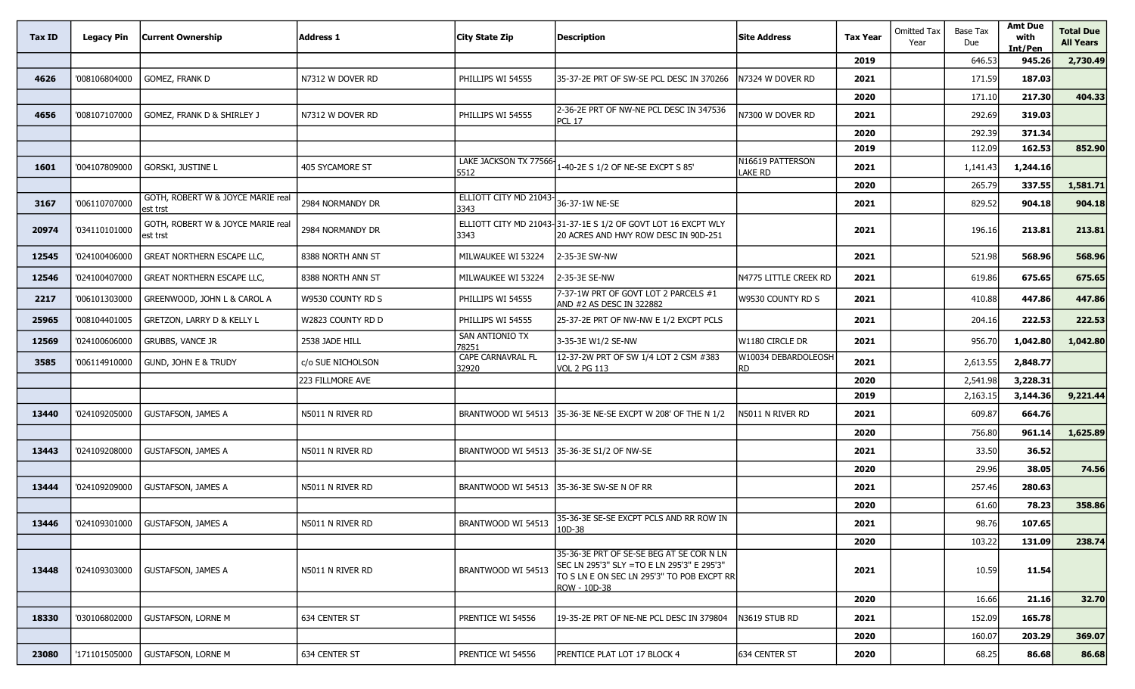| Tax ID | <b>Legacy Pin</b> | <b>Current Ownership</b>                      | <b>Address 1</b>       | City State Zip                 | Description                                                                                                                                          | <b>Site Address</b>         | <b>Tax Year</b> | <b>Omitted Tax</b><br>Year | Base Tax<br>Due | <b>Amt Due</b><br>with<br>Int/Pen | <b>Total Due</b><br><b>All Years</b> |
|--------|-------------------|-----------------------------------------------|------------------------|--------------------------------|------------------------------------------------------------------------------------------------------------------------------------------------------|-----------------------------|-----------------|----------------------------|-----------------|-----------------------------------|--------------------------------------|
|        |                   |                                               |                        |                                |                                                                                                                                                      |                             | 2019            |                            | 646.53          | 945.26                            | 2,730.49                             |
| 4626   | '008106804000     | GOMEZ, FRANK D                                | N7312 W DOVER RD       | PHILLIPS WI 54555              | 35-37-2E PRT OF SW-SE PCL DESC IN 370266                                                                                                             | N7324 W DOVER RD            | 2021            |                            | 171.59          | 187.03                            |                                      |
|        |                   |                                               |                        |                                |                                                                                                                                                      |                             | 2020            |                            | 171.10          | 217.30                            | 404.33                               |
| 4656   | '008107107000     | GOMEZ, FRANK D & SHIRLEY J                    | N7312 W DOVER RD       | PHILLIPS WI 54555              | 2-36-2E PRT OF NW-NE PCL DESC IN 347536<br><b>PCL 17</b>                                                                                             | N7300 W DOVER RD            | 2021            |                            | 292.69          | 319.03                            |                                      |
|        |                   |                                               |                        |                                |                                                                                                                                                      |                             | 2020            |                            | 292.39          | 371.34                            |                                      |
|        |                   |                                               |                        |                                |                                                                                                                                                      |                             | 2019            |                            | 112.09          | 162.53                            | 852.90                               |
| 1601   | '004107809000     | <b>GORSKI, JUSTINE L</b>                      | <b>405 SYCAMORE ST</b> | LAKE JACKSON TX 77566-<br>5512 | 1-40-2E S 1/2 OF NE-SE EXCPT S 85'                                                                                                                   | N16619 PATTERSON<br>ake RD. | 2021            |                            | 1,141.43        | 1,244.16                          |                                      |
|        |                   |                                               |                        |                                |                                                                                                                                                      |                             | 2020            |                            | 265.79          | 337.55                            | 1,581.71                             |
| 3167   | '006110707000     | GOTH, ROBERT W & JOYCE MARIE real<br>est trst | 2984 NORMANDY DR       | ELLIOTT CITY MD 21043-<br>3343 | 36-37-1W NE-SE                                                                                                                                       |                             | 2021            |                            | 829.52          | 904.18                            | 904.18                               |
| 20974  | '034110101000     | GOTH, ROBERT W & JOYCE MARIE real<br>est trst | 2984 NORMANDY DR       | 3343                           | ELLIOTT CITY MD 21043-31-37-1E S 1/2 OF GOVT LOT 16 EXCPT WLY<br>20 ACRES AND HWY ROW DESC IN 90D-251                                                |                             | 2021            |                            | 196.16          | 213.81                            | 213.81                               |
| 12545  | '024100406000     | GREAT NORTHERN ESCAPE LLC,                    | 8388 NORTH ANN ST      | MILWAUKEE WI 53224             | 2-35-3E SW-NW                                                                                                                                        |                             | 2021            |                            | 521.98          | 568.96                            | 568.96                               |
| 12546  | '024100407000     | GREAT NORTHERN ESCAPE LLC,                    | 8388 NORTH ANN ST      | MILWAUKEE WI 53224             | 2-35-3E SE-NW                                                                                                                                        | N4775 LITTLE CREEK RD       | 2021            |                            | 619.86          | 675.65                            | 675.65                               |
| 2217   | '006101303000     | GREENWOOD, JOHN L & CAROL A                   | W9530 COUNTY RD S      | PHILLIPS WI 54555              | 7-37-1W PRT OF GOVT LOT 2 PARCELS #1<br>AND #2 AS DESC IN 322882                                                                                     | W9530 COUNTY RD S           | 2021            |                            | 410.88          | 447.86                            | 447.86                               |
| 25965  | '008104401005     | GRETZON, LARRY D & KELLY L                    | W2823 COUNTY RD D      | PHILLIPS WI 54555              | 25-37-2E PRT OF NW-NW E 1/2 EXCPT PCLS                                                                                                               |                             | 2021            |                            | 204.16          | 222.53                            | 222.53                               |
| 12569  | '024100606000     | <b>GRUBBS, VANCE JR</b>                       | 2538 JADE HILL         | SAN ANTIONIO TX<br>78251       | 3-35-3E W1/2 SE-NW                                                                                                                                   | W1180 CIRCLE DR             | 2021            |                            | 956.70          | 1,042.80                          | 1,042.80                             |
| 3585   | '006114910000     | GUND, JOHN E & TRUDY                          | c/o SUE NICHOLSON      | CAPE CARNAVRAL FL<br>32920     | 12-37-2W PRT OF SW 1/4 LOT 2 CSM #383<br>VOL 2 PG 113                                                                                                | W10034 DEBARDOLEOSH<br>RD   | 2021            |                            | 2,613.55        | 2,848.77                          |                                      |
|        |                   |                                               | 223 FILLMORE AVE       |                                |                                                                                                                                                      |                             | 2020            |                            | 2,541.98        | 3,228.31                          |                                      |
|        |                   |                                               |                        |                                |                                                                                                                                                      |                             | 2019            |                            | 2,163.15        | 3,144.36                          | 9,221.44                             |
| 13440  | '024109205000     | <b>GUSTAFSON, JAMES A</b>                     | N5011 N RIVER RD       | BRANTWOOD WI 54513             | 35-36-3E NE-SE EXCPT W 208' OF THE N 1/2                                                                                                             | 45011 N RIVER RD            | 2021            |                            | 609.87          | 664.76                            |                                      |
|        |                   |                                               |                        |                                |                                                                                                                                                      |                             | 2020            |                            | 756.80          | 961.14                            | 1,625.89                             |
| 13443  | '024109208000     | <b>GUSTAFSON, JAMES A</b>                     | N5011 N RIVER RD       | BRANTWOOD WI 54513             | 35-36-3E S1/2 OF NW-SE                                                                                                                               |                             | 2021            |                            | 33.50           | 36.52                             |                                      |
|        |                   |                                               |                        |                                |                                                                                                                                                      |                             | 2020            |                            | 29.96           | 38.05                             | 74.56                                |
| 13444  | '024109209000     | <b>GUSTAFSON, JAMES A</b>                     | N5011 N RIVER RD       | BRANTWOOD WI 54513             | 135-36-3E SW-SE N OF RR                                                                                                                              |                             | 2021            |                            | 257.46          | 280.63                            |                                      |
|        |                   |                                               |                        |                                |                                                                                                                                                      |                             | 2020            |                            | 61.60           | 78.23                             | 358.86                               |
| 13446  | '024109301000     | <b>GUSTAFSON, JAMES A</b>                     | N5011 N RIVER RD       | BRANTWOOD WI 54513             | 35-36-3E SE-SE EXCPT PCLS AND RR ROW IN<br>10D-38                                                                                                    |                             | 2021            |                            | 98.76           | 107.65                            |                                      |
|        |                   |                                               |                        |                                |                                                                                                                                                      |                             | 2020            |                            | 103.22          | 131.09                            | 238.74                               |
| 13448  | '024109303000     | <b>GUSTAFSON, JAMES A</b>                     | N5011 N RIVER RD       | BRANTWOOD WI 54513             | 35-36-3E PRT OF SE-SE BEG AT SE COR N LN<br>SEC LN 295'3" SLY =TO E LN 295'3" E 295'3"<br>TO S LN E ON SEC LN 295'3" TO POB EXCPT RR<br>ROW - 10D-38 |                             | 2021            |                            | 10.59           | 11.54                             |                                      |
|        |                   |                                               |                        |                                |                                                                                                                                                      |                             | 2020            |                            | 16.66           | 21.16                             | 32.70                                |
| 18330  | '030106802000     | <b>GUSTAFSON, LORNE M</b>                     | 634 CENTER ST          | PRENTICE WI 54556              | 19-35-2E PRT OF NE-NE PCL DESC IN 379804                                                                                                             | N3619 STUB RD               | 2021            |                            | 152.09          | 165.78                            |                                      |
|        |                   |                                               |                        |                                |                                                                                                                                                      |                             | 2020            |                            | 160.07          | 203.29                            | 369.07                               |
| 23080  | '171101505000     | GUSTAFSON, LORNE M                            | 634 CENTER ST          | PRENTICE WI 54556              | PRENTICE PLAT LOT 17 BLOCK 4                                                                                                                         | 634 CENTER ST               | 2020            |                            | 68.25           | 86.68                             | 86.68                                |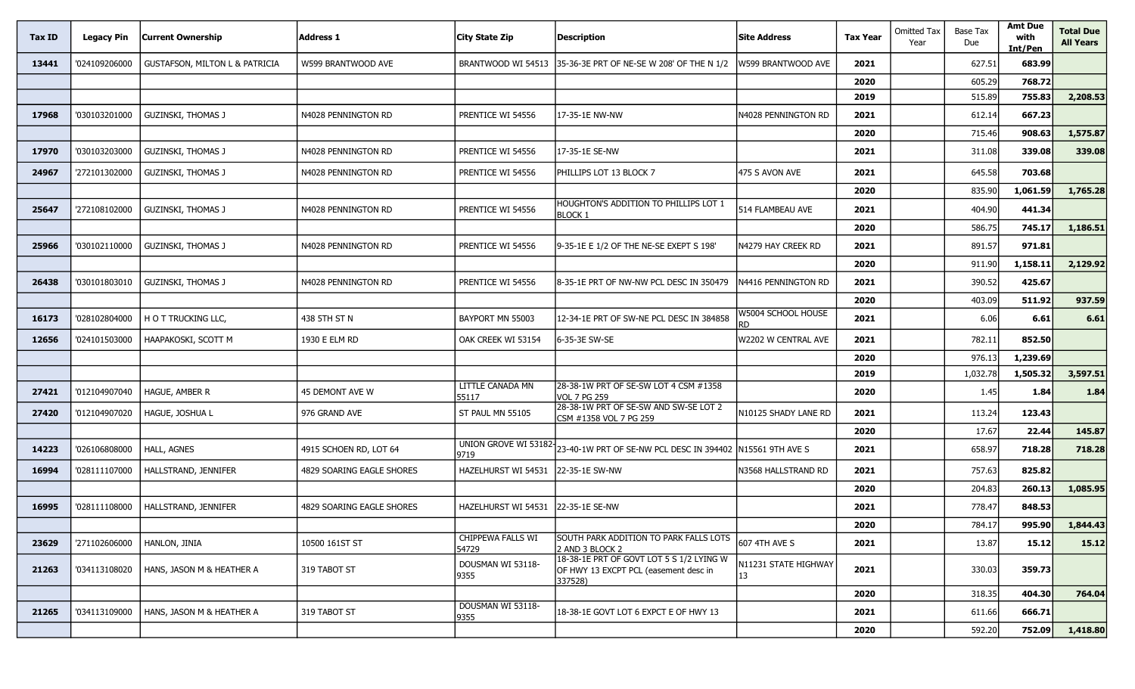| Tax ID | <b>Legacy Pin</b> | <b>Current Ownership</b>                  | <b>Address 1</b>          | <b>City State Zip</b>      | <b>Description</b>                                                                           | <b>Site Address</b>         | <b>Tax Year</b> | <b>Omitted Tax</b><br>Year | <b>Base Tax</b><br>Due | <b>Amt Due</b><br>with<br>Int/Pen | <b>Total Due</b><br><b>All Years</b> |
|--------|-------------------|-------------------------------------------|---------------------------|----------------------------|----------------------------------------------------------------------------------------------|-----------------------------|-----------------|----------------------------|------------------------|-----------------------------------|--------------------------------------|
| 13441  | '024109206000     | <b>GUSTAFSON, MILTON L &amp; PATRICIA</b> | W599 BRANTWOOD AVE        | BRANTWOOD WI 54513         | 35-36-3E PRT OF NE-SE W 208' OF THE N 1/2                                                    | W599 BRANTWOOD AVE          | 2021            |                            | 627.51                 | 683.99                            |                                      |
|        |                   |                                           |                           |                            |                                                                                              |                             | 2020            |                            | 605.29                 | 768.72                            |                                      |
|        |                   |                                           |                           |                            |                                                                                              |                             | 2019            |                            | 515.89                 | 755.83                            | 2,208.53                             |
| 17968  | '030103201000     | <b>GUZINSKI, THOMAS J</b>                 | N4028 PENNINGTON RD       | PRENTICE WI 54556          | 17-35-1E NW-NW                                                                               | N4028 PENNINGTON RD         | 2021            |                            | 612.14                 | 667.23                            |                                      |
|        |                   |                                           |                           |                            |                                                                                              |                             | 2020            |                            | 715.46                 | 908.63                            | 1,575.87                             |
| 17970  | '030103203000     | <b>GUZINSKI, THOMAS J</b>                 | N4028 PENNINGTON RD       | PRENTICE WI 54556          | 17-35-1E SE-NW                                                                               |                             | 2021            |                            | 311.08                 | 339.08                            | 339.08                               |
| 24967  | '272101302000     | <b>GUZINSKI, THOMAS J</b>                 | N4028 PENNINGTON RD       | PRENTICE WI 54556          | PHILLIPS LOT 13 BLOCK 7                                                                      | 475 S AVON AVE              | 2021            |                            | 645.58                 | 703.68                            |                                      |
|        |                   |                                           |                           |                            |                                                                                              |                             | 2020            |                            | 835.90                 | 1,061.59                          | 1,765.28                             |
| 25647  | '272108102000     | <b>GUZINSKI, THOMAS J</b>                 | N4028 PENNINGTON RD       | PRENTICE WI 54556          | HOUGHTON'S ADDITION TO PHILLIPS LOT 1<br><b>BLOCK 1</b>                                      | 514 FLAMBEAU AVE            | 2021            |                            | 404.90                 | 441.34                            |                                      |
|        |                   |                                           |                           |                            |                                                                                              |                             | 2020            |                            | 586.75                 | 745.17                            | 1,186.51                             |
| 25966  | '030102110000     | <b>GUZINSKI, THOMAS J</b>                 | N4028 PENNINGTON RD       | PRENTICE WI 54556          | 9-35-1E E 1/2 OF THE NE-SE EXEPT S 198'                                                      | N4279 HAY CREEK RD          | 2021            |                            | 891.57                 | 971.81                            |                                      |
|        |                   |                                           |                           |                            |                                                                                              |                             | 2020            |                            | 911.90                 | 1,158.11                          | 2,129.92                             |
| 26438  | '030101803010     | <b>GUZINSKI, THOMAS J</b>                 | N4028 PENNINGTON RD       | PRENTICE WI 54556          | 8-35-1E PRT OF NW-NW PCL DESC IN 350479                                                      | N4416 PENNINGTON RD         | 2021            |                            | 390.52                 | 425.67                            |                                      |
|        |                   |                                           |                           |                            |                                                                                              |                             | 2020            |                            | 403.09                 | 511.92                            | 937.59                               |
| 16173  | '028102804000     | H O T TRUCKING LLC,                       | 438 5TH ST N              | BAYPORT MN 55003           | 12-34-1E PRT OF SW-NE PCL DESC IN 384858                                                     | W5004 SCHOOL HOUSE          | 2021            |                            | 6.06                   | 6.61                              | 6.61                                 |
| 12656  | '024101503000     | HAAPAKOSKI, SCOTT M                       | 1930 E ELM RD             | OAK CREEK WI 53154         | 6-35-3E SW-SE                                                                                | W2202 W CENTRAL AVE         | 2021            |                            | 782.11                 | 852.50                            |                                      |
|        |                   |                                           |                           |                            |                                                                                              |                             | 2020            |                            | 976.13                 | 1,239.69                          |                                      |
|        |                   |                                           |                           |                            |                                                                                              |                             | 2019            |                            | 1,032.78               | 1,505.32                          | 3,597.51                             |
| 27421  | '012104907040     | HAGUE, AMBER R                            | 45 DEMONT AVE W           | LITTLE CANADA MN<br>55117  | 28-38-1W PRT OF SE-SW LOT 4 CSM #1358<br><b>VOL 7 PG 259</b>                                 |                             | 2020            |                            | 1.45                   | 1.84                              | 1.84                                 |
| 27420  | '012104907020     | HAGUE, JOSHUA L                           | 976 GRAND AVE             | ST PAUL MN 55105           | 28-38-1W PRT OF SE-SW AND SW-SE LOT 2<br>CSM #1358 VOL 7 PG 259                              | <b>V10125 SHADY LANE RD</b> | 2021            |                            | 113.24                 | 123.43                            |                                      |
|        |                   |                                           |                           |                            |                                                                                              |                             | 2020            |                            | 17.67                  | 22.44                             | 145.87                               |
| 14223  | '026106808000     | HALL, AGNES                               | 4915 SCHOEN RD, LOT 64    | 9719                       | UNION GROVE WI 53182 23-40-1W PRT OF SE-NW PCL DESC IN 394402                                | N15561 9TH AVE S            | 2021            |                            | 658.97                 | 718.28                            | 718.28                               |
| 16994  | '028111107000     | HALLSTRAND, JENNIFER                      | 4829 SOARING EAGLE SHORES | <b>HAZELHURST WI 54531</b> | 22-35-1E SW-NW                                                                               | N3568 HALLSTRAND RD         | 2021            |                            | 757.63                 | 825.82                            |                                      |
|        |                   |                                           |                           |                            |                                                                                              |                             | 2020            |                            | 204.83                 | 260.13                            | 1,085.95                             |
| 16995  | '028111108000     | HALLSTRAND, JENNIFER                      | 4829 SOARING EAGLE SHORES | <b>HAZELHURST WI 54531</b> | 22-35-1E SE-NW                                                                               |                             | 2021            |                            | 778.47                 | 848.53                            |                                      |
|        |                   |                                           |                           |                            |                                                                                              |                             | 2020            |                            | 784.17                 | 995.90                            | 1,844.43                             |
| 23629  | '271102606000     | HANLON, JINIA                             | 10500 161ST ST            | CHIPPEWA FALLS WI<br>54729 | SOUTH PARK ADDITION TO PARK FALLS LOTS<br>2 AND 3 BLOCK 2                                    | <b>607 4TH AVE S</b>        | 2021            |                            | 13.87                  | 15.12                             | 15.12                                |
| 21263  | '034113108020     | HANS, JASON M & HEATHER A                 | 319 TABOT ST              | DOUSMAN WI 53118-<br>9355  | 18-38-1E PRT OF GOVT LOT 5 S 1/2 LYING W<br>OF HWY 13 EXCPT PCL (easement desc in<br>337528) | N11231 STATE HIGHWAY        | 2021            |                            | 330.03                 | 359.73                            |                                      |
|        |                   |                                           |                           |                            |                                                                                              |                             | 2020            |                            | 318.35                 | 404.30                            | 764.04                               |
| 21265  | '034113109000     | HANS, JASON M & HEATHER A                 | 319 TABOT ST              | DOUSMAN WI 53118-<br>9355  | 18-38-1E GOVT LOT 6 EXPCT E OF HWY 13                                                        |                             | 2021            |                            | 611.66                 | 666.71                            |                                      |
|        |                   |                                           |                           |                            |                                                                                              |                             | 2020            |                            | 592.20                 | 752.09                            | 1,418.80                             |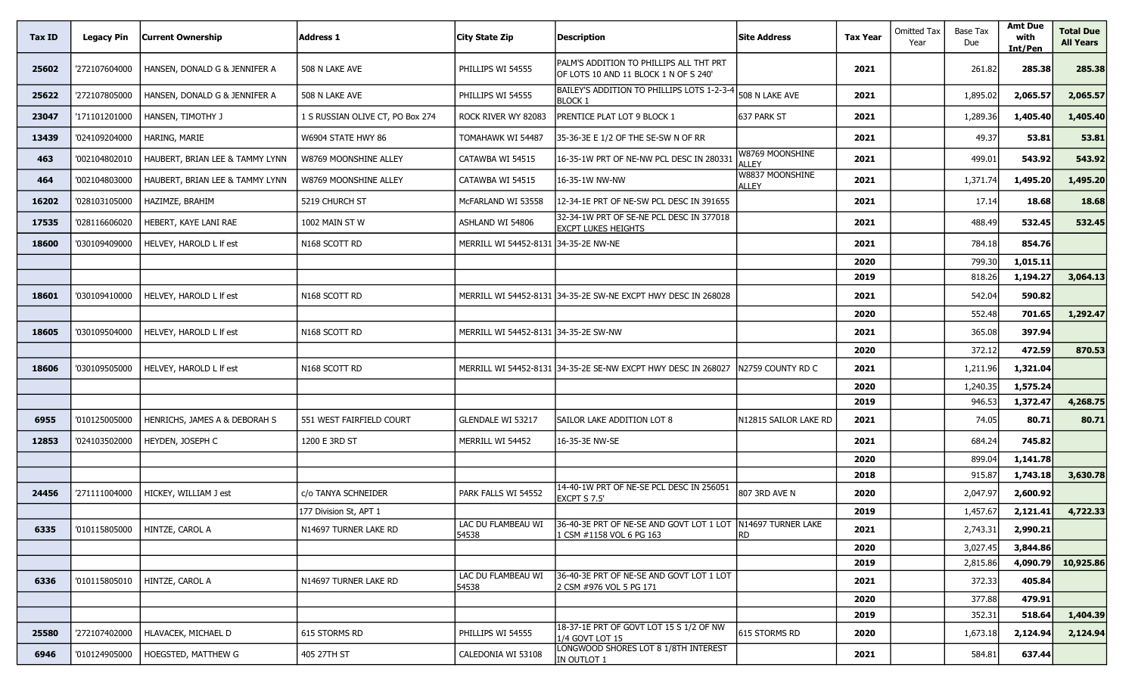| Tax ID | <b>Legacy Pin</b> | <b>Current Ownership</b>        | <b>Address 1</b>                 | City State Zip                       | <b>Description</b>                                                                      | <b>Site Address</b>             | <b>Tax Year</b> | Omitted Tax<br>Year | Base Tax<br>Due | <b>Amt Due</b><br>with<br>Int/Pen | <b>Total Due</b><br><b>All Years</b> |
|--------|-------------------|---------------------------------|----------------------------------|--------------------------------------|-----------------------------------------------------------------------------------------|---------------------------------|-----------------|---------------------|-----------------|-----------------------------------|--------------------------------------|
| 25602  | '272107604000     | HANSEN, DONALD G & JENNIFER A   | 508 N LAKE AVE                   | PHILLIPS WI 54555                    | PALM'S ADDITION TO PHILLIPS ALL THT PRT<br>OF LOTS 10 AND 11 BLOCK 1 N OF S 240'        |                                 | 2021            |                     | 261.82          | 285.38                            | 285.38                               |
| 25622  | '272107805000     | HANSEN, DONALD G & JENNIFER A   | 508 N LAKE AVE                   | PHILLIPS WI 54555                    | BAILEY'S ADDITION TO PHILLIPS LOTS 1-2-3-4<br><b>BLOCK 1</b>                            | 508 N LAKE AVE                  | 2021            |                     | 1,895.02        | 2,065.57                          | 2,065.57                             |
| 23047  | '171101201000     | HANSEN, TIMOTHY J               | 1 S RUSSIAN OLIVE CT, PO Box 274 | ROCK RIVER WY 82083                  | PRENTICE PLAT LOT 9 BLOCK 1                                                             | 637 PARK ST                     | 2021            |                     | 1,289.36        | 1,405.40                          | 1,405.40                             |
| 13439  | '024109204000     | HARING, MARIE                   | W6904 STATE HWY 86               | TOMAHAWK WI 54487                    | 35-36-3E E 1/2 OF THE SE-SW N OF RR                                                     |                                 | 2021            |                     | 49.37           | 53.81                             | 53.81                                |
| 463    | '002104802010     | HAUBERT, BRIAN LEE & TAMMY LYNN | W8769 MOONSHINE ALLEY            | CATAWBA WI 54515                     | 16-35-1W PRT OF NE-NW PCL DESC IN 280331                                                | W8769 MOONSHINE<br><b>ALLEY</b> | 2021            |                     | 499.01          | 543.92                            | 543.92                               |
| 464    | '002104803000     | HAUBERT, BRIAN LEE & TAMMY LYNN | W8769 MOONSHINE ALLEY            | CATAWBA WI 54515                     | 16-35-1W NW-NW                                                                          | W8837 MOONSHINE<br><b>ALLEY</b> | 2021            |                     | 1,371.74        | 1,495.20                          | 1,495.20                             |
| 16202  | '028103105000     | HAZIMZE, BRAHIM                 | 5219 CHURCH ST                   | McFARLAND WI 53558                   | 12-34-1E PRT OF NE-SW PCL DESC IN 391655                                                |                                 | 2021            |                     | 17.14           | 18.68                             | 18.68                                |
| 17535  | '028116606020     | HEBERT, KAYE LANI RAE           | 1002 MAIN ST W                   | ASHLAND WI 54806                     | 32-34-1W PRT OF SE-NE PCL DESC IN 377018<br><b>EXCPT LUKES HEIGHTS</b>                  |                                 | 2021            |                     | 488.49          | 532.45                            | 532.45                               |
| 18600  | '030109409000     | HELVEY, HAROLD L If est         | N168 SCOTT RD                    | MERRILL WI 54452-8131 34-35-2E NW-NE |                                                                                         |                                 | 2021            |                     | 784.18          | 854.76                            |                                      |
|        |                   |                                 |                                  |                                      |                                                                                         |                                 | 2020            |                     | 799.30          | 1,015.11                          |                                      |
|        |                   |                                 |                                  |                                      |                                                                                         |                                 | 2019            |                     | 818.26          | 1,194.27                          | 3,064.13                             |
| 18601  | '030109410000     | HELVEY, HAROLD L If est         | N168 SCOTT RD                    |                                      | MERRILL WI 54452-8131 34-35-2E SW-NE EXCPT HWY DESC IN 268028                           |                                 | 2021            |                     | 542.04          | 590.82                            |                                      |
|        |                   |                                 |                                  |                                      |                                                                                         |                                 | 2020            |                     | 552.48          | 701.65                            | 1,292.47                             |
| 18605  | '030109504000     | HELVEY, HAROLD L If est         | N168 SCOTT RD                    | MERRILL WI 54452-8131 34-35-2E SW-NW |                                                                                         |                                 | 2021            |                     | 365.08          | 397.94                            |                                      |
|        |                   |                                 |                                  |                                      |                                                                                         |                                 | 2020            |                     | 372.12          | 472.59                            | 870.53                               |
| 18606  | '030109505000     | HELVEY, HAROLD L If est         | N168 SCOTT RD                    |                                      | MERRILL WI 54452-8131 34-35-2E SE-NW EXCPT HWY DESC IN 268027                           | N2759 COUNTY RD C               | 2021            |                     | 1,211.96        | 1,321.04                          |                                      |
|        |                   |                                 |                                  |                                      |                                                                                         |                                 | 2020            |                     | 1,240.35        | 1,575.24                          |                                      |
|        |                   |                                 |                                  |                                      |                                                                                         |                                 | 2019            |                     | 946.53          | 1,372.47                          | 4,268.75                             |
| 6955   | '010125005000     | HENRICHS, JAMES A & DEBORAH S   | 551 WEST FAIRFIELD COURT         | <b>GLENDALE WI 53217</b>             | SAILOR LAKE ADDITION LOT 8                                                              | N12815 SAILOR LAKE RD           | 2021            |                     | 74.05           | 80.71                             | 80.71                                |
| 12853  | '024103502000     | HEYDEN, JOSEPH C                | 1200 E 3RD ST                    | MERRILL WI 54452                     | 16-35-3E NW-SE                                                                          |                                 | 2021            |                     | 684.24          | 745.82                            |                                      |
|        |                   |                                 |                                  |                                      |                                                                                         |                                 | 2020            |                     | 899.04          | 1,141.78                          |                                      |
|        |                   |                                 |                                  |                                      |                                                                                         |                                 | 2018            |                     | 915.87          | 1,743.18                          | 3,630.78                             |
| 24456  | '271111004000     | HICKEY, WILLIAM J est           | c/o TANYA SCHNEIDER              | PARK FALLS WI 54552                  | 14-40-1W PRT OF NE-SE PCL DESC IN 256051<br>EXCPT S 7.5'                                | 807 3RD AVE N                   | 2020            |                     | 2,047.97        | 2,600.92                          |                                      |
|        |                   |                                 | 177 Division St, APT 1           |                                      |                                                                                         |                                 | 2019            |                     | 1,457.67        | 2,121.41                          | 4,722.33                             |
| 6335   |                   | '010115805000   HINTZE, CAROL A | N14697 TURNER LAKE RD            | LAC DU FLAMBEAU WI<br>54538          | 36-40-3E PRT OF NE-SE AND GOVT LOT 1 LOT N14697 TURNER LAKE<br>1 CSM #1158 VOL 6 PG 163 | <b>RD</b>                       | 2021            |                     | 2,743.31        | 2,990.21                          |                                      |
|        |                   |                                 |                                  |                                      |                                                                                         |                                 | 2020            |                     | 3,027.45        | 3,844.86                          |                                      |
|        |                   |                                 |                                  |                                      |                                                                                         |                                 | 2019            |                     | 2,815.86        | 4,090.79                          | 10,925.86                            |
| 6336   | '010115805010     | HINTZE, CAROL A                 | N14697 TURNER LAKE RD            | LAC DU FLAMBEAU WI<br>54538          | 36-40-3E PRT OF NE-SE AND GOVT LOT 1 LOT<br>2 CSM #976 VOL 5 PG 171                     |                                 | 2021            |                     | 372.33          | 405.84                            |                                      |
|        |                   |                                 |                                  |                                      |                                                                                         |                                 | 2020            |                     | 377.88          | 479.91                            |                                      |
|        |                   |                                 |                                  |                                      |                                                                                         |                                 | 2019            |                     | 352.31          | 518.64                            | 1,404.39                             |
| 25580  | '272107402000     | HLAVACEK, MICHAEL D             | 615 STORMS RD                    | PHILLIPS WI 54555                    | 18-37-1E PRT OF GOVT LOT 15 S 1/2 OF NW<br>1/4 GOVT LOT 15                              | 615 STORMS RD                   | 2020            |                     | 1,673.18        | 2,124.94                          | 2,124.94                             |
| 6946   | '010124905000     | <b>HOEGSTED, MATTHEW G</b>      | 405 27TH ST                      | CALEDONIA WI 53108                   | LONGWOOD SHORES LOT 8 1/8TH INTEREST<br>IN OUTLOT 1                                     |                                 | 2021            |                     | 584.81          | 637.44                            |                                      |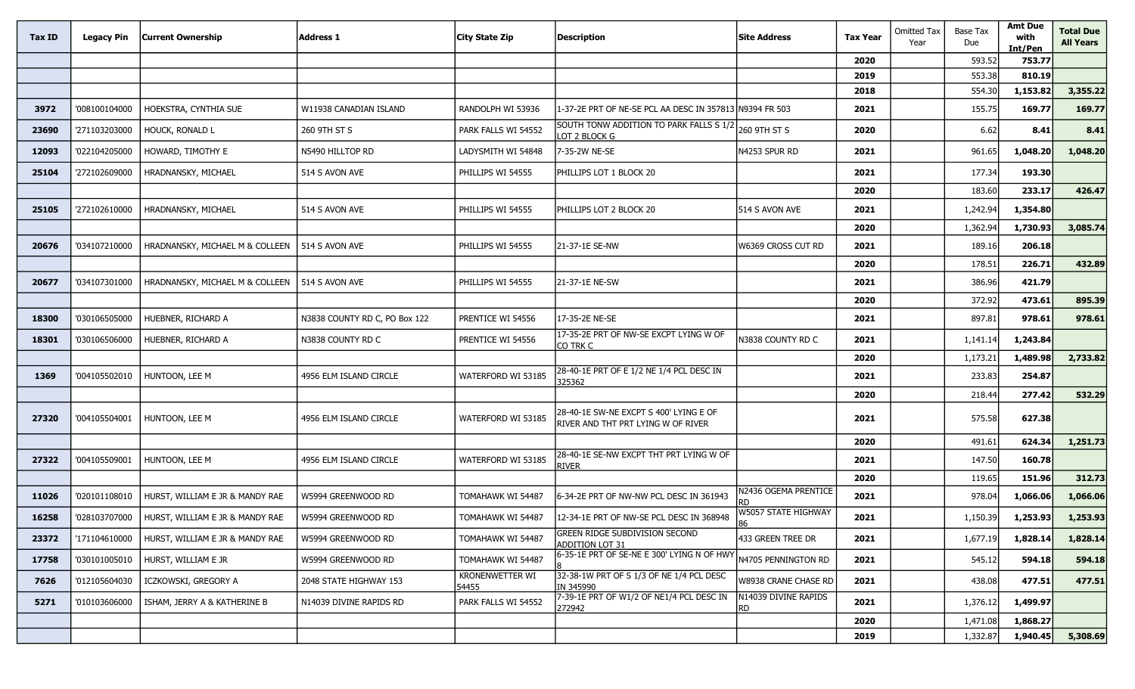| Tax ID | Legacy Pin    | <b>Current Ownership</b>        | <b>Address 1</b>              | City State Zip           | <b>Description</b>                                                                  | <b>Site Address</b>               | <b>Tax Year</b> | <b>Omitted Tax</b><br>Year | <b>Base Tax</b><br>Due | <b>Amt Due</b><br>with<br>Int/Pen | <b>Total Due</b><br><b>All Years</b> |
|--------|---------------|---------------------------------|-------------------------------|--------------------------|-------------------------------------------------------------------------------------|-----------------------------------|-----------------|----------------------------|------------------------|-----------------------------------|--------------------------------------|
|        |               |                                 |                               |                          |                                                                                     |                                   | 2020            |                            | 593.52                 | 753.77                            |                                      |
|        |               |                                 |                               |                          |                                                                                     |                                   | 2019            |                            | 553.38                 | 810.19                            |                                      |
|        |               |                                 |                               |                          |                                                                                     |                                   | 2018            |                            | 554.30                 | 1,153.82                          | 3,355.22                             |
| 3972   | '008100104000 | HOEKSTRA, CYNTHIA SUE           | W11938 CANADIAN ISLAND        | RANDOLPH WI 53936        | 1-37-2E PRT OF NE-SE PCL AA DESC IN 357813 N9394 FR 503                             |                                   | 2021            |                            | 155.75                 | 169.77                            | 169.77                               |
| 23690  | '271103203000 | <b>HOUCK, RONALD L</b>          | 260 9TH ST S                  | PARK FALLS WI 54552      | SOUTH TONW ADDITION TO PARK FALLS S 1/2<br>LOT 2 BLOCK G                            | 260 9TH ST S                      | 2020            |                            | 6.62                   | 8.41                              | 8.41                                 |
| 12093  | '022104205000 | HOWARD, TIMOTHY E               | N5490 HILLTOP RD              | LADYSMITH WI 54848       | 7-35-2W NE-SE                                                                       | N4253 SPUR RD                     | 2021            |                            | 961.65                 | 1,048.20                          | 1,048.20                             |
| 25104  | '272102609000 | HRADNANSKY, MICHAEL             | 514 S AVON AVE                | PHILLIPS WI 54555        | PHILLIPS LOT 1 BLOCK 20                                                             |                                   | 2021            |                            | 177.34                 | 193.30                            |                                      |
|        |               |                                 |                               |                          |                                                                                     |                                   | 2020            |                            | 183.60                 | 233.17                            | 426.47                               |
| 25105  | '272102610000 | HRADNANSKY, MICHAEL             | 514 S AVON AVE                | PHILLIPS WI 54555        | PHILLIPS LOT 2 BLOCK 20                                                             | 514 S AVON AVE                    | 2021            |                            | 1,242.94               | 1,354.80                          |                                      |
|        |               |                                 |                               |                          |                                                                                     |                                   | 2020            |                            | 1,362.94               | 1,730.93                          | 3,085.74                             |
| 20676  | '034107210000 | HRADNANSKY, MICHAEL M & COLLEEN | 514 S AVON AVE                | PHILLIPS WI 54555        | 21-37-1E SE-NW                                                                      | N6369 CROSS CUT RD                | 2021            |                            | 189.16                 | 206.18                            |                                      |
|        |               |                                 |                               |                          |                                                                                     |                                   | 2020            |                            | 178.51                 | 226.71                            | 432.89                               |
| 20677  | '034107301000 | HRADNANSKY, MICHAEL M & COLLEEN | 514 S AVON AVE                | PHILLIPS WI 54555        | 21-37-1E NE-SW                                                                      |                                   | 2021            |                            | 386.96                 | 421.79                            |                                      |
|        |               |                                 |                               |                          |                                                                                     |                                   | 2020            |                            | 372.92                 | 473.61                            | 895.39                               |
| 18300  | '030106505000 | HUEBNER, RICHARD A              | N3838 COUNTY RD C, PO Box 122 | PRENTICE WI 54556        | 17-35-2E NE-SE                                                                      |                                   | 2021            |                            | 897.81                 | 978.61                            | 978.61                               |
| 18301  | '030106506000 | HUEBNER, RICHARD A              | N3838 COUNTY RD C             | PRENTICE WI 54556        | 17-35-2E PRT OF NW-SE EXCPT LYING W OF<br>CO TRK C                                  | N3838 COUNTY RD C                 | 2021            |                            | 1,141.14               | 1,243.84                          |                                      |
|        |               |                                 |                               |                          |                                                                                     |                                   | 2020            |                            | 1,173.21               | 1,489.98                          | 2,733.82                             |
| 1369   | '004105502010 | HUNTOON, LEE M                  | 4956 ELM ISLAND CIRCLE        | WATERFORD WI 53185       | 28-40-1E PRT OF E 1/2 NE 1/4 PCL DESC IN<br>325362                                  |                                   | 2021            |                            | 233.83                 | 254.87                            |                                      |
|        |               |                                 |                               |                          |                                                                                     |                                   | 2020            |                            | 218.44                 | 277.42                            | 532.29                               |
| 27320  | '004105504001 | HUNTOON, LEE M                  | 4956 ELM ISLAND CIRCLE        | WATERFORD WI 53185       | 28-40-1E SW-NE EXCPT S 400' LYING E OF<br><b>RIVER AND THT PRT LYING W OF RIVER</b> |                                   | 2021            |                            | 575.58                 | 627.38                            |                                      |
|        |               |                                 |                               |                          |                                                                                     |                                   | 2020            |                            | 491.61                 | 624.34                            | 1,251.73                             |
| 27322  | '004105509001 | HUNTOON, LEE M                  | 4956 ELM ISLAND CIRCLE        | WATERFORD WI 53185       | 28-40-1E SE-NW EXCPT THT PRT LYING W OF<br><b>RIVER</b>                             |                                   | 2021            |                            | 147.50                 | 160.78                            |                                      |
|        |               |                                 |                               |                          |                                                                                     |                                   | 2020            |                            | 119.65                 | 151.96                            | 312.73                               |
| 11026  | '020101108010 | HURST, WILLIAM E JR & MANDY RAE | W5994 GREENWOOD RD            | TOMAHAWK WI 54487        | 6-34-2E PRT OF NW-NW PCL DESC IN 361943                                             | <b>V2436 OGEMA PRENTICE</b><br>RD | 2021            |                            | 978.04                 | 1,066.06                          | 1,066.06                             |
| 16258  | '028103707000 | HURST, WILLIAM E JR & MANDY RAE | W5994 GREENWOOD RD            | TOMAHAWK WI 54487        | 12-34-1E PRT OF NW-SE PCL DESC IN 368948                                            | W5057 STATE HIGHWAY               | 2021            |                            | 1,150.39               | 1,253.93                          | 1,253.93                             |
| 23372  | '171104610000 | HURST, WILLIAM E JR & MANDY RAE | W5994 GREENWOOD RD            | TOMAHAWK WI 54487        | <b>GREEN RIDGE SUBDIVISION SECOND</b><br>ADDITION LOT 31                            | 433 GREEN TREE DR                 | 2021            |                            | 1,677.19               | 1,828.14                          | 1,828.14                             |
| 17758  | '030101005010 | HURST, WILLIAM E JR             | W5994 GREENWOOD RD            | TOMAHAWK WI 54487        | 6-35-1E PRT OF SE-NE E 300' LYING N OF HWY                                          | N4705 PENNINGTON RD               | 2021            |                            | 545.12                 | 594.18                            | 594.18                               |
| 7626   | '012105604030 | ICZKOWSKI, GREGORY A            | 2048 STATE HIGHWAY 153        | KRONENWETTER WI<br>54455 | 32-38-1W PRT OF S 1/3 OF NE 1/4 PCL DESC<br>IN 345990                               | W8938 CRANE CHASE RD              | 2021            |                            | 438.08                 | 477.51                            | 477.51                               |
| 5271   | '010103606000 | ISHAM, JERRY A & KATHERINE B    | N14039 DIVINE RAPIDS RD       | PARK FALLS WI 54552      | 7-39-1E PRT OF W1/2 OF NE1/4 PCL DESC IN<br>272942                                  | N14039 DIVINE RAPIDS<br>RD.       | 2021            |                            | 1,376.12               | 1,499.97                          |                                      |
|        |               |                                 |                               |                          |                                                                                     |                                   | 2020            |                            | 1,471.08               | 1,868.27                          |                                      |
|        |               |                                 |                               |                          |                                                                                     |                                   | 2019            |                            | 1,332.87               | 1,940.45                          | 5,308.69                             |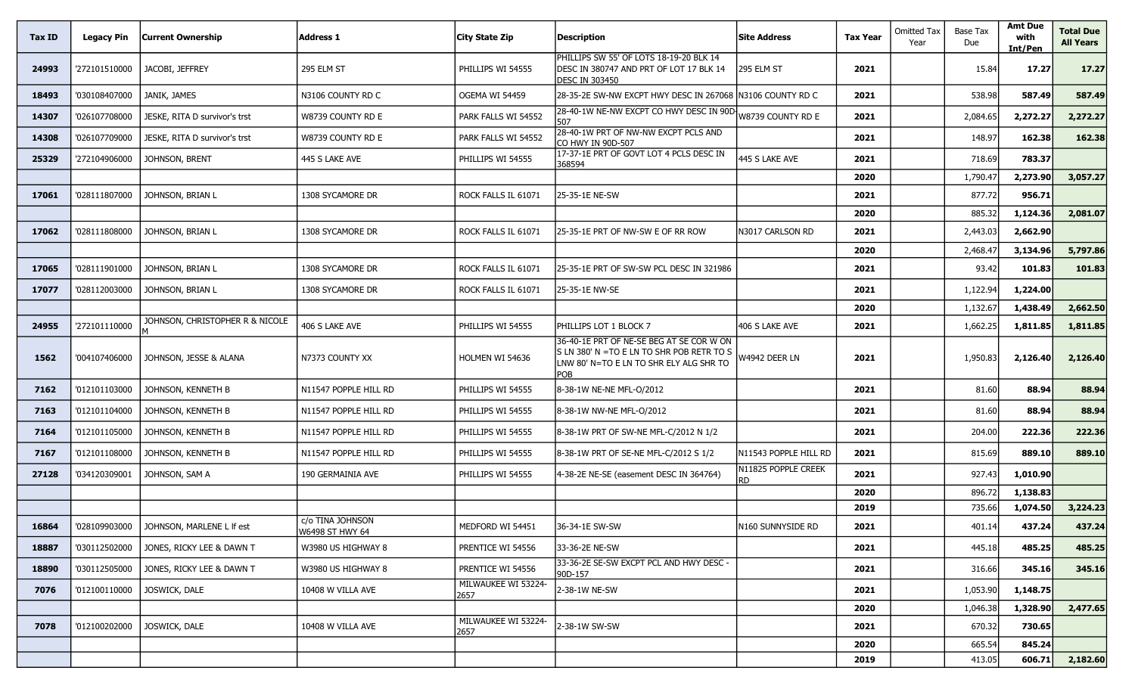| Tax ID | <b>Legacy Pin</b> | Current Ownership               | Address 1                           | City State Zip              | <b>Description</b>                                                                                                                       | <b>Site Address</b>              | <b>Tax Year</b> | <b>Omitted Tax</b><br>Year | <b>Base Tax</b><br>Due | <b>Amt Due</b><br>with<br>Int/Pen | <b>Total Due</b><br><b>All Years</b> |
|--------|-------------------|---------------------------------|-------------------------------------|-----------------------------|------------------------------------------------------------------------------------------------------------------------------------------|----------------------------------|-----------------|----------------------------|------------------------|-----------------------------------|--------------------------------------|
| 24993  | '272101510000     | JACOBI, JEFFREY                 | 295 ELM ST                          | PHILLIPS WI 54555           | PHILLIPS SW 55' OF LOTS 18-19-20 BLK 14<br>DESC IN 380747 AND PRT OF LOT 17 BLK 14<br><b>DESC IN 303450</b>                              | 295 ELM ST                       | 2021            |                            | 15.84                  | 17.27                             | 17.27                                |
| 18493  | '030108407000     | JANIK, JAMES                    | N3106 COUNTY RD C                   | OGEMA WI 54459              | 28-35-2E SW-NW EXCPT HWY DESC IN 267068 N3106 COUNTY RD C                                                                                |                                  | 2021            |                            | 538.98                 | 587.49                            | 587.49                               |
| 14307  | '026107708000     | JESKE, RITA D survivor's trst   | W8739 COUNTY RD E                   | PARK FALLS WI 54552         | 28-40-1W NE-NW EXCPT CO HWY DESC IN 90D-<br>507                                                                                          | W8739 COUNTY RD E                | 2021            |                            | 2,084.65               | 2,272.27                          | 2,272.27                             |
| 14308  | '026107709000     | JESKE, RITA D survivor's trst   | W8739 COUNTY RD E                   | PARK FALLS WI 54552         | 28-40-1W PRT OF NW-NW EXCPT PCLS AND<br>CO HWY IN 90D-507                                                                                |                                  | 2021            |                            | 148.97                 | 162.38                            | 162.38                               |
| 25329  | '272104906000     | JOHNSON, BRENT                  | 445 S LAKE AVE                      | PHILLIPS WI 54555           | 17-37-1E PRT OF GOVT LOT 4 PCLS DESC IN<br>368594                                                                                        | 445 S LAKE AVE                   | 2021            |                            | 718.69                 | 783.37                            |                                      |
|        |                   |                                 |                                     |                             |                                                                                                                                          |                                  | 2020            |                            | 1,790.47               | 2,273.90                          | 3,057.27                             |
| 17061  | '028111807000     | JOHNSON, BRIAN L                | 1308 SYCAMORE DR                    | ROCK FALLS IL 61071         | 25-35-1E NE-SW                                                                                                                           |                                  | 2021            |                            | 877.72                 | 956.71                            |                                      |
|        |                   |                                 |                                     |                             |                                                                                                                                          |                                  | 2020            |                            | 885.32                 | 1,124.36                          | 2,081.07                             |
| 17062  | '028111808000     | Johnson, Brian L                | 1308 SYCAMORE DR                    | ROCK FALLS IL 61071         | 25-35-1E PRT OF NW-SW E OF RR ROW                                                                                                        | N3017 CARLSON RD                 | 2021            |                            | 2,443.03               | 2,662.90                          |                                      |
|        |                   |                                 |                                     |                             |                                                                                                                                          |                                  | 2020            |                            | 2,468.47               | 3,134.96                          | 5,797.86                             |
| 17065  | '028111901000     | JOHNSON, BRIAN L                | 1308 SYCAMORE DR                    | ROCK FALLS IL 61071         | 25-35-1E PRT OF SW-SW PCL DESC IN 321986                                                                                                 |                                  | 2021            |                            | 93.42                  | 101.83                            | 101.83                               |
| 17077  | '028112003000     | Johnson, Brian L                | 1308 SYCAMORE DR                    | ROCK FALLS IL 61071         | 25-35-1E NW-SE                                                                                                                           |                                  | 2021            |                            | 1,122.94               | 1,224.00                          |                                      |
|        |                   |                                 |                                     |                             |                                                                                                                                          |                                  | 2020            |                            | 1,132.67               | 1,438.49                          | 2,662.50                             |
| 24955  | '272101110000     | JOHNSON, CHRISTOPHER R & NICOLE | 406 S LAKE AVE                      | PHILLIPS WI 54555           | PHILLIPS LOT 1 BLOCK 7                                                                                                                   | 406 S LAKE AVE                   | 2021            |                            | 1,662.25               | 1,811.85                          | 1,811.85                             |
| 1562   | '004107406000     | JOHNSON, JESSE & ALANA          | N7373 COUNTY XX                     | HOLMEN WI 54636             | 36-40-1E PRT OF NE-SE BEG AT SE COR W ON<br>S LN 380' N = TO E LN TO SHR POB RETR TO S<br>LNW 80' N=TO E LN TO SHR ELY ALG SHR TO<br>POB | W4942 DEER LN                    | 2021            |                            | 1,950.83               | 2,126.40                          | 2,126.40                             |
| 7162   | '012101103000     | JOHNSON, KENNETH B              | N11547 POPPLE HILL RD               | PHILLIPS WI 54555           | 8-38-1W NE-NE MFL-O/2012                                                                                                                 |                                  | 2021            |                            | 81.60                  | 88.94                             | 88.94                                |
| 7163   | '012101104000     | Johnson, Kenneth B              | N11547 POPPLE HILL RD               | PHILLIPS WI 54555           | 8-38-1W NW-NE MFL-O/2012                                                                                                                 |                                  | 2021            |                            | 81.60                  | 88.94                             | 88.94                                |
| 7164   | '012101105000     | Johnson, Kenneth B              | N11547 POPPLE HILL RD               | PHILLIPS WI 54555           | 8-38-1W PRT OF SW-NE MFL-C/2012 N 1/2                                                                                                    |                                  | 2021            |                            | 204.00                 | 222.36                            | 222.36                               |
| 7167   | '012101108000     | Johnson, Kenneth B              | N11547 POPPLE HILL RD               | PHILLIPS WI 54555           | 8-38-1W PRT OF SE-NE MFL-C/2012 S 1/2                                                                                                    | N11543 POPPLE HILL RD            | 2021            |                            | 815.69                 | 889.10                            | 889.10                               |
| 27128  | '034120309001     | JOHNSON, SAM A                  | 190 GERMAINIA AVE                   | PHILLIPS WI 54555           | 4-38-2E NE-SE (easement DESC IN 364764)                                                                                                  | N11825 POPPLE CREEK<br><b>RD</b> | 2021            |                            | 927.43                 | 1,010.90                          |                                      |
|        |                   |                                 |                                     |                             |                                                                                                                                          |                                  | 2020            |                            | 896.72                 | 1,138.83                          |                                      |
|        |                   |                                 |                                     |                             |                                                                                                                                          |                                  | 2019            |                            | 735.66                 | 1,074.50                          | 3,224.23                             |
| 16864  | '028109903000     | JOHNSON, MARLENE L If est       | c/o TINA JOHNSON<br>W6498 ST HWY 64 | MEDFORD WI 54451            | 36-34-1E SW-SW                                                                                                                           | N160 SUNNYSIDE RD                | 2021            |                            | 401.14                 | 437.24                            | 437.24                               |
| 18887  | '030112502000     | JONES, RICKY LEE & DAWN T       | W3980 US HIGHWAY 8                  | PRENTICE WI 54556           | 33-36-2E NE-SW                                                                                                                           |                                  | 2021            |                            | 445.18                 | 485.25                            | 485.25                               |
| 18890  | '030112505000     | JONES, RICKY LEE & DAWN T       | W3980 US HIGHWAY 8                  | PRENTICE WI 54556           | 33-36-2E SE-SW EXCPT PCL AND HWY DESC -<br>90D-157                                                                                       |                                  | 2021            |                            | 316.66                 | 345.16                            | 345.16                               |
| 7076   | '012100110000     | JOSWICK, DALE                   | 10408 W VILLA AVE                   | MILWAUKEE WI 53224-<br>2657 | 2-38-1W NE-SW                                                                                                                            |                                  | 2021            |                            | 1,053.90               | 1,148.75                          |                                      |
|        |                   |                                 |                                     |                             |                                                                                                                                          |                                  | 2020            |                            | 1,046.38               | 1,328.90                          | 2,477.65                             |
| 7078   | '012100202000     | JOSWICK, DALE                   | 10408 W VILLA AVE                   | MILWAUKEE WI 53224-<br>2657 | 2-38-1W SW-SW                                                                                                                            |                                  | 2021            |                            | 670.32                 | 730.65                            |                                      |
|        |                   |                                 |                                     |                             |                                                                                                                                          |                                  | 2020            |                            | 665.54                 | 845.24                            |                                      |
|        |                   |                                 |                                     |                             |                                                                                                                                          |                                  | 2019            |                            | 413.05                 | 606.71                            | 2,182.60                             |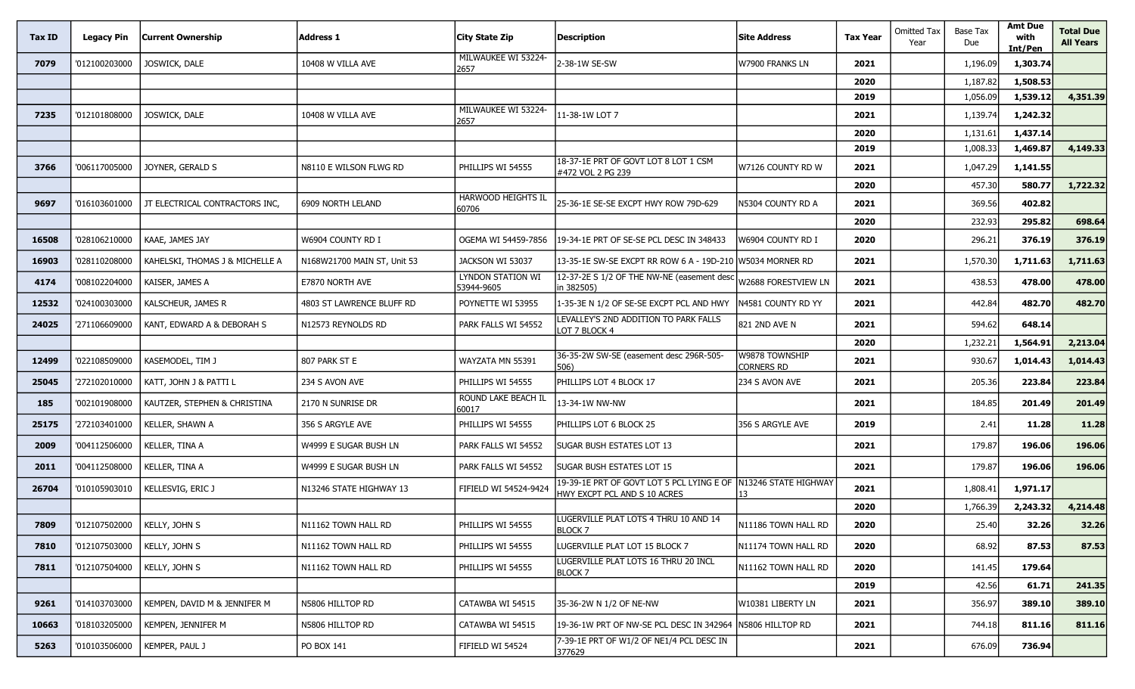| Tax ID | <b>Legacy Pin</b> | <b>Current Ownership</b>        | <b>Address 1</b>            | City State Zip                  | <b>Description</b>                                                                             | Site Address                 | <b>Tax Year</b> | <b>Omitted Tax</b><br>Year | Base Tax<br>Due | <b>Amt Due</b><br>with<br>Int/Pen | <b>Total Due</b><br><b>All Years</b> |
|--------|-------------------|---------------------------------|-----------------------------|---------------------------------|------------------------------------------------------------------------------------------------|------------------------------|-----------------|----------------------------|-----------------|-----------------------------------|--------------------------------------|
| 7079   | '012100203000     | JOSWICK, DALE                   | 10408 W VILLA AVE           | MILWAUKEE WI 53224-<br>2657     | 2-38-1W SE-SW                                                                                  | W7900 FRANKS LN              | 2021            |                            | 1,196.09        | 1,303.74                          |                                      |
|        |                   |                                 |                             |                                 |                                                                                                |                              | 2020            |                            | 1,187.82        | 1,508.53                          |                                      |
|        |                   |                                 |                             |                                 |                                                                                                |                              | 2019            |                            | 1,056.09        | 1,539.12                          | 4,351.39                             |
| 7235   | '012101808000     | JOSWICK, DALE                   | 10408 W VILLA AVE           | MILWAUKEE WI 53224-<br>2657     | 11-38-1W LOT 7                                                                                 |                              | 2021            |                            | 1,139.74        | 1,242.32                          |                                      |
|        |                   |                                 |                             |                                 |                                                                                                |                              | 2020            |                            | 1,131.61        | 1,437.14                          |                                      |
|        |                   |                                 |                             |                                 |                                                                                                |                              | 2019            |                            | 1,008.33        | 1,469.87                          | 4,149.33                             |
| 3766   | '006117005000     | JOYNER, GERALD S                | N8110 E WILSON FLWG RD      | PHILLIPS WI 54555               | 18-37-1E PRT OF GOVT LOT 8 LOT 1 CSM<br>#472 VOL 2 PG 239                                      | W7126 COUNTY RD W            | 2021            |                            | 1,047.29        | 1,141.55                          |                                      |
|        |                   |                                 |                             |                                 |                                                                                                |                              | 2020            |                            | 457.30          | 580.77                            | 1,722.32                             |
| 9697   | '016103601000     | JT ELECTRICAL CONTRACTORS INC,  | 6909 NORTH LELAND           | HARWOOD HEIGHTS IL<br>60706     | 25-36-1E SE-SE EXCPT HWY ROW 79D-629                                                           | n5304 county rd a            | 2021            |                            | 369.56          | 402.82                            |                                      |
|        |                   |                                 |                             |                                 |                                                                                                |                              | 2020            |                            | 232.93          | 295.82                            | 698.64                               |
| 16508  | '028106210000     | KAAE, JAMES JAY                 | W6904 COUNTY RD I           | OGEMA WI 54459-7856             | 19-34-1E PRT OF SE-SE PCL DESC IN 348433                                                       | w6904 county rd i            | 2020            |                            | 296.21          | 376.19                            | 376.19                               |
| 16903  | '028110208000     | KAHELSKI, THOMAS J & MICHELLE A | N168W21700 MAIN ST, Unit 53 | JACKSON WI 53037                | 13-35-1E SW-SE EXCPT RR ROW 6 A - 19D-210 W5034 MORNER RD                                      |                              | 2021            |                            | 1,570.30        | 1,711.63                          | 1,711.63                             |
| 4174   | '008102204000     | KAISER, JAMES A                 | E7870 NORTH AVE             | LYNDON STATION WI<br>53944-9605 | 12-37-2E S 1/2 OF THE NW-NE (easement desc<br>in 382505)                                       | W2688 FORESTVIEW LN          | 2021            |                            | 438.53          | 478.00                            | 478.00                               |
| 12532  | '024100303000     | KALSCHEUR, JAMES R              | 4803 ST LAWRENCE BLUFF RD   | POYNETTE WI 53955               | 1-35-3E N 1/2 OF SE-SE EXCPT PCL AND HWY                                                       | N4581 COUNTY RD YY           | 2021            |                            | 442.84          | 482.70                            | 482.70                               |
| 24025  | '271106609000     | KANT, EDWARD A & DEBORAH S      | N12573 REYNOLDS RD          | PARK FALLS WI 54552             | LEVALLEY'S 2ND ADDITION TO PARK FALLS<br>LOT 7 BLOCK 4                                         | 821 2ND AVE N                | 2021            |                            | 594.62          | 648.14                            |                                      |
|        |                   |                                 |                             |                                 |                                                                                                |                              | 2020            |                            | 1,232.21        | 1,564.91                          | 2,213.04                             |
| 12499  | '022108509000     | KASEMODEL, TIM J                | 807 PARK ST E               | WAYZATA MN 55391                | 36-35-2W SW-SE (easement desc 296R-505-<br>506)                                                | W9878 TOWNSHIP<br>CORNERS RD | 2021            |                            | 930.67          | 1,014.43                          | 1,014.43                             |
| 25045  | '272102010000     | KATT, JOHN J & PATTI L          | 234 S AVON AVE              | PHILLIPS WI 54555               | PHILLIPS LOT 4 BLOCK 17                                                                        | 234 S AVON AVE               | 2021            |                            | 205.36          | 223.84                            | 223.84                               |
| 185    | '002101908000     | KAUTZER, STEPHEN & CHRISTINA    | 2170 N SUNRISE DR           | ROUND LAKE BEACH IL<br>60017    | 13-34-1W NW-NW                                                                                 |                              | 2021            |                            | 184.85          | 201.49                            | 201.49                               |
| 25175  | '272103401000     | KELLER, SHAWN A                 | 356 S ARGYLE AVE            | PHILLIPS WI 54555               | PHILLIPS LOT 6 BLOCK 25                                                                        | 356 S ARGYLE AVE             | 2019            |                            | 2.41            | 11.28                             | 11.28                                |
| 2009   | '004112506000     | KELLER, TINA A                  | W4999 E SUGAR BUSH LN       | PARK FALLS WI 54552             | SUGAR BUSH ESTATES LOT 13                                                                      |                              | 2021            |                            | 179.87          | 196.06                            | 196.06                               |
| 2011   | '004112508000     | KELLER, TINA A                  | W4999 E SUGAR BUSH LN       | PARK FALLS WI 54552             | SUGAR BUSH ESTATES LOT 15                                                                      |                              | 2021            |                            | 179.87          | 196.06                            | 196.06                               |
| 26704  | '010105903010     | KELLESVIG, ERIC J               | N13246 STATE HIGHWAY 13     | FIFIELD WI 54524-9424           | 19-39-1E PRT OF GOVT LOT 5 PCL LYING E OF N13246 STATE HIGHWAY<br>HWY EXCPT PCL AND S 10 ACRES |                              | 2021            |                            | 1,808.41        | 1,971.17                          |                                      |
|        |                   |                                 |                             |                                 |                                                                                                |                              | 2020            |                            | 1,766.39        | 2,243.32                          | 4,214.48                             |
| 7809   | '012107502000     | KELLY, JOHN S                   | N11162 TOWN HALL RD         | PHILLIPS WI 54555               | LUGERVILLE PLAT LOTS 4 THRU 10 AND 14<br>BLOCK 7                                               | N11186 TOWN HALL RD          | 2020            |                            | 25.40           | 32.26                             | 32.26                                |
| 7810   | '012107503000     | KELLY, JOHN S                   | N11162 TOWN HALL RD         | PHILLIPS WI 54555               | LUGERVILLE PLAT LOT 15 BLOCK 7                                                                 | N11174 TOWN HALL RD          | 2020            |                            | 68.92           | 87.53                             | 87.53                                |
| 7811   | '012107504000     | KELLY, JOHN S                   | N11162 TOWN HALL RD         | PHILLIPS WI 54555               | LUGERVILLE PLAT LOTS 16 THRU 20 INCL<br><b>BLOCK7</b>                                          | N11162 TOWN HALL RD          | 2020            |                            | 141.45          | 179.64                            |                                      |
|        |                   |                                 |                             |                                 |                                                                                                |                              | 2019            |                            | 42.56           | 61.71                             | 241.35                               |
| 9261   | '014103703000     | KEMPEN, DAVID M & JENNIFER M    | N5806 HILLTOP RD            | CATAWBA WI 54515                | 35-36-2W N 1/2 OF NE-NW                                                                        | W10381 LIBERTY LN            | 2021            |                            | 356.97          | 389.10                            | 389.10                               |
| 10663  | '018103205000     | KEMPEN, JENNIFER M              | N5806 HILLTOP RD            | CATAWBA WI 54515                | 19-36-1W PRT OF NW-SE PCL DESC IN 342964 N5806 HILLTOP RD                                      |                              | 2021            |                            | 744.18          | 811.16                            | 811.16                               |
| 5263   | '010103506000     | KEMPER, PAUL J                  | PO BOX 141                  | FIFIELD WI 54524                | 7-39-1E PRT OF W1/2 OF NE1/4 PCL DESC IN<br>377629                                             |                              | 2021            |                            | 676.09          | 736.94                            |                                      |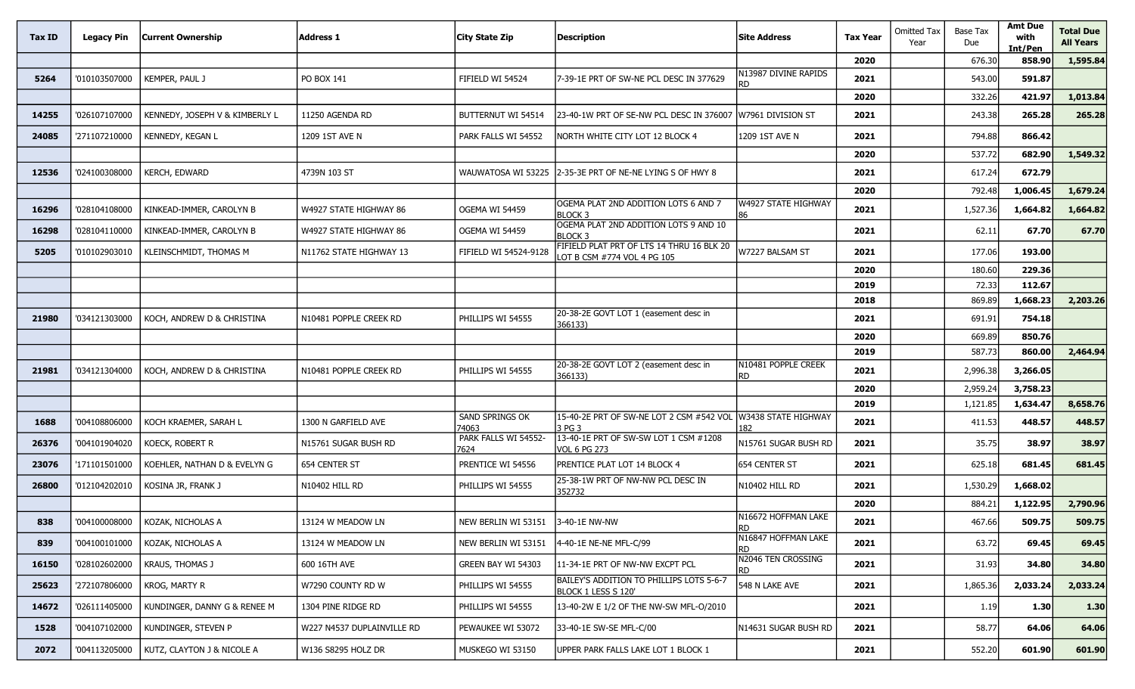| Tax ID | Legacy Pin    | <b>Current Ownership</b>       | <b>Address 1</b>           | <b>City State Zip</b>        | <b>Description</b>                                                       | <b>Site Address</b>               | <b>Tax Year</b> | <b>Omitted Tax</b><br>Year | Base Tax<br>Due | <b>Amt Due</b><br>with<br>Int/Pen | <b>Total Due</b><br><b>All Years</b> |
|--------|---------------|--------------------------------|----------------------------|------------------------------|--------------------------------------------------------------------------|-----------------------------------|-----------------|----------------------------|-----------------|-----------------------------------|--------------------------------------|
|        |               |                                |                            |                              |                                                                          |                                   | 2020            |                            | 676.30          | 858.90                            | 1,595.84                             |
| 5264   | '010103507000 | KEMPER, PAUL J                 | PO BOX 141                 | FIFIELD WI 54524             | 7-39-1E PRT OF SW-NE PCL DESC IN 377629                                  | N13987 DIVINE RAPIDS<br><b>RD</b> | 2021            |                            | 543.00          | 591.87                            |                                      |
|        |               |                                |                            |                              |                                                                          |                                   | 2020            |                            | 332.26          | 421.97                            | 1,013.84                             |
| 14255  | '026107107000 | KENNEDY, JOSEPH V & KIMBERLY L | 11250 AGENDA RD            | BUTTERNUT WI 54514           | 23-40-1W PRT OF SE-NW PCL DESC IN 376007                                 | W7961 DIVISION ST                 | 2021            |                            | 243.38          | 265.28                            | 265.28                               |
| 24085  | '271107210000 | KENNEDY, KEGAN L               | 1209 1ST AVE N             | PARK FALLS WI 54552          | NORTH WHITE CITY LOT 12 BLOCK 4                                          | 1209 1ST AVE N                    | 2021            |                            | 794.88          | 866.42                            |                                      |
|        |               |                                |                            |                              |                                                                          |                                   | 2020            |                            | 537.72          | 682.90                            | 1,549.32                             |
| 12536  | '024100308000 | KERCH, EDWARD                  | 4739N 103 ST               | WAUWATOSA WI 53225           | 2-35-3E PRT OF NE-NE LYING S OF HWY 8                                    |                                   | 2021            |                            | 617.24          | 672.79                            |                                      |
|        |               |                                |                            |                              |                                                                          |                                   | 2020            |                            | 792.48          | 1,006.45                          | 1,679.24                             |
| 16296  | '028104108000 | KINKEAD-IMMER, CAROLYN B       | W4927 STATE HIGHWAY 86     | OGEMA WI 54459               | OGEMA PLAT 2ND ADDITION LOTS 6 AND 7<br><b>BLOCK 3</b>                   | W4927 STATE HIGHWAY               | 2021            |                            | 1,527.36        | 1,664.82                          | 1,664.82                             |
| 16298  | '028104110000 | KINKEAD-IMMER, CAROLYN B       | W4927 STATE HIGHWAY 86     | OGEMA WI 54459               | OGEMA PLAT 2ND ADDITION LOTS 9 AND 10<br><b>BLOCK3</b>                   |                                   | 2021            |                            | 62.11           | 67.70                             | 67.70                                |
| 5205   | '010102903010 | KLEINSCHMIDT, THOMAS M         | N11762 STATE HIGHWAY 13    | FIFIELD WI 54524-9128        | FIFIELD PLAT PRT OF LTS 14 THRU 16 BLK 20<br>LOT B CSM #774 VOL 4 PG 105 | W7227 BALSAM ST                   | 2021            |                            | 177.06          | 193.00                            |                                      |
|        |               |                                |                            |                              |                                                                          |                                   | 2020            |                            | 180.60          | 229.36                            |                                      |
|        |               |                                |                            |                              |                                                                          |                                   | 2019            |                            | 72.33           | 112.67                            |                                      |
|        |               |                                |                            |                              |                                                                          |                                   | 2018            |                            | 869.89          | 1,668.23                          | 2,203.26                             |
| 21980  | '034121303000 | KOCH, ANDREW D & CHRISTINA     | N10481 POPPLE CREEK RD     | PHILLIPS WI 54555            | 20-38-2E GOVT LOT 1 (easement desc in<br>366133)                         |                                   | 2021            |                            | 691.91          | 754.18                            |                                      |
|        |               |                                |                            |                              |                                                                          |                                   | 2020            |                            | 669.89          | 850.76                            |                                      |
|        |               |                                |                            |                              |                                                                          | N10481 POPPLE CREEK               | 2019            |                            | 587.73          | 860.00                            | 2,464.94                             |
| 21981  | '034121304000 | KOCH, ANDREW D & CHRISTINA     | N10481 POPPLE CREEK RD     | PHILLIPS WI 54555            | 20-38-2E GOVT LOT 2 (easement desc in<br>366133)                         | <b>RD</b>                         | 2021            |                            | 2,996.38        | 3,266.05                          |                                      |
|        |               |                                |                            |                              |                                                                          |                                   | 2020            |                            | 2,959.24        | 3,758.23                          |                                      |
|        |               |                                |                            | SAND SPRINGS OK              | 15-40-2E PRT OF SW-NE LOT 2 CSM #542 VOL                                 | W3438 STATE HIGHWAY               | 2019            |                            | 1,121.85        | 1,634.47                          | 8,658.76                             |
| 1688   | '004108806000 | KOCH KRAEMER, SARAH L          | 1300 N GARFIELD AVE        | 74063                        | 3 PG 3                                                                   | 182                               | 2021            |                            | 411.53          | 448.57                            | 448.57                               |
| 26376  | '004101904020 | KOECK, ROBERT R                | N15761 SUGAR BUSH RD       | PARK FALLS WI 54552-<br>7624 | 13-40-1E PRT OF SW-SW LOT 1 CSM #1208<br><b>VOL 6 PG 273</b>             | N15761 SUGAR BUSH RD              | 2021            |                            | 35.75           | 38.97                             | 38.97                                |
| 23076  | '171101501000 | KOEHLER, NATHAN D & EVELYN G   | <b>654 CENTER ST</b>       | PRENTICE WI 54556            | PRENTICE PLAT LOT 14 BLOCK 4                                             | 654 CENTER ST                     | 2021            |                            | 625.18          | 681.45                            | 681.45                               |
| 26800  | '012104202010 | KOSINA JR, FRANK J             | N10402 HILL RD             | PHILLIPS WI 54555            | 25-38-1W PRT OF NW-NW PCL DESC IN<br>352732                              | N10402 HILL RD                    | 2021            |                            | 1,530.29        | 1,668.02                          |                                      |
|        |               |                                |                            |                              |                                                                          |                                   | 2020            |                            | 884.21          | 1,122.95                          | 2,790.96                             |
| 838    | '004100008000 | KOZAK, NICHOLAS A              | 13124 W MEADOW LN          | NEW BERLIN WI 53151          | 13-40-1E NW-NW                                                           | N16672 HOFFMAN LAKE<br>IRD.       | 2021            |                            | 467.66          | 509.75                            | 509.75                               |
| 839    | '004100101000 | KOZAK, NICHOLAS A              | 13124 W MEADOW LN          | NEW BERLIN WI 53151          | 4-40-1E NE-NE MFL-C/99                                                   | N16847 HOFFMAN LAKE               | 2021            |                            | 63.72           | 69.45                             | 69.45                                |
| 16150  | '028102602000 | <b>KRAUS, THOMAS J</b>         | 600 16TH AVE               | GREEN BAY WI 54303           | 11-34-1E PRT OF NW-NW EXCPT PCL                                          | N2046 TEN CROSSING<br><b>RD</b>   | 2021            |                            | 31.93           | 34.80                             | 34.80                                |
| 25623  | '272107806000 | <b>KROG, MARTY R</b>           | W7290 COUNTY RD W          | PHILLIPS WI 54555            | BAILEY'S ADDITION TO PHILLIPS LOTS 5-6-7<br>BLOCK 1 LESS S 120'          | 548 N LAKE AVE                    | 2021            |                            | 1,865.36        | 2,033.24                          | 2,033.24                             |
| 14672  | '026111405000 | KUNDINGER, DANNY G & RENEE M   | 1304 PINE RIDGE RD         | PHILLIPS WI 54555            | 13-40-2W E 1/2 OF THE NW-SW MFL-O/2010                                   |                                   | 2021            |                            | 1.19            | 1.30                              | 1.30                                 |
| 1528   | '004107102000 | KUNDINGER, STEVEN P            | W227 N4537 DUPLAINVILLE RD | PEWAUKEE WI 53072            | 33-40-1E SW-SE MFL-C/00                                                  | N14631 SUGAR BUSH RD              | 2021            |                            | 58.77           | 64.06                             | 64.06                                |
| 2072   | '004113205000 | KUTZ, CLAYTON J & NICOLE A     | W136 S8295 HOLZ DR         | MUSKEGO WI 53150             | UPPER PARK FALLS LAKE LOT 1 BLOCK 1                                      |                                   | 2021            |                            | 552.20          | 601.90                            | 601.90                               |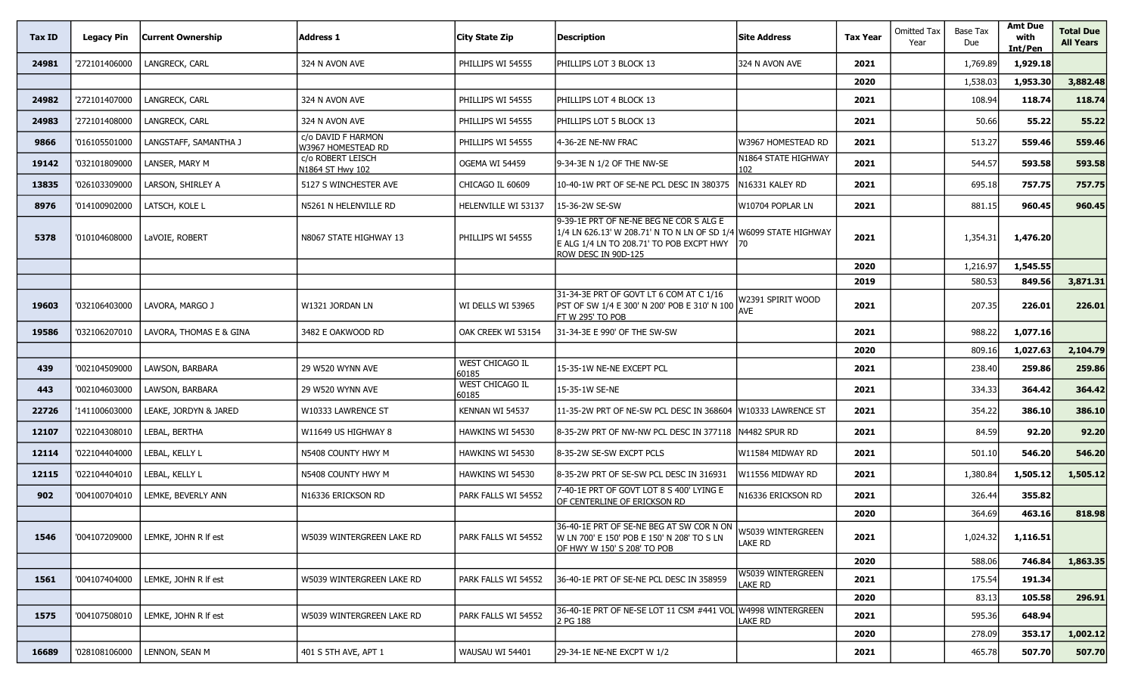| Tax ID | <b>Legacy Pin</b> | <b>Current Ownership</b> | <b>Address 1</b>                         | City State Zip           | <b>Description</b>                                                                                                                                                             | <b>Site Address</b>          | <b>Tax Year</b> | Omitted Tax<br>Year | Base Tax<br>Due | <b>Amt Due</b><br>with<br>Int/Pen | <b>Total Due</b><br><b>All Years</b> |
|--------|-------------------|--------------------------|------------------------------------------|--------------------------|--------------------------------------------------------------------------------------------------------------------------------------------------------------------------------|------------------------------|-----------------|---------------------|-----------------|-----------------------------------|--------------------------------------|
| 24981  | '272101406000     | LANGRECK, CARL           | 324 N AVON AVE                           | PHILLIPS WI 54555        | PHILLIPS LOT 3 BLOCK 13                                                                                                                                                        | 324 N AVON AVE               | 2021            |                     | 1,769.89        | 1,929.18                          |                                      |
|        |                   |                          |                                          |                          |                                                                                                                                                                                |                              | 2020            |                     | 1,538.03        | 1,953.30                          | 3,882.48                             |
| 24982  | '272101407000     | LANGRECK, CARL           | 324 N AVON AVE                           | PHILLIPS WI 54555        | PHILLIPS LOT 4 BLOCK 13                                                                                                                                                        |                              | 2021            |                     | 108.94          | 118.74                            | 118.74                               |
| 24983  | '272101408000     | LANGRECK, CARL           | 324 N AVON AVE                           | PHILLIPS WI 54555        | PHILLIPS LOT 5 BLOCK 13                                                                                                                                                        |                              | 2021            |                     | 50.66           | 55.22                             | 55.22                                |
| 9866   | '016105501000     | LANGSTAFF, SAMANTHA J    | c/o DAVID F HARMON<br>W3967 HOMESTEAD RD | PHILLIPS WI 54555        | 4-36-2E NE-NW FRAC                                                                                                                                                             | W3967 HOMESTEAD RD           | 2021            |                     | 513.27          | 559.46                            | 559.46                               |
| 19142  | '032101809000     | LANSER, MARY M           | c/o ROBERT LEISCH<br>N1864 ST Hwy 102    | OGEMA WI 54459           | 9-34-3E N 1/2 OF THE NW-SE                                                                                                                                                     | N1864 STATE HIGHWAY<br>102   | 2021            |                     | 544.57          | 593.58                            | 593.58                               |
| 13835  | '026103309000     | LARSON, SHIRLEY A        | 5127 S WINCHESTER AVE                    | CHICAGO IL 60609         | 10-40-1W PRT OF SE-NE PCL DESC IN 380375                                                                                                                                       | N16331 KALEY RD              | 2021            |                     | 695.18          | 757.75                            | 757.75                               |
| 8976   | '014100902000     | LATSCH, KOLE L           | N5261 N HELENVILLE RD                    | HELENVILLE WI 53137      | 15-36-2W SE-SW                                                                                                                                                                 | W10704 POPLAR LN             | 2021            |                     | 881.15          | 960.45                            | 960.45                               |
| 5378   | '010104608000     | LaVOIE, ROBERT           | N8067 STATE HIGHWAY 13                   | PHILLIPS WI 54555        | 9-39-1E PRT OF NE-NE BEG NE COR S ALG E<br>1/4 LN 626.13' W 208.71' N TO N LN OF SD 1/4 W6099 STATE HIGHWAY<br>E ALG 1/4 LN TO 208.71' TO POB EXCPT HWY<br>ROW DESC IN 90D-125 | 170                          | 2021            |                     | 1,354.31        | 1,476.20                          |                                      |
|        |                   |                          |                                          |                          |                                                                                                                                                                                |                              | 2020            |                     | 1,216.97        | 1,545.55                          |                                      |
|        |                   |                          |                                          |                          |                                                                                                                                                                                |                              | 2019            |                     | 580.53          | 849.56                            | 3,871.31                             |
| 19603  | '032106403000     | LAVORA, MARGO J          | W1321 JORDAN LN                          | WI DELLS WI 53965        | 31-34-3E PRT OF GOVT LT 6 COM AT C 1/16<br>PST OF SW 1/4 E 300' N 200' POB E 310' N 100<br>FT W 295' TO POB                                                                    | N2391 SPIRIT WOOD<br>AVE     | 2021            |                     | 207.35          | 226.01                            | 226.01                               |
| 19586  | '032106207010     | LAVORA, THOMAS E & GINA  | 3482 E OAKWOOD RD                        | OAK CREEK WI 53154       | 31-34-3E E 990' OF THE SW-SW                                                                                                                                                   |                              | 2021            |                     | 988.22          | 1,077.16                          |                                      |
|        |                   |                          |                                          |                          |                                                                                                                                                                                |                              | 2020            |                     | 809.16          | 1,027.63                          | 2,104.79                             |
| 439    | '002104509000     | LAWSON, BARBARA          | 29 W520 WYNN AVE                         | WEST CHICAGO IL<br>60185 | 15-35-1W NE-NE EXCEPT PCL                                                                                                                                                      |                              | 2021            |                     | 238.40          | 259.86                            | 259.86                               |
| 443    | '002104603000     | LAWSON, BARBARA          | 29 W520 WYNN AVE                         | WEST CHICAGO IL<br>60185 | 15-35-1W SE-NE                                                                                                                                                                 |                              | 2021            |                     | 334.33          | 364.42                            | 364.42                               |
| 22726  | '141100603000     | LEAKE, JORDYN & JARED    | W10333 LAWRENCE ST                       | KENNAN WI 54537          | 11-35-2W PRT OF NE-SW PCL DESC IN 368604 W10333 LAWRENCE ST                                                                                                                    |                              | 2021            |                     | 354.22          | 386.10                            | 386.10                               |
| 12107  | '022104308010     | LEBAL, BERTHA            | W11649 US HIGHWAY 8                      | HAWKINS WI 54530         | 8-35-2W PRT OF NW-NW PCL DESC IN 377118 N4482 SPUR RD                                                                                                                          |                              | 2021            |                     | 84.59           | 92.20                             | 92.20                                |
| 12114  | '022104404000     | LEBAL, KELLY L           | N5408 COUNTY HWY M                       | HAWKINS WI 54530         | 8-35-2W SE-SW EXCPT PCLS                                                                                                                                                       | W11584 MIDWAY RD             | 2021            |                     | 501.10          | 546.20                            | 546.20                               |
| 12115  | '022104404010     | LEBAL, KELLY L           | N5408 COUNTY HWY M                       | HAWKINS WI 54530         | 8-35-2W PRT OF SE-SW PCL DESC IN 316931                                                                                                                                        | W11556 MIDWAY RD             | 2021            |                     | 1,380.84        | 1,505.12                          | 1,505.12                             |
| 902    | '004100704010     | LEMKE, BEVERLY ANN       | N16336 ERICKSON RD                       | PARK FALLS WI 54552      | 7-40-1E PRT OF GOVT LOT 8 S 400' LYING E<br>OF CENTERLINE OF ERICKSON RD                                                                                                       | <b>\16336 ERICKSON RD</b>    | 2021            |                     | 326.44          | 355.82                            |                                      |
|        |                   |                          |                                          |                          |                                                                                                                                                                                |                              | 2020            |                     | 364.69          | 463.16                            | 818.98                               |
| 1546   | '004107209000     | LEMKE, JOHN R If est     | W5039 WINTERGREEN LAKE RD                | PARK FALLS WI 54552      | 36-40-1E PRT OF SE-NE BEG AT SW COR N ON<br>W LN 700' E 150' POB E 150' N 208' TO S LN<br>OF HWY W 150' S 208' TO POB                                                          | W5039 WINTERGREEN<br>LAKE RD | 2021            |                     | 1,024.32        | 1,116.51                          |                                      |
|        |                   |                          |                                          |                          |                                                                                                                                                                                |                              | 2020            |                     | 588.06          | 746.84                            | 1,863.35                             |
| 1561   | '004107404000     | LEMKE, JOHN R If est     | W5039 WINTERGREEN LAKE RD                | PARK FALLS WI 54552      | 36-40-1E PRT OF SE-NE PCL DESC IN 358959                                                                                                                                       | W5039 WINTERGREEN<br>lake RD | 2021            |                     | 175.54          | 191.34                            |                                      |
|        |                   |                          |                                          |                          |                                                                                                                                                                                |                              | 2020            |                     | 83.13           | 105.58                            | 296.91                               |
| 1575   | '004107508010     | LEMKE, JOHN R If est     | W5039 WINTERGREEN LAKE RD                | PARK FALLS WI 54552      | 36-40-1E PRT OF NE-SE LOT 11 CSM #441 VOL W4998 WINTERGREEN<br>2 PG 188                                                                                                        | Lake RD                      | 2021            |                     | 595.36          | 648.94                            |                                      |
|        |                   |                          |                                          |                          |                                                                                                                                                                                |                              | 2020            |                     | 278.09          | 353.17                            | 1,002.12                             |
| 16689  | '028108106000     | LENNON, SEAN M           | 401 S 5TH AVE, APT 1                     | WAUSAU WI 54401          | 29-34-1E NE-NE EXCPT W 1/2                                                                                                                                                     |                              | 2021            |                     | 465.78          | 507.70                            | 507.70                               |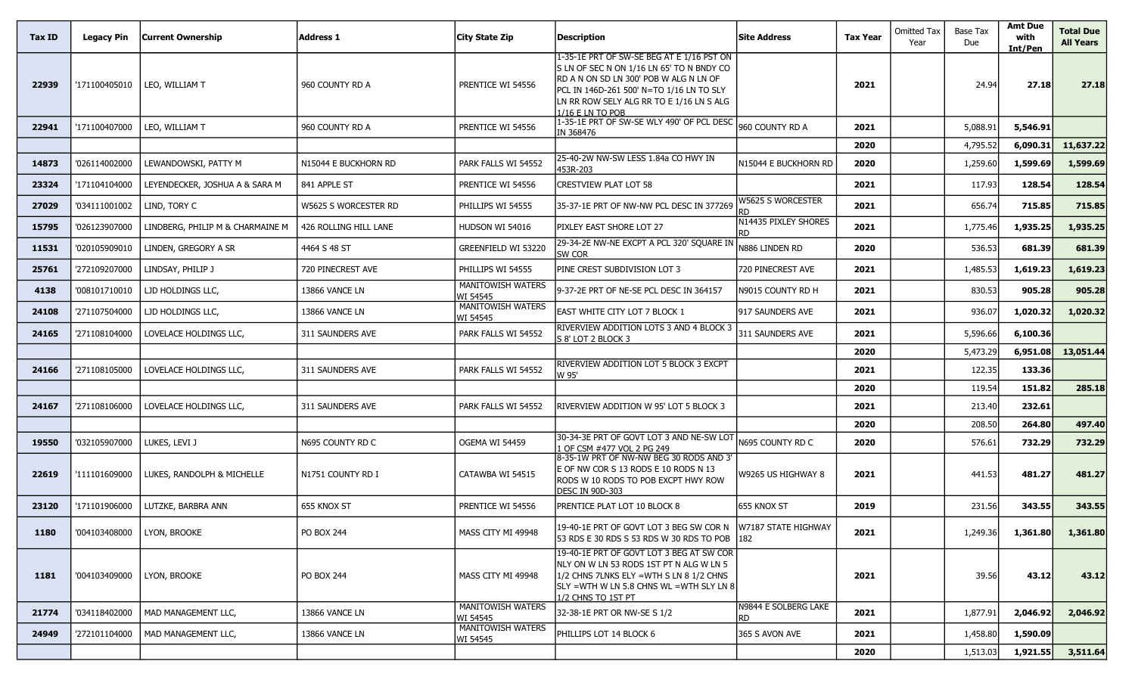| Tax ID | Legacy Pin    | <b>Current Ownership</b>         | <b>Address 1</b>      | City State Zip                       | Description                                                                                                                                                                                                                                  | <b>Site Address</b>         | <b>Tax Year</b> | <b>Omitted Tax</b><br>Year | Base Tax<br>Due | <b>Amt Due</b><br>with<br>Int/Pen | <b>Total Due</b><br><b>All Years</b> |
|--------|---------------|----------------------------------|-----------------------|--------------------------------------|----------------------------------------------------------------------------------------------------------------------------------------------------------------------------------------------------------------------------------------------|-----------------------------|-----------------|----------------------------|-----------------|-----------------------------------|--------------------------------------|
| 22939  | '171100405010 | LEO, WILLIAM T                   | 960 COUNTY RD A       | PRENTICE WI 54556                    | 1-35-1E PRT OF SW-SE BEG AT E 1/16 PST ON<br>S LN OF SEC N ON 1/16 LN 65' TO N BNDY CO<br>RD A N ON SD LN 300' POB W ALG N LN OF<br>PCL IN 146D-261 500' N=TO 1/16 LN TO SLY<br>LN RR ROW SELY ALG RR TO E 1/16 LN S ALG<br>1/16 E LN TO POB |                             | 2021            |                            | 24.94           | 27.18                             | 27.18                                |
| 22941  | '171100407000 | LEO, WILLIAM T                   | 960 COUNTY RD A       | PRENTICE WI 54556                    | 1-35-1E PRT OF SW-SE WLY 490' OF PCL DESC<br>IN 368476                                                                                                                                                                                       | 960 COUNTY RD A             | 2021            |                            | 5,088.91        | 5,546.91                          |                                      |
|        |               |                                  |                       |                                      |                                                                                                                                                                                                                                              |                             | 2020            |                            | 4,795.52        | 6,090.31                          | 11,637.22                            |
| 14873  | '026114002000 | LEWANDOWSKI, PATTY M             | N15044 E BUCKHORN RD  | PARK FALLS WI 54552                  | 25-40-2W NW-SW LESS 1.84a CO HWY IN<br>453R-203                                                                                                                                                                                              | n15044 e buckhorn RD        | 2020            |                            | 1,259.60        | 1,599.69                          | 1,599.69                             |
| 23324  | '171104104000 | LEYENDECKER, JOSHUA A & SARA M   | 841 APPLE ST          | PRENTICE WI 54556                    | CRESTVIEW PLAT LOT 58                                                                                                                                                                                                                        |                             | 2021            |                            | 117.93          | 128.54                            | 128.54                               |
| 27029  | '034111001002 | LIND, TORY C                     | W5625 S WORCESTER RD  | PHILLIPS WI 54555                    | 35-37-1E PRT OF NW-NW PCL DESC IN 377269                                                                                                                                                                                                     | W5625 S WORCESTER           | 2021            |                            | 656.74          | 715.85                            | 715.85                               |
| 15795  | '026123907000 | LINDBERG, PHILIP M & CHARMAINE M | 426 ROLLING HILL LANE | HUDSON WI 54016                      | PIXLEY EAST SHORE LOT 27                                                                                                                                                                                                                     | N14435 PIXLEY SHORES        | 2021            |                            | 1,775.46        | 1,935.25                          | 1,935.25                             |
| 11531  | '020105909010 | LINDEN, GREGORY A SR             | 4464 S 48 ST          | GREENFIELD WI 53220                  | 29-34-2E NW-NE EXCPT A PCL 320' SQUARE IN<br>SW COR                                                                                                                                                                                          | N886 LINDEN RD              | 2020            |                            | 536.53          | 681.39                            | 681.39                               |
| 25761  | '272109207000 | LINDSAY, PHILIP J                | 720 PINECREST AVE     | PHILLIPS WI 54555                    | PINE CREST SUBDIVISION LOT 3                                                                                                                                                                                                                 | 720 PINECREST AVE           | 2021            |                            | 1,485.53        | 1,619.23                          | 1,619.23                             |
| 4138   | '008101710010 | LJD HOLDINGS LLC,                | 13866 VANCE LN        | MANITOWISH WATERS<br>WI 54545        | 9-37-2E PRT OF NE-SE PCL DESC IN 364157                                                                                                                                                                                                      | N9015 COUNTY RD H           | 2021            |                            | 830.53          | 905.28                            | 905.28                               |
| 24108  | '271107504000 | LJD HOLDINGS LLC,                | 13866 VANCE LN        | MANITOWISH WATERS<br>WI 54545        | EAST WHITE CITY LOT 7 BLOCK 1                                                                                                                                                                                                                | 917 SAUNDERS AVE            | 2021            |                            | 936.07          | 1,020.32                          | 1,020.32                             |
| 24165  | '271108104000 | LOVELACE HOLDINGS LLC,           | 311 SAUNDERS AVE      | PARK FALLS WI 54552                  | RIVERVIEW ADDITION LOTS 3 AND 4 BLOCK 3<br>S 8' LOT 2 BLOCK 3                                                                                                                                                                                | 311 SAUNDERS AVE            | 2021            |                            | 5,596.66        | 6,100.36                          |                                      |
|        |               |                                  |                       |                                      |                                                                                                                                                                                                                                              |                             | 2020            |                            | 5,473.29        | 6,951.08                          | 13,051.44                            |
| 24166  | '271108105000 | LOVELACE HOLDINGS LLC,           | 311 SAUNDERS AVE      | PARK FALLS WI 54552                  | <b>RIVERVIEW ADDITION LOT 5 BLOCK 3 EXCPT</b><br>W 95'                                                                                                                                                                                       |                             | 2021            |                            | 122.35          | 133.36                            |                                      |
|        |               |                                  |                       |                                      |                                                                                                                                                                                                                                              |                             | 2020            |                            | 119.54          | 151.82                            | 285.18                               |
| 24167  | '271108106000 | LOVELACE HOLDINGS LLC,           | 311 SAUNDERS AVE      | PARK FALLS WI 54552                  | RIVERVIEW ADDITION W 95' LOT 5 BLOCK 3                                                                                                                                                                                                       |                             | 2021            |                            | 213.40          | 232.61                            |                                      |
|        |               |                                  |                       |                                      |                                                                                                                                                                                                                                              |                             | 2020            |                            | 208.50          | 264.80                            | 497.40                               |
| 19550  | '032105907000 | LUKES, LEVI J                    | N695 COUNTY RD C      | OGEMA WI 54459                       | 30-34-3E PRT OF GOVT LOT 3 AND NE-SW LOT<br>1 OF CSM #477 VOL 2 PG 249                                                                                                                                                                       | N695 COUNTY RD C            | 2020            |                            | 576.61          | 732.29                            | 732.29                               |
| 22619  | '111101609000 | LUKES, RANDOLPH & MICHELLE       | N1751 COUNTY RD I     | CATAWBA WI 54515                     | 8-35-1W PRT OF NW-NW BEG 30 RODS AND 3'<br>E OF NW COR S 13 RODS E 10 RODS N 13<br>RODS W 10 RODS TO POB EXCPT HWY ROW<br>DESC IN 90D-303                                                                                                    | W9265 US HIGHWAY 8          | 2021            |                            | 441.53          | 481.27                            | 481.27                               |
| 23120  | '171101906000 | LUTZKE, BARBRA ANN               | 655 KNOX ST           | PRENTICE WI 54556                    | PRENTICE PLAT LOT 10 BLOCK 8                                                                                                                                                                                                                 | 655 KNOX ST                 | 2019            |                            | 231.56          | 343.55                            | 343.55                               |
| 1180   | '004103408000 | LYON, BROOKE                     | PO BOX 244            | MASS CITY MI 49948                   | 19-40-1E PRT OF GOVT LOT 3 BEG SW COR N   W7187 STATE HIGHWAY<br>53 RDS E 30 RDS S 53 RDS W 30 RDS TO POB 182                                                                                                                                |                             | 2021            |                            | 1,249.36        | 1,361.80                          | 1,361.80                             |
| 1181   | '004103409000 | LYON, BROOKE                     | PO BOX 244            | MASS CITY MI 49948                   | 19-40-1E PRT OF GOVT LOT 3 BEG AT SW COR<br>NLY ON W LN 53 RODS 1ST PT N ALG W LN 5<br>1/2 CHNS 7LNKS ELY =WTH S LN 8 1/2 CHNS<br>$SLY = WTH$ W LN 5.8 CHNS WL $= WTH$ SLY LN 8<br>1/2 CHNS TO 1ST PT                                        |                             | 2021            |                            | 39.56           | 43.12                             | 43.12                                |
| 21774  | '034118402000 | MAD MANAGEMENT LLC,              | 13866 VANCE LN        | <b>MANITOWISH WATERS</b><br>WI 54545 | 32-38-1E PRT OR NW-SE S 1/2                                                                                                                                                                                                                  | N9844 E SOLBERG LAKE<br>RD. | 2021            |                            | 1,877.91        | 2,046.92                          | 2,046.92                             |
| 24949  | '272101104000 | MAD MANAGEMENT LLC,              | 13866 VANCE LN        | MANITOWISH WATERS<br>WI 54545        | PHILLIPS LOT 14 BLOCK 6                                                                                                                                                                                                                      | 365 S AVON AVE              | 2021            |                            | 1,458.80        | 1,590.09                          |                                      |
|        |               |                                  |                       |                                      |                                                                                                                                                                                                                                              |                             | 2020            |                            | 1,513.03        | 1,921.55                          | 3,511.64                             |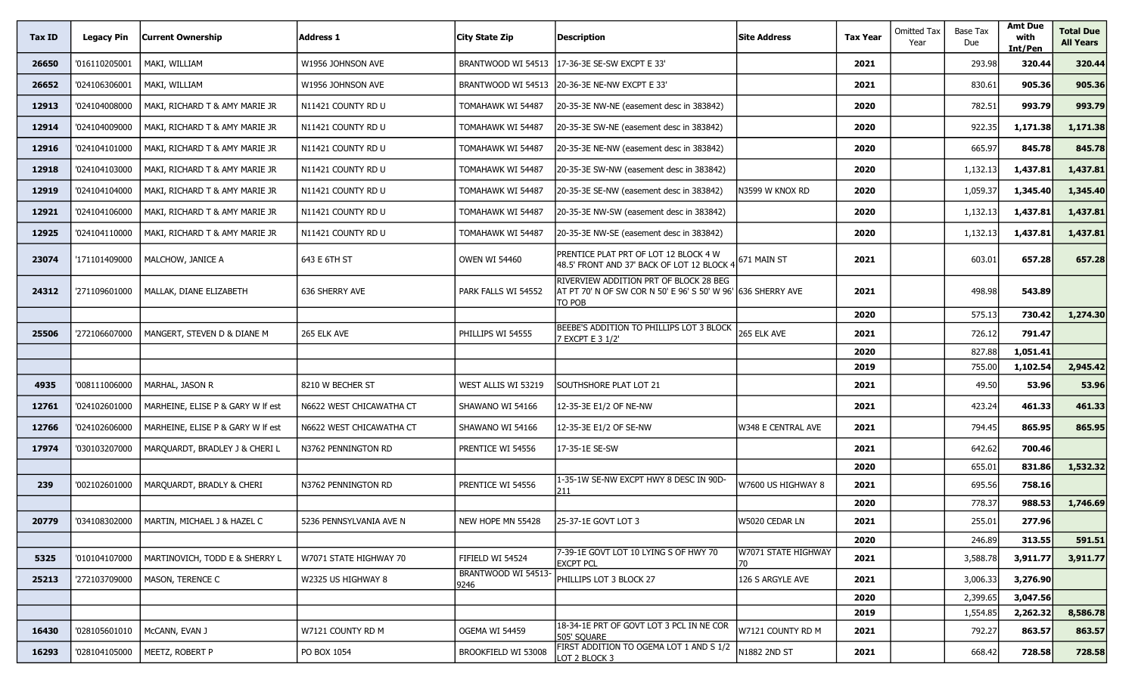| Tax ID | <b>Legacy Pin</b> | Current Ownership                 | Address 1                | <b>City State Zip</b>      | <b>Description</b>                                                                                               | <b>Site Address</b>       | <b>Tax Year</b> | <b>Omitted Tax</b><br>Year | <b>Base Tax</b><br>Due | <b>Amt Due</b><br>with<br>Int/Pen | <b>Total Due</b><br><b>All Years</b> |
|--------|-------------------|-----------------------------------|--------------------------|----------------------------|------------------------------------------------------------------------------------------------------------------|---------------------------|-----------------|----------------------------|------------------------|-----------------------------------|--------------------------------------|
| 26650  | '016110205001     | MAKI, WILLIAM                     | W1956 Johnson ave        | BRANTWOOD WI 54513         | 117-36-3E SE-SW EXCPT E 33'                                                                                      |                           | 2021            |                            | 293.98                 | 320.44                            | 320.44                               |
| 26652  | '024106306001     | MAKI, WILLIAM                     | W1956 JOHNSON AVE        | BRANTWOOD WI 54513         | 20-36-3E NE-NW EXCPT E 33'                                                                                       |                           | 2021            |                            | 830.61                 | 905.36                            | 905.36                               |
| 12913  | '024104008000     | MAKI, RICHARD T & AMY MARIE JR    | N11421 COUNTY RD U       | TOMAHAWK WI 54487          | 20-35-3E NW-NE (easement desc in 383842)                                                                         |                           | 2020            |                            | 782.51                 | 993.79                            | 993.79                               |
| 12914  | '024104009000     | MAKI, RICHARD T & AMY MARIE JR    | N11421 COUNTY RD U       | TOMAHAWK WI 54487          | 20-35-3E SW-NE (easement desc in 383842)                                                                         |                           | 2020            |                            | 922.35                 | 1,171.38                          | 1,171.38                             |
| 12916  | '024104101000     | MAKI, RICHARD T & AMY MARIE JR    | N11421 COUNTY RD U       | TOMAHAWK WI 54487          | 20-35-3E NE-NW (easement desc in 383842)                                                                         |                           | 2020            |                            | 665.97                 | 845.78                            | 845.78                               |
| 12918  | '024104103000     | MAKI, RICHARD T & AMY MARIE JR    | N11421 COUNTY RD U       | Tomahawk wi 54487          | 20-35-3E SW-NW (easement desc in 383842)                                                                         |                           | 2020            |                            | 1,132.13               | 1,437.81                          | 1,437.81                             |
| 12919  | '024104104000     | MAKI, RICHARD T & AMY MARIE JR    | N11421 COUNTY RD U       | Tomahawk wi 54487          | 20-35-3E SE-NW (easement desc in 383842)                                                                         | N3599 W KNOX RD           | 2020            |                            | 1,059.37               | 1,345.40                          | 1,345.40                             |
| 12921  | '024104106000     | MAKI, RICHARD T & AMY MARIE JR    | N11421 COUNTY RD U       | TOMAHAWK WI 54487          | 20-35-3E NW-SW (easement desc in 383842)                                                                         |                           | 2020            |                            | 1,132.13               | 1,437.81                          | 1,437.81                             |
| 12925  | '024104110000     | MAKI, RICHARD T & AMY MARIE JR    | N11421 COUNTY RD U       | TOMAHAWK WI 54487          | 20-35-3E NW-SE (easement desc in 383842)                                                                         |                           | 2020            |                            | 1,132.13               | 1,437.81                          | 1,437.81                             |
| 23074  | '171101409000     | MALCHOW, JANICE A                 | 643 E 6TH ST             | <b>OWEN WI 54460</b>       | PRENTICE PLAT PRT OF LOT 12 BLOCK 4 W<br>48.5' FRONT AND 37' BACK OF LOT 12 BLOCK 4                              | 671 MAIN ST               | 2021            |                            | 603.01                 | 657.28                            | 657.28                               |
| 24312  | '271109601000     | MALLAK, DIANE ELIZABETH           | 636 SHERRY AVE           | PARK FALLS WI 54552        | RIVERVIEW ADDITION PRT OF BLOCK 28 BEG<br>AT PT 70' N OF SW COR N 50' E 96' S 50' W 96' 636 SHERRY AVE<br>to pob |                           | 2021            |                            | 498.98                 | 543.89                            |                                      |
|        |                   |                                   |                          |                            |                                                                                                                  |                           | 2020            |                            | 575.13                 | 730.42                            | 1,274.30                             |
| 25506  | '272106607000     | MANGERT, STEVEN D & DIANE M       | 265 ELK AVE              | PHILLIPS WI 54555          | BEEBE'S ADDITION TO PHILLIPS LOT 3 BLOCK<br>7 EXCPT E 3 1/2'                                                     | 265 ELK AVE               | 2021            |                            | 726.12                 | 791.47                            |                                      |
|        |                   |                                   |                          |                            |                                                                                                                  |                           | 2020            |                            | 827.88                 | 1,051.41                          |                                      |
| 4935   | '008111006000     | MARHAL, JASON R                   | 8210 W BECHER ST         | WEST ALLIS WI 53219        | SOUTHSHORE PLAT LOT 21                                                                                           |                           | 2019<br>2021    |                            | 755.00<br>49.50        | 1,102.54<br>53.96                 | 2,945.42<br>53.96                    |
| 12761  | '024102601000     | MARHEINE, ELISE P & GARY W If est | N6622 WEST CHICAWATHA CT | SHAWANO WI 54166           | 12-35-3E E1/2 OF NE-NW                                                                                           |                           | 2021            |                            | 423.24                 | 461.33                            | 461.33                               |
| 12766  | '024102606000     | MARHEINE, ELISE P & GARY W If est | N6622 WEST CHICAWATHA CT | SHAWANO WI 54166           | 12-35-3E E1/2 OF SE-NW                                                                                           | W348 E CENTRAL AVE        | 2021            |                            | 794.45                 | 865.95                            | 865.95                               |
| 17974  | '030103207000     | MARQUARDT, BRADLEY J & CHERI L    | N3762 PENNINGTON RD      | PRENTICE WI 54556          | 17-35-1E SE-SW                                                                                                   |                           | 2021            |                            | 642.62                 | 700.46                            |                                      |
|        |                   |                                   |                          |                            |                                                                                                                  |                           | 2020            |                            | 655.01                 | 831.86                            | 1,532.32                             |
| 239    | '002102601000     | MARQUARDT, BRADLY & CHERI         | N3762 PENNINGTON RD      | PRENTICE WI 54556          | 1-35-1W SE-NW EXCPT HWY 8 DESC IN 90D-<br>211                                                                    | W7600 US HIGHWAY 8        | 2021            |                            | 695.56                 | 758.16                            |                                      |
|        |                   |                                   |                          |                            |                                                                                                                  |                           | 2020            |                            | 778.37                 | 988.53                            | 1,746.69                             |
| 20779  | '034108302000     | MARTIN, MICHAEL J & HAZEL C       | 5236 PENNSYLVANIA AVE N  | NEW HOPE MN 55428          | 25-37-1E GOVT LOT 3                                                                                              | W5020 CEDAR LN            | 2021            |                            | 255.01                 | 277.96                            |                                      |
|        |                   |                                   |                          |                            |                                                                                                                  |                           | 2020            |                            | 246.89                 | 313.55                            | 591.51                               |
| 5325   | '010104107000     | MARTINOVICH, TODD E & SHERRY L    | W7071 STATE HIGHWAY 70   | FIFIELD WI 54524           | 7-39-1E GOVT LOT 10 LYING S OF HWY 70<br><b>EXCPT PCL</b>                                                        | W7071 STATE HIGHWAY<br>70 | 2021            |                            | 3,588.78               | 3,911.77                          | 3,911.77                             |
| 25213  | '272103709000     | MASON, TERENCE C                  | W2325 US HIGHWAY 8       | BRANTWOOD WI 54513<br>9246 | PHILLIPS LOT 3 BLOCK 27                                                                                          | 126 S ARGYLE AVE          | 2021            |                            | 3,006.33               | 3,276.90                          |                                      |
|        |                   |                                   |                          |                            |                                                                                                                  |                           | 2020            |                            | 2,399.65               | 3,047.56                          |                                      |
|        |                   |                                   |                          |                            |                                                                                                                  |                           | 2019            |                            | 1,554.85               | 2,262.32                          | 8,586.78                             |
| 16430  | '028105601010     | McCANN, EVAN J                    | W7121 COUNTY RD M        | OGEMA WI 54459             | 18-34-1E PRT OF GOVT LOT 3 PCL IN NE COR<br>505' SQUARE                                                          | W7121 COUNTY RD M         | 2021            |                            | 792.27                 | 863.57                            | 863.57                               |
| 16293  | '028104105000     | MEETZ, ROBERT P                   | PO BOX 1054              | BROOKFIELD WI 53008        | FIRST ADDITION TO OGEMA LOT 1 AND S 1/2<br>LOT 2 BLOCK 3                                                         | N1882 2ND ST              | 2021            |                            | 668.42                 | 728.58                            | 728.58                               |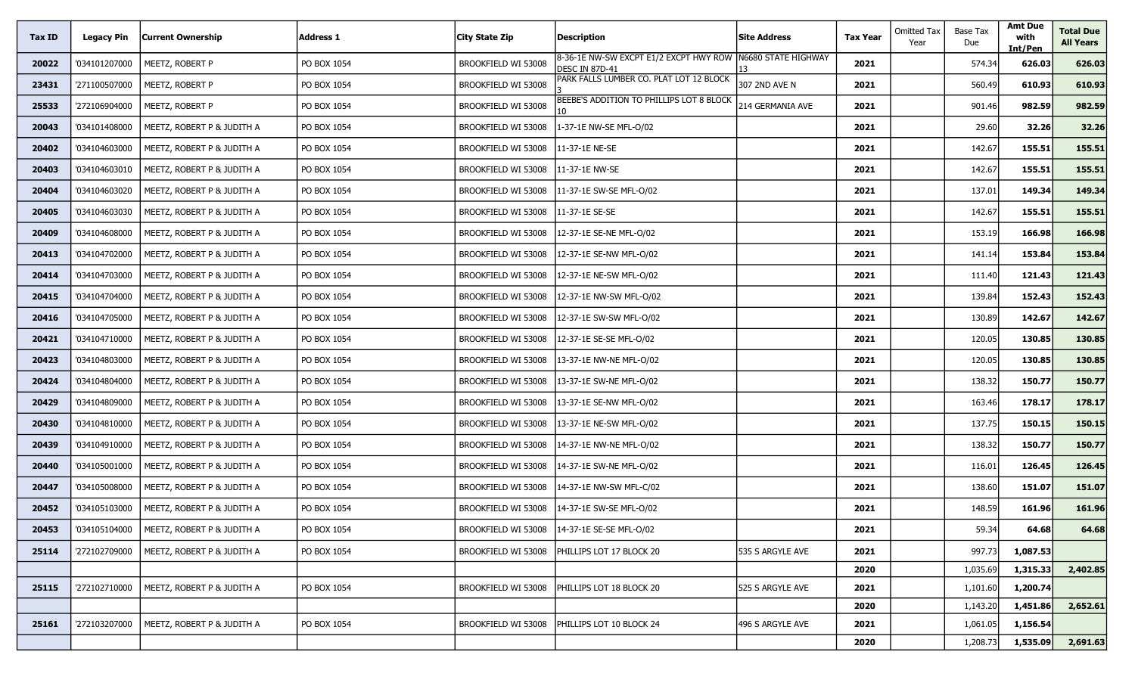| Tax ID | <b>Legacy Pin</b> | <b>Current Ownership</b>                   | <b>Address 1</b> | <b>City State Zip</b> | <b>Description</b>                                       | <b>Site Address</b> | <b>Tax Year</b> | <b>Omitted Tax</b><br>Year | <b>Base Tax</b><br>Due | <b>Amt Due</b><br>with<br>Int/Pen | <b>Total Due</b><br><b>All Years</b> |
|--------|-------------------|--------------------------------------------|------------------|-----------------------|----------------------------------------------------------|---------------------|-----------------|----------------------------|------------------------|-----------------------------------|--------------------------------------|
| 20022  | '034101207000     | MEETZ, ROBERT P                            | PO BOX 1054      | BROOKFIELD WI 53008   | 8-36-1E NW-SW EXCPT E1/2 EXCPT HWY ROW<br>DESC IN 87D-41 | N6680 STATE HIGHWAY | 2021            |                            | 574.34                 | 626.03                            | 626.03                               |
| 23431  | '271100507000     | MEETZ, ROBERT P                            | PO BOX 1054      | BROOKFIELD WI 53008   | PARK FALLS LUMBER CO. PLAT LOT 12 BLOCK                  | 307 2ND AVE N       | 2021            |                            | 560.49                 | 610.93                            | 610.93                               |
| 25533  | '272106904000     | MEETZ, ROBERT P                            | PO BOX 1054      | BROOKFIELD WI 53008   | BEEBE'S ADDITION TO PHILLIPS LOT 8 BLOCK                 | 214 GERMANIA AVE    | 2021            |                            | 901.46                 | 982.59                            | 982.59                               |
| 20043  | '034101408000     | MEETZ, ROBERT P & JUDITH A                 | PO BOX 1054      | BROOKFIELD WI 53008   | 1-37-1E NW-SE MFL-O/02                                   |                     | 2021            |                            | 29.60                  | 32.26                             | 32.26                                |
| 20402  | '034104603000     | MEETZ, ROBERT P & JUDITH A                 | PO BOX 1054      | BROOKFIELD WI 53008   | 11-37-1E NE-SE                                           |                     | 2021            |                            | 142.67                 | 155.51                            | 155.51                               |
| 20403  | '034104603010     | MEETZ, ROBERT P & JUDITH A                 | PO BOX 1054      | BROOKFIELD WI 53008   | 11-37-1E NW-SE                                           |                     | 2021            |                            | 142.67                 | 155.51                            | 155.51                               |
| 20404  | '034104603020     | MEETZ, ROBERT P & JUDITH A                 | PO BOX 1054      | BROOKFIELD WI 53008   | 11-37-1E SW-SE MFL-O/02                                  |                     | 2021            |                            | 137.01                 | 149.34                            | 149.34                               |
| 20405  | '034104603030     | MEETZ, ROBERT P & JUDITH A                 | PO BOX 1054      | BROOKFIELD WI 53008   | 11-37-1E SE-SE                                           |                     | 2021            |                            | 142.67                 | 155.51                            | 155.51                               |
| 20409  | '034104608000     | MEETZ, ROBERT P & JUDITH A                 | PO BOX 1054      | BROOKFIELD WI 53008   | 12-37-1E SE-NE MFL-O/02                                  |                     | 2021            |                            | 153.19                 | 166.98                            | 166.98                               |
| 20413  | '034104702000     | MEETZ, ROBERT P & JUDITH A                 | PO BOX 1054      | BROOKFIELD WI 53008   | 12-37-1E SE-NW MFL-O/02                                  |                     | 2021            |                            | 141.14                 | 153.84                            | 153.84                               |
| 20414  | '034104703000     | MEETZ, ROBERT P & JUDITH A                 | PO BOX 1054      | BROOKFIELD WI 53008   | 12-37-1E NE-SW MFL-O/02                                  |                     | 2021            |                            | 111.40                 | 121.43                            | 121.43                               |
| 20415  | '034104704000     | MEETZ, ROBERT P & JUDITH A                 | PO BOX 1054      | BROOKFIELD WI 53008   | 12-37-1E NW-SW MFL-O/02                                  |                     | 2021            |                            | 139.84                 | 152.43                            | 152.43                               |
| 20416  | '034104705000     | MEETZ, ROBERT P & JUDITH A                 | PO BOX 1054      | BROOKFIELD WI 53008   | 12-37-1E SW-SW MFL-O/02                                  |                     | 2021            |                            | 130.89                 | 142.67                            | 142.67                               |
| 20421  | '034104710000     | MEETZ, ROBERT P & JUDITH A                 | PO BOX 1054      | BROOKFIELD WI 53008   | 12-37-1E SE-SE MFL-O/02                                  |                     | 2021            |                            | 120.05                 | 130.85                            | 130.85                               |
| 20423  | '034104803000     | MEETZ, ROBERT P & JUDITH A                 | PO BOX 1054      | BROOKFIELD WI 53008   | 13-37-1E NW-NE MFL-O/02                                  |                     | 2021            |                            | 120.05                 | 130.85                            | 130.85                               |
| 20424  | '034104804000     | MEETZ, ROBERT P & JUDITH A                 | PO BOX 1054      | BROOKFIELD WI 53008   | 13-37-1E SW-NE MFL-O/02                                  |                     | 2021            |                            | 138.32                 | 150.77                            | 150.77                               |
| 20429  | '034104809000     | MEETZ, ROBERT P & JUDITH A                 | PO BOX 1054      | BROOKFIELD WI 53008   | 13-37-1E SE-NW MFL-O/02                                  |                     | 2021            |                            | 163.46                 | 178.17                            | 178.17                               |
| 20430  | '034104810000     | MEETZ, ROBERT P & JUDITH A                 | PO BOX 1054      | BROOKFIELD WI 53008   | 13-37-1E NE-SW MFL-O/02                                  |                     | 2021            |                            | 137.75                 | 150.15                            | 150.15                               |
| 20439  | '034104910000     | MEETZ, ROBERT P & JUDITH A                 | PO BOX 1054      | BROOKFIELD WI 53008   | 14-37-1E NW-NE MFL-O/02                                  |                     | 2021            |                            | 138.32                 | 150.77                            | 150.77                               |
| 20440  | '034105001000     | MEETZ, ROBERT P & JUDITH A                 | PO BOX 1054      | BROOKFIELD WI 53008   | 14-37-1E SW-NE MFL-O/02                                  |                     | 2021            |                            | 116.01                 | 126.45                            | 126.45                               |
| 20447  | '034105008000     | MEETZ, ROBERT P & JUDITH A                 | PO BOX 1054      | BROOKFIELD WI 53008   | 14-37-1E NW-SW MFL-C/02                                  |                     | 2021            |                            | 138.60                 | 151.07                            | 151.07                               |
| 20452  | '034105103000     | MEETZ, ROBERT P & JUDITH A                 | PO BOX 1054      | BROOKFIELD WI 53008   | 14-37-1E SW-SE MFL-O/02                                  |                     | 2021            |                            | 148.59                 | 161.96                            | 161.96                               |
| 20453  |                   | '034105104000   MEETZ, ROBERT P & JUDITH A | PO BOX 1054      | BROOKFIELD WI 53008   | 14-37-1E SE-SE MFL-O/02                                  |                     | 2021            |                            | 59.34                  | 64.68                             | 64.68                                |
| 25114  | '272102709000     | MEETZ, ROBERT P & JUDITH A                 | PO BOX 1054      | BROOKFIELD WI 53008   | PHILLIPS LOT 17 BLOCK 20                                 | 535 S ARGYLE AVE    | 2021            |                            | 997.73                 | 1,087.53                          |                                      |
|        |                   |                                            |                  |                       |                                                          |                     | 2020            |                            | 1,035.69               | 1,315.33                          | 2,402.85                             |
| 25115  | '272102710000     | MEETZ, ROBERT P & JUDITH A                 | PO BOX 1054      | BROOKFIELD WI 53008   | PHILLIPS LOT 18 BLOCK 20                                 | 525 S ARGYLE AVE    | 2021            |                            | 1,101.60               | 1,200.74                          |                                      |
|        |                   |                                            |                  |                       |                                                          |                     | 2020            |                            | 1,143.20               | 1,451.86                          | 2,652.61                             |
| 25161  | '272103207000     | MEETZ, ROBERT P & JUDITH A                 | PO BOX 1054      | BROOKFIELD WI 53008   | PHILLIPS LOT 10 BLOCK 24                                 | 496 S ARGYLE AVE    | 2021            |                            | 1,061.05               | 1,156.54                          |                                      |
|        |                   |                                            |                  |                       |                                                          |                     | 2020            |                            | 1,208.73               | 1,535.09                          | 2,691.63                             |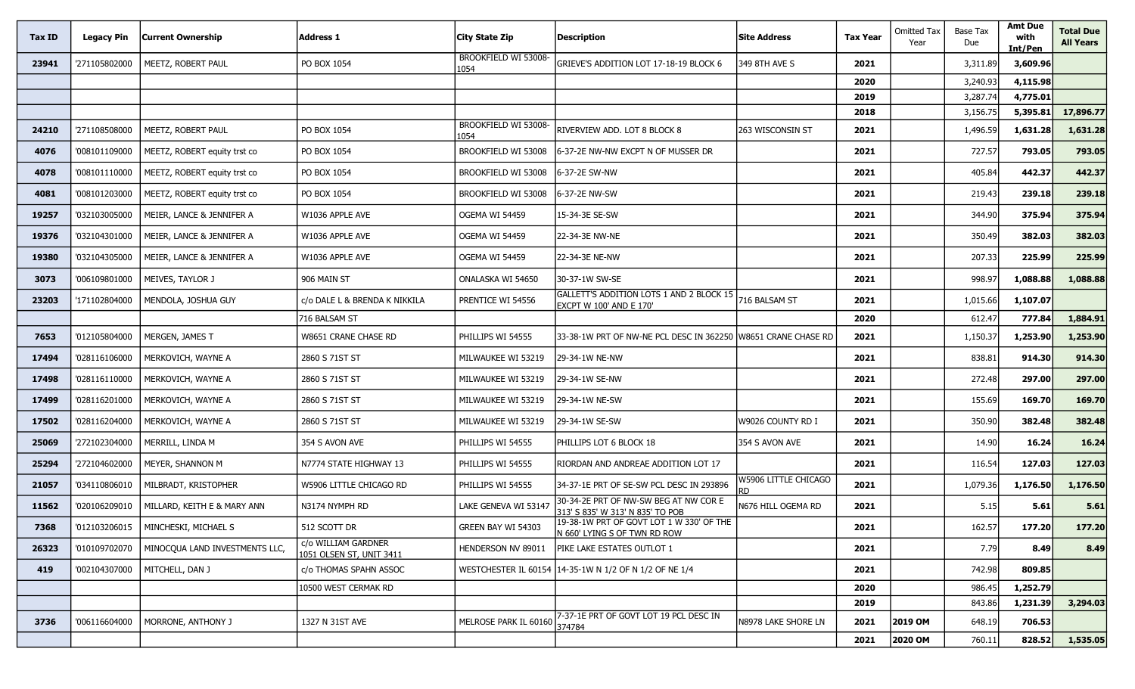| Tax ID | <b>Legacy Pin</b> | <b>Current Ownership</b>             | <b>Address 1</b>                                | City State Zip               | <b>Description</b>                                                        | <b>Site Address</b>  | <b>Tax Year</b> | <b>Omitted Tax</b><br>Year | Base Tax<br>Due | <b>Amt Due</b><br>with<br>Int/Pen | <b>Total Due</b><br><b>All Years</b> |
|--------|-------------------|--------------------------------------|-------------------------------------------------|------------------------------|---------------------------------------------------------------------------|----------------------|-----------------|----------------------------|-----------------|-----------------------------------|--------------------------------------|
| 23941  | '271105802000     | MEETZ, ROBERT PAUL                   | PO BOX 1054                                     | BROOKFIELD WI 53008<br>1054  | GRIEVE'S ADDITION LOT 17-18-19 BLOCK 6                                    | 349 8TH AVE S        | 2021            |                            | 3,311.89        | 3,609.96                          |                                      |
|        |                   |                                      |                                                 |                              |                                                                           |                      | 2020            |                            | 3,240.93        | 4,115.98                          |                                      |
|        |                   |                                      |                                                 |                              |                                                                           |                      | 2019            |                            | 3,287.74        | 4,775.01                          |                                      |
|        |                   |                                      |                                                 |                              |                                                                           |                      | 2018            |                            | 3,156.75        | 5,395.81                          | 17,896.77                            |
| 24210  | '271108508000     | MEETZ, ROBERT PAUL                   | PO BOX 1054                                     | BROOKFIELD WI 53008-<br>1054 | RIVERVIEW ADD. LOT 8 BLOCK 8                                              | 263 WISCONSIN ST     | 2021            |                            | 1,496.59        | 1,631.28                          | 1,631.28                             |
| 4076   | '008101109000     | MEETZ, ROBERT equity trst co         | PO BOX 1054                                     | BROOKFIELD WI 53008          | 6-37-2E NW-NW EXCPT N OF MUSSER DR                                        |                      | 2021            |                            | 727.57          | 793.05                            | 793.05                               |
| 4078   | '008101110000     | MEETZ, ROBERT equity trst co         | PO BOX 1054                                     | BROOKFIELD WI 53008          | 6-37-2E SW-NW                                                             |                      | 2021            |                            | 405.84          | 442.37                            | 442.37                               |
| 4081   | '008101203000     | MEETZ, ROBERT equity trst co         | PO BOX 1054                                     | BROOKFIELD WI 53008          | 6-37-2E NW-SW                                                             |                      | 2021            |                            | 219.43          | 239.18                            | 239.18                               |
| 19257  | '032103005000     | MEIER, LANCE & JENNIFER A            | W1036 APPLE AVE                                 | OGEMA WI 54459               | 15-34-3E SE-SW                                                            |                      | 2021            |                            | 344.90          | 375.94                            | 375.94                               |
| 19376  | '032104301000     | MEIER, LANCE & JENNIFER A            | W1036 APPLE AVE                                 | OGEMA WI 54459               | 22-34-3E NW-NE                                                            |                      | 2021            |                            | 350.49          | 382.03                            | 382.03                               |
| 19380  | '032104305000     | MEIER, LANCE & JENNIFER A            | W1036 APPLE AVE                                 | OGEMA WI 54459               | 22-34-3E NE-NW                                                            |                      | 2021            |                            | 207.33          | 225.99                            | 225.99                               |
| 3073   | '006109801000     | MEIVES, TAYLOR J                     | 906 MAIN ST                                     | ONALASKA WI 54650            | 30-37-1W SW-SE                                                            |                      | 2021            |                            | 998.97          | 1,088.88                          | 1,088.88                             |
| 23203  | '171102804000     | MENDOLA, JOSHUA GUY                  | c/o DALE L & BRENDA K NIKKILA                   | PRENTICE WI 54556            | GALLETT'S ADDITION LOTS 1 AND 2 BLOCK 15<br>EXCPT W 100' AND E 170'       | 716 BALSAM ST        | 2021            |                            | 1,015.66        | 1,107.07                          |                                      |
|        |                   |                                      | 716 BALSAM ST                                   |                              |                                                                           |                      | 2020            |                            | 612.47          | 777.84                            | 1,884.91                             |
| 7653   | '012105804000     | MERGEN, JAMES T                      | W8651 CRANE CHASE RD                            | PHILLIPS WI 54555            | 33-38-1W PRT OF NW-NE PCL DESC IN 362250 W8651 CRANE CHASE RD             |                      | 2021            |                            | 1,150.37        | 1,253.90                          | 1,253.90                             |
| 17494  | '028116106000     | MERKOVICH, WAYNE A                   | 2860 S 71ST ST                                  | MILWAUKEE WI 53219           | 29-34-1W NE-NW                                                            |                      | 2021            |                            | 838.81          | 914.30                            | 914.30                               |
| 17498  | '028116110000     | MERKOVICH, WAYNE A                   | 2860 S 71ST ST                                  | MILWAUKEE WI 53219           | 29-34-1W SE-NW                                                            |                      | 2021            |                            | 272.48          | 297.00                            | 297.00                               |
| 17499  | '028116201000     | MERKOVICH, WAYNE A                   | 2860 S 71ST ST                                  | MILWAUKEE WI 53219           | 29-34-1W NE-SW                                                            |                      | 2021            |                            | 155.69          | 169.70                            | 169.70                               |
| 17502  | '028116204000     | MERKOVICH, WAYNE A                   | 2860 S 71ST ST                                  | MILWAUKEE WI 53219           | 29-34-1W SE-SW                                                            | W9026 COUNTY RD I    | 2021            |                            | 350.90          | 382.48                            | 382.48                               |
| 25069  | '272102304000     | MERRILL, LINDA M                     | 354 S AVON AVE                                  | PHILLIPS WI 54555            | PHILLIPS LOT 6 BLOCK 18                                                   | 354 S AVON AVE       | 2021            |                            | 14.90           | 16.24                             | 16.24                                |
| 25294  | '272104602000     | MEYER, SHANNON M                     | N7774 STATE HIGHWAY 13                          | PHILLIPS WI 54555            | RIORDAN AND ANDREAE ADDITION LOT 17                                       |                      | 2021            |                            | 116.54          | 127.03                            | 127.03                               |
| 21057  | '034110806010     | MILBRADT, KRISTOPHER                 | W5906 LITTLE CHICAGO RD                         | PHILLIPS WI 54555            | 34-37-1E PRT OF SE-SW PCL DESC IN 293896                                  | W5906 LITTLE CHICAGO | 2021            |                            | 1,079.36        | 1,176.50                          | 1,176.50                             |
| 11562  | '020106209010     | MILLARD, KEITH E & MARY ANN          | N3174 NYMPH RD                                  | lake geneva wi 5314.         | 30-34-2E PRT OF NW-SW BEG AT NW COR E<br>313' S 835' W 313' N 835' TO POB | N676 HILL OGEMA RD   | 2021            |                            | 5.15            | 5.61                              | 5.61                                 |
| 7368   |                   | '012103206015   MINCHESKI, MICHAEL S | 512 SCOTT DR                                    | GREEN BAY WI 54303           | 19-38-1W PRT OF GOVT LOT 1 W 330' OF THE<br>N 660' LYING S OF TWN RD ROW  |                      | 2021            |                            | 162.57          | 177.20                            | 177.20                               |
| 26323  | '010109702070     | MINOCQUA LAND INVESTMENTS LLC,       | c/o WILLIAM GARDNER<br>1051 OLSEN ST, UNIT 3411 | HENDERSON NV 89011           | PIKE LAKE ESTATES OUTLOT 1                                                |                      | 2021            |                            | 7.79            | 8.49                              | 8.49                                 |
| 419    | '002104307000     | MITCHELL, DAN J                      | c/o THOMAS SPAHN ASSOC                          |                              | WESTCHESTER IL 60154 14-35-1W N 1/2 OF N 1/2 OF NE 1/4                    |                      | 2021            |                            | 742.98          | 809.85                            |                                      |
|        |                   |                                      | 10500 WEST CERMAK RD                            |                              |                                                                           |                      | 2020            |                            | 986.45          | 1,252.79                          |                                      |
|        |                   |                                      |                                                 |                              |                                                                           |                      | 2019            |                            | 843.86          | 1,231.39                          | 3,294.03                             |
| 3736   | '006116604000     | MORRONE, ANTHONY J                   | 1327 N 31ST AVE                                 | MELROSE PARK IL 60160        | 7-37-1E PRT OF GOVT LOT 19 PCL DESC IN<br>374784                          | N8978 LAKE SHORE LN  | 2021            | 2019 OM                    | 648.19          | 706.53                            |                                      |
|        |                   |                                      |                                                 |                              |                                                                           |                      | 2021            | 2020 OM                    | 760.11          | 828.52                            | 1,535.05                             |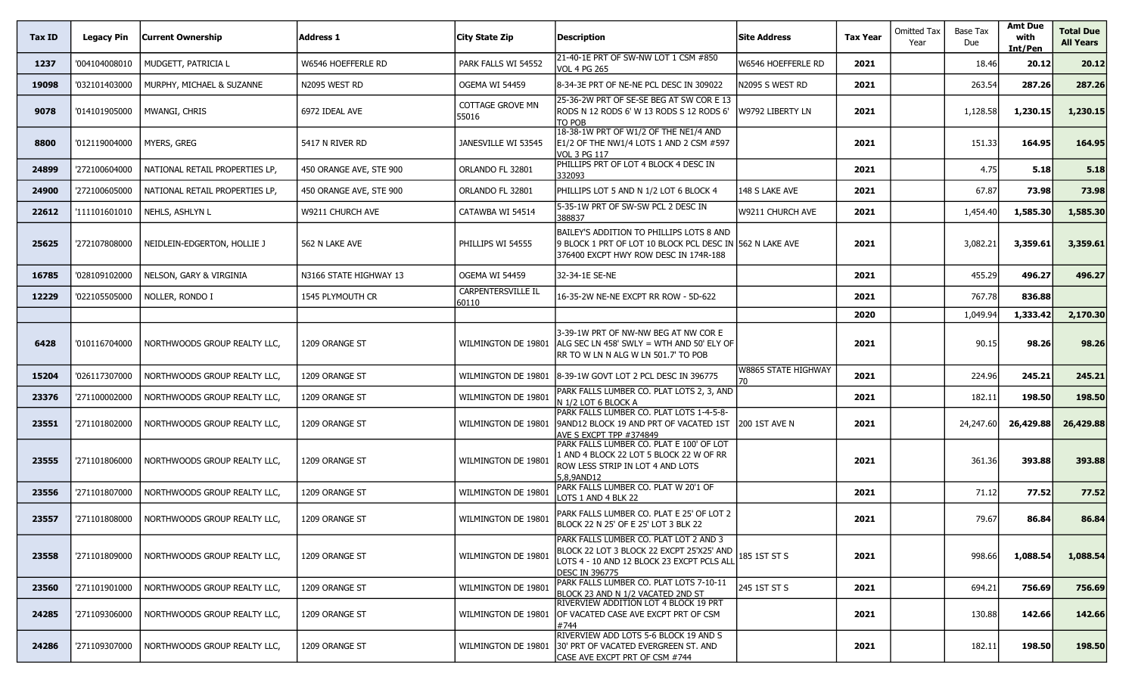| Tax ID | <b>Legacy Pin</b> | Current Ownership              | Address 1               | <b>City State Zip</b>              | Description                                                                                                                                                | <b>Site Address</b>  | <b>Tax Year</b> | Omitted Tax<br>Year | Base Tax<br>Due | <b>Amt Due</b><br>with<br>Int/Pen | <b>Total Due</b><br><b>All Years</b> |
|--------|-------------------|--------------------------------|-------------------------|------------------------------------|------------------------------------------------------------------------------------------------------------------------------------------------------------|----------------------|-----------------|---------------------|-----------------|-----------------------------------|--------------------------------------|
| 1237   | '004104008010     | MUDGETT, PATRICIA L            | W6546 HOEFFERLE RD      | PARK FALLS WI 54552                | 21-40-1E PRT OF SW-NW LOT 1 CSM #850<br><b>VOL 4 PG 265</b>                                                                                                | W6546 HOEFFERLE RD   | 2021            |                     | 18.46           | 20.12                             | 20.12                                |
| 19098  | '032101403000     | MURPHY, MICHAEL & SUZANNE      | N2095 WEST RD           | OGEMA WI 54459                     | 8-34-3E PRT OF NE-NE PCL DESC IN 309022                                                                                                                    | N2095 S WEST RD      | 2021            |                     | 263.54          | 287.26                            | 287.26                               |
| 9078   | '014101905000     | MWANGI, CHRIS                  | 6972 IDEAL AVE          | COTTAGE GROVE MN<br>55016          | 25-36-2W PRT OF SE-SE BEG AT SW COR E 13<br>Rods N 12 Rods 6' W 13 Rods S 12 Rods 6'<br>TO POB                                                             | W9792 LIBERTY LN     | 2021            |                     | 1,128.58        | 1,230.15                          | 1,230.15                             |
| 8800   | '012119004000     | MYERS, GREG                    | 5417 N RIVER RD         | JANESVILLE WI 53545                | 18-38-1W PRT OF W1/2 OF THE NE1/4 AND<br>E1/2 OF THE NW1/4 LOTS 1 AND 2 CSM #597<br>VOL 3 PG 117                                                           |                      | 2021            |                     | 151.33          | 164.95                            | 164.95                               |
| 24899  | '272100604000     | NATIONAL RETAIL PROPERTIES LP, | 450 ORANGE AVE, STE 900 | ORLANDO FL 32801                   | PHILLIPS PRT OF LOT 4 BLOCK 4 DESC IN<br>332093                                                                                                            |                      | 2021            |                     | 4.75            | 5.18                              | 5.18                                 |
| 24900  | '272100605000     | NATIONAL RETAIL PROPERTIES LP, | 450 ORANGE AVE, STE 900 | ORLANDO FL 32801                   | PHILLIPS LOT 5 AND N 1/2 LOT 6 BLOCK 4                                                                                                                     | 148 S LAKE AVE       | 2021            |                     | 67.87           | 73.98                             | 73.98                                |
| 22612  | '111101601010     | NEHLS, ASHLYN L                | W9211 CHURCH AVE        | CATAWBA WI 54514                   | 5-35-1W PRT OF SW-SW PCL 2 DESC IN<br>388837                                                                                                               | W9211 CHURCH AVE     | 2021            |                     | 1,454.40        | 1,585.30                          | 1,585.30                             |
| 25625  | '272107808000     | NEIDLEIN-EDGERTON, HOLLIE J    | 562 N LAKE AVE          | PHILLIPS WI 54555                  | BAILEY'S ADDITION TO PHILLIPS LOTS 8 AND<br>9 BLOCK 1 PRT OF LOT 10 BLOCK PCL DESC IN [562 N LAKE AVE<br>376400 EXCPT HWY ROW DESC IN 174R-188             |                      | 2021            |                     | 3,082.21        | 3,359.61                          | 3,359.61                             |
| 16785  | '028109102000     | NELSON, GARY & VIRGINIA        | N3166 STATE HIGHWAY 13  | OGEMA WI 54459                     | 32-34-1E SE-NE                                                                                                                                             |                      | 2021            |                     | 455.29          | 496.27                            | 496.27                               |
| 12229  | '022105505000     | NOLLER, RONDO I                | 1545 plymouth Cr        | <b>CARPENTERSVILLE IL</b><br>60110 | 16-35-2W NE-NE EXCPT RR ROW - 5D-622                                                                                                                       |                      | 2021            |                     | 767.78          | 836.88                            |                                      |
|        |                   |                                |                         |                                    |                                                                                                                                                            |                      | 2020            |                     | 1,049.94        | 1,333.42                          | 2,170.30                             |
| 6428   | '010116704000     | NORTHWOODS GROUP REALTY LLC,   | 1209 ORANGE ST          | WILMINGTON DE 19801                | 3-39-1W PRT OF NW-NW BEG AT NW COR E<br> ALG SEC LN 458' SWLY = WTH AND 50' ELY OF<br>RR TO W LN N ALG W LN 501.7' TO POB                                  |                      | 2021            |                     | 90.15           | 98.26                             | 98.26                                |
| 15204  | '026117307000     | NORTHWOODS GROUP REALTY LLC,   | 1209 ORANGE ST          | WILMINGTON DE 19801                | 18-39-1W GOVT LOT 2 PCL DESC IN 396775                                                                                                                     | W8865 STATE HIGHWAY  | 2021            |                     | 224.96          | 245.21                            | 245.21                               |
| 23376  | '271100002000     | NORTHWOODS GROUP REALTY LLC,   | 1209 ORANGE ST          | WILMINGTON DE 19801                | PARK FALLS LUMBER CO. PLAT LOTS 2, 3, AND<br>N 1/2 LOT 6 BLOCK A                                                                                           |                      | 2021            |                     | 182.11          | 198.50                            | 198.50                               |
| 23551  | '271101802000     | NORTHWOODS GROUP REALTY LLC,   | 1209 ORANGE ST          | WILMINGTON DE 19801                | PARK FALLS LUMBER CO. PLAT LOTS 1-4-5-8-<br>9AND12 BLOCK 19 AND PRT OF VACATED 1ST<br>AVE S EXCPT TPP #374849                                              | <b>200 1ST AVE N</b> | 2021            |                     | 24,247.60       | 26,429.88                         | 26,429.88                            |
| 23555  | '271101806000     | NORTHWOODS GROUP REALTY LLC,   | 1209 ORANGE ST          | WILMINGTON DE 19801                | PARK FALLS LUMBER CO. PLAT E 100' OF LOT<br>1 AND 4 BLOCK 22 LOT 5 BLOCK 22 W OF RR<br>ROW LESS STRIP IN LOT 4 AND LOTS<br>5,8,9AND12                      |                      | 2021            |                     | 361.36          | 393.88                            | 393.88                               |
| 23556  | '271101807000     | NORTHWOODS GROUP REALTY LLC,   | 1209 ORANGE ST          | WILMINGTON DE 19801                | PARK FALLS LUMBER CO. PLAT W 20'1 OF<br>LOTS 1 AND 4 BLK 22                                                                                                |                      | 2021            |                     | 71.12           | 77.52                             | 77.52                                |
| 23557  | '271101808000     | NORTHWOODS GROUP REALTY LLC,   | 1209 ORANGE ST          | WILMINGTON DE 19801                | PARK FALLS LUMBER CO. PLAT E 25' OF LOT 2<br>BLOCK 22 N 25' OF E 25' LOT 3 BLK 22                                                                          |                      | 2021            |                     | 79.67           | 86.84                             | 86.84                                |
| 23558  | '271101809000     | NORTHWOODS GROUP REALTY LLC,   | 1209 ORANGE ST          | WILMINGTON DE 19801                | PARK FALLS LUMBER CO. PLAT LOT 2 AND 3<br>BLOCK 22 LOT 3 BLOCK 22 EXCPT 25'X25' AND<br>LOTS 4 - 10 AND 12 BLOCK 23 EXCPT PCLS ALL<br><b>DESC IN 396775</b> | 185 1ST ST S         | 2021            |                     | 998.66          | 1,088.54                          | 1,088.54                             |
| 23560  | '271101901000     | NORTHWOODS GROUP REALTY LLC,   | 1209 ORANGE ST          | WILMINGTON DE 19801                | PARK FALLS LUMBER CO. PLAT LOTS 7-10-11<br>BLOCK 23 AND N 1/2 VACATED 2ND ST                                                                               | 245 1ST ST S         | 2021            |                     | 694.21          | 756.69                            | 756.69                               |
| 24285  | '271109306000     | NORTHWOODS GROUP REALTY LLC.   | 1209 ORANGE ST          | WILMINGTON DE 19801                | RIVERVIEW ADDITION LOT 4 BLOCK 19 PRT<br>OF VACATED CASE AVE EXCPT PRT OF CSM<br>#744                                                                      |                      | 2021            |                     | 130.88          | 142.66                            | 142.66                               |
| 24286  | '271109307000     | NORTHWOODS GROUP REALTY LLC,   | 1209 ORANGE ST          | WILMINGTON DE 19801                | RIVERVIEW ADD LOTS 5-6 BLOCK 19 AND S<br>130' PRT OF VACATED EVERGREEN ST. AND<br>CASE AVE EXCPT PRT OF CSM #744                                           |                      | 2021            |                     | 182.11          | 198.50                            | 198.50                               |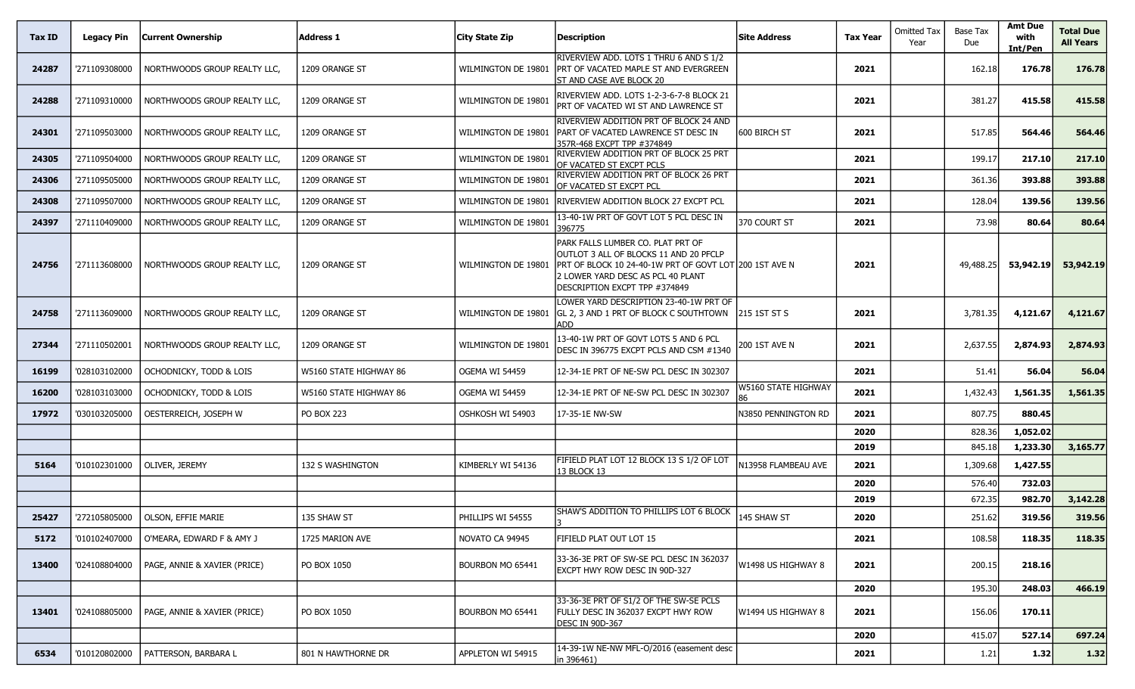| Tax ID | Legacy Pin    | <b>Current Ownership</b>     | Address 1              | City State Zip        | <b>Description</b>                                                                                                                                                                                          | <b>Site Address</b>       | <b>Tax Year</b> | <b>Omitted Tax</b><br>Year | Base Tax<br>Due  | <b>Amt Due</b><br>with<br>Int/Pen | <b>Total Due</b><br><b>All Years</b> |
|--------|---------------|------------------------------|------------------------|-----------------------|-------------------------------------------------------------------------------------------------------------------------------------------------------------------------------------------------------------|---------------------------|-----------------|----------------------------|------------------|-----------------------------------|--------------------------------------|
| 24287  | '271109308000 | NORTHWOODS GROUP REALTY LLC, | 1209 ORANGE ST         | WILMINGTON DE 19801   | RIVERVIEW ADD. LOTS 1 THRU 6 AND S 1/2<br><b>IPRT OF VACATED MAPLE ST AND EVERGREEN</b><br>ST AND CASE AVE BLOCK 20                                                                                         |                           | 2021            |                            | 162.18           | 176.78                            | 176.78                               |
| 24288  | '271109310000 | NORTHWOODS GROUP REALTY LLC, | 1209 ORANGE ST         | WILMINGTON DE 19801   | RIVERVIEW ADD. LOTS 1-2-3-6-7-8 BLOCK 21<br>PRT OF VACATED WI ST AND LAWRENCE ST                                                                                                                            |                           | 2021            |                            | 381.27           | 415.58                            | 415.58                               |
| 24301  | '271109503000 | NORTHWOODS GROUP REALTY LLC. | 1209 ORANGE ST         | WILMINGTON DE 19801   | RIVERVIEW ADDITION PRT OF BLOCK 24 AND<br>PART OF VACATED LAWRENCE ST DESC IN<br>357R-468 EXCPT TPP #374849                                                                                                 | 600 BIRCH ST              | 2021            |                            | 517.85           | 564.46                            | 564.46                               |
| 24305  | '271109504000 | NORTHWOODS GROUP REALTY LLC, | 1209 ORANGE ST         | WILMINGTON DE 19801   | RIVERVIEW ADDITION PRT OF BLOCK 25 PRT<br>OF VACATED ST EXCPT PCLS                                                                                                                                          |                           | 2021            |                            | 199.17           | 217.10                            | 217.10                               |
| 24306  | '271109505000 | NORTHWOODS GROUP REALTY LLC, | 1209 ORANGE ST         | WILMINGTON DE 19801   | RIVERVIEW ADDITION PRT OF BLOCK 26 PRT<br>OF VACATED ST EXCPT PCL                                                                                                                                           |                           | 2021            |                            | 361.36           | 393.88                            | 393.88                               |
| 24308  | '271109507000 | NORTHWOODS GROUP REALTY LLC, | 1209 ORANGE ST         | WILMINGTON DE 19801   | RIVERVIEW ADDITION BLOCK 27 EXCPT PCL                                                                                                                                                                       |                           | 2021            |                            | 128.04           | 139.56                            | 139.56                               |
| 24397  | '271110409000 | NORTHWOODS GROUP REALTY LLC, | 1209 ORANGE ST         | WILMINGTON DE 19801   | 13-40-1W PRT OF GOVT LOT 5 PCL DESC IN<br>396775                                                                                                                                                            | 370 COURT ST              | 2021            |                            | 73.98            | 80.64                             | 80.64                                |
| 24756  | '271113608000 | NORTHWOODS GROUP REALTY LLC, | 1209 ORANGE ST         | WILMINGTON DE 19801   | PARK FALLS LUMBER CO. PLAT PRT OF<br>OUTLOT 3 ALL OF BLOCKS 11 AND 20 PFCLP<br>PRT OF BLOCK 10 24-40-1W PRT OF GOVT LOT 200 1ST AVE N<br>2 LOWER YARD DESC AS PCL 40 PLANT<br>DESCRIPTION EXCPT TPP #374849 |                           | 2021            |                            | 49,488.25        | 53,942.19                         | 53,942.19                            |
| 24758  | '271113609000 | NORTHWOODS GROUP REALTY LLC. | 1209 ORANGE ST         | WILMINGTON DE 19801   | LOWER YARD DESCRIPTION 23-40-1W PRT OF<br>GL 2, 3 AND 1 PRT OF BLOCK C SOUTHTOWN<br>ADD                                                                                                                     | 215 1ST ST S              | 2021            |                            | 3,781.35         | 4,121.67                          | 4,121.67                             |
| 27344  | '271110502001 | NORTHWOODS GROUP REALTY LLC, | 1209 ORANGE ST         | WILMINGTON DE 19801   | 13-40-1W PRT OF GOVT LOTS 5 AND 6 PCL<br>DESC IN 396775 EXCPT PCLS AND CSM #1340                                                                                                                            | 200 1ST AVE N             | 2021            |                            | 2,637.55         | 2,874.93                          | 2,874.93                             |
| 16199  | '028103102000 | OCHODNICKY, TODD & LOIS      | W5160 STATE HIGHWAY 86 | OGEMA WI 54459        | 12-34-1E PRT OF NE-SW PCL DESC IN 302307                                                                                                                                                                    |                           | 2021            |                            | 51.41            | 56.04                             | 56.04                                |
| 16200  | '028103103000 | OCHODNICKY, TODD & LOIS      | W5160 STATE HIGHWAY 86 | <b>OGEMA WI 54459</b> | 12-34-1E PRT OF NE-SW PCL DESC IN 302307                                                                                                                                                                    | W5160 STATE HIGHWAY<br>86 | 2021            |                            | 1,432.43         | 1,561.35                          | 1,561.35                             |
| 17972  | '030103205000 | OESTERREICH, JOSEPH W        | <b>PO BOX 223</b>      | OSHKOSH WI 54903      | 17-35-1E NW-SW                                                                                                                                                                                              | N3850 pennington RD       | 2021            |                            | 807.75           | 880.45                            |                                      |
|        |               |                              |                        |                       |                                                                                                                                                                                                             |                           | 2020            |                            | 828.36           | 1,052.02                          |                                      |
|        |               |                              |                        |                       | FIFIELD PLAT LOT 12 BLOCK 13 S 1/2 OF LOT                                                                                                                                                                   |                           | 2019            |                            | 845.18           | 1,233.30                          | 3,165.77                             |
| 5164   | '010102301000 | OLIVER, JEREMY               | 132 S WASHINGTON       | KIMBERLY WI 54136     | 13 BLOCK 13                                                                                                                                                                                                 | N13958 FLAMBEAU AVE       | 2021            |                            | 1,309.68         | 1,427.55                          |                                      |
|        |               |                              |                        |                       |                                                                                                                                                                                                             |                           | 2020<br>2019    |                            | 576.40<br>672.35 | 732.03<br>982.70                  | 3,142.28                             |
| 25427  | '272105805000 | OLSON, EFFIE MARIE           | 135 SHAW ST            | PHILLIPS WI 54555     | SHAW'S ADDITION TO PHILLIPS LOT 6 BLOCK                                                                                                                                                                     | 145 SHAW ST               | 2020            |                            | 251.62           | 319.56                            | 319.56                               |
| 5172   | '010102407000 | O'MEARA, EDWARD F & AMY J    | 1725 MARION AVE        | NOVATO CA 94945       | FIFIELD PLAT OUT LOT 15                                                                                                                                                                                     |                           | 2021            |                            | 108.58           | 118.35                            | 118.35                               |
| 13400  | '024108804000 | PAGE, ANNIE & XAVIER (PRICE) | PO BOX 1050            | BOURBON MO 65441      | 33-36-3E PRT OF SW-SE PCL DESC IN 362037<br>EXCPT HWY ROW DESC IN 90D-327                                                                                                                                   | W1498 US HIGHWAY 8        | 2021            |                            | 200.15           | 218.16                            |                                      |
|        |               |                              |                        |                       |                                                                                                                                                                                                             |                           | 2020            |                            | 195.30           | 248.03                            | 466.19                               |
| 13401  | '024108805000 | PAGE, ANNIE & XAVIER (PRICE) | PO BOX 1050            | BOURBON MO 65441      | 33-36-3E PRT OF S1/2 OF THE SW-SE PCLS<br>FULLY DESC IN 362037 EXCPT HWY ROW<br>DESC IN 90D-367                                                                                                             | W1494 US HIGHWAY 8        | 2021            |                            | 156.06           | 170.11                            |                                      |
|        |               |                              |                        |                       |                                                                                                                                                                                                             |                           | 2020            |                            | 415.07           | 527.14                            | 697.24                               |
| 6534   | '010120802000 | PATTERSON, BARBARA L         | 801 N HAWTHORNE DR     | APPLETON WI 54915     | 14-39-1W NE-NW MFL-O/2016 (easement desc<br>in 396461)                                                                                                                                                      |                           | 2021            |                            | 1.21             | 1.32                              | 1.32                                 |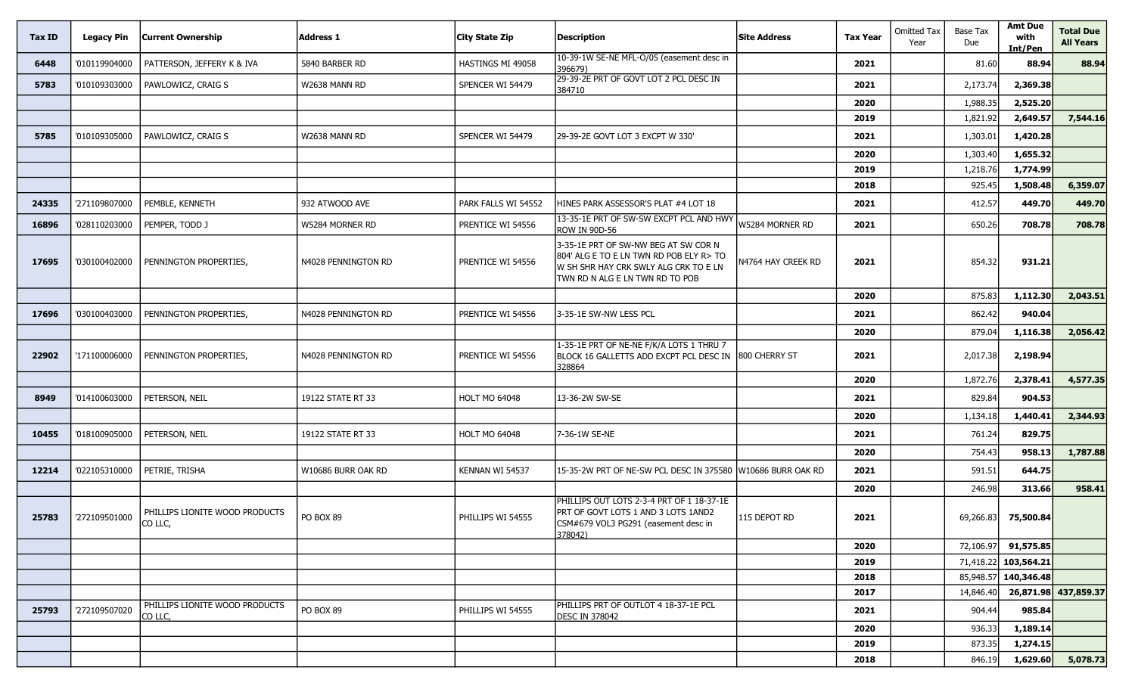| Tax ID | <b>Legacy Pin</b> | <b>Current Ownership</b>                  | <b>Address 1</b>    | <b>City State Zip</b> | <b>Description</b>                                                                                                                                           | <b>Site Address</b> | <b>Tax Year</b> | <b>Omitted Tax</b><br>Year | Base Tax<br>Due | <b>Amt Due</b><br>with<br>Int/Pen | <b>Total Due</b><br><b>All Years</b> |
|--------|-------------------|-------------------------------------------|---------------------|-----------------------|--------------------------------------------------------------------------------------------------------------------------------------------------------------|---------------------|-----------------|----------------------------|-----------------|-----------------------------------|--------------------------------------|
| 6448   | '010119904000     | PATTERSON, JEFFERY K & IVA                | 5840 BARBER RD      | HASTINGS MI 49058     | 10-39-1W SE-NE MFL-O/05 (easement desc in<br>396679)                                                                                                         |                     | 2021            |                            | 81.60           | 88.94                             | 88.94                                |
| 5783   | '010109303000     | PAWLOWICZ, CRAIG S                        | W2638 MANN RD       | SPENCER WI 54479      | 29-39-2E PRT OF GOVT LOT 2 PCL DESC IN<br>384710                                                                                                             |                     | 2021            |                            | 2,173.74        | 2,369.38                          |                                      |
|        |                   |                                           |                     |                       |                                                                                                                                                              |                     | 2020            |                            | 1,988.35        | 2,525.20                          |                                      |
|        |                   |                                           |                     |                       |                                                                                                                                                              |                     | 2019            |                            | 1,821.92        | 2,649.57                          | 7,544.16                             |
| 5785   | '010109305000     | PAWLOWICZ, CRAIG S                        | W2638 MANN RD       | SPENCER WI 54479      | 29-39-2E GOVT LOT 3 EXCPT W 330'                                                                                                                             |                     | 2021            |                            | 1,303.01        | 1,420.28                          |                                      |
|        |                   |                                           |                     |                       |                                                                                                                                                              |                     | 2020            |                            | 1,303.40        | 1,655.32                          |                                      |
|        |                   |                                           |                     |                       |                                                                                                                                                              |                     | 2019            |                            | 1,218.76        | 1,774.99                          |                                      |
|        |                   |                                           |                     |                       |                                                                                                                                                              |                     | 2018            |                            | 925.45          | 1,508.48                          | 6,359.07                             |
| 24335  | '271109807000     | PEMBLE, KENNETH                           | 932 ATWOOD AVE      | PARK FALLS WI 54552   | HINES PARK ASSESSOR'S PLAT #4 LOT 18                                                                                                                         |                     | 2021            |                            | 412.57          | 449.70                            | 449.70                               |
| 16896  | '028110203000     | PEMPER, TODD J                            | W5284 MORNER RD     | PRENTICE WI 54556     | 13-35-1E PRT OF SW-SW EXCPT PCL AND HWY<br>ROW IN 90D-56                                                                                                     | W5284 MORNER RD     | 2021            |                            | 650.26          | 708.78                            | 708.78                               |
| 17695  | '030100402000     | PENNINGTON PROPERTIES,                    | N4028 PENNINGTON RD | PRENTICE WI 54556     | 3-35-1E PRT OF SW-NW BEG AT SW COR N<br>804' ALG E TO E LN TWN RD POB ELY R> TO<br>IW SH SHR HAY CRK SWLY ALG CRK TO E LN<br>TWN RD N ALG E LN TWN RD TO POB | 44764 hay Creek RD  | 2021            |                            | 854.32          | 931.21                            |                                      |
|        |                   |                                           |                     |                       |                                                                                                                                                              |                     | 2020            |                            | 875.83          | 1,112.30                          | 2,043.51                             |
| 17696  | '030100403000     | PENNINGTON PROPERTIES,                    | N4028 PENNINGTON RD | PRENTICE WI 54556     | 3-35-1E SW-NW LESS PCL                                                                                                                                       |                     | 2021            |                            | 862.42          | 940.04                            |                                      |
|        |                   |                                           |                     |                       |                                                                                                                                                              |                     | 2020            |                            | 879.04          | 1,116.38                          | 2,056.42                             |
| 22902  | '171100006000     | PENNINGTON PROPERTIES,                    | N4028 PENNINGTON RD | PRENTICE WI 54556     | 1-35-1E PRT OF NE-NE F/K/A LOTS 1 THRU 7<br>BLOCK 16 GALLETTS ADD EXCPT PCL DESC IN 1800 CHERRY ST<br>328864                                                 |                     | 2021            |                            | 2,017.38        | 2,198.94                          |                                      |
|        |                   |                                           |                     |                       |                                                                                                                                                              |                     | 2020            |                            | 1,872.76        | 2,378.41                          | 4,577.35                             |
| 8949   | '014100603000     | PETERSON, NEIL                            | 19122 STATE RT 33   | <b>HOLT MO 64048</b>  | 13-36-2W SW-SE                                                                                                                                               |                     | 2021            |                            | 829.84          | 904.53                            |                                      |
|        |                   |                                           |                     |                       |                                                                                                                                                              |                     | 2020            |                            | 1,134.18        | 1,440.41                          | 2,344.93                             |
| 10455  | '018100905000     | PETERSON, NEIL                            | 19122 STATE RT 33   | <b>HOLT MO 64048</b>  | 7-36-1W SE-NE                                                                                                                                                |                     | 2021            |                            | 761.24          | 829.75                            |                                      |
|        |                   |                                           |                     |                       |                                                                                                                                                              |                     | 2020            |                            | 754.43          | 958.13                            | 1,787.88                             |
| 12214  | '022105310000     | PETRIE, TRISHA                            | W10686 BURR OAK RD  | Kennan WI 54537       | 15-35-2W PRT OF NE-SW PCL DESC IN 375580                                                                                                                     | W10686 BURR OAK RD  | 2021            |                            | 591.51          | 644.75                            |                                      |
|        |                   |                                           |                     |                       |                                                                                                                                                              |                     | 2020            |                            | 246.98          | 313.66                            | 958.41                               |
| 25783  | '272109501000     | PHILLIPS LIONITE WOOD PRODUCTS<br>CO LLC, | PO BOX 89           | PHILLIPS WI 54555     | PHILLIPS OUT LOTS 2-3-4 PRT OF 1 18-37-1E<br>PRT OF GOVT LOTS 1 AND 3 LOTS 1AND2<br>CSM#679 VOL3 PG291 (easement desc in<br>378042)                          | 115 DEPOT RD        | 2021            |                            | 69,266.83       | 75,500.84                         |                                      |
|        |                   |                                           |                     |                       |                                                                                                                                                              |                     | 2020            |                            |                 | 72,106.97 91,575.85               |                                      |
|        |                   |                                           |                     |                       |                                                                                                                                                              |                     | 2019            |                            |                 | 71,418.22 103,564.21              |                                      |
|        |                   |                                           |                     |                       |                                                                                                                                                              |                     | 2018            |                            |                 | 85,948.57 140,346.48              |                                      |
|        |                   |                                           |                     |                       |                                                                                                                                                              |                     | 2017            |                            | 14,846.40       |                                   | 26,871.98 437,859.37                 |
| 25793  | '272109507020     | PHILLIPS LIONITE WOOD PRODUCTS<br>CO LLC, | PO BOX 89           | PHILLIPS WI 54555     | PHILLIPS PRT OF OUTLOT 4 18-37-1E PCL<br><b>DESC IN 378042</b>                                                                                               |                     | 2021            |                            | 904.44          | 985.84                            |                                      |
|        |                   |                                           |                     |                       |                                                                                                                                                              |                     | 2020            |                            | 936.33          | 1,189.14                          |                                      |
|        |                   |                                           |                     |                       |                                                                                                                                                              |                     | 2019            |                            | 873.35          | 1,274.15                          |                                      |
|        |                   |                                           |                     |                       |                                                                                                                                                              |                     | 2018            |                            | 846.19          | 1,629.60                          | 5,078.73                             |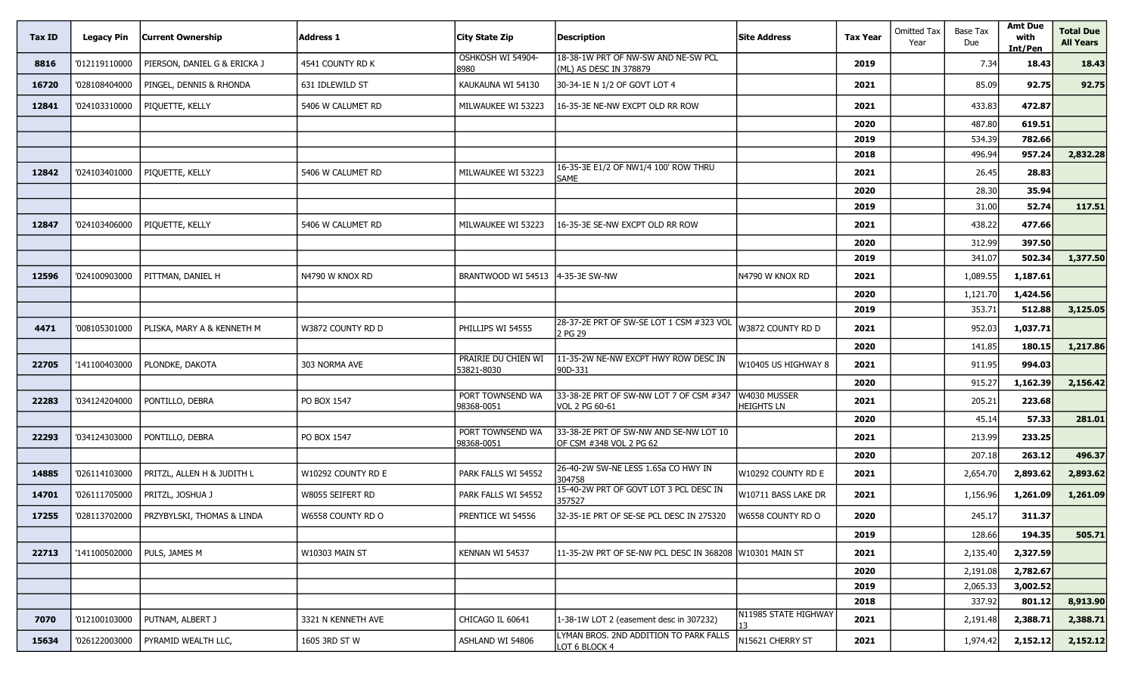| Tax ID | <b>Legacy Pin</b> | <b>Current Ownership</b>     | <b>Address 1</b>      | <b>City State Zip</b>             | <b>Description</b>                                                | <b>Site Address</b>               | <b>Tax Year</b> | <b>Omitted Tax</b><br>Year | <b>Base Tax</b><br>Due | <b>Amt Due</b><br>with<br>Int/Pen | <b>Total Due</b><br><b>All Years</b> |
|--------|-------------------|------------------------------|-----------------------|-----------------------------------|-------------------------------------------------------------------|-----------------------------------|-----------------|----------------------------|------------------------|-----------------------------------|--------------------------------------|
| 8816   | '012119110000     | PIERSON, DANIEL G & ERICKA J | 4541 COUNTY RD K      | OSHKOSH WI 54904-<br>8980         | 18-38-1W PRT OF NW-SW AND NE-SW PCL<br>(ML) AS DESC IN 378879     |                                   | 2019            |                            | 7.34                   | 18.43                             | 18.43                                |
| 16720  | '028108404000     | PINGEL, DENNIS & RHONDA      | 631 IDLEWILD ST       | KAUKAUNA WI 54130                 | 30-34-1E N 1/2 OF GOVT LOT 4                                      |                                   | 2021            |                            | 85.09                  | 92.75                             | 92.75                                |
| 12841  | '024103310000     | PIQUETTE, KELLY              | 5406 W CALUMET RD     | MILWAUKEE WI 53223                | 16-35-3E NE-NW EXCPT OLD RR ROW                                   |                                   | 2021            |                            | 433.83                 | 472.87                            |                                      |
|        |                   |                              |                       |                                   |                                                                   |                                   | 2020            |                            | 487.80                 | 619.51                            |                                      |
|        |                   |                              |                       |                                   |                                                                   |                                   | 2019            |                            | 534.39                 | 782.66                            |                                      |
|        |                   |                              |                       |                                   |                                                                   |                                   | 2018            |                            | 496.94                 | 957.24                            | 2,832.28                             |
| 12842  | '024103401000     | PIQUETTE, KELLY              | 5406 W CALUMET RD     | MILWAUKEE WI 53223                | 16-35-3E E1/2 OF NW1/4 100' ROW THRU<br><b>SAME</b>               |                                   | 2021            |                            | 26.45                  | 28.83                             |                                      |
|        |                   |                              |                       |                                   |                                                                   |                                   | 2020            |                            | 28.30                  | 35.94                             |                                      |
|        |                   |                              |                       |                                   |                                                                   |                                   | 2019            |                            | 31.00                  | 52.74                             | 117.51                               |
| 12847  | '024103406000     | PIQUETTE, KELLY              | 5406 W CALUMET RD     | MILWAUKEE WI 53223                | 16-35-3E SE-NW EXCPT OLD RR ROW                                   |                                   | 2021            |                            | 438.22                 | 477.66                            |                                      |
|        |                   |                              |                       |                                   |                                                                   |                                   | 2020            |                            | 312.99                 | 397.50                            |                                      |
|        |                   |                              |                       |                                   |                                                                   |                                   | 2019            |                            | 341.07                 | 502.34                            | 1,377.50                             |
| 12596  | '024100903000     | PITTMAN, DANIEL H            | N4790 W KNOX RD       | BRANTWOOD WI 54513                | 4-35-3E SW-NW                                                     | N4790 W KNOX RD                   | 2021            |                            | 1,089.55               | 1,187.61                          |                                      |
|        |                   |                              |                       |                                   |                                                                   |                                   | 2020            |                            | 1,121.70               | 1,424.56                          |                                      |
|        |                   |                              |                       |                                   |                                                                   |                                   | 2019            |                            | 353.71                 | 512.88                            | 3,125.05                             |
| 4471   | '008105301000     | PLISKA, MARY A & KENNETH M   | W3872 COUNTY RD D     | PHILLIPS WI 54555                 | 28-37-2E PRT OF SW-SE LOT 1 CSM #323 VOL<br>2 PG 29               | W3872 COUNTY RD D                 | 2021            |                            | 952.03                 | 1,037.71                          |                                      |
|        |                   |                              |                       |                                   |                                                                   |                                   | 2020            |                            | 141.85                 | 180.15                            | 1,217.86                             |
| 22705  | '141100403000     | PLONDKE, DAKOTA              | 303 NORMA AVE         | PRAIRIE DU CHIEN WI<br>53821-8030 | 11-35-2W NE-NW EXCPT HWY ROW DESC IN<br>90D-331                   | W10405 US HIGHWAY 8               | 2021            |                            | 911.95                 | 994.03                            |                                      |
|        |                   |                              |                       |                                   |                                                                   |                                   | 2020            |                            | 915.27                 | 1,162.39                          | 2,156.42                             |
| 22283  | '034124204000     | PONTILLO, DEBRA              | PO BOX 1547           | PORT TOWNSEND WA<br>98368-0051    | 33-38-2E PRT OF SW-NW LOT 7 OF CSM #347<br>VOL 2 PG 60-61         | W4030 MUSSER<br><b>HEIGHTS LN</b> | 2021            |                            | 205.21                 | 223.68                            |                                      |
|        |                   |                              |                       |                                   |                                                                   |                                   | 2020            |                            | 45.14                  | 57.33                             | 281.01                               |
| 22293  | '034124303000     | PONTILLO, DEBRA              | PO BOX 1547           | PORT TOWNSEND WA<br>98368-0051    | 33-38-2E PRT OF SW-NW AND SE-NW LOT 10<br>OF CSM #348 VOL 2 PG 62 |                                   | 2021            |                            | 213.99                 | 233.25                            |                                      |
|        |                   |                              |                       |                                   |                                                                   |                                   | 2020            |                            | 207.18                 | 263.12                            | 496.37                               |
| 14885  | '026114103000     | PRITZL, ALLEN H & JUDITH L   | W10292 COUNTY RD E    | PARK FALLS WI 54552               | 26-40-2W SW-NE LESS 1.65a CO HWY IN<br>304758                     | W10292 COUNTY RD E                | 2021            |                            | 2,654.70               | 2,893.62                          | 2,893.62                             |
| 14701  | '026111705000     | PRITZL, JOSHUA J             | W8055 SEIFERT RD      | PARK FALLS WI 54552               | 15-40-2W PRT OF GOVT LOT 3 PCL DESC IN<br>357527                  | W10711 BASS LAKE DR               | 2021            |                            | 1,156.96               | 1,261.09                          | 1,261.09                             |
| 17255  | '028113702000     | PRZYBYLSKI, THOMAS & LINDA   | W6558 COUNTY RD O     | PRENTICE WI 54556                 | 32-35-1E PRT OF SE-SE PCL DESC IN 275320                          | W6558 COUNTY RD O                 | 2020            |                            | 245.17                 | 311.37                            |                                      |
|        |                   |                              |                       |                                   |                                                                   |                                   | 2019            |                            | 128.66                 | 194.35                            | 505.71                               |
| 22713  | '141100502000     | PULS, JAMES M                | <b>W10303 MAIN ST</b> | KENNAN WI 54537                   | 11-35-2W PRT OF SE-NW PCL DESC IN 368208                          | W10301 MAIN ST                    | 2021            |                            | 2,135.40               | 2,327.59                          |                                      |
|        |                   |                              |                       |                                   |                                                                   |                                   | 2020            |                            | 2,191.08               | 2,782.67                          |                                      |
|        |                   |                              |                       |                                   |                                                                   |                                   | 2019            |                            | 2,065.33               | 3,002.52                          |                                      |
|        |                   |                              |                       |                                   |                                                                   |                                   | 2018            |                            | 337.92                 | 801.12                            | 8,913.90                             |
| 7070   | '012100103000     | PUTNAM, ALBERT J             | 3321 N KENNETH AVE    | CHICAGO IL 60641                  | 1-38-1W LOT 2 (easement desc in 307232)                           | N11985 STATE HIGHWAY              | 2021            |                            | 2,191.48               | 2,388.71                          | 2,388.71                             |
| 15634  | '026122003000     | PYRAMID WEALTH LLC,          | 1605 3RD ST W         | ASHLAND WI 54806                  | LYMAN BROS. 2ND ADDITION TO PARK FALLS<br>LOT 6 BLOCK 4           | N15621 CHERRY ST                  | 2021            |                            | 1,974.42               | 2,152.12                          | 2,152.12                             |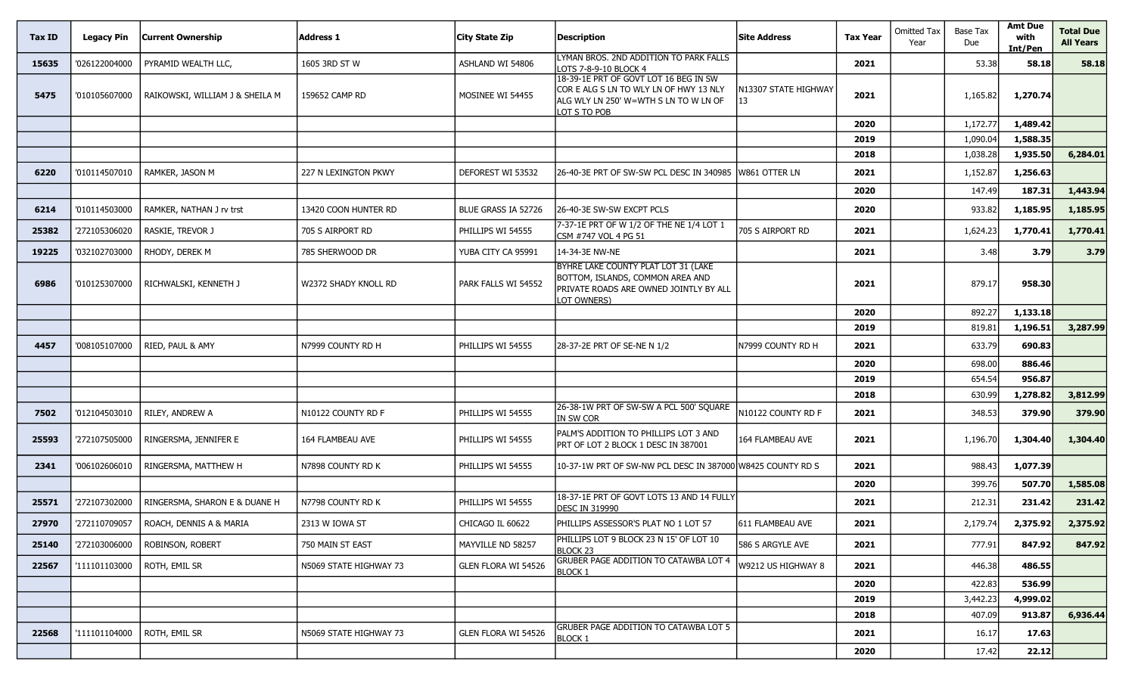| Tax ID | <b>Legacy Pin</b> | <b>Current Ownership</b>        | <b>Address 1</b>       | City State Zip      | <b>Description</b>                                                                                                                       | <b>Site Address</b>        | <b>Tax Year</b> | <b>Omitted Tax</b><br>Year | <b>Base Tax</b><br>Due | <b>Amt Due</b><br>with<br>Int/Pen | <b>Total Due</b><br><b>All Years</b> |
|--------|-------------------|---------------------------------|------------------------|---------------------|------------------------------------------------------------------------------------------------------------------------------------------|----------------------------|-----------------|----------------------------|------------------------|-----------------------------------|--------------------------------------|
| 15635  | '026122004000     | PYRAMID WEALTH LLC,             | 1605 3RD ST W          | ASHLAND WI 54806    | LYMAN BROS. 2ND ADDITION TO PARK FALLS<br>LOTS 7-8-9-10 BLOCK 4                                                                          |                            | 2021            |                            | 53.38                  | 58.18                             | 58.18                                |
| 5475   | '010105607000     | RAIKOWSKI, WILLIAM J & SHEILA M | 159652 CAMP RD         | MOSINEE WI 54455    | 18-39-1E PRT OF GOVT LOT 16 BEG IN SW<br>COR E ALG S LN TO WLY LN OF HWY 13 NLY<br>ALG WLY LN 250' W=WTH S LN TO W LN OF<br>LOT S TO POB | N13307 STATE HIGHWAY<br>13 | 2021            |                            | 1,165.82               | 1,270.74                          |                                      |
|        |                   |                                 |                        |                     |                                                                                                                                          |                            | 2020            |                            | 1,172.77               | 1,489.42                          |                                      |
|        |                   |                                 |                        |                     |                                                                                                                                          |                            | 2019            |                            | 1,090.04               | 1,588.35                          |                                      |
|        |                   |                                 |                        |                     |                                                                                                                                          |                            | 2018            |                            | 1,038.28               | 1,935.50                          | 6,284.01                             |
| 6220   | '010114507010     | RAMKER, JASON M                 | 227 N LEXINGTON PKWY   | DEFOREST WI 53532   | 26-40-3E PRT OF SW-SW PCL DESC IN 340985                                                                                                 | W861 OTTER LN              | 2021            |                            | 1,152.87               | 1,256.63                          |                                      |
|        |                   |                                 |                        |                     |                                                                                                                                          |                            | 2020            |                            | 147.49                 | 187.31                            | 1,443.94                             |
| 6214   | '010114503000     | RAMKER, NATHAN J rv trst        | 13420 COON HUNTER RD   | BLUE GRASS IA 52726 | 26-40-3E SW-SW EXCPT PCLS                                                                                                                |                            | 2020            |                            | 933.82                 | 1,185.95                          | 1,185.95                             |
| 25382  | '272105306020     | RASKIE, TREVOR J                | 705 S AIRPORT RD       | PHILLIPS WI 54555   | 7-37-1E PRT OF W 1/2 OF THE NE 1/4 LOT 1<br>CSM #747 VOL 4 PG 51                                                                         | 705 S AIRPORT RD           | 2021            |                            | 1,624.23               | 1,770.41                          | 1,770.41                             |
| 19225  | '032102703000     | RHODY, DEREK M                  | 785 SHERWOOD DR        | YUBA CITY CA 95991  | 14-34-3E NW-NE                                                                                                                           |                            | 2021            |                            | 3.48                   | 3.79                              | 3.79                                 |
| 6986   | '010125307000     | RICHWALSKI, KENNETH J           | W2372 SHADY KNOLL RD   | PARK FALLS WI 54552 | BYHRE LAKE COUNTY PLAT LOT 31 (LAKE<br>BOTTOM, ISLANDS, COMMON AREA AND<br>PRIVATE ROADS ARE OWNED JOINTLY BY ALL<br>LOT OWNERS)         |                            | 2021            |                            | 879.17                 | 958.30                            |                                      |
|        |                   |                                 |                        |                     |                                                                                                                                          |                            | 2020            |                            | 892.27                 | 1,133.18                          |                                      |
|        |                   |                                 |                        |                     |                                                                                                                                          |                            | 2019            |                            | 819.81                 | 1,196.51                          | 3,287.99                             |
| 4457   | '008105107000     | RIED, PAUL & AMY                | N7999 COUNTY RD H      | PHILLIPS WI 54555   | 28-37-2E PRT OF SE-NE N 1/2                                                                                                              | N7999 COUNTY RD H          | 2021            |                            | 633.79                 | 690.83                            |                                      |
|        |                   |                                 |                        |                     |                                                                                                                                          |                            | 2020            |                            | 698.00                 | 886.46                            |                                      |
|        |                   |                                 |                        |                     |                                                                                                                                          |                            | 2019            |                            | 654.54                 | 956.87                            |                                      |
|        |                   |                                 |                        |                     |                                                                                                                                          |                            | 2018            |                            | 630.99                 | 1,278.82                          | 3,812.99                             |
| 7502   | '012104503010     | RILEY, ANDREW A                 | N10122 COUNTY RD F     | PHILLIPS WI 54555   | 26-38-1W PRT OF SW-SW A PCL 500' SQUARE<br>IN SW COR                                                                                     | N10122 COUNTY RD F         | 2021            |                            | 348.53                 | 379.90                            | 379.90                               |
| 25593  | '272107505000     | RINGERSMA, JENNIFER E           | 164 FLAMBEAU AVE       | PHILLIPS WI 54555   | PALM'S ADDITION TO PHILLIPS LOT 3 AND<br>PRT OF LOT 2 BLOCK 1 DESC IN 387001                                                             | 164 FLAMBEAU AVE           | 2021            |                            | 1,196.70               | 1,304.40                          | 1,304.40                             |
| 2341   | '006102606010     | RINGERSMA, MATTHEW H            | N7898 COUNTY RD K      | PHILLIPS WI 54555   | 10-37-1W PRT OF SW-NW PCL DESC IN 387000 W8425 COUNTY RD S                                                                               |                            | 2021            |                            | 988.43                 | 1,077.39                          |                                      |
|        |                   |                                 |                        |                     |                                                                                                                                          |                            | 2020            |                            | 399.76                 | 507.70                            | 1,585.08                             |
| 25571  | '272107302000     | RINGERSMA, SHARON E & DUANE H   | N7798 COUNTY RD K      | PHILLIPS WI 54555   | 18-37-1E PRT OF GOVT LOTS 13 AND 14 FULLY<br><b>DESC IN 319990</b>                                                                       |                            | 2021            |                            | 212.31                 | 231.42                            | 231.42                               |
| 27970  | '272110709057     | ROACH, DENNIS A & MARIA         | 2313 W IOWA ST         | CHICAGO IL 60622    | PHILLIPS ASSESSOR'S PLAT NO 1 LOT 57                                                                                                     | 611 FLAMBEAU AVE           | 2021            |                            | 2,179.74               | 2,375.92                          | 2,375.92                             |
| 25140  | '272103006000     | ROBINSON, ROBERT                | 750 MAIN ST EAST       | MAYVILLE ND 58257   | PHILLIPS LOT 9 BLOCK 23 N 15' OF LOT 10<br>BLOCK 23                                                                                      | 586 S ARGYLE AVE           | 2021            |                            | 777.91                 | 847.92                            | 847.92                               |
| 22567  | '111101103000     | ROTH, EMIL SR                   | N5069 STATE HIGHWAY 73 | GLEN FLORA WI 54526 | GRUBER PAGE ADDITION TO CATAWBA LOT 4<br><b>BLOCK 1</b>                                                                                  | W9212 US HIGHWAY 8         | 2021            |                            | 446.38                 | 486.55                            |                                      |
|        |                   |                                 |                        |                     |                                                                                                                                          |                            | 2020            |                            | 422.83                 | 536.99                            |                                      |
|        |                   |                                 |                        |                     |                                                                                                                                          |                            | 2019            |                            | 3,442.23               | 4,999.02                          |                                      |
|        |                   |                                 |                        |                     | GRUBER PAGE ADDITION TO CATAWBA LOT 5                                                                                                    |                            | 2018            |                            | 407.09                 | 913.87                            | 6,936.44                             |
| 22568  | '111101104000     | ROTH, EMIL SR                   | N5069 STATE HIGHWAY 73 | GLEN FLORA WI 54526 | BLOCK 1                                                                                                                                  |                            | 2021            |                            | 16.17                  | 17.63                             |                                      |
|        |                   |                                 |                        |                     |                                                                                                                                          |                            | 2020            |                            | 17.42                  | 22.12                             |                                      |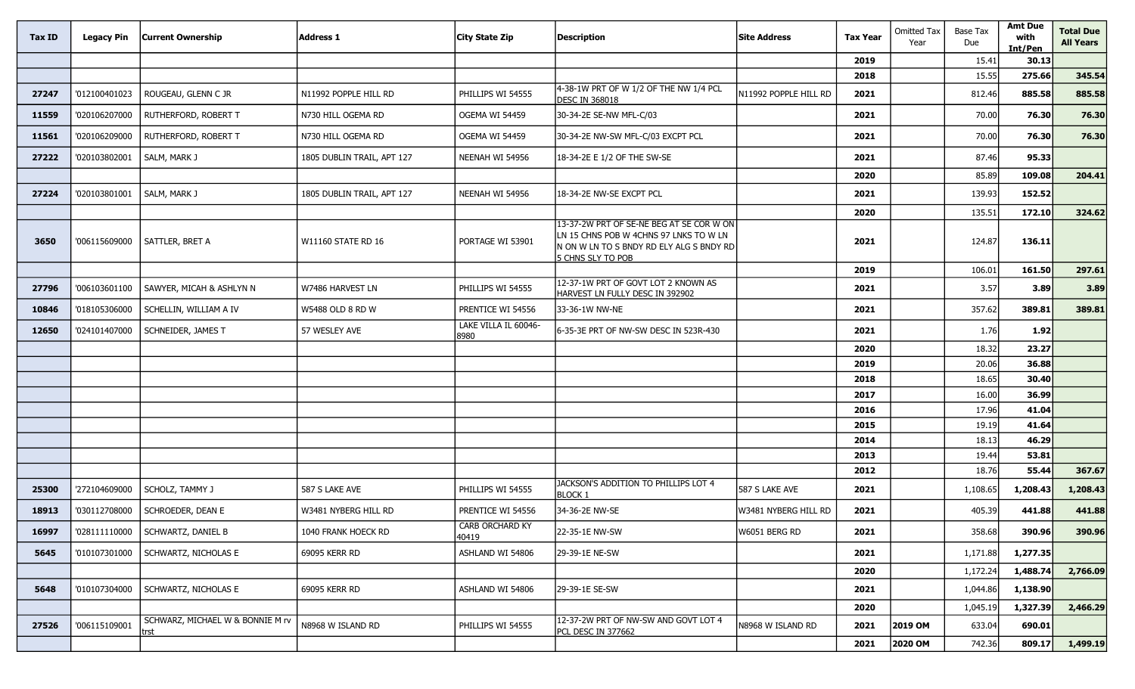| Tax ID | <b>Legacy Pin</b> | <b>Current Ownership</b>                 | Address 1                  | <b>City State Zip</b>           | <b>Description</b>                                                                                                                                   | <b>Site Address</b>   | <b>Tax Year</b> | <b>Omitted Tax</b><br>Year | Base Tax<br>Due | <b>Amt Due</b><br>with<br>Int/Pen | <b>Total Due</b><br><b>All Years</b> |
|--------|-------------------|------------------------------------------|----------------------------|---------------------------------|------------------------------------------------------------------------------------------------------------------------------------------------------|-----------------------|-----------------|----------------------------|-----------------|-----------------------------------|--------------------------------------|
|        |                   |                                          |                            |                                 |                                                                                                                                                      |                       | 2019            |                            | 15.41           | 30.13                             |                                      |
|        |                   |                                          |                            |                                 |                                                                                                                                                      |                       | 2018            |                            | 15.55           | 275.66                            | 345.54                               |
| 27247  | '012100401023     | ROUGEAU, GLENN C JR                      | N11992 POPPLE HILL RD      | PHILLIPS WI 54555               | 4-38-1W PRT OF W 1/2 OF THE NW 1/4 PCL<br><b>DESC IN 368018</b>                                                                                      | N11992 POPPLE HILL RD | 2021            |                            | 812.46          | 885.58                            | 885.58                               |
| 11559  | '020106207000     | RUTHERFORD, ROBERT T                     | N730 HILL OGEMA RD         | OGEMA WI 54459                  | 30-34-2E SE-NW MFL-C/03                                                                                                                              |                       | 2021            |                            | 70.00           | 76.30                             | 76.30                                |
| 11561  | '020106209000     | RUTHERFORD, ROBERT T                     | N730 HILL OGEMA RD         | OGEMA WI 54459                  | 30-34-2E NW-SW MFL-C/03 EXCPT PCL                                                                                                                    |                       | 2021            |                            | 70.00           | 76.30                             | 76.30                                |
| 27222  | '020103802001     | SALM, MARK J                             | 1805 DUBLIN TRAIL, APT 127 | NEENAH WI 54956                 | 18-34-2E E 1/2 OF THE SW-SE                                                                                                                          |                       | 2021            |                            | 87.46           | 95.33                             |                                      |
|        |                   |                                          |                            |                                 |                                                                                                                                                      |                       | 2020            |                            | 85.89           | 109.08                            | 204.41                               |
| 27224  | '020103801001     | SALM, MARK J                             | 1805 DUBLIN TRAIL, APT 127 | NEENAH WI 54956                 | 18-34-2E NW-SE EXCPT PCL                                                                                                                             |                       | 2021            |                            | 139.93          | 152.52                            |                                      |
|        |                   |                                          |                            |                                 |                                                                                                                                                      |                       | 2020            |                            | 135.51          | 172.10                            | 324.62                               |
| 3650   | '006115609000     | <b>SATTLER, BRET A</b>                   | W11160 STATE RD 16         | PORTAGE WI 53901                | 13-37-2W PRT OF SE-NE BEG AT SE COR W ON<br>LN 15 CHNS POB W 4CHNS 97 LNKS TO W LN<br>IN ON W LN TO S BNDY RD ELY ALG S BNDY RD<br>5 CHNS SLY TO POB |                       | 2021            |                            | 124.87          | 136.11                            |                                      |
|        |                   |                                          |                            |                                 |                                                                                                                                                      |                       | 2019            |                            | 106.01          | 161.50                            | 297.61                               |
| 27796  | '006103601100     | SAWYER, MICAH & ASHLYN N                 | W7486 HARVEST LN           | PHILLIPS WI 54555               | 12-37-1W PRT OF GOVT LOT 2 KNOWN AS<br>HARVEST LN FULLY DESC IN 392902                                                                               |                       | 2021            |                            | 3.57            | 3.89                              | 3.89                                 |
| 10846  | '018105306000     | SCHELLIN, WILLIAM A IV                   | W5488 OLD 8 RD W           | PRENTICE WI 54556               | 33-36-1W NW-NE                                                                                                                                       |                       | 2021            |                            | 357.62          | 389.81                            | 389.81                               |
| 12650  | '024101407000     | SCHNEIDER, JAMES T                       | 57 WESLEY AVE              | LAKE VILLA IL 60046-<br>8980    | 6-35-3E PRT OF NW-SW DESC IN 523R-430                                                                                                                |                       | 2021            |                            | 1.76            | 1.92                              |                                      |
|        |                   |                                          |                            |                                 |                                                                                                                                                      |                       | 2020            |                            | 18.32           | 23.27                             |                                      |
|        |                   |                                          |                            |                                 |                                                                                                                                                      |                       | 2019            |                            | 20.06           | 36.88                             |                                      |
|        |                   |                                          |                            |                                 |                                                                                                                                                      |                       | 2018            |                            | 18.65           | 30.40                             |                                      |
|        |                   |                                          |                            |                                 |                                                                                                                                                      |                       | 2017            |                            | 16.00           | 36.99                             |                                      |
|        |                   |                                          |                            |                                 |                                                                                                                                                      |                       | 2016            |                            | 17.96           | 41.04                             |                                      |
|        |                   |                                          |                            |                                 |                                                                                                                                                      |                       | 2015            |                            | 19.19           | 41.64                             |                                      |
|        |                   |                                          |                            |                                 |                                                                                                                                                      |                       | 2014            |                            | 18.13           | 46.29                             |                                      |
|        |                   |                                          |                            |                                 |                                                                                                                                                      |                       | 2013            |                            | 19.44           | 53.81                             |                                      |
|        |                   |                                          |                            |                                 | JACKSON'S ADDITION TO PHILLIPS LOT 4                                                                                                                 |                       | 2012            |                            | 18.76           | 55.44                             | 367.67                               |
| 25300  | '272104609000     | SCHOLZ, TAMMY J                          | 587 S LAKE AVE             | PHILLIPS WI 54555               | <b>BLOCK 1</b>                                                                                                                                       | 587 S LAKE AVE        | 2021            |                            | 1,108.65        | 1,208.43                          | 1,208.43                             |
| 18913  | '030112708000     | SCHROEDER, DEAN E                        | W3481 NYBERG HILL RD       | PRENTICE WI 54556               | 34-36-2E NW-SE                                                                                                                                       | W3481 NYBERG HILL RD  | 2021            |                            | 405.39          | 441.88                            | 441.88                               |
| 16997  |                   | '028111110000   SCHWARTZ, DANIEL B       | 1040 FRANK HOECK RD        | <b>CARB ORCHARD KY</b><br>40419 | 22-35-1E NW-SW                                                                                                                                       | W6051 BERG RD         | 2021            |                            | 358.68          | 390.96                            | 390.96                               |
| 5645   | '010107301000     | SCHWARTZ, NICHOLAS E                     | 69095 KERR RD              | ASHLAND WI 54806                | 29-39-1E NE-SW                                                                                                                                       |                       | 2021            |                            | 1,171.88        | 1,277.35                          |                                      |
|        |                   |                                          |                            |                                 |                                                                                                                                                      |                       | 2020            |                            | 1,172.24        | 1,488.74                          | 2,766.09                             |
| 5648   | '010107304000     | SCHWARTZ, NICHOLAS E                     | 69095 KERR RD              | ASHLAND WI 54806                | 29-39-1E SE-SW                                                                                                                                       |                       | 2021            |                            | 1,044.86        | 1,138.90                          |                                      |
|        |                   |                                          |                            |                                 |                                                                                                                                                      |                       | 2020            |                            | 1,045.19        | 1,327.39                          | 2,466.29                             |
| 27526  | '006115109001     | SCHWARZ, MICHAEL W & BONNIE M rv<br>trst | N8968 W ISLAND RD          | PHILLIPS WI 54555               | 12-37-2W PRT OF NW-SW AND GOVT LOT 4<br>PCL DESC IN 377662                                                                                           | N8968 W ISLAND RD     | 2021            | 2019 OM                    | 633.04          | 690.01                            |                                      |
|        |                   |                                          |                            |                                 |                                                                                                                                                      |                       | 2021            | 2020 OM                    | 742.36          | 809.17                            | 1,499.19                             |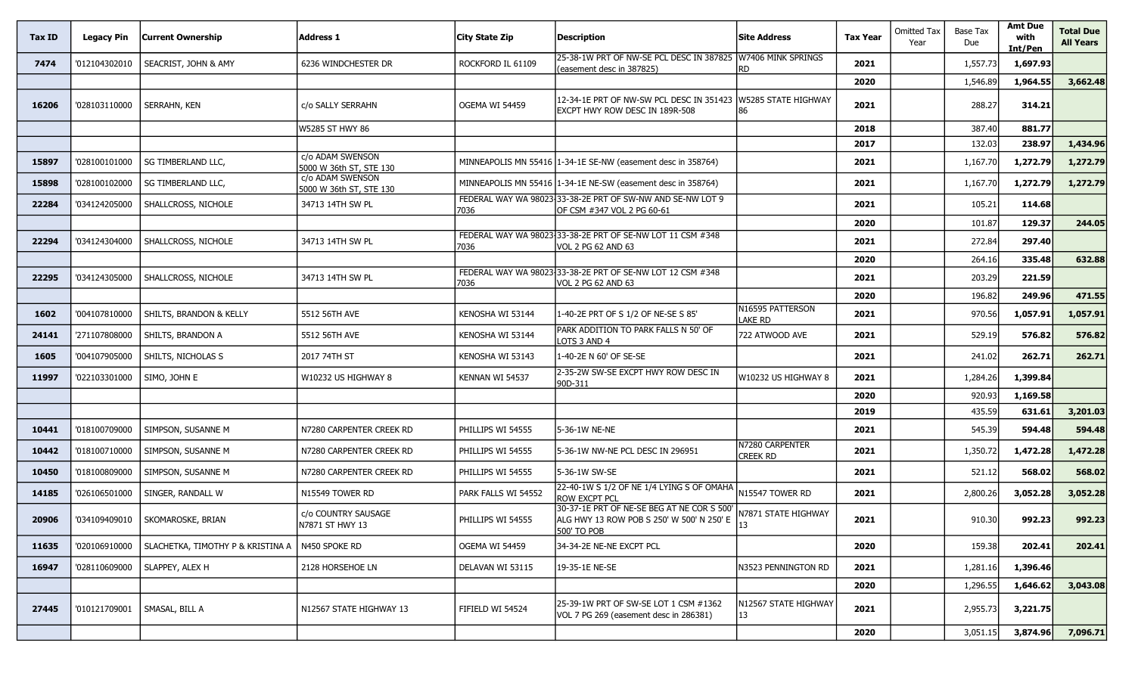| Tax ID | <b>Legacy Pin</b> | <b>Current Ownership</b>          | <b>Address 1</b>                            | City State Zip      | <b>Description</b>                                                                                     | <b>Site Address</b>                | <b>Tax Year</b> | <b>Omitted Tax</b><br>Year | Base Tax<br>Due | <b>Amt Due</b><br>with<br>Int/Pen | <b>Total Due</b><br><b>All Years</b> |
|--------|-------------------|-----------------------------------|---------------------------------------------|---------------------|--------------------------------------------------------------------------------------------------------|------------------------------------|-----------------|----------------------------|-----------------|-----------------------------------|--------------------------------------|
| 7474   | '012104302010     | SEACRIST, JOHN & AMY              | 6236 WINDCHESTER DR                         | ROCKFORD IL 61109   | 25-38-1W PRT OF NW-SE PCL DESC IN 387825<br>(easement desc in 387825)                                  | W7406 MINK SPRINGS<br>RD.          | 2021            |                            | 1,557.73        | 1,697.93                          |                                      |
|        |                   |                                   |                                             |                     |                                                                                                        |                                    | 2020            |                            | 1,546.89        | 1,964.55                          | 3,662.48                             |
| 16206  | '028103110000     | SERRAHN, KEN                      | c/o SALLY SERRAHN                           | OGEMA WI 54459      | 12-34-1E PRT OF NW-SW PCL DESC IN 351423<br>EXCPT HWY ROW DESC IN 189R-508                             | W5285 STATE HIGHWAY<br>86          | 2021            |                            | 288.27          | 314.21                            |                                      |
|        |                   |                                   | W5285 ST HWY 86                             |                     |                                                                                                        |                                    | 2018            |                            | 387.40          | 881.77                            |                                      |
|        |                   |                                   |                                             |                     |                                                                                                        |                                    | 2017            |                            | 132.03          | 238.97                            | 1,434.96                             |
| 15897  | '028100101000     | <b>SG TIMBERLAND LLC.</b>         | c/o ADAM SWENSON<br>5000 W 36th ST, STE 130 |                     | MINNEAPOLIS MN 55416 1-34-1E SE-NW (easement desc in 358764)                                           |                                    | 2021            |                            | 1,167.70        | 1,272.79                          | 1,272.79                             |
| 15898  | '028100102000     | SG TIMBERLAND LLC,                | c/o ADAM SWENSON<br>5000 W 36th ST, STE 130 |                     | MINNEAPOLIS MN 55416 1-34-1E NE-SW (easement desc in 358764)                                           |                                    | 2021            |                            | 1,167.70        | 1,272.79                          | 1,272.79                             |
| 22284  | '034124205000     | SHALLCROSS, NICHOLE               | 34713 14TH SW PL                            | 7036                | FEDERAL WAY WA 98023 33-38-2E PRT OF SW-NW AND SE-NW LOT 9<br>OF CSM #347 VOL 2 PG 60-61               |                                    | 2021            |                            | 105.21          | 114.68                            |                                      |
|        |                   |                                   |                                             |                     |                                                                                                        |                                    | 2020            |                            | 101.87          | 129.37                            | 244.05                               |
| 22294  | '034124304000     | SHALLCROSS, NICHOLE               | 34713 14TH SW PL                            | 7036                | FEDERAL WAY WA 98023 33-38-2E PRT OF SE-NW LOT 11 CSM #348<br>VOL 2 PG 62 AND 63                       |                                    | 2021            |                            | 272.84          | 297.40                            |                                      |
|        |                   |                                   |                                             |                     |                                                                                                        |                                    | 2020            |                            | 264.16          | 335.48                            | 632.88                               |
| 22295  | '034124305000     | SHALLCROSS, NICHOLE               | 34713 14TH SW PL                            | 7036                | FEDERAL WAY WA 98023 33-38-2E PRT OF SE-NW LOT 12 CSM #348<br>VOL 2 PG 62 AND 63                       |                                    | 2021            |                            | 203.29          | 221.59                            |                                      |
|        |                   |                                   |                                             |                     |                                                                                                        |                                    | 2020            |                            | 196.82          | 249.96                            | 471.55                               |
| 1602   | '004107810000     | SHILTS, BRANDON & KELLY           | 5512 56TH AVE                               | KENOSHA WI 53144    | 1-40-2E PRT OF S 1/2 OF NE-SE S 85'                                                                    | N16595 PATTERSON<br><b>LAKE RD</b> | 2021            |                            | 970.56          | 1,057.91                          | 1,057.91                             |
| 24141  | '271107808000     | SHILTS, BRANDON A                 | 5512 56TH AVE                               | KENOSHA WI 53144    | PARK ADDITION TO PARK FALLS N 50' OF<br>LOTS 3 AND 4                                                   | 722 ATWOOD AVE                     | 2021            |                            | 529.19          | 576.82                            | 576.82                               |
| 1605   | '004107905000     | SHILTS, NICHOLAS S                | 2017 74TH ST                                | KENOSHA WI 53143    | 1-40-2E N 60' OF SE-SE                                                                                 |                                    | 2021            |                            | 241.02          | 262.71                            | 262.71                               |
| 11997  | '022103301000     | SIMO, JOHN E                      | W10232 US HIGHWAY 8                         | KENNAN WI 54537     | 2-35-2W SW-SE EXCPT HWY ROW DESC IN<br>90D-311                                                         | W10232 US HIGHWAY 8                | 2021            |                            | 1,284.26        | 1,399.84                          |                                      |
|        |                   |                                   |                                             |                     |                                                                                                        |                                    | 2020            |                            | 920.93          | 1,169.58                          |                                      |
|        |                   |                                   |                                             |                     |                                                                                                        |                                    | 2019            |                            | 435.59          | 631.61                            | 3,201.03                             |
| 10441  | '018100709000     | SIMPSON, SUSANNE M                | N7280 CARPENTER CREEK RD                    | PHILLIPS WI 54555   | 5-36-1W NE-NE                                                                                          |                                    | 2021            |                            | 545.39          | 594.48                            | 594.48                               |
| 10442  | '018100710000     | SIMPSON, SUSANNE M                | N7280 CARPENTER CREEK RD                    | PHILLIPS WI 54555   | 5-36-1W NW-NE PCL DESC IN 296951                                                                       | N7280 CARPENTER<br>Creek RD        | 2021            |                            | 1,350.72        | 1,472.28                          | 1,472.28                             |
| 10450  | '018100809000     | SIMPSON, SUSANNE M                | N7280 CARPENTER CREEK RD                    | PHILLIPS WI 54555   | 5-36-1W SW-SE                                                                                          |                                    | 2021            |                            | 521.12          | 568.02                            | 568.02                               |
| 14185  | '026106501000     | SINGER, RANDALL W                 | N15549 TOWER RD                             | PARK FALLS WI 54552 | $\sqrt{22-40-1W}$ S 1/2 OF NE 1/4 LYING S OF OMAHA $_{\big  N15547}$ TOWER RD<br><b>ROW EXCPT PCL</b>  |                                    | 2021            |                            | 2,800.26        | 3,052.28                          | 3,052.28                             |
| 20906  | '034109409010     | SKOMAROSKE, BRIAN                 | c/o COUNTRY SAUSAGE<br>N7871 ST HWY 13      | PHILLIPS WI 54555   | 30-37-1E PRT OF NE-SE BEG AT NE COR S 500'<br>ALG HWY 13 ROW POB S 250' W 500' N 250' E<br>500' TO POB | N7871 STATE HIGHWAY                | 2021            |                            | 910.30          | 992.23                            | 992.23                               |
| 11635  | '020106910000     | SLACHETKA, TIMOTHY P & KRISTINA A | N450 SPOKE RD                               | OGEMA WI 54459      | 34-34-2E NE-NE EXCPT PCL                                                                               |                                    | 2020            |                            | 159.38          | 202.41                            | 202.41                               |
| 16947  | '028110609000     | SLAPPEY, ALEX H                   | 2128 HORSEHOE LN                            | DELAVAN WI 53115    | 19-35-1E NE-SE                                                                                         | N3523 PENNINGTON RD                | 2021            |                            | 1,281.16        | 1,396.46                          |                                      |
|        |                   |                                   |                                             |                     |                                                                                                        |                                    | 2020            |                            | 1,296.55        | 1,646.62                          | 3,043.08                             |
| 27445  | '010121709001     | SMASAL, BILL A                    | N12567 STATE HIGHWAY 13                     | FIFIELD WI 54524    | 25-39-1W PRT OF SW-SE LOT 1 CSM #1362<br>VOL 7 PG 269 (easement desc in 286381)                        | N12567 STATE HIGHWAY<br>13         | 2021            |                            | 2,955.73        | 3,221.75                          |                                      |
|        |                   |                                   |                                             |                     |                                                                                                        |                                    | 2020            |                            | 3,051.15        | 3,874.96                          | 7,096.71                             |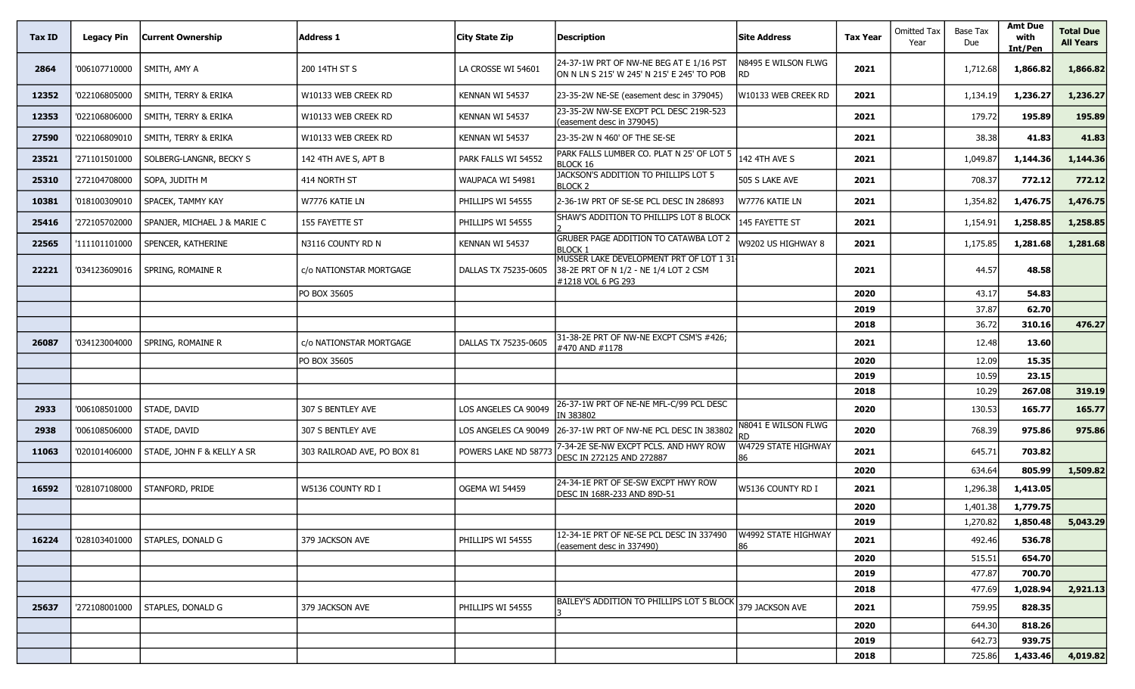| Tax ID | <b>Legacy Pin</b> | <b>Current Ownership</b>        | Address 1                   | <b>City State Zip</b> | <b>Description</b>                                                                                     | <b>Site Address</b>        | <b>Tax Year</b> | Omitted Tax<br>Year | Base Tax<br>Due  | <b>Amt Due</b><br>with<br>Int/Pen | Total Due<br><b>All Years</b> |
|--------|-------------------|---------------------------------|-----------------------------|-----------------------|--------------------------------------------------------------------------------------------------------|----------------------------|-----------------|---------------------|------------------|-----------------------------------|-------------------------------|
| 2864   | '006107710000     | SMITH, AMY A                    | 200 14TH ST S               | LA CROSSE WI 54601    | 24-37-1W PRT OF NW-NE BEG AT E 1/16 PST<br>ON N LN S 215' W 245' N 215' E 245' TO POB                  | N8495 E WILSON FLWG<br>RD. | 2021            |                     | 1,712.68         | 1,866.82                          | 1,866.82                      |
| 12352  | '022106805000     | SMITH, TERRY & ERIKA            | W10133 WEB CREEK RD         | KENNAN WI 54537       | 23-35-2W NE-SE (easement desc in 379045)                                                               | W10133 WEB CREEK RD        | 2021            |                     | 1,134.19         | 1,236.27                          | 1,236.27                      |
| 12353  | '022106806000     | SMITH, TERRY & ERIKA            | W10133 WEB CREEK RD         | KENNAN WI 54537       | 23-35-2W NW-SE EXCPT PCL DESC 219R-523<br>(easement desc in 379045)                                    |                            | 2021            |                     | 179.72           | 195.89                            | 195.89                        |
| 27590  | '022106809010     | <b>SMITH, TERRY &amp; ERIKA</b> | W10133 WEB CREEK RD         | KENNAN WI 54537       | 23-35-2W N 460' OF THE SE-SE                                                                           |                            | 2021            |                     | 38.38            | 41.83                             | 41.83                         |
| 23521  | '271101501000     | SOLBERG-LANGNR, BECKY S         | 142 4TH AVE S, APT B        | PARK FALLS WI 54552   | PARK FALLS LUMBER CO. PLAT N 25' OF LOT 5<br><b>BLOCK 16</b>                                           | 142 4TH AVE S              | 2021            |                     | 1,049.87         | 1,144.36                          | 1,144.36                      |
| 25310  | '272104708000     | SOPA, JUDITH M                  | 414 NORTH ST                | WAUPACA WI 54981      | JACKSON'S ADDITION TO PHILLIPS LOT 5<br><b>BLOCK 2</b>                                                 | 505 S LAKE AVE             | 2021            |                     | 708.37           | 772.12                            | 772.12                        |
| 10381  | '018100309010     | SPACEK, TAMMY KAY               | W7776 KATIE LN              | PHILLIPS WI 54555     | 2-36-1W PRT OF SE-SE PCL DESC IN 286893                                                                | W7776 KATIE LN             | 2021            |                     | 1,354.82         | 1,476.75                          | 1,476.75                      |
| 25416  | '272105702000     | SPANJER, MICHAEL J & MARIE C    | 155 FAYETTE ST              | PHILLIPS WI 54555     | SHAW'S ADDITION TO PHILLIPS LOT 8 BLOCK                                                                | 145 FAYETTE ST             | 2021            |                     | 1,154.91         | 1,258.85                          | 1,258.85                      |
| 22565  | '111101101000     | SPENCER, KATHERINE              | N3116 COUNTY RD N           | KENNAN WI 54537       | <b>GRUBER PAGE ADDITION TO CATAWBA LOT 2</b><br><b>BLOCK 1</b>                                         | W9202 US HIGHWAY 8         | 2021            |                     | 1,175.85         | 1,281.68                          | 1,281.68                      |
| 22221  | '034123609016     | SPRING, ROMAINE R               | c/o NATIONSTAR MORTGAGE     | DALLAS TX 75235-0605  | MUSSER LAKE DEVELOPMENT PRT OF LOT 1 31<br>38-2E PRT OF N 1/2 - NE 1/4 LOT 2 CSM<br>#1218 VOL 6 PG 293 |                            | 2021            |                     | 44.57            | 48.58                             |                               |
|        |                   |                                 | PO BOX 35605                |                       |                                                                                                        |                            | 2020            |                     | 43.17            | 54.83                             |                               |
|        |                   |                                 |                             |                       |                                                                                                        |                            | 2019            |                     | 37.87            | 62.70                             |                               |
|        |                   |                                 |                             |                       | 31-38-2E PRT OF NW-NE EXCPT CSM'S #426;                                                                |                            | 2018            |                     | 36.72            | 310.16                            | 476.27                        |
| 26087  | '034123004000     | SPRING, ROMAINE R               | c/o NATIONSTAR MORTGAGE     | DALLAS TX 75235-0605  | #470 AND #1178                                                                                         |                            | 2021            |                     | 12.48            | 13.60                             |                               |
|        |                   |                                 | PO BOX 35605                |                       |                                                                                                        |                            | 2020            |                     | 12.09            | 15.35                             |                               |
|        |                   |                                 |                             |                       |                                                                                                        |                            | 2019            |                     | 10.59            | 23.15                             |                               |
| 2933   | '006108501000     | STADE, DAVID                    | 307 S BENTLEY AVE           | LOS ANGELES CA 90049  | 26-37-1W PRT OF NE-NE MFL-C/99 PCL DESC                                                                |                            | 2018<br>2020    |                     | 10.29<br>130.53  | 267.08<br>165.77                  | 319.19<br>165.77              |
|        |                   |                                 |                             |                       | IN 383802                                                                                              | <b>N8041 E WILSON FLWG</b> |                 |                     |                  |                                   |                               |
| 2938   | '006108506000     | STADE, DAVID                    | 307 S BENTLEY AVE           | LOS ANGELES CA 90049  | 26-37-1W PRT OF NW-NE PCL DESC IN 383802                                                               |                            | 2020            |                     | 768.39           | 975.86                            | 975.86                        |
| 11063  | '020101406000     | STADE, JOHN F & KELLY A SR      | 303 RAILROAD AVE, PO BOX 81 | POWERS LAKE ND 58773  | 7-34-2E SE-NW EXCPT PCLS. AND HWY ROW<br>DESC IN 272125 AND 272887                                     | W4729 STATE HIGHWAY<br>36  | 2021            |                     | 645.71           | 703.82                            |                               |
|        |                   |                                 |                             |                       |                                                                                                        |                            | 2020            |                     | 634.64           | 805.99                            | 1,509.82                      |
| 16592  | '028107108000     | STANFORD, PRIDE                 | W5136 COUNTY RD I           | OGEMA WI 54459        | 24-34-1E PRT OF SE-SW EXCPT HWY ROW<br>DESC IN 168R-233 AND 89D-51                                     | W5136 COUNTY RD I          | 2021            |                     | 1,296.38         | 1,413.05                          |                               |
|        |                   |                                 |                             |                       |                                                                                                        |                            | 2020            |                     | 1,401.38         | 1,779.75                          |                               |
|        |                   |                                 |                             |                       | 12-34-1E PRT OF NE-SE PCL DESC IN 337490                                                               | W4992 STATE HIGHWAY        | 2019            |                     | 1,270.82         | 1,850.48                          | 5,043.29                      |
| 16224  | '028103401000     | STAPLES, DONALD G               | 379 JACKSON AVE             | PHILLIPS WI 54555     | (easement desc in 337490)                                                                              | 86                         | 2021            |                     | 492.46           | 536.78                            |                               |
|        |                   |                                 |                             |                       |                                                                                                        |                            | 2020            |                     | 515.51           | 654.70                            |                               |
|        |                   |                                 |                             |                       |                                                                                                        |                            | 2019            |                     | 477.87           | 700.70                            |                               |
|        |                   |                                 |                             |                       | BAILEY'S ADDITION TO PHILLIPS LOT 5 BLOCK                                                              |                            | 2018            |                     | 477.69           | 1,028.94                          | 2,921.13                      |
| 25637  | '272108001000     | STAPLES, DONALD G               | 379 JACKSON AVE             | PHILLIPS WI 54555     |                                                                                                        | 379 JACKSON AVE            | 2021            |                     | 759.95           | 828.35                            |                               |
|        |                   |                                 |                             |                       |                                                                                                        |                            | 2020            |                     | 644.30           | 818.26                            |                               |
|        |                   |                                 |                             |                       |                                                                                                        |                            | 2019<br>2018    |                     | 642.73<br>725.86 | 939.75<br>1,433.46                | 4,019.82                      |
|        |                   |                                 |                             |                       |                                                                                                        |                            |                 |                     |                  |                                   |                               |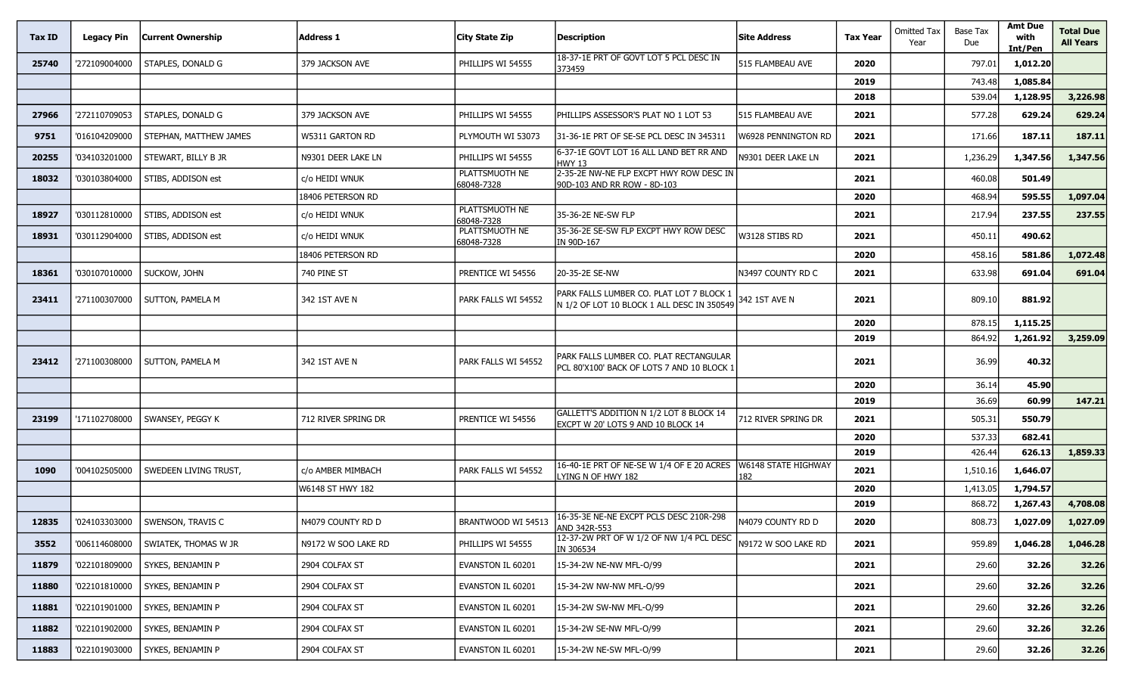| Tax ID | <b>Legacy Pin</b> | <b>Current Ownership</b> | <b>Address 1</b>    | City State Zip               | <b>Description</b>                                                                     | <b>Site Address</b>        | <b>Tax Year</b> | <b>Omitted Tax</b><br>Year | Base Tax<br>Due | <b>Amt Due</b><br>with<br>Int/Pen | <b>Total Due</b><br><b>All Years</b> |
|--------|-------------------|--------------------------|---------------------|------------------------------|----------------------------------------------------------------------------------------|----------------------------|-----------------|----------------------------|-----------------|-----------------------------------|--------------------------------------|
| 25740  | '272109004000     | <b>STAPLES, DONALD G</b> | 379 JACKSON AVE     | PHILLIPS WI 54555            | 18-37-1E PRT OF GOVT LOT 5 PCL DESC IN<br>373459                                       | 515 FLAMBEAU AVE           | 2020            |                            | 797.01          | 1,012.20                          |                                      |
|        |                   |                          |                     |                              |                                                                                        |                            | 2019            |                            | 743.48          | 1,085.84                          |                                      |
|        |                   |                          |                     |                              |                                                                                        |                            | 2018            |                            | 539.04          | 1,128.95                          | 3,226.98                             |
| 27966  | '272110709053     | STAPLES, DONALD G        | 379 JACKSON AVE     | PHILLIPS WI 54555            | PHILLIPS ASSESSOR'S PLAT NO 1 LOT 53                                                   | 515 FLAMBEAU AVE           | 2021            |                            | 577.28          | 629.24                            | 629.24                               |
| 9751   | '016104209000     | STEPHAN, MATTHEW JAMES   | W5311 GARTON RD     | PLYMOUTH WI 53073            | 31-36-1E PRT OF SE-SE PCL DESC IN 345311                                               | W6928 PENNINGTON RD        | 2021            |                            | 171.66          | 187.11                            | 187.11                               |
| 20255  | '034103201000     | STEWART, BILLY B JR      | N9301 DEER LAKE LN  | PHILLIPS WI 54555            | 6-37-1E GOVT LOT 16 ALL LAND BET RR AND<br><b>HWY 13</b>                               | N9301 DEER LAKE LN         | 2021            |                            | 1,236.29        | 1,347.56                          | 1,347.56                             |
| 18032  | '030103804000     | STIBS, ADDISON est       | c/o HEIDI WNUK      | PLATTSMUOTH NE<br>68048-7328 | 2-35-2E NW-NE FLP EXCPT HWY ROW DESC IN<br>90D-103 AND RR ROW - 8D-103                 |                            | 2021            |                            | 460.08          | 501.49                            |                                      |
|        |                   |                          | 18406 PETERSON RD   |                              |                                                                                        |                            | 2020            |                            | 468.94          | 595.55                            | 1,097.04                             |
| 18927  | '030112810000     | STIBS, ADDISON est       | c/o HEIDI WNUK      | PLATTSMUOTH NE<br>68048-7328 | 35-36-2E NE-SW FLP                                                                     |                            | 2021            |                            | 217.94          | 237.55                            | 237.55                               |
| 18931  | '030112904000     | STIBS, ADDISON est       | c/o HEIDI WNUK      | PLATTSMUOTH NE<br>68048-7328 | 35-36-2E SE-SW FLP EXCPT HWY ROW DESC<br>IN 90D-167                                    | W3128 STIBS RD             | 2021            |                            | 450.11          | 490.62                            |                                      |
|        |                   |                          | 18406 PETERSON RD   |                              |                                                                                        |                            | 2020            |                            | 458.16          | 581.86                            | 1,072.48                             |
| 18361  | '030107010000     | SUCKOW, JOHN             | 740 PINE ST         | PRENTICE WI 54556            | 20-35-2E SE-NW                                                                         | N3497 COUNTY RD C          | 2021            |                            | 633.98          | 691.04                            | 691.04                               |
| 23411  | '271100307000     | SUTTON, PAMELA M         | 342 1ST AVE N       | PARK FALLS WI 54552          | PARK FALLS LUMBER CO. PLAT LOT 7 BLOCK 1<br>N 1/2 OF LOT 10 BLOCK 1 ALL DESC IN 350549 | 342 1ST AVE N              | 2021            |                            | 809.10          | 881.92                            |                                      |
|        |                   |                          |                     |                              |                                                                                        |                            | 2020            |                            | 878.15          | 1,115.25                          |                                      |
|        |                   |                          |                     |                              |                                                                                        |                            | 2019            |                            | 864.92          | 1,261.92                          | 3,259.09                             |
| 23412  | '271100308000     | <b>SUTTON, PAMELA M</b>  | 342 1ST AVE N       | PARK FALLS WI 54552          | PARK FALLS LUMBER CO. PLAT RECTANGULAR<br>PCL 80'X100' BACK OF LOTS 7 AND 10 BLOCK 1   |                            | 2021            |                            | 36.99           | 40.32                             |                                      |
|        |                   |                          |                     |                              |                                                                                        |                            | 2020            |                            | 36.14           | 45.90                             |                                      |
|        |                   |                          |                     |                              |                                                                                        |                            | 2019            |                            | 36.69           | 60.99                             | 147.21                               |
| 23199  | '171102708000     | SWANSEY, PEGGY K         | 712 RIVER SPRING DR | PRENTICE WI 54556            | GALLETT'S ADDITION N 1/2 LOT 8 BLOCK 14<br>EXCPT W 20' LOTS 9 AND 10 BLOCK 14          | 712 RIVER SPRING DR        | 2021            |                            | 505.31          | 550.79                            |                                      |
|        |                   |                          |                     |                              |                                                                                        |                            | 2020            |                            | 537.33          | 682.41                            |                                      |
|        |                   |                          |                     |                              |                                                                                        |                            | 2019            |                            | 426.44          | 626.13                            | 1,859.33                             |
| 1090   | '004102505000     | SWEDEEN LIVING TRUST,    | c/o AMBER MIMBACH   | PARK FALLS WI 54552          | 16-40-1E PRT OF NE-SE W 1/4 OF E 20 ACRES<br>Lying N of HWY 182                        | W6148 STATE HIGHWAY<br>182 | 2021            |                            | 1,510.16        | 1,646.07                          |                                      |
|        |                   |                          | W6148 ST HWY 182    |                              |                                                                                        |                            | 2020            |                            | 1,413.05        | 1,794.57                          |                                      |
|        |                   |                          |                     |                              |                                                                                        |                            | 2019            |                            | 868.72          | 1,267.43                          | 4,708.08                             |
| 12835  | '024103303000     | SWENSON, TRAVIS C        | N4079 COUNTY RD D   | BRANTWOOD WI 54513           | 16-35-3E NE-NE EXCPT PCLS DESC 210R-298<br>AND 342R-553                                | N4079 COUNTY RD D          | 2020            |                            | 808.73          | 1,027.09                          | 1,027.09                             |
| 3552   | '006114608000     | SWIATEK, THOMAS W JR     | N9172 W SOO LAKE RD | PHILLIPS WI 54555            | 12-37-2W PRT OF W 1/2 OF NW 1/4 PCL DESC<br>IN 306534                                  | N9172 W SOO LAKE RD        | 2021            |                            | 959.89          | 1,046.28                          | 1,046.28                             |
| 11879  | '022101809000     | SYKES, BENJAMIN P        | 2904 COLFAX ST      | EVANSTON IL 60201            | 15-34-2W NE-NW MFL-O/99                                                                |                            | 2021            |                            | 29.60           | 32.26                             | 32.26                                |
| 11880  | '022101810000     | SYKES, BENJAMIN P        | 2904 COLFAX ST      | EVANSTON IL 60201            | 15-34-2W NW-NW MFL-O/99                                                                |                            | 2021            |                            | 29.60           | 32.26                             | 32.26                                |
| 11881  | '022101901000     | SYKES, BENJAMIN P        | 2904 COLFAX ST      | EVANSTON IL 60201            | 15-34-2W SW-NW MFL-O/99                                                                |                            | 2021            |                            | 29.60           | 32.26                             | 32.26                                |
| 11882  | '022101902000     | SYKES, BENJAMIN P        | 2904 COLFAX ST      | EVANSTON IL 60201            | 15-34-2W SE-NW MFL-O/99                                                                |                            | 2021            |                            | 29.60           | 32.26                             | 32.26                                |
| 11883  | '022101903000     | SYKES, BENJAMIN P        | 2904 COLFAX ST      | EVANSTON IL 60201            | 15-34-2W NE-SW MFL-O/99                                                                |                            | 2021            |                            | 29.60           | 32.26                             | 32.26                                |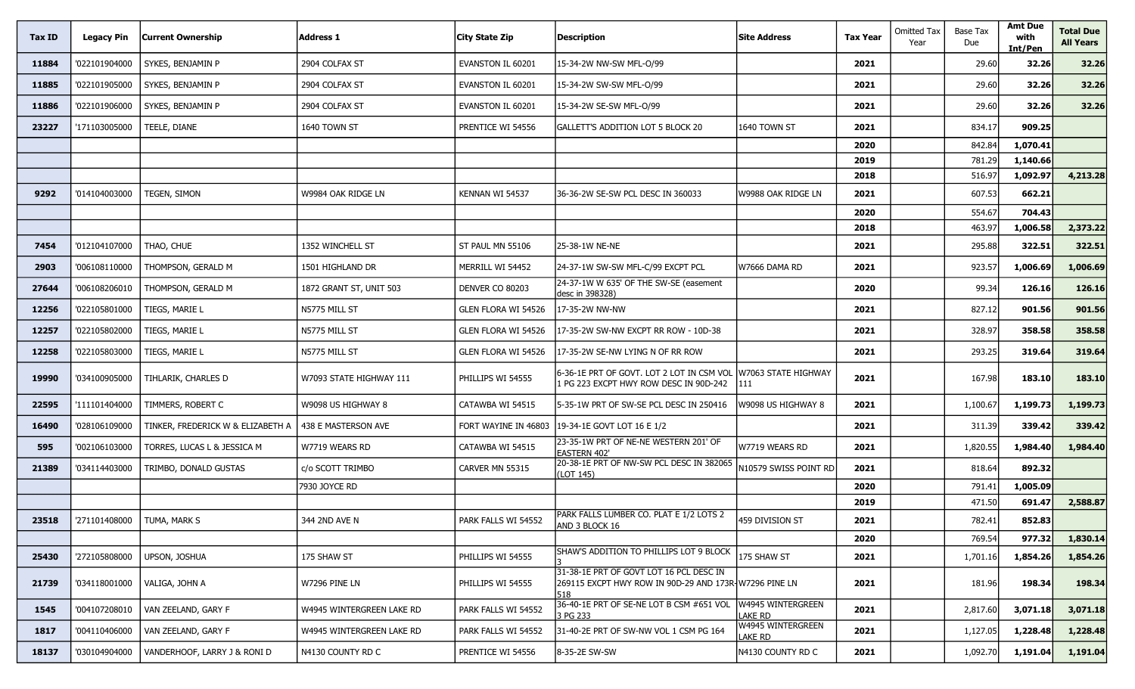| Tax ID | <b>Legacy Pin</b> | <b>Current Ownership</b>          | <b>Address 1</b>          | City State Zip       | <b>Description</b>                                                                                      | <b>Site Address</b>          | <b>Tax Year</b> | <b>Omitted Tax</b><br>Year | <b>Base Tax</b><br>Due | <b>Amt Due</b><br>with<br>Int/Pen | <b>Total Due</b><br><b>All Years</b> |
|--------|-------------------|-----------------------------------|---------------------------|----------------------|---------------------------------------------------------------------------------------------------------|------------------------------|-----------------|----------------------------|------------------------|-----------------------------------|--------------------------------------|
| 11884  | '022101904000     | SYKES, BENJAMIN P                 | 2904 COLFAX ST            | EVANSTON IL 60201    | 15-34-2W NW-SW MFL-O/99                                                                                 |                              | 2021            |                            | 29.60                  | 32.26                             | 32.26                                |
| 11885  | '022101905000     | SYKES, BENJAMIN P                 | 2904 COLFAX ST            | EVANSTON IL 60201    | 15-34-2W SW-SW MFL-O/99                                                                                 |                              | 2021            |                            | 29.60                  | 32.26                             | 32.26                                |
| 11886  | '022101906000     | SYKES, BENJAMIN P                 | 2904 COLFAX ST            | EVANSTON IL 60201    | 15-34-2W SE-SW MFL-O/99                                                                                 |                              | 2021            |                            | 29.60                  | 32.26                             | 32.26                                |
| 23227  | '171103005000     | TEELE, DIANE                      | 1640 TOWN ST              | PRENTICE WI 54556    | GALLETT'S ADDITION LOT 5 BLOCK 20                                                                       | 1640 TOWN ST                 | 2021            |                            | 834.17                 | 909.25                            |                                      |
|        |                   |                                   |                           |                      |                                                                                                         |                              | 2020            |                            | 842.84                 | 1,070.41                          |                                      |
|        |                   |                                   |                           |                      |                                                                                                         |                              | 2019            |                            | 781.29                 | 1,140.66                          |                                      |
|        |                   |                                   |                           |                      |                                                                                                         |                              | 2018            |                            | 516.97                 | 1,092.97                          | 4,213.28                             |
| 9292   | '014104003000     | TEGEN, SIMON                      | W9984 OAK RIDGE LN        | KENNAN WI 54537      | 36-36-2W SE-SW PCL DESC IN 360033                                                                       | W9988 OAK RIDGE LN           | 2021            |                            | 607.53                 | 662.21                            |                                      |
|        |                   |                                   |                           |                      |                                                                                                         |                              | 2020            |                            | 554.67                 | 704.43                            |                                      |
|        |                   |                                   |                           |                      |                                                                                                         |                              | 2018            |                            | 463.97                 | 1,006.58                          | 2,373.22                             |
| 7454   | '012104107000     | THAO, CHUE                        | 1352 WINCHELL ST          | ST PAUL MN 55106     | 25-38-1W NE-NE                                                                                          |                              | 2021            |                            | 295.88                 | 322.51                            | 322.51                               |
| 2903   | '006108110000     | THOMPSON, GERALD M                | 1501 HIGHLAND DR          | MERRILL WI 54452     | 24-37-1W SW-SW MFL-C/99 EXCPT PCL                                                                       | W7666 DAMA RD                | 2021            |                            | 923.57                 | 1,006.69                          | 1,006.69                             |
| 27644  | '006108206010     | THOMPSON, GERALD M                | 1872 GRANT ST, UNIT 503   | DENVER CO 80203      | 24-37-1W W 635' OF THE SW-SE (easement<br>desc in 398328)                                               |                              | 2020            |                            | 99.34                  | 126.16                            | 126.16                               |
| 12256  | '022105801000     | TIEGS, MARIE L                    | N5775 MILL ST             | GLEN FLORA WI 54526  | 17-35-2W NW-NW                                                                                          |                              | 2021            |                            | 827.12                 | 901.56                            | 901.56                               |
| 12257  | '022105802000     | TIEGS, MARIE L                    | N5775 MILL ST             | GLEN FLORA WI 54526  | 17-35-2W SW-NW EXCPT RR ROW - 10D-38                                                                    |                              | 2021            |                            | 328.97                 | 358.58                            | 358.58                               |
| 12258  | '022105803000     | TIEGS, MARIE L                    | N5775 MILL ST             | GLEN FLORA WI 54526  | 17-35-2W SE-NW LYING N OF RR ROW                                                                        |                              | 2021            |                            | 293.25                 | 319.64                            | 319.64                               |
| 19990  | '034100905000     | TIHLARIK, CHARLES D               | W7093 STATE HIGHWAY 111   | PHILLIPS WI 54555    | 6-36-1E PRT OF GOVT. LOT 2 LOT IN CSM VOL<br>1 PG 223 EXCPT HWY ROW DESC IN 90D-242                     | W7063 STATE HIGHWAY<br>111   | 2021            |                            | 167.98                 | 183.10                            | 183.10                               |
| 22595  | '111101404000     | TIMMERS, ROBERT C                 | W9098 US HIGHWAY 8        | CATAWBA WI 54515     | 5-35-1W PRT OF SW-SE PCL DESC IN 250416                                                                 | W9098 US HIGHWAY 8           | 2021            |                            | 1,100.67               | 1,199.73                          | 1,199.73                             |
| 16490  | '028106109000     | TINKER, FREDERICK W & ELIZABETH A | 438 E MASTERSON AVE       | FORT WAYINE IN 46803 | 19-34-1E GOVT LOT 16 E 1/2                                                                              |                              | 2021            |                            | 311.39                 | 339.42                            | 339.42                               |
| 595    | '002106103000     | TORRES, LUCAS L & JESSICA M       | W7719 WEARS RD            | CATAWBA WI 54515     | 23-35-1W PRT OF NE-NE WESTERN 201' OF<br><b>EASTERN 402'</b>                                            | W7719 WEARS RD               | 2021            |                            | 1,820.55               | 1,984.40                          | 1,984.40                             |
| 21389  | '034114403000     | TRIMBO, DONALD GUSTAS             | c/o SCOTT TRIMBO          | CARVER MN 55315      | 20-38-1E PRT OF NW-SW PCL DESC IN 382065<br>(LOT 145)                                                   | 110579 SWISS POINT RD        | 2021            |                            | 818.64                 | 892.32                            |                                      |
|        |                   |                                   | 7930 JOYCE RD             |                      |                                                                                                         |                              | 2020            |                            | 791.41                 | 1,005.09                          |                                      |
|        |                   |                                   |                           |                      |                                                                                                         |                              | 2019            |                            | 471.50                 | 691.47                            | 2,588.87                             |
| 23518  | '271101408000     | TUMA, MARK S                      | 344 2ND AVE N             | PARK FALLS WI 54552  | PARK FALLS LUMBER CO. PLAT E 1/2 LOTS 2<br>AND 3 BLOCK 16                                               | 459 DIVISION ST              | 2021            |                            | 782.41                 | 852.83                            |                                      |
|        |                   |                                   |                           |                      |                                                                                                         |                              | 2020            |                            | 769.54                 | 977.32                            | 1,830.14                             |
| 25430  | '272105808000     | UPSON, JOSHUA                     | 175 SHAW ST               | PHILLIPS WI 54555    | SHAW'S ADDITION TO PHILLIPS LOT 9 BLOCK                                                                 | 175 SHAW ST                  | 2021            |                            | 1,701.16               | 1,854.26                          | 1,854.26                             |
| 21739  | '034118001000     | VALIGA, JOHN A                    | W7296 PINE LN             | PHILLIPS WI 54555    | 31-38-1E PRT OF GOVT LOT 16 PCL DESC IN<br>269115 EXCPT HWY ROW IN 90D-29 AND 173R-W7296 PINE LN<br>518 |                              | 2021            |                            | 181.96                 | 198.34                            | 198.34                               |
| 1545   | '004107208010     | VAN ZEELAND, GARY F               | W4945 WINTERGREEN LAKE RD | PARK FALLS WI 54552  | 36-40-1E PRT OF SE-NE LOT B CSM #651 VOL<br>3 PG 233                                                    | W4945 WINTERGREEN<br>lake RD | 2021            |                            | 2,817.60               | 3,071.18                          | 3,071.18                             |
| 1817   | '004110406000     | VAN ZEELAND, GARY F               | W4945 WINTERGREEN LAKE RD | PARK FALLS WI 54552  | 31-40-2E PRT OF SW-NW VOL 1 CSM PG 164                                                                  | W4945 WINTERGREEN<br>lake RD | 2021            |                            | 1,127.05               | 1,228.48                          | 1,228.48                             |
| 18137  | '030104904000     | VANDERHOOF, LARRY J & RONI D      | N4130 COUNTY RD C         | PRENTICE WI 54556    | 8-35-2E SW-SW                                                                                           | N4130 COUNTY RD C            | 2021            |                            | 1,092.70               | 1,191.04                          | 1,191.04                             |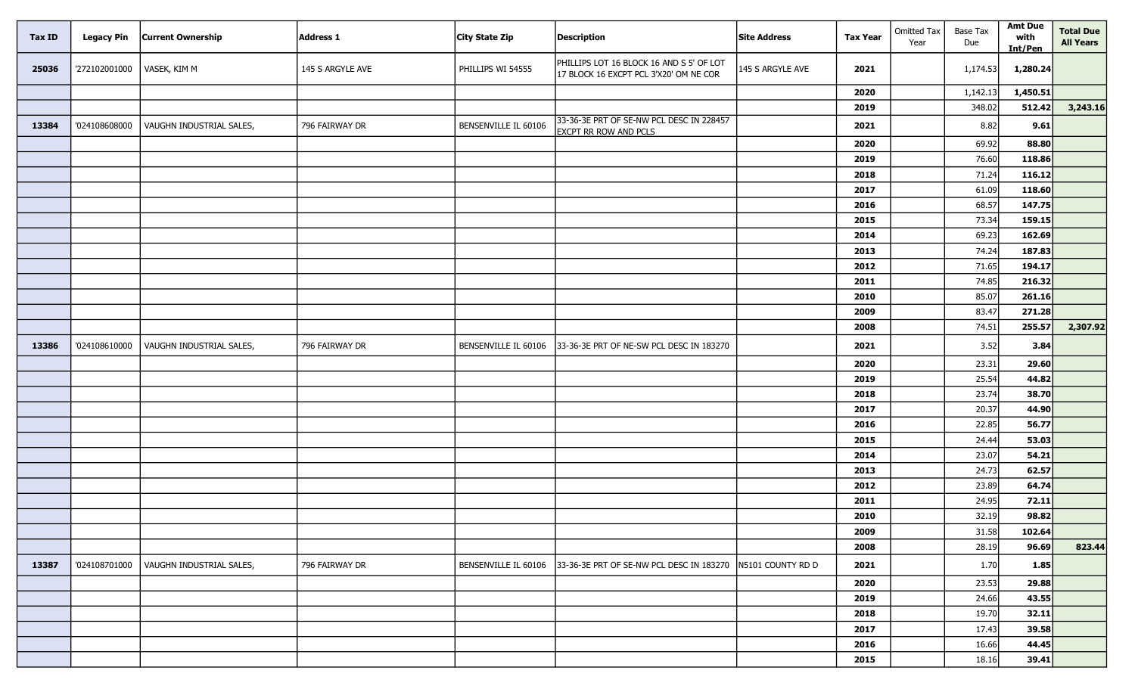| <b>Tax ID</b> | <b>Legacy Pin</b> | <b>Current Ownership</b> | Address 1        | City State Zip       | <b>Description</b>                                                                 | <b>Site Address</b> | <b>Tax Year</b> | <b>Omitted Tax</b><br>Year | Base Tax<br>Due | <b>Amt Due</b><br>with<br>Int/Pen | <b>Total Due</b><br><b>All Years</b> |
|---------------|-------------------|--------------------------|------------------|----------------------|------------------------------------------------------------------------------------|---------------------|-----------------|----------------------------|-----------------|-----------------------------------|--------------------------------------|
| 25036         | '272102001000     | VASEK, KIM M             | 145 S ARGYLE AVE | PHILLIPS WI 54555    | PHILLIPS LOT 16 BLOCK 16 AND S 5' OF LOT<br>17 BLOCK 16 EXCPT PCL 3'X20' OM NE COR | 145 S ARGYLE AVE    | 2021            |                            | 1,174.53        | 1,280.24                          |                                      |
|               |                   |                          |                  |                      |                                                                                    |                     | 2020            |                            | 1,142.13        | 1,450.51                          |                                      |
|               |                   |                          |                  |                      |                                                                                    |                     | 2019            |                            | 348.02          | 512.42                            | 3,243.16                             |
| 13384         | '024108608000     | VAUGHN INDUSTRIAL SALES, | 796 FAIRWAY DR   | BENSENVILLE IL 60106 | 33-36-3E PRT OF SE-NW PCL DESC IN 228457<br><b>EXCPT RR ROW AND PCLS</b>           |                     | 2021            |                            | 8.82            | 9.61                              |                                      |
|               |                   |                          |                  |                      |                                                                                    |                     | 2020            |                            | 69.92           | 88.80                             |                                      |
|               |                   |                          |                  |                      |                                                                                    |                     | 2019            |                            | 76.60           | 118.86                            |                                      |
|               |                   |                          |                  |                      |                                                                                    |                     | 2018            |                            | 71.24           | 116.12                            |                                      |
|               |                   |                          |                  |                      |                                                                                    |                     | 2017            |                            | 61.09           | 118.60                            |                                      |
|               |                   |                          |                  |                      |                                                                                    |                     | 2016            |                            | 68.57           | 147.75                            |                                      |
|               |                   |                          |                  |                      |                                                                                    |                     | 2015            |                            | 73.34           | 159.15                            |                                      |
|               |                   |                          |                  |                      |                                                                                    |                     | 2014            |                            | 69.23           | 162.69                            |                                      |
|               |                   |                          |                  |                      |                                                                                    |                     | 2013            |                            | 74.24           | 187.83                            |                                      |
|               |                   |                          |                  |                      |                                                                                    |                     | 2012            |                            | 71.65           | 194.17                            |                                      |
|               |                   |                          |                  |                      |                                                                                    |                     | 2011            |                            | 74.85           | 216.32                            |                                      |
|               |                   |                          |                  |                      |                                                                                    |                     | 2010            |                            | 85.07           | 261.16                            |                                      |
|               |                   |                          |                  |                      |                                                                                    |                     | 2009            |                            | 83.47           | 271.28                            |                                      |
|               |                   |                          |                  |                      |                                                                                    |                     | 2008            |                            | 74.51           | 255.57                            | 2,307.92                             |
| 13386         | '024108610000     | VAUGHN INDUSTRIAL SALES, | 796 FAIRWAY DR   | BENSENVILLE IL 60106 | 33-36-3E PRT OF NE-SW PCL DESC IN 183270                                           |                     | 2021            |                            | 3.52            | 3.84                              |                                      |
|               |                   |                          |                  |                      |                                                                                    |                     | 2020            |                            | 23.31           | 29.60                             |                                      |
|               |                   |                          |                  |                      |                                                                                    |                     | 2019            |                            | 25.54           | 44.82                             |                                      |
|               |                   |                          |                  |                      |                                                                                    |                     | 2018            |                            | 23.74           | 38.70                             |                                      |
|               |                   |                          |                  |                      |                                                                                    |                     | 2017            |                            | 20.37           | 44.90                             |                                      |
|               |                   |                          |                  |                      |                                                                                    |                     | 2016            |                            | 22.85           | 56.77                             |                                      |
|               |                   |                          |                  |                      |                                                                                    |                     | 2015            |                            | 24.44           | 53.03                             |                                      |
|               |                   |                          |                  |                      |                                                                                    |                     | 2014            |                            | 23.07           | 54.21                             |                                      |
|               |                   |                          |                  |                      |                                                                                    |                     | 2013            |                            | 24.73           | 62.57                             |                                      |
|               |                   |                          |                  |                      |                                                                                    |                     | 2012            |                            | 23.89           | 64.74                             |                                      |
|               |                   |                          |                  |                      |                                                                                    |                     | 2011            |                            | 24.95           | 72.11                             |                                      |
|               |                   |                          |                  |                      |                                                                                    |                     | 2010            |                            | 32.19           | 98.82                             |                                      |
|               |                   |                          |                  |                      |                                                                                    |                     | 2009            |                            | 31.58           | 102.64                            |                                      |
|               |                   |                          |                  |                      |                                                                                    |                     | 2008            |                            | 28.19           | 96.69                             | 823.44                               |
| 13387         | '024108701000     | VAUGHN INDUSTRIAL SALES, | 796 FAIRWAY DR   | BENSENVILLE IL 60106 | 33-36-3E PRT OF SE-NW PCL DESC IN 183270                                           | N5101 COUNTY RD D   | 2021            |                            | 1.70            | 1.85                              |                                      |
|               |                   |                          |                  |                      |                                                                                    |                     | 2020            |                            | 23.53           | 29.88                             |                                      |
|               |                   |                          |                  |                      |                                                                                    |                     | 2019            |                            | 24.66           | 43.55                             |                                      |
|               |                   |                          |                  |                      |                                                                                    |                     | 2018            |                            | 19.70           | 32.11                             |                                      |
|               |                   |                          |                  |                      |                                                                                    |                     | 2017            |                            | 17.43           | 39.58                             |                                      |
|               |                   |                          |                  |                      |                                                                                    |                     | 2016            |                            | 16.66           | 44.45                             |                                      |
|               |                   |                          |                  |                      |                                                                                    |                     | 2015            |                            | 18.16           | 39.41                             |                                      |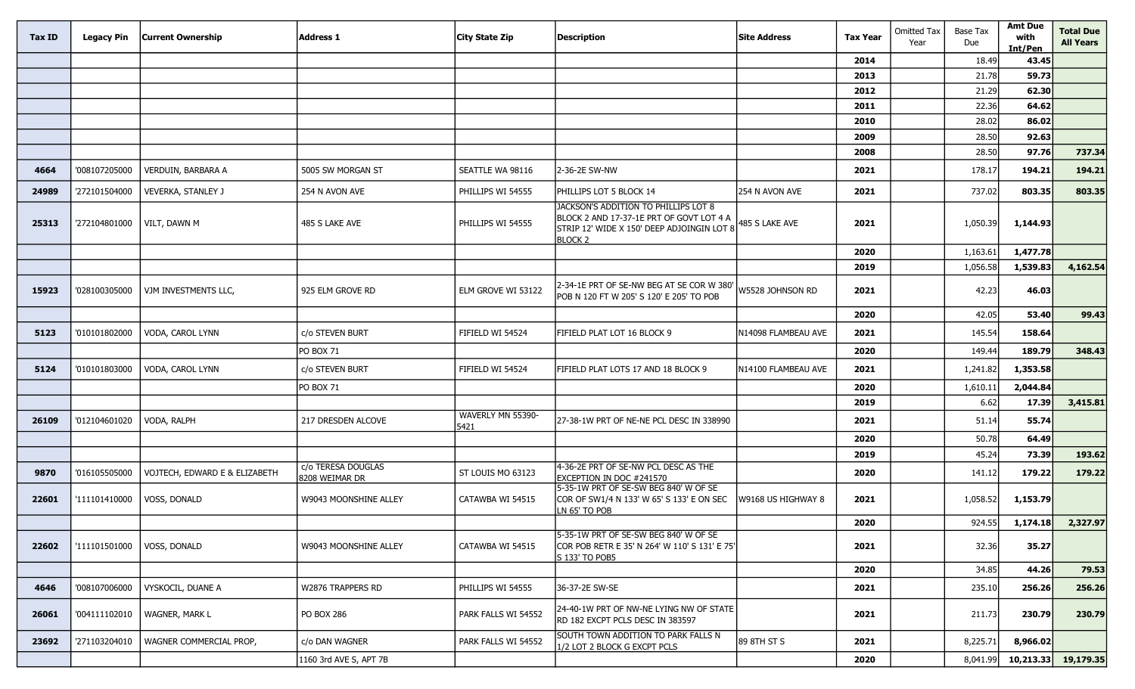| <b>Tax ID</b> | Legacy Pin    | <b>Current Ownership</b>      | <b>Address 1</b>                     | City State Zip            | <b>Description</b>                                                                                                                        | <b>Site Address</b> | <b>Tax Year</b> | <b>Omitted Tax</b><br>Year | Base Tax<br>Due | <b>Amt Due</b><br>with<br>Int/Pen | <b>Total Due</b><br><b>All Years</b> |
|---------------|---------------|-------------------------------|--------------------------------------|---------------------------|-------------------------------------------------------------------------------------------------------------------------------------------|---------------------|-----------------|----------------------------|-----------------|-----------------------------------|--------------------------------------|
|               |               |                               |                                      |                           |                                                                                                                                           |                     | 2014            |                            | 18.49           | 43.45                             |                                      |
|               |               |                               |                                      |                           |                                                                                                                                           |                     | 2013            |                            | 21.78           | 59.73                             |                                      |
|               |               |                               |                                      |                           |                                                                                                                                           |                     | 2012            |                            | 21.29           | 62.30                             |                                      |
|               |               |                               |                                      |                           |                                                                                                                                           |                     | 2011            |                            | 22.36           | 64.62                             |                                      |
|               |               |                               |                                      |                           |                                                                                                                                           |                     | 2010            |                            | 28.02           | 86.02                             |                                      |
|               |               |                               |                                      |                           |                                                                                                                                           |                     | 2009            |                            | 28.50           | 92.63                             |                                      |
|               |               |                               |                                      |                           |                                                                                                                                           |                     | 2008            |                            | 28.50           | 97.76                             | 737.34                               |
| 4664          | '008107205000 | VERDUIN, BARBARA A            | 5005 SW MORGAN ST                    | SEATTLE WA 98116          | 2-36-2E SW-NW                                                                                                                             |                     | 2021            |                            | 178.17          | 194.21                            | 194.21                               |
| 24989         | '272101504000 | <b>VEVERKA, STANLEY J</b>     | 254 N AVON AVE                       | PHILLIPS WI 54555         | Phillips Lot 5 Block 14                                                                                                                   | 254 N AVON AVE      | 2021            |                            | 737.02          | 803.35                            | 803.35                               |
| 25313         | '272104801000 | VILT, DAWN M                  | 485 S LAKE AVE                       | PHILLIPS WI 54555         | JACKSON'S ADDITION TO PHILLIPS LOT 8<br>BLOCK 2 AND 17-37-1E PRT OF GOVT LOT 4 A<br>STRIP 12' WIDE X 150' DEEP ADJOINGIN LOT 8<br>BLOCK 2 | 485 S LAKE AVE      | 2021            |                            | 1,050.39        | 1,144.93                          |                                      |
|               |               |                               |                                      |                           |                                                                                                                                           |                     | 2020            |                            | 1,163.61        | 1,477.78                          |                                      |
|               |               |                               |                                      |                           |                                                                                                                                           |                     | 2019            |                            | 1,056.58        | 1,539.83                          | 4,162.54                             |
| 15923         | '028100305000 | VJM INVESTMENTS LLC,          | 925 ELM GROVE RD                     | ELM GROVE WI 53122        | 2-34-1E PRT OF SE-NW BEG AT SE COR W 380<br>POB N 120 FT W 205' S 120' E 205' TO POB                                                      | W5528 JOHNSON RD    | 2021            |                            | 42.23           | 46.03                             |                                      |
|               |               |                               |                                      |                           |                                                                                                                                           |                     | 2020            |                            | 42.05           | 53.40                             | 99.43                                |
| 5123          | '010101802000 | VODA, CAROL LYNN              | c/o STEVEN BURT                      | FIFIELD WI 54524          | FIFIELD PLAT LOT 16 BLOCK 9                                                                                                               | N14098 FLAMBEAU AVE | 2021            |                            | 145.54          | 158.64                            |                                      |
|               |               |                               | <b>PO BOX 71</b>                     |                           |                                                                                                                                           |                     | 2020            |                            | 149.44          | 189.79                            | 348.43                               |
| 5124          | '010101803000 | VODA, CAROL LYNN              | c/o STEVEN BURT                      | FIFIELD WI 54524          | FIFIELD PLAT LOTS 17 AND 18 BLOCK 9                                                                                                       | N14100 FLAMBEAU AVE | 2021            |                            | 1,241.82        | 1,353.58                          |                                      |
|               |               |                               | <b>PO BOX 71</b>                     |                           |                                                                                                                                           |                     | 2020            |                            | 1,610.11        | 2,044.84                          |                                      |
|               |               |                               |                                      |                           |                                                                                                                                           |                     | 2019            |                            | 6.62            | 17.39                             | 3,415.81                             |
| 26109         | '012104601020 | VODA, RALPH                   | 217 DRESDEN ALCOVE                   | WAVERLY MN 55390-<br>5421 | 27-38-1W PRT OF NE-NE PCL DESC IN 338990                                                                                                  |                     | 2021            |                            | 51.14           | 55.74                             |                                      |
|               |               |                               |                                      |                           |                                                                                                                                           |                     | 2020            |                            | 50.78           | 64.49                             |                                      |
|               |               |                               |                                      |                           |                                                                                                                                           |                     | 2019            |                            | 45.24           | 73.39                             | 193.62                               |
| 9870          | '016105505000 | VOJTECH, EDWARD E & ELIZABETH | c/o TERESA DOUGLAS<br>8208 WEIMAR DR | ST LOUIS MO 63123         | 4-36-2E PRT OF SE-NW PCL DESC AS THE<br>EXCEPTION IN DOC #241570                                                                          |                     | 2020            |                            | 141.12          | 179.22                            | 179.22                               |
| 22601         | '111101410000 | VOSS, DONALD                  | W9043 MOONSHINE ALLEY                | CATAWBA WI 54515          | 5-35-1W PRT OF SE-SW BEG 840' W OF SE<br>COR OF SW1/4 N 133' W 65' S 133' E ON SEC<br>LN 65' TO POB                                       | W9168 US HIGHWAY 8  | 2021            |                            | 1,058.52        | 1,153.79                          |                                      |
|               |               |                               |                                      |                           |                                                                                                                                           |                     | 2020            |                            | 924.55          | 1,174.18                          | 2,327.97                             |
| 22602         | '111101501000 | VOSS, DONALD                  | W9043 MOONSHINE ALLEY                | CATAWBA WI 54515          | 5-35-1W PRT OF SE-SW BEG 840' W OF SE<br>COR POB RETR E 35' N 264' W 110' S 131' E 75'<br>S 133' TO POB5                                  |                     | 2021            |                            | 32.36           | 35.27                             |                                      |
|               |               |                               |                                      |                           |                                                                                                                                           |                     | 2020            |                            | 34.85           | 44.26                             | 79.53                                |
| 4646          | '008107006000 | VYSKOCIL, DUANE A             | W2876 TRAPPERS RD                    | PHILLIPS WI 54555         | 36-37-2E SW-SE                                                                                                                            |                     | 2021            |                            | 235.10          | 256.26                            | 256.26                               |
| 26061         | '004111102010 | <b>WAGNER, MARK L</b>         | PO BOX 286                           | PARK FALLS WI 54552       | 24-40-1W PRT OF NW-NE LYING NW OF STATE<br>RD 182 EXCPT PCLS DESC IN 383597                                                               |                     | 2021            |                            | 211.73          | 230.79                            | 230.79                               |
| 23692         | '271103204010 | WAGNER COMMERCIAL PROP,       | c/o DAN WAGNER                       | PARK FALLS WI 54552       | SOUTH TOWN ADDITION TO PARK FALLS N<br>1/2 LOT 2 BLOCK G EXCPT PCLS                                                                       | 89 8TH ST S         | 2021            |                            | 8,225.71        | 8,966.02                          |                                      |
|               |               |                               | 1160 3rd AVE S, APT 7B               |                           |                                                                                                                                           |                     | 2020            |                            | 8,041.99        | 10,213.33                         | 19,179.35                            |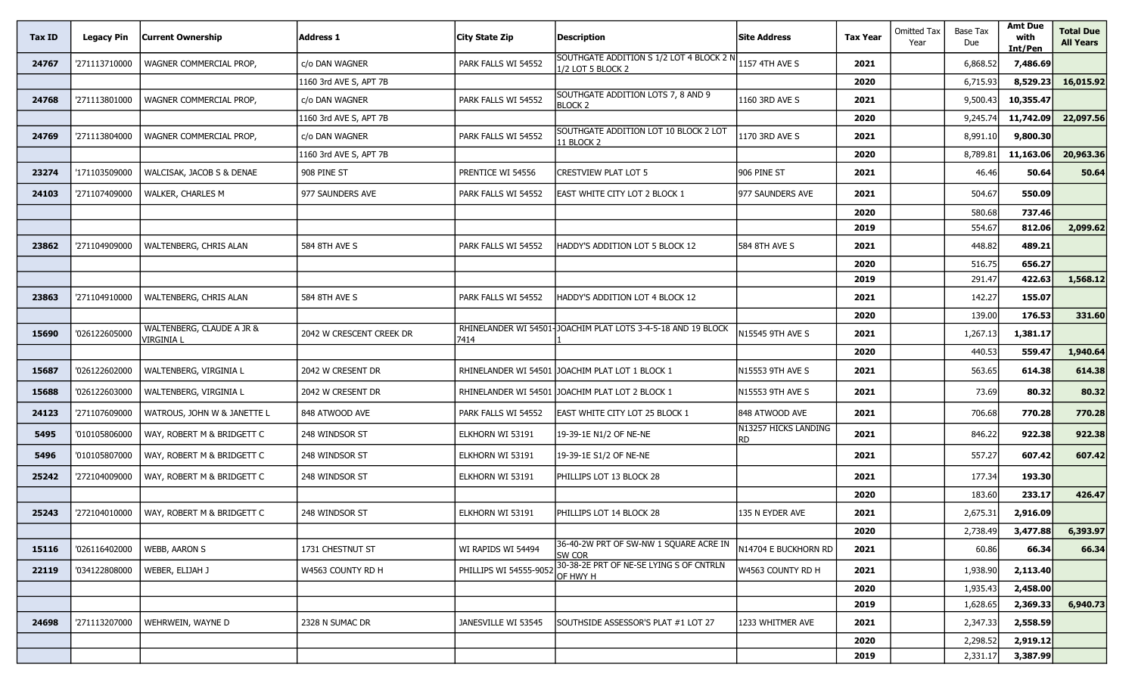| Tax ID | <b>Legacy Pin</b> | <b>Current Ownership</b>                | <b>Address 1</b>         | City State Zip        | <b>Description</b>                                            | <b>Site Address</b>         | <b>Tax Year</b> | <b>Omitted Tax</b><br>Year | Base Tax<br>Due | <b>Amt Due</b><br>with<br>Int/Pen | <b>Total Due</b><br><b>All Years</b> |
|--------|-------------------|-----------------------------------------|--------------------------|-----------------------|---------------------------------------------------------------|-----------------------------|-----------------|----------------------------|-----------------|-----------------------------------|--------------------------------------|
| 24767  | '271113710000     | WAGNER COMMERCIAL PROP,                 | c/o DAN WAGNER           | PARK FALLS WI 54552   | SOUTHGATE ADDITION S 1/2 LOT 4 BLOCK 2 N<br>1/2 LOT 5 BLOCK 2 | 1157 4TH AVE S              | 2021            |                            | 6,868.52        | 7,486.69                          |                                      |
|        |                   |                                         | 1160 3rd AVE S, APT 7B   |                       |                                                               |                             | 2020            |                            | 6,715.93        | 8,529.23                          | 16,015.92                            |
| 24768  | '271113801000     | WAGNER COMMERCIAL PROP,                 | c/o DAN WAGNER           | PARK FALLS WI 54552   | SOUTHGATE ADDITION LOTS 7, 8 AND 9<br><b>BLOCK 2</b>          | 1160 3RD AVE S              | 2021            |                            | 9,500.43        | 10,355.47                         |                                      |
|        |                   |                                         | 1160 3rd AVE S, APT 7B   |                       |                                                               |                             | 2020            |                            | 9,245.74        | 11,742.09                         | 22,097.56                            |
| 24769  | '271113804000     | WAGNER COMMERCIAL PROP,                 | c/o DAN WAGNER           | PARK FALLS WI 54552   | SOUTHGATE ADDITION LOT 10 BLOCK 2 LOT<br>11 BLOCK 2           | 1170 3RD AVE S              | 2021            |                            | 8,991.10        | 9,800.30                          |                                      |
|        |                   |                                         | 1160 3rd AVE S, APT 7B   |                       |                                                               |                             | 2020            |                            | 8,789.81        | 11,163.06                         | 20,963.36                            |
| 23274  | '171103509000     | WALCISAK, JACOB S & DENAE               | 908 PINE ST              | PRENTICE WI 54556     | <b>CRESTVIEW PLAT LOT 5</b>                                   | 906 PINE ST                 | 2021            |                            | 46.46           | 50.64                             | 50.64                                |
| 24103  | '271107409000     | WALKER, CHARLES M                       | 977 SAUNDERS AVE         | PARK FALLS WI 54552   | <b>EAST WHITE CITY LOT 2 BLOCK 1</b>                          | 977 SAUNDERS AVE            | 2021            |                            | 504.67          | 550.09                            |                                      |
|        |                   |                                         |                          |                       |                                                               |                             | 2020            |                            | 580.68          | 737.46                            |                                      |
|        |                   |                                         |                          |                       |                                                               |                             | 2019            |                            | 554.67          | 812.06                            | 2,099.62                             |
| 23862  | '271104909000     | WALTENBERG, CHRIS ALAN                  | 584 8TH AVE S            | PARK FALLS WI 54552   | HADDY'S ADDITION LOT 5 BLOCK 12                               | 584 8TH AVE S               | 2021            |                            | 448.82          | 489.21                            |                                      |
|        |                   |                                         |                          |                       |                                                               |                             | 2020            |                            | 516.75          | 656.27                            |                                      |
|        |                   |                                         |                          |                       |                                                               |                             | 2019            |                            | 291.47          | 422.63                            | 1,568.12                             |
| 23863  | '271104910000     | WALTENBERG, CHRIS ALAN                  | 584 8TH AVE S            | PARK FALLS WI 54552   | HADDY'S ADDITION LOT 4 BLOCK 12                               |                             | 2021            |                            | 142.27          | 155.07                            |                                      |
|        |                   |                                         |                          |                       |                                                               |                             | 2020            |                            | 139.00          | 176.53                            | 331.60                               |
| 15690  | '026122605000     | WALTENBERG, CLAUDE A JR &<br>/IRGINIA L | 2042 W CRESCENT CREEK DR | 7414                  | RHINELANDER WI 54501-JOACHIM PLAT LOTS 3-4-5-18 AND 19 BLOCK  | N15545 9TH AVE S            | 2021            |                            | 1,267.13        | 1,381.17                          |                                      |
|        |                   |                                         |                          |                       |                                                               |                             | 2020            |                            | 440.53          | 559.47                            | 1,940.64                             |
| 15687  | '026122602000     | WALTENBERG, VIRGINIA L                  | 2042 W CRESENT DR        |                       | RHINELANDER WI 54501 JOACHIM PLAT LOT 1 BLOCK 1               | N15553 9TH AVE S            | 2021            |                            | 563.65          | 614.38                            | 614.38                               |
| 15688  | '026122603000     | WALTENBERG, VIRGINIA L                  | 2042 W CRESENT DR        |                       | RHINELANDER WI 54501 JOACHIM PLAT LOT 2 BLOCK 1               | N15553 9TH AVE S            | 2021            |                            | 73.69           | 80.32                             | 80.32                                |
| 24123  | '271107609000     | WATROUS, JOHN W & JANETTE L             | 848 ATWOOD AVE           | PARK FALLS WI 54552   | <b>EAST WHITE CITY LOT 25 BLOCK 1</b>                         | 848 ATWOOD AVE              | 2021            |                            | 706.68          | 770.28                            | 770.28                               |
| 5495   | '010105806000     | WAY, ROBERT M & BRIDGETT C              | 248 WINDSOR ST           | ELKHORN WI 53191      | 19-39-1E N1/2 OF NE-NE                                        | N13257 HICKS LANDING<br>RD. | 2021            |                            | 846.22          | 922.38                            | 922.38                               |
| 5496   | '010105807000     | WAY, ROBERT M & BRIDGETT C              | 248 WINDSOR ST           | ELKHORN WI 53191      | 19-39-1E S1/2 OF NE-NE                                        |                             | 2021            |                            | 557.27          | 607.42                            | 607.42                               |
| 25242  | '272104009000     | WAY, ROBERT M & BRIDGETT C              | 248 WINDSOR ST           | ELKHORN WI 53191      | PHILLIPS LOT 13 BLOCK 28                                      |                             | 2021            |                            | 177.34          | 193.30                            |                                      |
|        |                   |                                         |                          |                       |                                                               |                             | 2020            |                            | 183.60          | 233.17                            | 426.47                               |
| 25243  | '272104010000     | WAY, ROBERT M & BRIDGETT C              | 248 WINDSOR ST           | ELKHORN WI 53191      | PHILLIPS LOT 14 BLOCK 28                                      | 135 N EYDER AVE             | 2021            |                            | 2,675.31        | 2,916.09                          |                                      |
|        |                   |                                         |                          |                       |                                                               |                             | 2020            |                            | 2,738.49        | 3,477.88                          | 6,393.97                             |
| 15116  | '026116402000     | <b>WEBB, AARON S</b>                    | 1731 CHESTNUT ST         | WI RAPIDS WI 54494    | 36-40-2W PRT OF SW-NW 1 SOUARE ACRE IN<br>SW COR              | N14704 E BUCKHORN RD        | 2021            |                            | 60.86           | 66.34                             | 66.34                                |
| 22119  | '034122808000     | WEBER, ELIJAH J                         | W4563 COUNTY RD H        | PHILLIPS WI 54555-905 | 30-38-2E PRT OF NE-SE LYING S OF CNTRLN<br>OF HWY H           | W4563 COUNTY RD H           | 2021            |                            | 1,938.90        | 2,113.40                          |                                      |
|        |                   |                                         |                          |                       |                                                               |                             | 2020            |                            | 1,935.43        | 2,458.00                          |                                      |
|        |                   |                                         |                          |                       |                                                               |                             | 2019            |                            | 1,628.65        | 2,369.33                          | 6,940.73                             |
| 24698  | '271113207000     | WEHRWEIN, WAYNE D                       | 2328 N SUMAC DR          | JANESVILLE WI 53545   | SOUTHSIDE ASSESSOR'S PLAT #1 LOT 27                           | 1233 WHITMER AVE            | 2021            |                            | 2,347.33        | 2,558.59                          |                                      |
|        |                   |                                         |                          |                       |                                                               |                             | 2020            |                            | 2,298.52        | 2,919.12                          |                                      |
|        |                   |                                         |                          |                       |                                                               |                             | 2019            |                            | 2,331.17        | 3,387.99                          |                                      |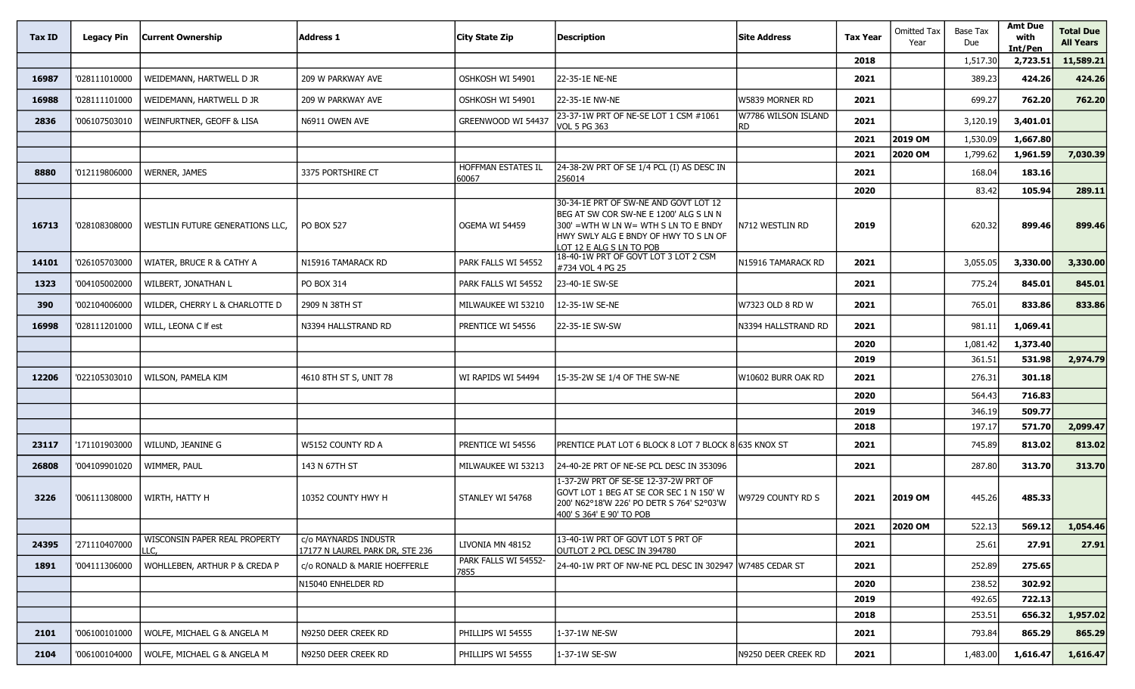| Tax ID | <b>Legacy Pin</b> | <b>Current Ownership</b>              | <b>Address 1</b>                                        | City State Zip               | <b>Description</b>                                                                                                                                                                           | <b>Site Address</b>              | <b>Tax Year</b> | <b>Omitted Tax</b><br>Year | Base Tax<br>Due | <b>Amt Due</b><br>with<br>Int/Pen | <b>Total Due</b><br><b>All Years</b> |
|--------|-------------------|---------------------------------------|---------------------------------------------------------|------------------------------|----------------------------------------------------------------------------------------------------------------------------------------------------------------------------------------------|----------------------------------|-----------------|----------------------------|-----------------|-----------------------------------|--------------------------------------|
|        |                   |                                       |                                                         |                              |                                                                                                                                                                                              |                                  | 2018            |                            | 1,517.30        | 2,723.51                          | 11,589.21                            |
| 16987  | '028111010000     | WEIDEMANN, HARTWELL D JR              | 209 W PARKWAY AVE                                       | OSHKOSH WI 54901             | 22-35-1E NE-NE                                                                                                                                                                               |                                  | 2021            |                            | 389.23          | 424.26                            | 424.26                               |
| 16988  | '028111101000     | WEIDEMANN, HARTWELL D JR              | 209 W PARKWAY AVE                                       | OSHKOSH WI 54901             | 22-35-1E NW-NE                                                                                                                                                                               | W5839 MORNER RD                  | 2021            |                            | 699.27          | 762.20                            | 762.20                               |
| 2836   | '006107503010     | WEINFURTNER, GEOFF & LISA             | N6911 OWEN AVE                                          | GREENWOOD WI 54437           | 23-37-1W PRT OF NE-SE LOT 1 CSM #1061<br><b>VOL 5 PG 363</b>                                                                                                                                 | W7786 WILSON ISLAND<br><b>RD</b> | 2021            |                            | 3,120.19        | 3,401.01                          |                                      |
|        |                   |                                       |                                                         |                              |                                                                                                                                                                                              |                                  | 2021            | 2019 OM                    | 1,530.09        | 1,667.80                          |                                      |
|        |                   |                                       |                                                         |                              |                                                                                                                                                                                              |                                  | 2021            | 2020 OM                    | 1,799.62        | 1,961.59                          | 7,030.39                             |
| 8880   | '012119806000     | <b>WERNER, JAMES</b>                  | 3375 PORTSHIRE CT                                       | HOFFMAN ESTATES IL<br>60067  | 24-38-2W PRT OF SE 1/4 PCL (I) AS DESC IN<br>256014                                                                                                                                          |                                  | 2021            |                            | 168.04          | 183.16                            |                                      |
|        |                   |                                       |                                                         |                              |                                                                                                                                                                                              |                                  | 2020            |                            | 83.42           | 105.94                            | 289.11                               |
| 16713  | '028108308000     | WESTLIN FUTURE GENERATIONS LLC,       | <b>PO BOX 527</b>                                       | OGEMA WI 54459               | 30-34-1E PRT OF SW-NE AND GOVT LOT 12<br>BEG AT SW COR SW-NE E 1200' ALG S LN N<br>300' =WTH W LN W= WTH S LN TO E BNDY<br>HWY SWLY ALG E BNDY OF HWY TO S LN OF<br>LOT 12 E ALG S LN TO POB | N712 WESTLIN RD                  | 2019            |                            | 620.32          | 899.46                            | 899.46                               |
| 14101  | '026105703000     | WIATER, BRUCE R & CATHY A             | N15916 TAMARACK RD                                      | PARK FALLS WI 54552          | 18-40-1W PRT OF GOVT LOT 3 LOT 2 CSM<br>#734 VOL 4 PG 25                                                                                                                                     | N15916 TAMARACK RD               | 2021            |                            | 3,055.05        | 3,330.00                          | 3,330.00                             |
| 1323   | '004105002000     | WILBERT, JONATHAN L                   | PO BOX 314                                              | PARK FALLS WI 54552          | 23-40-1E SW-SE                                                                                                                                                                               |                                  | 2021            |                            | 775.24          | 845.01                            | 845.01                               |
| 390    | '002104006000     | WILDER, CHERRY L & CHARLOTTE D        | 2909 N 38TH ST                                          | MILWAUKEE WI 53210           | 12-35-1W SE-NE                                                                                                                                                                               | W7323 OLD 8 RD W                 | 2021            |                            | 765.01          | 833.86                            | 833.86                               |
| 16998  | '028111201000     | WILL, LEONA C If est                  | N3394 HALLSTRAND RD                                     | PRENTICE WI 54556            | 22-35-1E SW-SW                                                                                                                                                                               | N3394 HALLSTRAND RD              | 2021            |                            | 981.11          | 1,069.41                          |                                      |
|        |                   |                                       |                                                         |                              |                                                                                                                                                                                              |                                  | 2020            |                            | 1,081.42        | 1,373.40                          |                                      |
|        |                   |                                       |                                                         |                              |                                                                                                                                                                                              |                                  | 2019            |                            | 361.51          | 531.98                            | 2,974.79                             |
| 12206  | '022105303010     | WILSON, PAMELA KIM                    | 4610 8TH ST S, UNIT 78                                  | WI RAPIDS WI 54494           | 15-35-2W SE 1/4 OF THE SW-NE                                                                                                                                                                 | W10602 BURR OAK RD               | 2021            |                            | 276.31          | 301.18                            |                                      |
|        |                   |                                       |                                                         |                              |                                                                                                                                                                                              |                                  | 2020            |                            | 564.43          | 716.83                            |                                      |
|        |                   |                                       |                                                         |                              |                                                                                                                                                                                              |                                  | 2019            |                            | 346.19          | 509.77                            |                                      |
|        |                   |                                       |                                                         |                              |                                                                                                                                                                                              |                                  | 2018            |                            | 197.17          | 571.70                            | 2,099.47                             |
| 23117  | '171101903000     | WILUND, JEANINE G                     | W5152 COUNTY RD A                                       | PRENTICE WI 54556            | PRENTICE PLAT LOT 6 BLOCK 8 LOT 7 BLOCK 8 635 KNOX ST                                                                                                                                        |                                  | 2021            |                            | 745.89          | 813.02                            | 813.02                               |
| 26808  | '004109901020     | WIMMER, PAUL                          | 143 N 67TH ST                                           | MILWAUKEE WI 53213           | 24-40-2E PRT OF NE-SE PCL DESC IN 353096                                                                                                                                                     |                                  | 2021            |                            | 287.80          | 313.70                            | 313.70                               |
| 3226   | '006111308000     | WIRTH, HATTY H                        | 10352 COUNTY HWY H                                      | STANLEY WI 54768             | 1-37-2W PRT OF SE-SE 12-37-2W PRT OF<br>GOVT LOT 1 BEG AT SE COR SEC 1 N 150' W<br>200' N62°18'W 226' PO DETR S 764' S2°03'W<br>400' S 364' E 90' TO POB                                     | W9729 COUNTY RD S                | 2021            | 2019 OM                    | 445.26          | 485.33                            |                                      |
|        |                   |                                       |                                                         |                              |                                                                                                                                                                                              |                                  | 2021            | 2020 OM                    | 522.13          | 569.12                            | 1,054.46                             |
| 24395  | '271110407000     | WISCONSIN PAPER REAL PROPERTY<br>LLC. | c/o MAYNARDS INDUSTR<br>17177 N LAUREL PARK DR, STE 236 | LIVONIA MN 48152             | 13-40-1W PRT OF GOVT LOT 5 PRT OF<br>OUTLOT 2 PCL DESC IN 394780                                                                                                                             |                                  | 2021            |                            | 25.61           | 27.91                             | 27.91                                |
| 1891   | '004111306000     | WOHLLEBEN, ARTHUR P & CREDA P         | c/o RONALD & MARIE HOEFFERLE                            | PARK FALLS WI 54552-<br>7855 | 24-40-1W PRT OF NW-NE PCL DESC IN 302947 W7485 CEDAR ST                                                                                                                                      |                                  | 2021            |                            | 252.89          | 275.65                            |                                      |
|        |                   |                                       | N15040 ENHELDER RD                                      |                              |                                                                                                                                                                                              |                                  | 2020            |                            | 238.52          | 302.92                            |                                      |
|        |                   |                                       |                                                         |                              |                                                                                                                                                                                              |                                  | 2019            |                            | 492.65          | 722.13                            |                                      |
|        |                   |                                       |                                                         |                              |                                                                                                                                                                                              |                                  | 2018            |                            | 253.51          | 656.32                            | 1,957.02                             |
| 2101   | '006100101000     | WOLFE, MICHAEL G & ANGELA M           | N9250 DEER CREEK RD                                     | PHILLIPS WI 54555            | 1-37-1W NE-SW                                                                                                                                                                                |                                  | 2021            |                            | 793.84          | 865.29                            | 865.29                               |
| 2104   | '006100104000     | WOLFE, MICHAEL G & ANGELA M           | N9250 DEER CREEK RD                                     | PHILLIPS WI 54555            | 1-37-1W SE-SW                                                                                                                                                                                | N9250 DEER CREEK RD              | 2021            |                            | 1,483.00        | 1,616.47                          | 1,616.47                             |